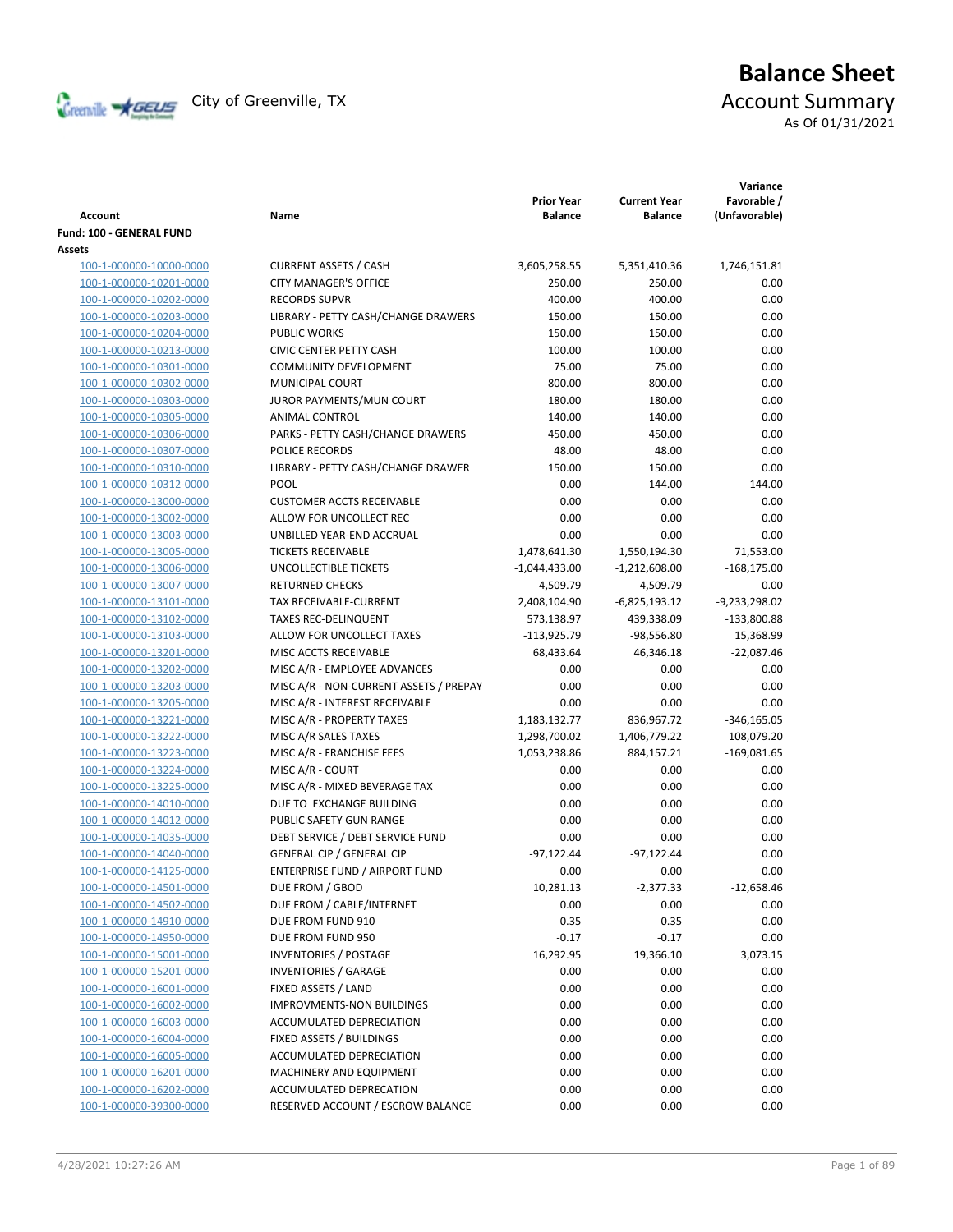

# **Balance Sheet** Creenville Strategies City of Greenville, TX Account Summary As Of 01/31/2021

| <b>Account</b>                  | Name                                   | <b>Prior Year</b><br><b>Balance</b> | <b>Current Year</b><br><b>Balance</b> | Variance<br>Favorable /<br>(Unfavorable) |
|---------------------------------|----------------------------------------|-------------------------------------|---------------------------------------|------------------------------------------|
| <b>Fund: 100 - GENERAL FUND</b> |                                        |                                     |                                       |                                          |
| Assets                          |                                        |                                     |                                       |                                          |
| 100-1-000000-10000-0000         | <b>CURRENT ASSETS / CASH</b>           | 3,605,258.55                        | 5,351,410.36                          | 1,746,151.81                             |
| 100-1-000000-10201-0000         | <b>CITY MANAGER'S OFFICE</b>           | 250.00                              | 250.00                                | 0.00                                     |
| 100-1-000000-10202-0000         | <b>RECORDS SUPVR</b>                   | 400.00                              | 400.00                                | 0.00                                     |
| 100-1-000000-10203-0000         | LIBRARY - PETTY CASH/CHANGE DRAWERS    | 150.00                              | 150.00                                | 0.00                                     |
| 100-1-000000-10204-0000         | <b>PUBLIC WORKS</b>                    | 150.00                              | 150.00                                | 0.00                                     |
| 100-1-000000-10213-0000         | <b>CIVIC CENTER PETTY CASH</b>         | 100.00                              | 100.00                                | 0.00                                     |
| 100-1-000000-10301-0000         | <b>COMMUNITY DEVELOPMENT</b>           | 75.00                               | 75.00                                 | 0.00                                     |
| 100-1-000000-10302-0000         | MUNICIPAL COURT                        | 800.00                              | 800.00                                | 0.00                                     |
| 100-1-000000-10303-0000         | JUROR PAYMENTS/MUN COURT               | 180.00                              | 180.00                                | 0.00                                     |
| 100-1-000000-10305-0000         | ANIMAL CONTROL                         | 140.00                              | 140.00                                | 0.00                                     |
| 100-1-000000-10306-0000         | PARKS - PETTY CASH/CHANGE DRAWERS      | 450.00                              | 450.00                                | 0.00                                     |
| 100-1-000000-10307-0000         | POLICE RECORDS                         | 48.00                               | 48.00                                 | 0.00                                     |
| 100-1-000000-10310-0000         | LIBRARY - PETTY CASH/CHANGE DRAWER     | 150.00                              | 150.00                                | 0.00                                     |
| 100-1-000000-10312-0000         | POOL                                   | 0.00                                | 144.00                                | 144.00                                   |
| 100-1-000000-13000-0000         | <b>CUSTOMER ACCTS RECEIVABLE</b>       | 0.00                                | 0.00                                  | 0.00                                     |
| 100-1-000000-13002-0000         | ALLOW FOR UNCOLLECT REC                | 0.00                                | 0.00                                  | 0.00                                     |
| 100-1-000000-13003-0000         | UNBILLED YEAR-END ACCRUAL              | 0.00                                | 0.00                                  | 0.00                                     |
| 100-1-000000-13005-0000         | <b>TICKETS RECEIVABLE</b>              | 1,478,641.30                        | 1,550,194.30                          | 71,553.00                                |
| 100-1-000000-13006-0000         | UNCOLLECTIBLE TICKETS                  | $-1,044,433.00$                     | $-1,212,608.00$                       | $-168,175.00$                            |
| 100-1-000000-13007-0000         | <b>RETURNED CHECKS</b>                 | 4,509.79                            | 4,509.79                              | 0.00                                     |
| 100-1-000000-13101-0000         | <b>TAX RECEIVABLE-CURRENT</b>          | 2,408,104.90                        | $-6,825,193.12$                       | -9,233,298.02                            |
| 100-1-000000-13102-0000         | <b>TAXES REC-DELINQUENT</b>            | 573,138.97                          | 439,338.09                            | $-133,800.88$                            |
| 100-1-000000-13103-0000         | ALLOW FOR UNCOLLECT TAXES              | $-113,925.79$                       | $-98,556.80$                          | 15,368.99                                |
| 100-1-000000-13201-0000         | MISC ACCTS RECEIVABLE                  | 68,433.64                           | 46,346.18                             | $-22,087.46$                             |
| 100-1-000000-13202-0000         | MISC A/R - EMPLOYEE ADVANCES           | 0.00                                | 0.00                                  | 0.00                                     |
| 100-1-000000-13203-0000         | MISC A/R - NON-CURRENT ASSETS / PREPAY | 0.00                                | 0.00                                  | 0.00                                     |
| 100-1-000000-13205-0000         | MISC A/R - INTEREST RECEIVABLE         | 0.00                                | 0.00                                  | 0.00                                     |
| 100-1-000000-13221-0000         | MISC A/R - PROPERTY TAXES              |                                     | 836,967.72                            |                                          |
| 100-1-000000-13222-0000         | MISC A/R SALES TAXES                   | 1,183,132.77                        | 1,406,779.22                          | $-346,165.05$<br>108,079.20              |
|                                 |                                        | 1,298,700.02                        |                                       |                                          |
| 100-1-000000-13223-0000         | MISC A/R - FRANCHISE FEES              | 1,053,238.86                        | 884,157.21                            | $-169,081.65$                            |
| 100-1-000000-13224-0000         | MISC A/R - COURT                       | 0.00                                | 0.00                                  | 0.00                                     |
| 100-1-000000-13225-0000         | MISC A/R - MIXED BEVERAGE TAX          | 0.00                                | 0.00                                  | 0.00                                     |
| 100-1-000000-14010-0000         | DUE TO EXCHANGE BUILDING               | 0.00                                | 0.00                                  | 0.00                                     |
| 100-1-000000-14012-0000         | PUBLIC SAFETY GUN RANGE                | 0.00                                | 0.00                                  | 0.00                                     |
| 100-1-000000-14035-0000         | DEBT SERVICE / DEBT SERVICE FUND       | 0.00                                | 0.00                                  | 0.00                                     |
| 100-1-000000-14040-0000         | <b>GENERAL CIP / GENERAL CIP</b>       | $-97,122.44$                        | $-97,122.44$                          | 0.00                                     |
| 100-1-000000-14125-0000         | ENTERPRISE FUND / AIRPORT FUND         | 0.00                                | 0.00                                  | 0.00                                     |
| 100-1-000000-14501-0000         | DUE FROM / GBOD                        | 10,281.13                           | $-2,377.33$                           | $-12,658.46$                             |
| 100-1-000000-14502-0000         | DUE FROM / CABLE/INTERNET              | 0.00                                | 0.00                                  | 0.00                                     |
| 100-1-000000-14910-0000         | DUE FROM FUND 910                      | 0.35                                | 0.35                                  | 0.00                                     |
| 100-1-000000-14950-0000         | DUE FROM FUND 950                      | $-0.17$                             | $-0.17$                               | 0.00                                     |
| 100-1-000000-15001-0000         | <b>INVENTORIES / POSTAGE</b>           | 16,292.95                           | 19,366.10                             | 3,073.15                                 |
| 100-1-000000-15201-0000         | <b>INVENTORIES / GARAGE</b>            | 0.00                                | 0.00                                  | 0.00                                     |
| 100-1-000000-16001-0000         | FIXED ASSETS / LAND                    | 0.00                                | 0.00                                  | 0.00                                     |
| 100-1-000000-16002-0000         | IMPROVMENTS-NON BUILDINGS              | 0.00                                | 0.00                                  | 0.00                                     |
| 100-1-000000-16003-0000         | ACCUMULATED DEPRECIATION               | 0.00                                | 0.00                                  | 0.00                                     |
| 100-1-000000-16004-0000         | FIXED ASSETS / BUILDINGS               | 0.00                                | 0.00                                  | 0.00                                     |
| 100-1-000000-16005-0000         | ACCUMULATED DEPRECIATION               | 0.00                                | 0.00                                  | 0.00                                     |
| 100-1-000000-16201-0000         | MACHINERY AND EQUIPMENT                | 0.00                                | 0.00                                  | 0.00                                     |
| 100-1-000000-16202-0000         | ACCUMULATED DEPRECATION                | 0.00                                | 0.00                                  | 0.00                                     |
| 100-1-000000-39300-0000         | RESERVED ACCOUNT / ESCROW BALANCE      | 0.00                                | 0.00                                  | 0.00                                     |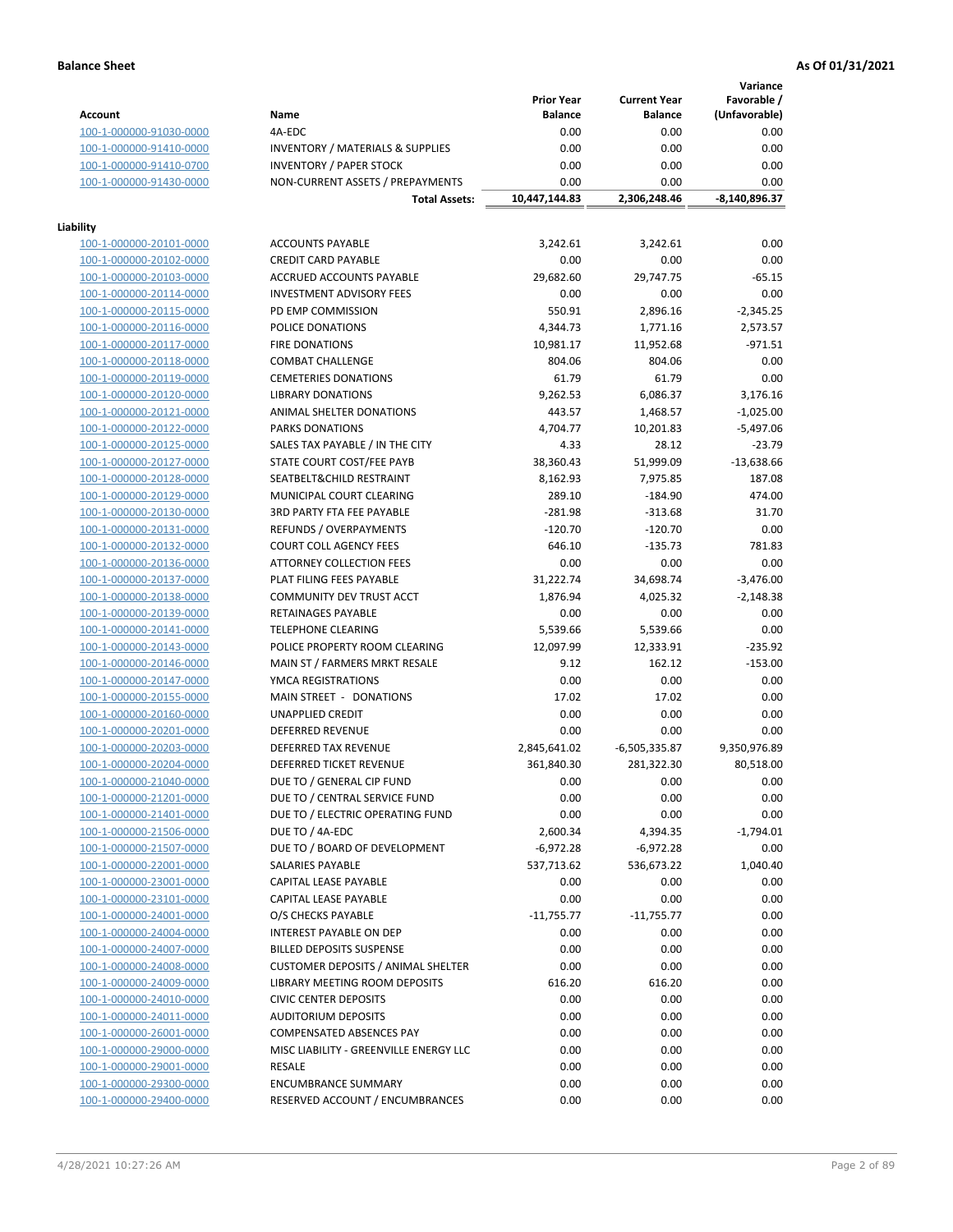**Variance**

|                         |                                             | <b>Prior Year</b> | <b>Current Year</b> | Favorable /   |
|-------------------------|---------------------------------------------|-------------------|---------------------|---------------|
| <b>Account</b>          | Name                                        | <b>Balance</b>    | <b>Balance</b>      | (Unfavorable) |
| 100-1-000000-91030-0000 | 4A-EDC                                      | 0.00              | 0.00                | 0.00          |
| 100-1-000000-91410-0000 | <b>INVENTORY / MATERIALS &amp; SUPPLIES</b> | 0.00              | 0.00                | 0.00          |
| 100-1-000000-91410-0700 | <b>INVENTORY / PAPER STOCK</b>              | 0.00              | 0.00                | 0.00          |
| 100-1-000000-91430-0000 | NON-CURRENT ASSETS / PREPAYMENTS            | 0.00              | 0.00                | 0.00          |
|                         | <b>Total Assets:</b>                        | 10,447,144.83     | 2,306,248.46        | -8,140,896.37 |
|                         |                                             |                   |                     |               |
| Liability               |                                             |                   |                     |               |
| 100-1-000000-20101-0000 | <b>ACCOUNTS PAYABLE</b>                     | 3,242.61          | 3,242.61            | 0.00          |
| 100-1-000000-20102-0000 | <b>CREDIT CARD PAYABLE</b>                  | 0.00              | 0.00                | 0.00          |
| 100-1-000000-20103-0000 | <b>ACCRUED ACCOUNTS PAYABLE</b>             | 29,682.60         | 29,747.75           | $-65.15$      |
| 100-1-000000-20114-0000 | <b>INVESTMENT ADVISORY FEES</b>             | 0.00              | 0.00                | 0.00          |
| 100-1-000000-20115-0000 | PD EMP COMMISSION                           | 550.91            | 2,896.16            | $-2,345.25$   |
| 100-1-000000-20116-0000 | POLICE DONATIONS                            | 4,344.73          | 1,771.16            | 2,573.57      |
| 100-1-000000-20117-0000 | <b>FIRE DONATIONS</b>                       | 10,981.17         | 11,952.68           | $-971.51$     |
| 100-1-000000-20118-0000 | <b>COMBAT CHALLENGE</b>                     | 804.06            | 804.06              | 0.00          |
| 100-1-000000-20119-0000 | <b>CEMETERIES DONATIONS</b>                 | 61.79             | 61.79               | 0.00          |
| 100-1-000000-20120-0000 | <b>LIBRARY DONATIONS</b>                    | 9,262.53          | 6,086.37            | 3,176.16      |
| 100-1-000000-20121-0000 | ANIMAL SHELTER DONATIONS                    | 443.57            | 1,468.57            | $-1,025.00$   |
| 100-1-000000-20122-0000 | PARKS DONATIONS                             | 4,704.77          | 10,201.83           | $-5,497.06$   |
| 100-1-000000-20125-0000 | SALES TAX PAYABLE / IN THE CITY             | 4.33              | 28.12               | $-23.79$      |
| 100-1-000000-20127-0000 | STATE COURT COST/FEE PAYB                   | 38,360.43         | 51,999.09           | $-13,638.66$  |
| 100-1-000000-20128-0000 | SEATBELT&CHILD RESTRAINT                    | 8,162.93          | 7,975.85            | 187.08        |
| 100-1-000000-20129-0000 | MUNICIPAL COURT CLEARING                    | 289.10            | $-184.90$           | 474.00        |
| 100-1-000000-20130-0000 | 3RD PARTY FTA FEE PAYABLE                   | $-281.98$         | $-313.68$           | 31.70         |
| 100-1-000000-20131-0000 | <b>REFUNDS / OVERPAYMENTS</b>               | $-120.70$         | $-120.70$           | 0.00          |
| 100-1-000000-20132-0000 | <b>COURT COLL AGENCY FEES</b>               | 646.10            | $-135.73$           | 781.83        |
| 100-1-000000-20136-0000 | <b>ATTORNEY COLLECTION FEES</b>             | 0.00              | 0.00                | 0.00          |
| 100-1-000000-20137-0000 | PLAT FILING FEES PAYABLE                    | 31,222.74         | 34,698.74           | $-3,476.00$   |
| 100-1-000000-20138-0000 | COMMUNITY DEV TRUST ACCT                    | 1,876.94          | 4,025.32            | $-2,148.38$   |
| 100-1-000000-20139-0000 | RETAINAGES PAYABLE                          | 0.00              | 0.00                | 0.00          |
| 100-1-000000-20141-0000 | <b>TELEPHONE CLEARING</b>                   | 5,539.66          | 5,539.66            | 0.00          |
| 100-1-000000-20143-0000 | POLICE PROPERTY ROOM CLEARING               | 12,097.99         | 12,333.91           | $-235.92$     |
| 100-1-000000-20146-0000 | MAIN ST / FARMERS MRKT RESALE               | 9.12              | 162.12              | $-153.00$     |
| 100-1-000000-20147-0000 | YMCA REGISTRATIONS                          | 0.00              | 0.00                | 0.00          |
| 100-1-000000-20155-0000 | MAIN STREET - DONATIONS                     | 17.02             | 17.02               | 0.00          |
| 100-1-000000-20160-0000 | <b>UNAPPLIED CREDIT</b>                     | 0.00              | 0.00                | 0.00          |
| 100-1-000000-20201-0000 | DEFERRED REVENUE                            | 0.00              | 0.00                | 0.00          |
| 100-1-000000-20203-0000 | DEFERRED TAX REVENUE                        | 2,845,641.02      | $-6,505,335.87$     | 9,350,976.89  |
| 100-1-000000-20204-0000 | DEFERRED TICKET REVENUE                     | 361,840.30        | 281,322.30          | 80,518.00     |
| 100-1-000000-21040-0000 | DUE TO / GENERAL CIP FUND                   | 0.00              | 0.00                | 0.00          |
| 100-1-000000-21201-0000 | DUE TO / CENTRAL SERVICE FUND               | 0.00              | 0.00                | 0.00          |
| 100-1-000000-21401-0000 | DUE TO / ELECTRIC OPERATING FUND            | 0.00              | 0.00                | 0.00          |
| 100-1-000000-21506-0000 | DUE TO / 4A-EDC                             | 2,600.34          | 4,394.35            | $-1,794.01$   |
| 100-1-000000-21507-0000 | DUE TO / BOARD OF DEVELOPMENT               | $-6,972.28$       | $-6,972.28$         | 0.00          |
| 100-1-000000-22001-0000 | SALARIES PAYABLE                            | 537,713.62        | 536,673.22          | 1,040.40      |
| 100-1-000000-23001-0000 | CAPITAL LEASE PAYABLE                       | 0.00              | 0.00                | 0.00          |
| 100-1-000000-23101-0000 | CAPITAL LEASE PAYABLE                       | 0.00              | 0.00                | 0.00          |
| 100-1-000000-24001-0000 | O/S CHECKS PAYABLE                          | $-11,755.77$      | $-11,755.77$        | 0.00          |
| 100-1-000000-24004-0000 | <b>INTEREST PAYABLE ON DEP</b>              | 0.00              | 0.00                | 0.00          |
| 100-1-000000-24007-0000 | <b>BILLED DEPOSITS SUSPENSE</b>             | 0.00              | 0.00                | 0.00          |
| 100-1-000000-24008-0000 | <b>CUSTOMER DEPOSITS / ANIMAL SHELTER</b>   | 0.00              | 0.00                | 0.00          |
| 100-1-000000-24009-0000 | LIBRARY MEETING ROOM DEPOSITS               | 616.20            | 616.20              | 0.00          |
| 100-1-000000-24010-0000 | <b>CIVIC CENTER DEPOSITS</b>                | 0.00              | 0.00                | 0.00          |
| 100-1-000000-24011-0000 | <b>AUDITORIUM DEPOSITS</b>                  | 0.00              | 0.00                | 0.00          |
| 100-1-000000-26001-0000 | <b>COMPENSATED ABSENCES PAY</b>             | 0.00              | 0.00                | 0.00          |
| 100-1-000000-29000-0000 | MISC LIABILITY - GREENVILLE ENERGY LLC      | 0.00              | 0.00                | 0.00          |
| 100-1-000000-29001-0000 | RESALE                                      | 0.00              | 0.00                | 0.00          |
| 100-1-000000-29300-0000 | <b>ENCUMBRANCE SUMMARY</b>                  | 0.00              | 0.00                | 0.00          |
| 100-1-000000-29400-0000 | RESERVED ACCOUNT / ENCUMBRANCES             | 0.00              | 0.00                | 0.00          |
|                         |                                             |                   |                     |               |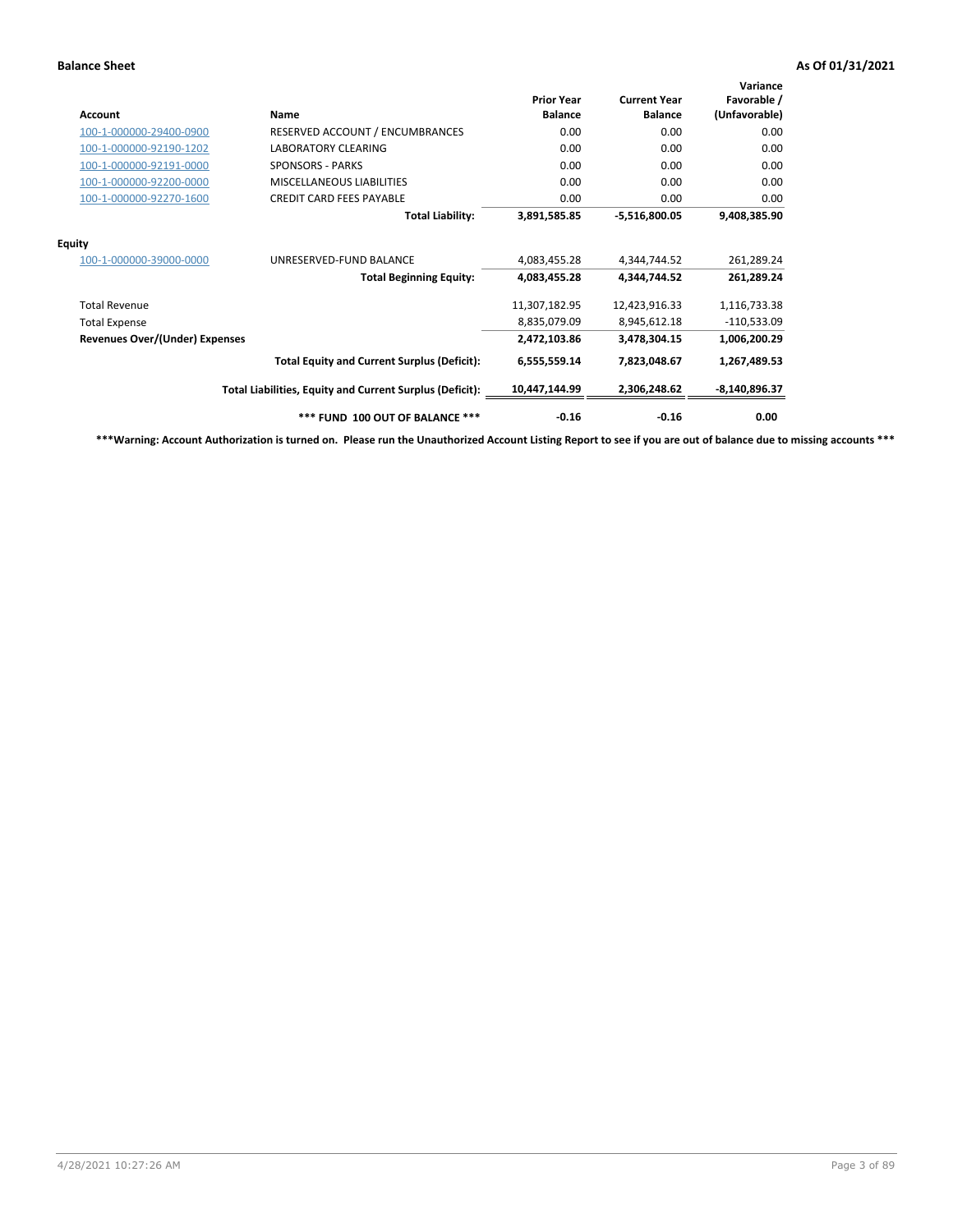| Account                               | Name                                                     | <b>Prior Year</b><br><b>Balance</b> | <b>Current Year</b><br><b>Balance</b> | Variance<br>Favorable /<br>(Unfavorable) |
|---------------------------------------|----------------------------------------------------------|-------------------------------------|---------------------------------------|------------------------------------------|
| 100-1-000000-29400-0900               | RESERVED ACCOUNT / ENCUMBRANCES                          | 0.00                                | 0.00                                  | 0.00                                     |
| 100-1-000000-92190-1202               | LABORATORY CLEARING                                      | 0.00                                | 0.00                                  | 0.00                                     |
| 100-1-000000-92191-0000               | <b>SPONSORS - PARKS</b>                                  | 0.00                                | 0.00                                  | 0.00                                     |
| 100-1-000000-92200-0000               | <b>MISCELLANEOUS LIABILITIES</b>                         | 0.00                                | 0.00                                  | 0.00                                     |
| 100-1-000000-92270-1600               | <b>CREDIT CARD FEES PAYABLE</b>                          | 0.00                                | 0.00                                  | 0.00                                     |
|                                       | <b>Total Liability:</b>                                  | 3,891,585.85                        | $-5,516,800.05$                       | 9,408,385.90                             |
| <b>Equity</b>                         |                                                          |                                     |                                       |                                          |
| 100-1-000000-39000-0000               | UNRESERVED-FUND BALANCE                                  | 4,083,455.28                        | 4,344,744.52                          | 261,289.24                               |
|                                       | <b>Total Beginning Equity:</b>                           | 4,083,455.28                        | 4,344,744.52                          | 261,289.24                               |
| <b>Total Revenue</b>                  |                                                          | 11,307,182.95                       | 12,423,916.33                         | 1,116,733.38                             |
| <b>Total Expense</b>                  |                                                          | 8,835,079.09                        | 8,945,612.18                          | $-110,533.09$                            |
| <b>Revenues Over/(Under) Expenses</b> |                                                          | 2,472,103.86                        | 3,478,304.15                          | 1,006,200.29                             |
|                                       | <b>Total Equity and Current Surplus (Deficit):</b>       | 6,555,559.14                        | 7,823,048.67                          | 1,267,489.53                             |
|                                       | Total Liabilities, Equity and Current Surplus (Deficit): | 10,447,144.99                       | 2,306,248.62                          | $-8,140,896.37$                          |
|                                       | *** FUND 100 OUT OF BALANCE ***                          | $-0.16$                             | $-0.16$                               | 0.00                                     |

**\*\*\*Warning: Account Authorization is turned on. Please run the Unauthorized Account Listing Report to see if you are out of balance due to missing accounts \*\*\***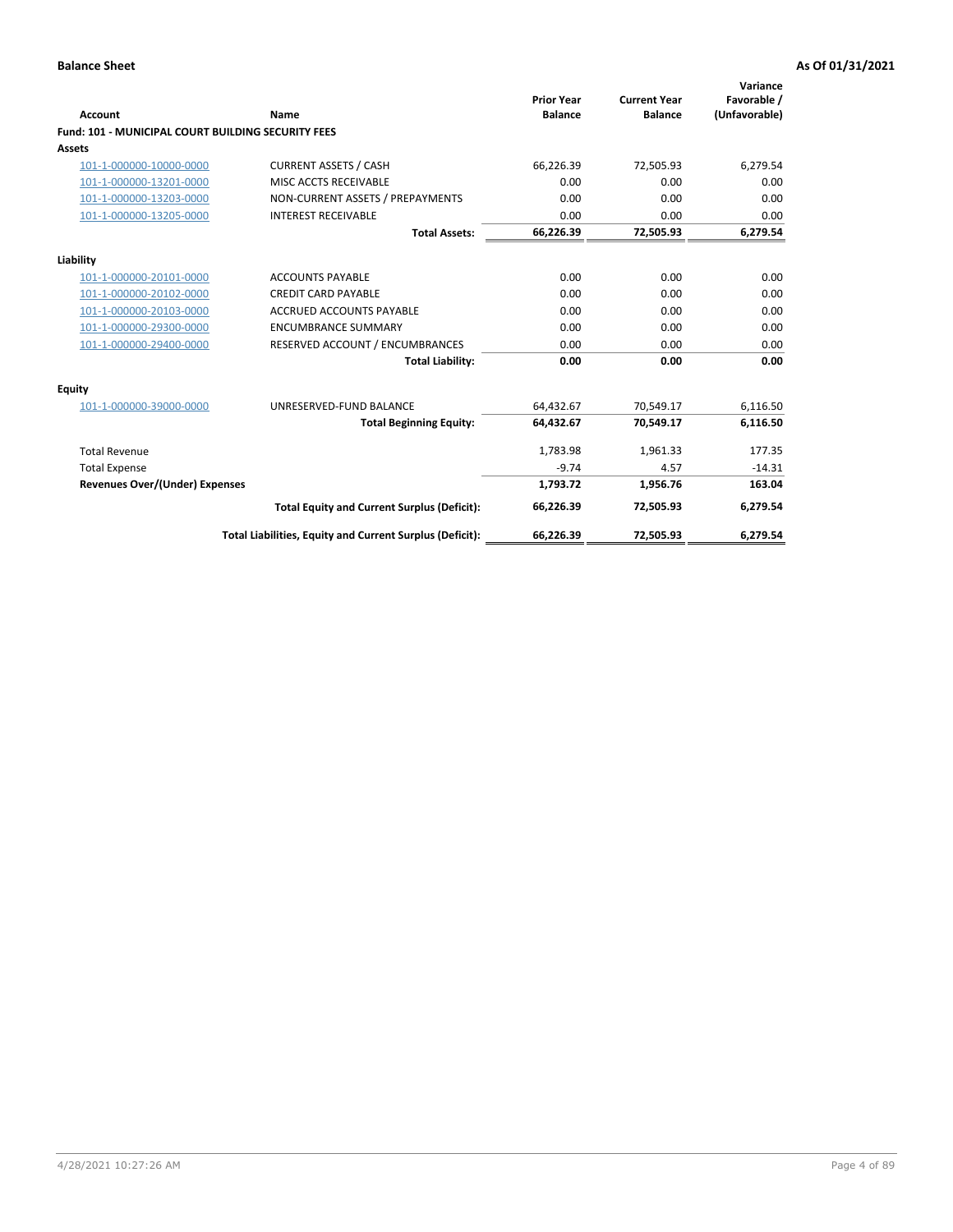| <b>Account</b>                                            | Name                                                     | <b>Prior Year</b><br><b>Balance</b> | <b>Current Year</b><br><b>Balance</b> | Variance<br>Favorable /<br>(Unfavorable) |
|-----------------------------------------------------------|----------------------------------------------------------|-------------------------------------|---------------------------------------|------------------------------------------|
| <b>Fund: 101 - MUNICIPAL COURT BUILDING SECURITY FEES</b> |                                                          |                                     |                                       |                                          |
| Assets                                                    |                                                          |                                     |                                       |                                          |
| 101-1-000000-10000-0000                                   | <b>CURRENT ASSETS / CASH</b>                             | 66,226.39                           | 72,505.93                             | 6,279.54                                 |
| 101-1-000000-13201-0000                                   | MISC ACCTS RECEIVABLE                                    | 0.00                                | 0.00                                  | 0.00                                     |
| 101-1-000000-13203-0000                                   | NON-CURRENT ASSETS / PREPAYMENTS                         | 0.00                                | 0.00                                  | 0.00                                     |
| 101-1-000000-13205-0000                                   | <b>INTEREST RECEIVABLE</b>                               | 0.00                                | 0.00                                  | 0.00                                     |
|                                                           | <b>Total Assets:</b>                                     | 66,226.39                           | 72,505.93                             | 6,279.54                                 |
| Liability                                                 |                                                          |                                     |                                       |                                          |
| 101-1-000000-20101-0000                                   | <b>ACCOUNTS PAYABLE</b>                                  | 0.00                                | 0.00                                  | 0.00                                     |
| 101-1-000000-20102-0000                                   | <b>CREDIT CARD PAYABLE</b>                               | 0.00                                | 0.00                                  | 0.00                                     |
| 101-1-000000-20103-0000                                   | <b>ACCRUED ACCOUNTS PAYABLE</b>                          | 0.00                                | 0.00                                  | 0.00                                     |
| 101-1-000000-29300-0000                                   | <b>ENCUMBRANCE SUMMARY</b>                               | 0.00                                | 0.00                                  | 0.00                                     |
| 101-1-000000-29400-0000                                   | RESERVED ACCOUNT / ENCUMBRANCES                          | 0.00                                | 0.00                                  | 0.00                                     |
|                                                           | <b>Total Liability:</b>                                  | 0.00                                | 0.00                                  | 0.00                                     |
| <b>Equity</b>                                             |                                                          |                                     |                                       |                                          |
| 101-1-000000-39000-0000                                   | UNRESERVED-FUND BALANCE                                  | 64,432.67                           | 70,549.17                             | 6,116.50                                 |
|                                                           | <b>Total Beginning Equity:</b>                           | 64,432.67                           | 70.549.17                             | 6,116.50                                 |
| <b>Total Revenue</b>                                      |                                                          | 1,783.98                            | 1,961.33                              | 177.35                                   |
| <b>Total Expense</b>                                      |                                                          | $-9.74$                             | 4.57                                  | $-14.31$                                 |
| <b>Revenues Over/(Under) Expenses</b>                     |                                                          | 1,793.72                            | 1,956.76                              | 163.04                                   |
|                                                           | <b>Total Equity and Current Surplus (Deficit):</b>       | 66,226.39                           | 72,505.93                             | 6,279.54                                 |
|                                                           | Total Liabilities, Equity and Current Surplus (Deficit): | 66,226.39                           | 72,505.93                             | 6,279.54                                 |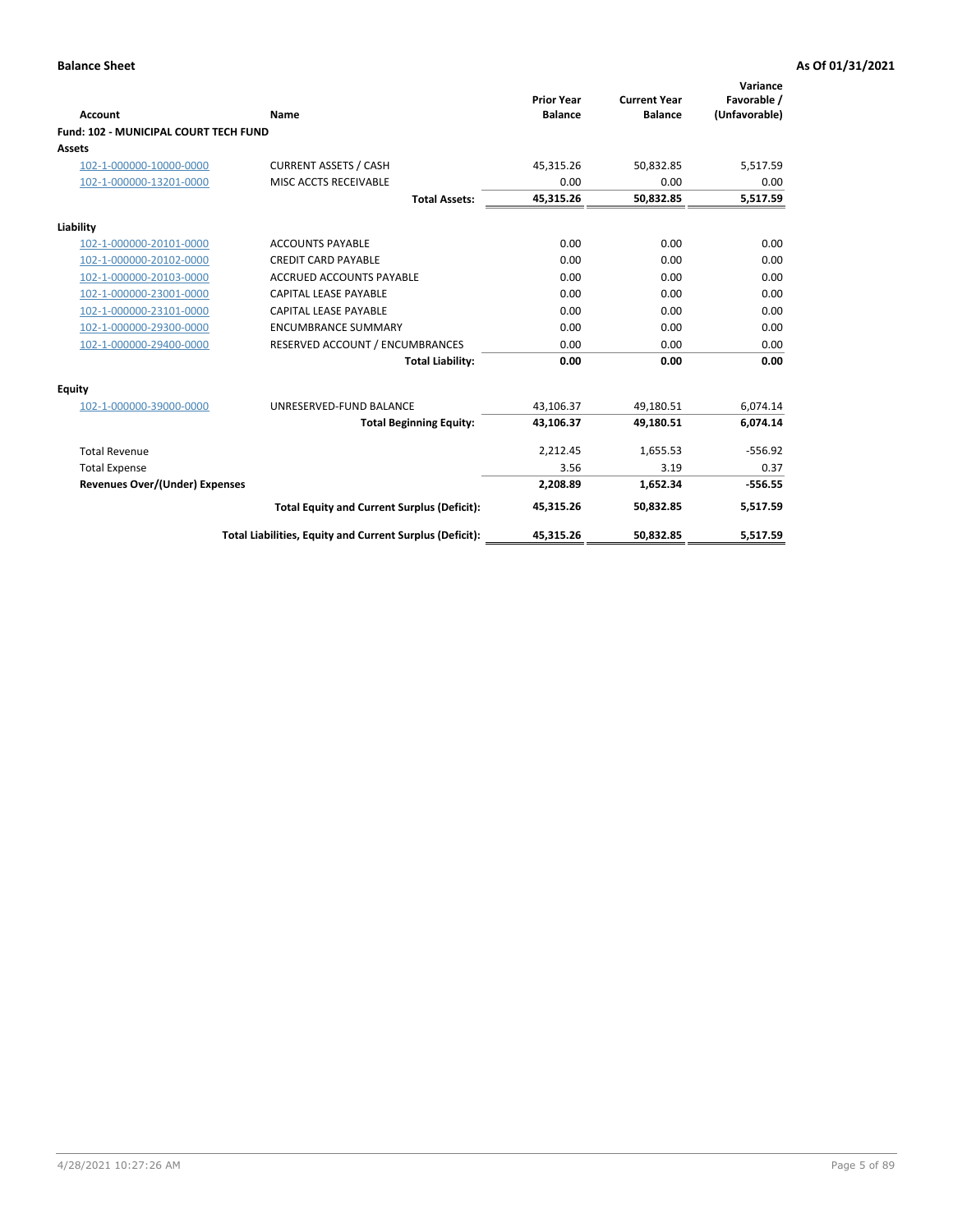|                                              |                                                          |                                     |                                       | Variance                     |
|----------------------------------------------|----------------------------------------------------------|-------------------------------------|---------------------------------------|------------------------------|
| <b>Account</b>                               | Name                                                     | <b>Prior Year</b><br><b>Balance</b> | <b>Current Year</b><br><b>Balance</b> | Favorable /<br>(Unfavorable) |
| <b>Fund: 102 - MUNICIPAL COURT TECH FUND</b> |                                                          |                                     |                                       |                              |
| Assets                                       |                                                          |                                     |                                       |                              |
| 102-1-000000-10000-0000                      | <b>CURRENT ASSETS / CASH</b>                             | 45,315.26                           | 50,832.85                             | 5,517.59                     |
| 102-1-000000-13201-0000                      | MISC ACCTS RECEIVABLE                                    | 0.00                                | 0.00                                  | 0.00                         |
|                                              | <b>Total Assets:</b>                                     | 45,315.26                           | 50,832.85                             | 5,517.59                     |
| Liability                                    |                                                          |                                     |                                       |                              |
| 102-1-000000-20101-0000                      | <b>ACCOUNTS PAYABLE</b>                                  | 0.00                                | 0.00                                  | 0.00                         |
| 102-1-000000-20102-0000                      | <b>CREDIT CARD PAYABLE</b>                               | 0.00                                | 0.00                                  | 0.00                         |
| 102-1-000000-20103-0000                      | <b>ACCRUED ACCOUNTS PAYABLE</b>                          | 0.00                                | 0.00                                  | 0.00                         |
| 102-1-000000-23001-0000                      | <b>CAPITAL LEASE PAYABLE</b>                             | 0.00                                | 0.00                                  | 0.00                         |
| 102-1-000000-23101-0000                      | <b>CAPITAL LEASE PAYABLE</b>                             | 0.00                                | 0.00                                  | 0.00                         |
| 102-1-000000-29300-0000                      | <b>ENCUMBRANCE SUMMARY</b>                               | 0.00                                | 0.00                                  | 0.00                         |
| 102-1-000000-29400-0000                      | RESERVED ACCOUNT / ENCUMBRANCES                          | 0.00                                | 0.00                                  | 0.00                         |
|                                              | <b>Total Liability:</b>                                  | 0.00                                | 0.00                                  | 0.00                         |
| Equity                                       |                                                          |                                     |                                       |                              |
| 102-1-000000-39000-0000                      | UNRESERVED-FUND BALANCE                                  | 43,106.37                           | 49,180.51                             | 6,074.14                     |
|                                              | <b>Total Beginning Equity:</b>                           | 43,106.37                           | 49,180.51                             | 6,074.14                     |
| <b>Total Revenue</b>                         |                                                          | 2,212.45                            | 1,655.53                              | $-556.92$                    |
| <b>Total Expense</b>                         |                                                          | 3.56                                | 3.19                                  | 0.37                         |
| <b>Revenues Over/(Under) Expenses</b>        |                                                          | 2,208.89                            | 1,652.34                              | $-556.55$                    |
|                                              | <b>Total Equity and Current Surplus (Deficit):</b>       | 45,315.26                           | 50,832.85                             | 5,517.59                     |
|                                              | Total Liabilities, Equity and Current Surplus (Deficit): | 45,315.26                           | 50,832.85                             | 5,517.59                     |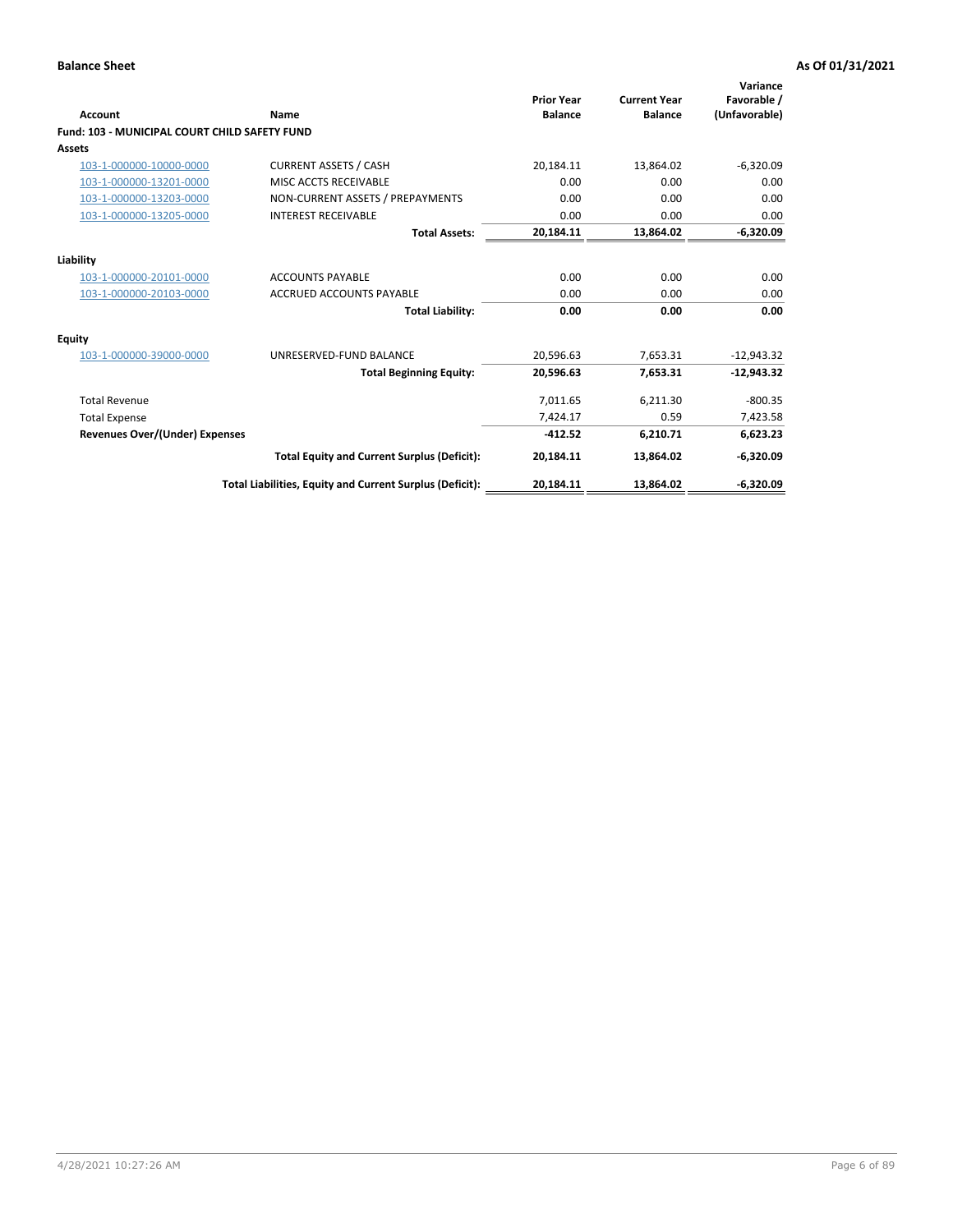| <b>Account</b>                                       | Name                                                     | <b>Prior Year</b><br><b>Balance</b> | <b>Current Year</b><br><b>Balance</b> | Variance<br>Favorable /<br>(Unfavorable) |
|------------------------------------------------------|----------------------------------------------------------|-------------------------------------|---------------------------------------|------------------------------------------|
| <b>Fund: 103 - MUNICIPAL COURT CHILD SAFETY FUND</b> |                                                          |                                     |                                       |                                          |
| <b>Assets</b>                                        |                                                          |                                     |                                       |                                          |
| 103-1-000000-10000-0000                              | <b>CURRENT ASSETS / CASH</b>                             | 20,184.11                           | 13,864.02                             | $-6,320.09$                              |
| 103-1-000000-13201-0000                              | MISC ACCTS RECEIVABLE                                    | 0.00                                | 0.00                                  | 0.00                                     |
| 103-1-000000-13203-0000                              | NON-CURRENT ASSETS / PREPAYMENTS                         | 0.00                                | 0.00                                  | 0.00                                     |
| 103-1-000000-13205-0000                              | <b>INTEREST RECEIVABLE</b>                               | 0.00                                | 0.00                                  | 0.00                                     |
|                                                      | <b>Total Assets:</b>                                     | 20,184.11                           | 13,864.02                             | $-6,320.09$                              |
| Liability                                            |                                                          |                                     |                                       |                                          |
| 103-1-000000-20101-0000                              | <b>ACCOUNTS PAYABLE</b>                                  | 0.00                                | 0.00                                  | 0.00                                     |
| 103-1-000000-20103-0000                              | <b>ACCRUED ACCOUNTS PAYABLE</b>                          | 0.00                                | 0.00                                  | 0.00                                     |
|                                                      | <b>Total Liability:</b>                                  | 0.00                                | 0.00                                  | 0.00                                     |
| <b>Equity</b>                                        |                                                          |                                     |                                       |                                          |
| 103-1-000000-39000-0000                              | UNRESERVED-FUND BALANCE                                  | 20,596.63                           | 7,653.31                              | $-12,943.32$                             |
|                                                      | <b>Total Beginning Equity:</b>                           | 20,596.63                           | 7,653.31                              | $-12.943.32$                             |
| <b>Total Revenue</b>                                 |                                                          | 7,011.65                            | 6,211.30                              | $-800.35$                                |
| <b>Total Expense</b>                                 |                                                          | 7,424.17                            | 0.59                                  | 7,423.58                                 |
| <b>Revenues Over/(Under) Expenses</b>                |                                                          | $-412.52$                           | 6,210.71                              | 6,623.23                                 |
|                                                      | <b>Total Equity and Current Surplus (Deficit):</b>       | 20,184.11                           | 13,864.02                             | $-6,320.09$                              |
|                                                      | Total Liabilities, Equity and Current Surplus (Deficit): | 20,184.11                           | 13,864.02                             | $-6,320.09$                              |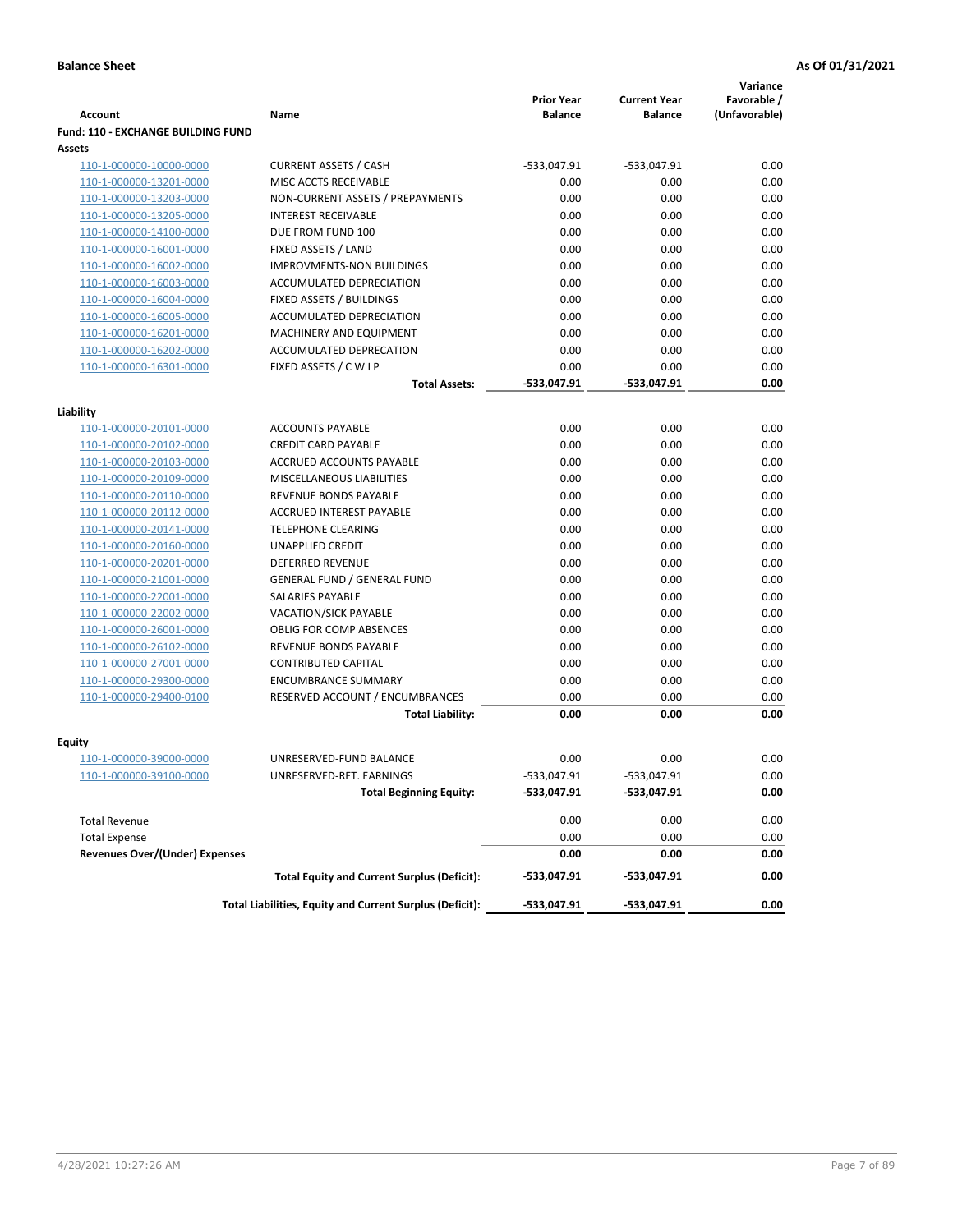|                                           |                                                            |                                     |                                       | Variance                     |
|-------------------------------------------|------------------------------------------------------------|-------------------------------------|---------------------------------------|------------------------------|
| <b>Account</b>                            | Name                                                       | <b>Prior Year</b><br><b>Balance</b> | <b>Current Year</b><br><b>Balance</b> | Favorable /<br>(Unfavorable) |
| <b>Fund: 110 - EXCHANGE BUILDING FUND</b> |                                                            |                                     |                                       |                              |
| Assets                                    |                                                            |                                     |                                       |                              |
| 110-1-000000-10000-0000                   | <b>CURRENT ASSETS / CASH</b>                               | -533,047.91                         | $-533,047.91$                         | 0.00                         |
| 110-1-000000-13201-0000                   | MISC ACCTS RECEIVABLE                                      | 0.00                                | 0.00                                  | 0.00                         |
| 110-1-000000-13203-0000                   | NON-CURRENT ASSETS / PREPAYMENTS                           | 0.00                                | 0.00                                  | 0.00                         |
| 110-1-000000-13205-0000                   | <b>INTEREST RECEIVABLE</b>                                 | 0.00                                | 0.00                                  | 0.00                         |
| 110-1-000000-14100-0000                   | DUE FROM FUND 100                                          | 0.00                                | 0.00                                  | 0.00                         |
| 110-1-000000-16001-0000                   | FIXED ASSETS / LAND                                        | 0.00                                | 0.00                                  | 0.00                         |
| 110-1-000000-16002-0000                   | <b>IMPROVMENTS-NON BUILDINGS</b>                           | 0.00                                | 0.00                                  | 0.00                         |
| 110-1-000000-16003-0000                   | ACCUMULATED DEPRECIATION                                   | 0.00                                | 0.00                                  | 0.00                         |
| 110-1-000000-16004-0000                   | FIXED ASSETS / BUILDINGS                                   | 0.00                                | 0.00                                  | 0.00                         |
| 110-1-000000-16005-0000                   | ACCUMULATED DEPRECIATION                                   | 0.00                                | 0.00                                  | 0.00                         |
| 110-1-000000-16201-0000                   | <b>MACHINERY AND EQUIPMENT</b>                             | 0.00                                | 0.00                                  | 0.00                         |
| 110-1-000000-16202-0000                   | ACCUMULATED DEPRECATION                                    | 0.00                                | 0.00                                  | 0.00                         |
| 110-1-000000-16301-0000                   | FIXED ASSETS / C W I P                                     | 0.00                                | 0.00                                  | 0.00                         |
|                                           | <b>Total Assets:</b>                                       | $-533,047.91$                       | -533,047.91                           | 0.00                         |
| Liability                                 |                                                            |                                     |                                       |                              |
| 110-1-000000-20101-0000                   | <b>ACCOUNTS PAYABLE</b>                                    | 0.00                                | 0.00                                  | 0.00                         |
| 110-1-000000-20102-0000                   | <b>CREDIT CARD PAYABLE</b>                                 | 0.00                                | 0.00                                  | 0.00                         |
| 110-1-000000-20103-0000                   | ACCRUED ACCOUNTS PAYABLE                                   | 0.00                                | 0.00                                  | 0.00                         |
| 110-1-000000-20109-0000                   | MISCELLANEOUS LIABILITIES                                  | 0.00                                | 0.00                                  | 0.00                         |
| 110-1-000000-20110-0000                   | REVENUE BONDS PAYABLE                                      | 0.00                                | 0.00                                  | 0.00                         |
| 110-1-000000-20112-0000                   | <b>ACCRUED INTEREST PAYABLE</b>                            | 0.00                                | 0.00                                  | 0.00                         |
| 110-1-000000-20141-0000                   | <b>TELEPHONE CLEARING</b>                                  | 0.00                                | 0.00                                  | 0.00                         |
| 110-1-000000-20160-0000                   | <b>UNAPPLIED CREDIT</b>                                    | 0.00                                | 0.00                                  | 0.00                         |
| 110-1-000000-20201-0000                   | <b>DEFERRED REVENUE</b>                                    | 0.00                                | 0.00                                  | 0.00                         |
| 110-1-000000-21001-0000                   | <b>GENERAL FUND / GENERAL FUND</b>                         | 0.00                                | 0.00                                  | 0.00                         |
| 110-1-000000-22001-0000                   | SALARIES PAYABLE                                           | 0.00                                | 0.00                                  | 0.00                         |
| 110-1-000000-22002-0000                   | <b>VACATION/SICK PAYABLE</b>                               | 0.00                                | 0.00                                  | 0.00                         |
| 110-1-000000-26001-0000                   | <b>OBLIG FOR COMP ABSENCES</b>                             | 0.00                                | 0.00                                  | 0.00                         |
| 110-1-000000-26102-0000                   | REVENUE BONDS PAYABLE                                      | 0.00                                | 0.00                                  | 0.00                         |
| 110-1-000000-27001-0000                   | <b>CONTRIBUTED CAPITAL</b>                                 | 0.00                                | 0.00                                  | 0.00                         |
| 110-1-000000-29300-0000                   | <b>ENCUMBRANCE SUMMARY</b>                                 | 0.00                                | 0.00                                  | 0.00                         |
| 110-1-000000-29400-0100                   | RESERVED ACCOUNT / ENCUMBRANCES                            | 0.00                                | 0.00                                  | 0.00                         |
|                                           | <b>Total Liability:</b>                                    | 0.00                                | 0.00                                  | 0.00                         |
|                                           |                                                            |                                     |                                       |                              |
| <b>Equity</b>                             | UNRESERVED-FUND BALANCE                                    | 0.00                                | 0.00                                  | 0.00                         |
| 110-1-000000-39000-0000                   |                                                            | $-533,047.91$                       |                                       |                              |
| <u>110-1-000000-39100-0000</u>            | UNRESERVED-RET. EARNINGS<br><b>Total Beginning Equity:</b> | -533,047.91                         | -533,047.91<br>-533,047.91            | 0.00<br>0.00                 |
|                                           |                                                            |                                     |                                       |                              |
| <b>Total Revenue</b>                      |                                                            | 0.00                                | 0.00                                  | 0.00                         |
| <b>Total Expense</b>                      |                                                            | 0.00                                | 0.00                                  | 0.00                         |
| <b>Revenues Over/(Under) Expenses</b>     |                                                            | 0.00                                | 0.00                                  | 0.00                         |
|                                           | <b>Total Equity and Current Surplus (Deficit):</b>         | -533,047.91                         | -533,047.91                           | 0.00                         |
|                                           | Total Liabilities, Equity and Current Surplus (Deficit):   | -533,047.91                         | -533,047.91                           | 0.00                         |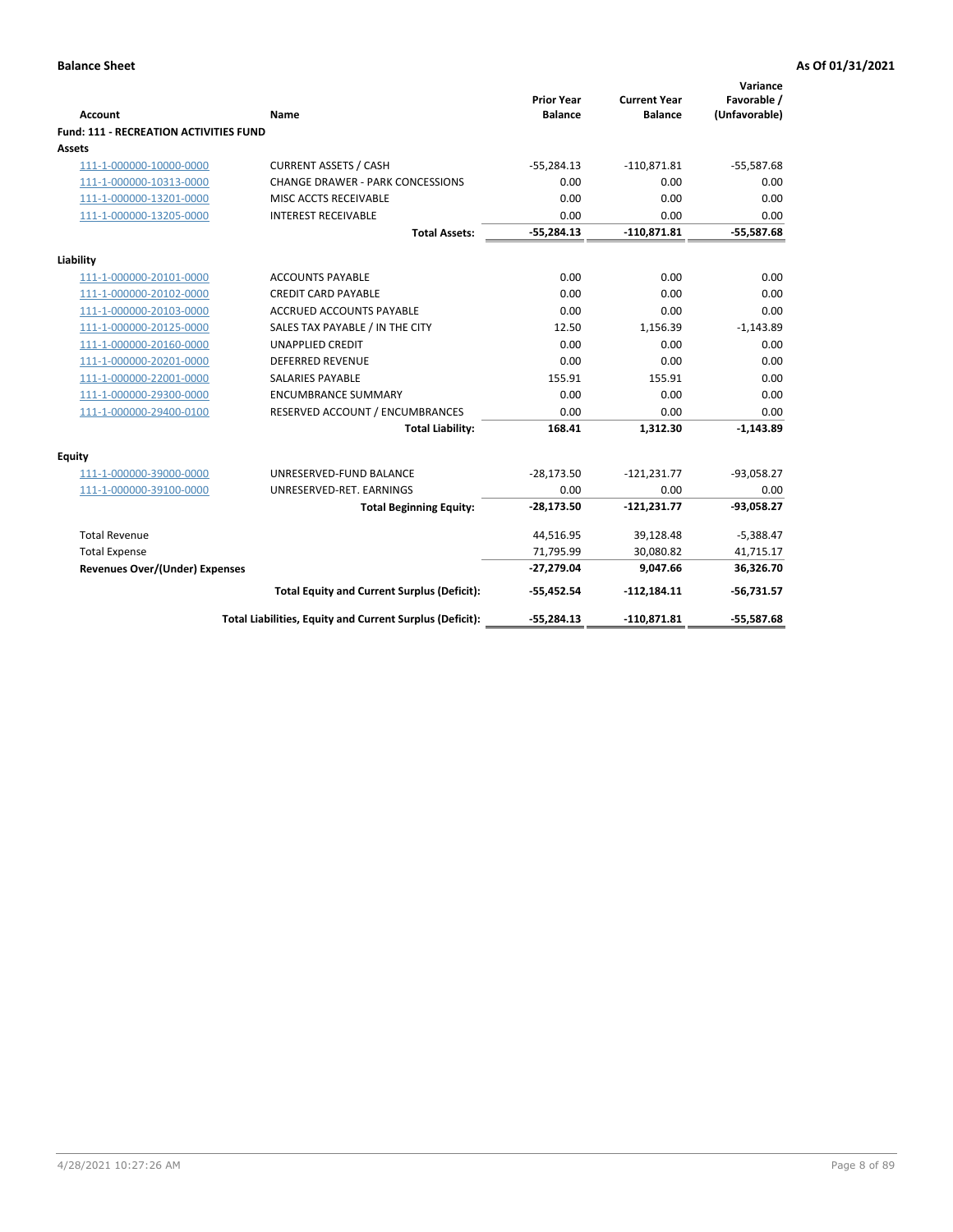|                                                    |                                                          | <b>Prior Year</b> | <b>Current Year</b> | Variance<br>Favorable / |
|----------------------------------------------------|----------------------------------------------------------|-------------------|---------------------|-------------------------|
| <b>Account</b>                                     | <b>Name</b>                                              | <b>Balance</b>    | <b>Balance</b>      | (Unfavorable)           |
| Fund: 111 - RECREATION ACTIVITIES FUND             |                                                          |                   |                     |                         |
| Assets                                             | <b>CURRENT ASSETS / CASH</b>                             | $-55,284.13$      |                     |                         |
| 111-1-000000-10000-0000                            | <b>CHANGE DRAWER - PARK CONCESSIONS</b>                  |                   | $-110,871.81$       | $-55,587.68$            |
| 111-1-000000-10313-0000<br>111-1-000000-13201-0000 | MISC ACCTS RECEIVABLE                                    | 0.00<br>0.00      | 0.00<br>0.00        | 0.00<br>0.00            |
| 111-1-000000-13205-0000                            | <b>INTEREST RECEIVABLE</b>                               | 0.00              | 0.00                | 0.00                    |
|                                                    | <b>Total Assets:</b>                                     | $-55,284.13$      | $-110,871.81$       | $-55,587.68$            |
|                                                    |                                                          |                   |                     |                         |
| Liability                                          |                                                          |                   |                     |                         |
| 111-1-000000-20101-0000                            | <b>ACCOUNTS PAYABLE</b>                                  | 0.00              | 0.00                | 0.00                    |
| 111-1-000000-20102-0000                            | <b>CREDIT CARD PAYABLE</b>                               | 0.00              | 0.00                | 0.00                    |
| 111-1-000000-20103-0000                            | <b>ACCRUED ACCOUNTS PAYABLE</b>                          | 0.00              | 0.00                | 0.00                    |
| 111-1-000000-20125-0000                            | SALES TAX PAYABLE / IN THE CITY                          | 12.50             | 1,156.39            | $-1,143.89$             |
| 111-1-000000-20160-0000                            | <b>UNAPPLIED CREDIT</b>                                  | 0.00              | 0.00                | 0.00                    |
| 111-1-000000-20201-0000                            | <b>DEFERRED REVENUE</b>                                  | 0.00              | 0.00                | 0.00                    |
| 111-1-000000-22001-0000                            | <b>SALARIES PAYABLE</b>                                  | 155.91            | 155.91              | 0.00                    |
| 111-1-000000-29300-0000                            | <b>ENCUMBRANCE SUMMARY</b>                               | 0.00              | 0.00                | 0.00                    |
| 111-1-000000-29400-0100                            | RESERVED ACCOUNT / ENCUMBRANCES                          | 0.00              | 0.00                | 0.00                    |
|                                                    | <b>Total Liability:</b>                                  | 168.41            | 1,312.30            | $-1,143.89$             |
| <b>Equity</b>                                      |                                                          |                   |                     |                         |
| 111-1-000000-39000-0000                            | UNRESERVED-FUND BALANCE                                  | $-28,173.50$      | $-121,231.77$       | $-93,058.27$            |
| 111-1-000000-39100-0000                            | UNRESERVED-RET. EARNINGS                                 | 0.00              | 0.00                | 0.00                    |
|                                                    | <b>Total Beginning Equity:</b>                           | $-28,173.50$      | $-121,231.77$       | $-93,058.27$            |
| <b>Total Revenue</b>                               |                                                          | 44,516.95         | 39,128.48           | $-5,388.47$             |
| <b>Total Expense</b>                               |                                                          | 71,795.99         | 30,080.82           | 41,715.17               |
| <b>Revenues Over/(Under) Expenses</b>              |                                                          | $-27,279.04$      | 9,047.66            | 36,326.70               |
|                                                    | <b>Total Equity and Current Surplus (Deficit):</b>       | $-55,452.54$      | $-112,184.11$       | $-56,731.57$            |
|                                                    | Total Liabilities, Equity and Current Surplus (Deficit): | $-55,284.13$      | $-110,871.81$       | $-55,587.68$            |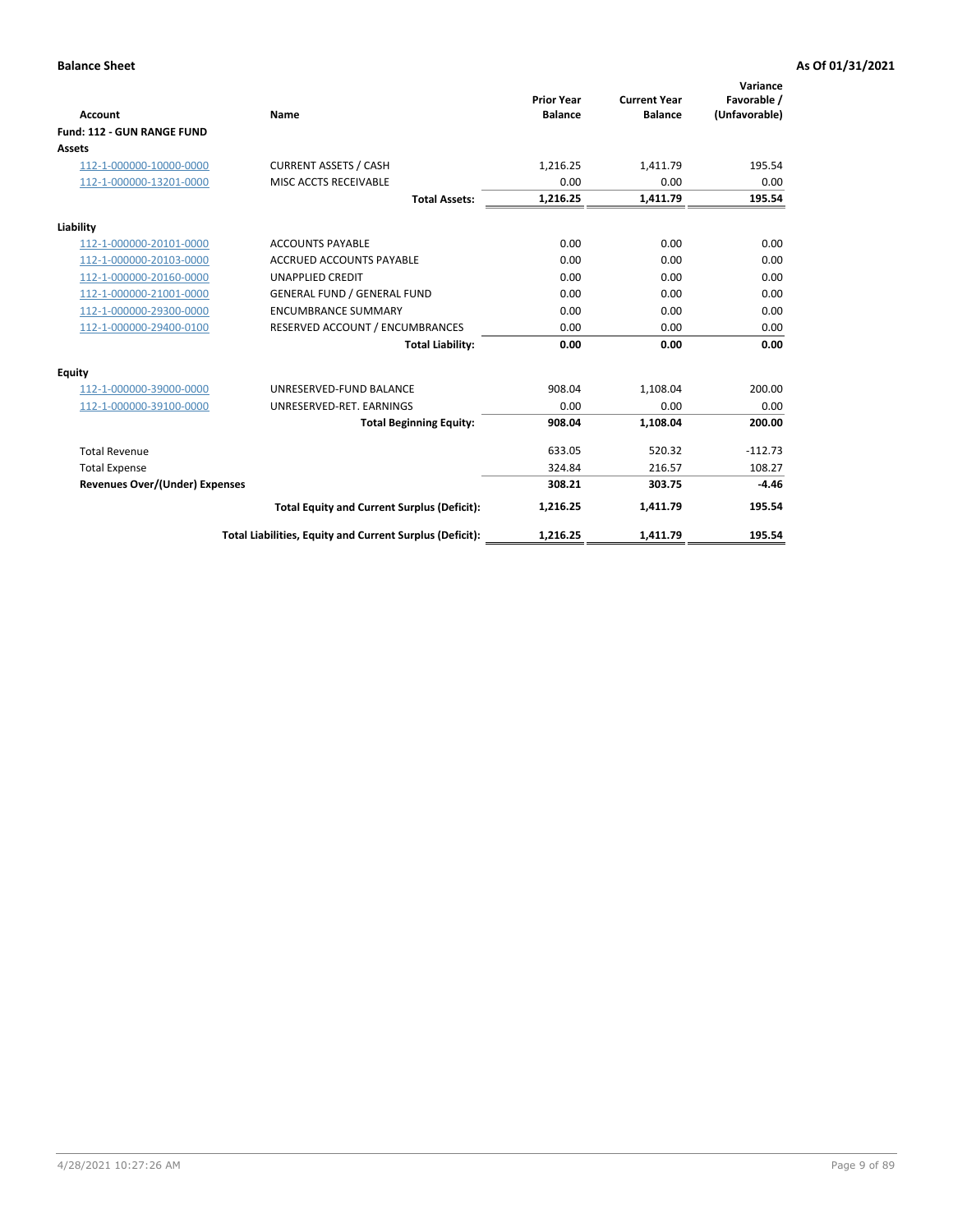|                                       |                                                          |                                     |                                       | Variance                     |
|---------------------------------------|----------------------------------------------------------|-------------------------------------|---------------------------------------|------------------------------|
| <b>Account</b>                        | Name                                                     | <b>Prior Year</b><br><b>Balance</b> | <b>Current Year</b><br><b>Balance</b> | Favorable /<br>(Unfavorable) |
| Fund: 112 - GUN RANGE FUND            |                                                          |                                     |                                       |                              |
| <b>Assets</b>                         |                                                          |                                     |                                       |                              |
| 112-1-000000-10000-0000               | <b>CURRENT ASSETS / CASH</b>                             | 1,216.25                            | 1,411.79                              | 195.54                       |
| 112-1-000000-13201-0000               | MISC ACCTS RECEIVABLE                                    | 0.00                                | 0.00                                  | 0.00                         |
|                                       | <b>Total Assets:</b>                                     | 1,216.25                            | 1,411.79                              | 195.54                       |
| Liability                             |                                                          |                                     |                                       |                              |
| 112-1-000000-20101-0000               | <b>ACCOUNTS PAYABLE</b>                                  | 0.00                                | 0.00                                  | 0.00                         |
| 112-1-000000-20103-0000               | <b>ACCRUED ACCOUNTS PAYABLE</b>                          | 0.00                                | 0.00                                  | 0.00                         |
| 112-1-000000-20160-0000               | <b>UNAPPLIED CREDIT</b>                                  | 0.00                                | 0.00                                  | 0.00                         |
| 112-1-000000-21001-0000               | <b>GENERAL FUND / GENERAL FUND</b>                       | 0.00                                | 0.00                                  | 0.00                         |
| 112-1-000000-29300-0000               | <b>ENCUMBRANCE SUMMARY</b>                               | 0.00                                | 0.00                                  | 0.00                         |
| 112-1-000000-29400-0100               | RESERVED ACCOUNT / ENCUMBRANCES                          | 0.00                                | 0.00                                  | 0.00                         |
|                                       | <b>Total Liability:</b>                                  | 0.00                                | 0.00                                  | 0.00                         |
| Equity                                |                                                          |                                     |                                       |                              |
| 112-1-000000-39000-0000               | UNRESERVED-FUND BALANCE                                  | 908.04                              | 1,108.04                              | 200.00                       |
| 112-1-000000-39100-0000               | UNRESERVED-RET. EARNINGS                                 | 0.00                                | 0.00                                  | 0.00                         |
|                                       | <b>Total Beginning Equity:</b>                           | 908.04                              | 1,108.04                              | 200.00                       |
| <b>Total Revenue</b>                  |                                                          | 633.05                              | 520.32                                | $-112.73$                    |
| <b>Total Expense</b>                  |                                                          | 324.84                              | 216.57                                | 108.27                       |
| <b>Revenues Over/(Under) Expenses</b> |                                                          | 308.21                              | 303.75                                | $-4.46$                      |
|                                       | <b>Total Equity and Current Surplus (Deficit):</b>       | 1,216.25                            | 1,411.79                              | 195.54                       |
|                                       | Total Liabilities, Equity and Current Surplus (Deficit): | 1,216.25                            | 1,411.79                              | 195.54                       |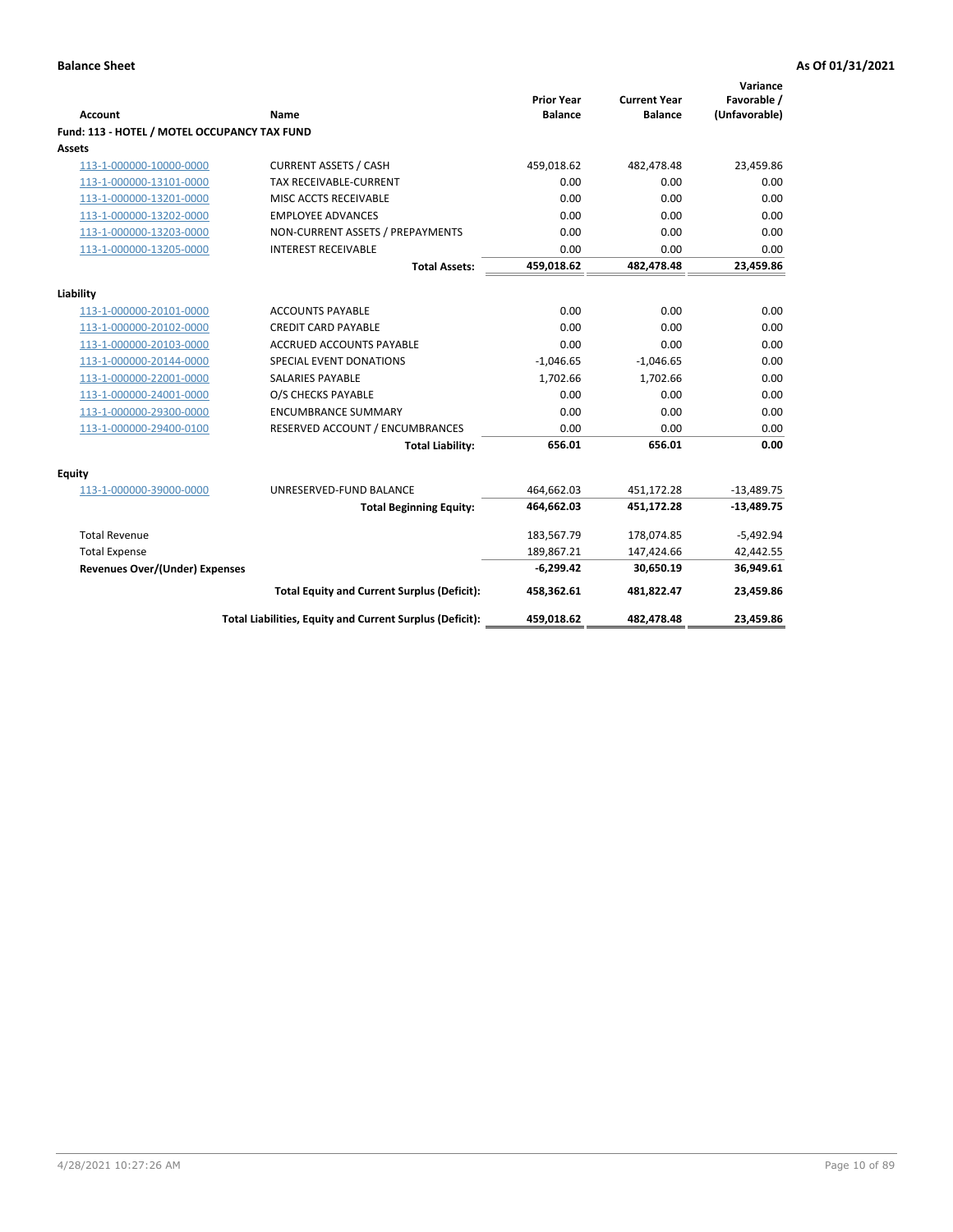| <b>Account</b>                               | <b>Name</b>                                              | <b>Prior Year</b><br><b>Balance</b> | <b>Current Year</b><br><b>Balance</b> | Variance<br>Favorable /<br>(Unfavorable) |
|----------------------------------------------|----------------------------------------------------------|-------------------------------------|---------------------------------------|------------------------------------------|
| Fund: 113 - HOTEL / MOTEL OCCUPANCY TAX FUND |                                                          |                                     |                                       |                                          |
| Assets                                       |                                                          |                                     |                                       |                                          |
| 113-1-000000-10000-0000                      | <b>CURRENT ASSETS / CASH</b>                             | 459,018.62                          | 482,478.48                            | 23,459.86                                |
| 113-1-000000-13101-0000                      | <b>TAX RECEIVABLE-CURRENT</b>                            | 0.00                                | 0.00                                  | 0.00                                     |
| 113-1-000000-13201-0000                      | MISC ACCTS RECEIVABLE                                    | 0.00                                | 0.00                                  | 0.00                                     |
| 113-1-000000-13202-0000                      | <b>EMPLOYEE ADVANCES</b>                                 | 0.00                                | 0.00                                  | 0.00                                     |
| 113-1-000000-13203-0000                      | NON-CURRENT ASSETS / PREPAYMENTS                         | 0.00                                | 0.00                                  | 0.00                                     |
| 113-1-000000-13205-0000                      | <b>INTEREST RECEIVABLE</b>                               | 0.00                                | 0.00                                  | 0.00                                     |
|                                              | <b>Total Assets:</b>                                     | 459,018.62                          | 482,478.48                            | 23,459.86                                |
| Liability                                    |                                                          |                                     |                                       |                                          |
| 113-1-000000-20101-0000                      | <b>ACCOUNTS PAYABLE</b>                                  | 0.00                                | 0.00                                  | 0.00                                     |
| 113-1-000000-20102-0000                      | <b>CREDIT CARD PAYABLE</b>                               | 0.00                                | 0.00                                  | 0.00                                     |
| 113-1-000000-20103-0000                      | ACCRUED ACCOUNTS PAYABLE                                 | 0.00                                | 0.00                                  | 0.00                                     |
| 113-1-000000-20144-0000                      | SPECIAL EVENT DONATIONS                                  | $-1,046.65$                         | $-1,046.65$                           | 0.00                                     |
| 113-1-000000-22001-0000                      | <b>SALARIES PAYABLE</b>                                  | 1,702.66                            | 1,702.66                              | 0.00                                     |
| 113-1-000000-24001-0000                      | O/S CHECKS PAYABLE                                       | 0.00                                | 0.00                                  | 0.00                                     |
| 113-1-000000-29300-0000                      | <b>ENCUMBRANCE SUMMARY</b>                               | 0.00                                | 0.00                                  | 0.00                                     |
| 113-1-000000-29400-0100                      | RESERVED ACCOUNT / ENCUMBRANCES                          | 0.00                                | 0.00                                  | 0.00                                     |
|                                              | <b>Total Liability:</b>                                  | 656.01                              | 656.01                                | 0.00                                     |
| Equity                                       |                                                          |                                     |                                       |                                          |
| 113-1-000000-39000-0000                      | UNRESERVED-FUND BALANCE                                  | 464,662.03                          | 451,172.28                            | $-13,489.75$                             |
|                                              | <b>Total Beginning Equity:</b>                           | 464,662.03                          | 451,172.28                            | $-13,489.75$                             |
| <b>Total Revenue</b>                         |                                                          | 183,567.79                          | 178,074.85                            | $-5,492.94$                              |
| <b>Total Expense</b>                         |                                                          | 189,867.21                          | 147,424.66                            | 42,442.55                                |
| <b>Revenues Over/(Under) Expenses</b>        |                                                          | $-6,299.42$                         | 30,650.19                             | 36,949.61                                |
|                                              | <b>Total Equity and Current Surplus (Deficit):</b>       | 458,362.61                          | 481,822.47                            | 23,459.86                                |
|                                              | Total Liabilities, Equity and Current Surplus (Deficit): | 459,018.62                          | 482,478.48                            | 23,459.86                                |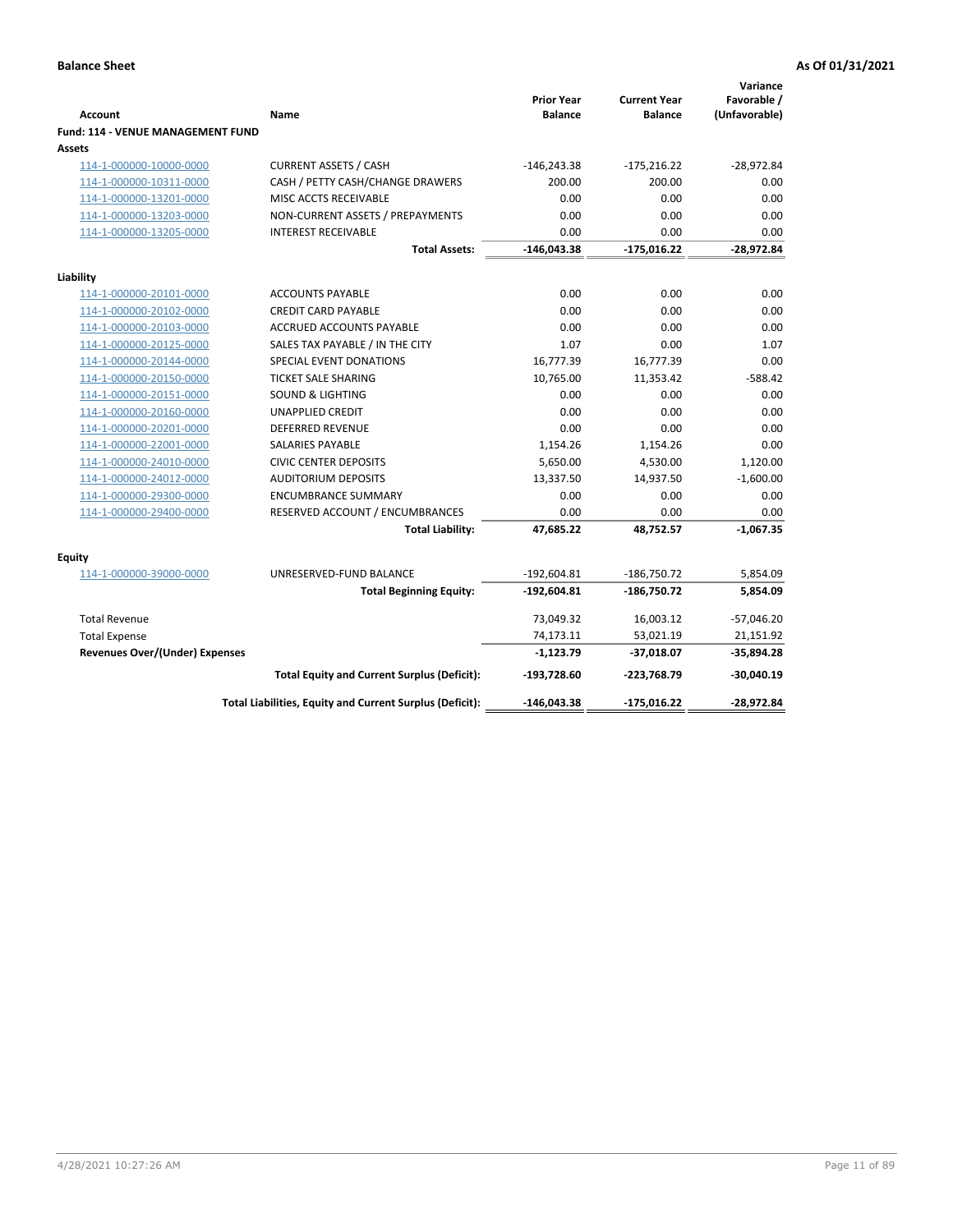| <b>Account</b>                              | Name                                                     | <b>Prior Year</b><br><b>Balance</b> | <b>Current Year</b><br><b>Balance</b> | Variance<br>Favorable /<br>(Unfavorable) |
|---------------------------------------------|----------------------------------------------------------|-------------------------------------|---------------------------------------|------------------------------------------|
| Fund: 114 - VENUE MANAGEMENT FUND<br>Assets |                                                          |                                     |                                       |                                          |
| 114-1-000000-10000-0000                     | <b>CURRENT ASSETS / CASH</b>                             | $-146,243.38$                       | $-175,216.22$                         | $-28,972.84$                             |
| 114-1-000000-10311-0000                     | CASH / PETTY CASH/CHANGE DRAWERS                         | 200.00                              | 200.00                                | 0.00                                     |
| 114-1-000000-13201-0000                     | MISC ACCTS RECEIVABLE                                    | 0.00                                | 0.00                                  | 0.00                                     |
| 114-1-000000-13203-0000                     | NON-CURRENT ASSETS / PREPAYMENTS                         | 0.00                                | 0.00                                  | 0.00                                     |
| 114-1-000000-13205-0000                     | <b>INTEREST RECEIVABLE</b>                               | 0.00                                | 0.00                                  | 0.00                                     |
|                                             | <b>Total Assets:</b>                                     | $-146,043.38$                       | $-175,016.22$                         | $-28,972.84$                             |
| Liability                                   |                                                          |                                     |                                       |                                          |
| 114-1-000000-20101-0000                     | <b>ACCOUNTS PAYABLE</b>                                  | 0.00                                | 0.00                                  | 0.00                                     |
| 114-1-000000-20102-0000                     | <b>CREDIT CARD PAYABLE</b>                               | 0.00                                | 0.00                                  | 0.00                                     |
| 114-1-000000-20103-0000                     | <b>ACCRUED ACCOUNTS PAYABLE</b>                          | 0.00                                | 0.00                                  | 0.00                                     |
| 114-1-000000-20125-0000                     | SALES TAX PAYABLE / IN THE CITY                          | 1.07                                | 0.00                                  | 1.07                                     |
| 114-1-000000-20144-0000                     | SPECIAL EVENT DONATIONS                                  | 16,777.39                           | 16,777.39                             | 0.00                                     |
| 114-1-000000-20150-0000                     | <b>TICKET SALE SHARING</b>                               | 10,765.00                           | 11,353.42                             | $-588.42$                                |
| 114-1-000000-20151-0000                     | <b>SOUND &amp; LIGHTING</b>                              | 0.00                                | 0.00                                  | 0.00                                     |
| 114-1-000000-20160-0000                     | <b>UNAPPLIED CREDIT</b>                                  | 0.00                                | 0.00                                  | 0.00                                     |
| 114-1-000000-20201-0000                     | <b>DEFERRED REVENUE</b>                                  | 0.00                                | 0.00                                  | 0.00                                     |
| 114-1-000000-22001-0000                     | SALARIES PAYABLE                                         | 1,154.26                            | 1,154.26                              | 0.00                                     |
| 114-1-000000-24010-0000                     | <b>CIVIC CENTER DEPOSITS</b>                             | 5,650.00                            | 4,530.00                              | 1,120.00                                 |
| 114-1-000000-24012-0000                     | <b>AUDITORIUM DEPOSITS</b>                               | 13,337.50                           | 14,937.50                             | $-1,600.00$                              |
| 114-1-000000-29300-0000                     | <b>ENCUMBRANCE SUMMARY</b>                               | 0.00                                | 0.00                                  | 0.00                                     |
| 114-1-000000-29400-0000                     | RESERVED ACCOUNT / ENCUMBRANCES                          | 0.00                                | 0.00                                  | 0.00                                     |
|                                             | <b>Total Liability:</b>                                  | 47,685.22                           | 48,752.57                             | $-1,067.35$                              |
| Equity                                      |                                                          |                                     |                                       |                                          |
| 114-1-000000-39000-0000                     | UNRESERVED-FUND BALANCE                                  | $-192,604.81$                       | $-186,750.72$                         | 5,854.09                                 |
|                                             | <b>Total Beginning Equity:</b>                           | $-192,604.81$                       | $-186,750.72$                         | 5,854.09                                 |
| <b>Total Revenue</b>                        |                                                          | 73,049.32                           | 16,003.12                             | $-57,046.20$                             |
| <b>Total Expense</b>                        |                                                          | 74,173.11                           | 53,021.19                             | 21,151.92                                |
| <b>Revenues Over/(Under) Expenses</b>       |                                                          | $-1,123.79$                         | $-37,018.07$                          | $-35,894.28$                             |
|                                             | <b>Total Equity and Current Surplus (Deficit):</b>       | $-193,728.60$                       | $-223,768.79$                         | $-30,040.19$                             |
|                                             | Total Liabilities, Equity and Current Surplus (Deficit): | $-146,043.38$                       | $-175,016.22$                         | -28,972.84                               |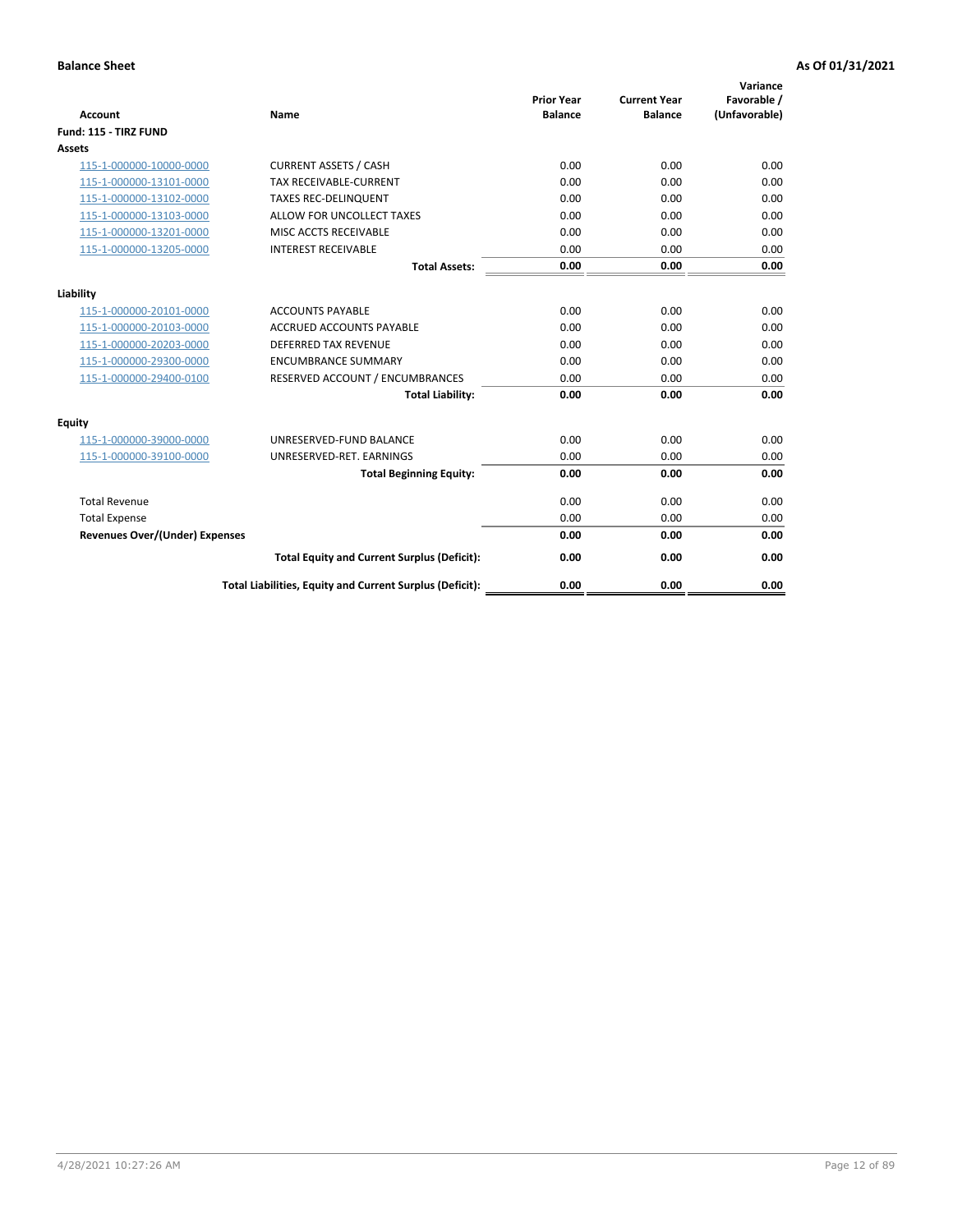|                                       |                                                          |                                     |                                       | Variance                     |
|---------------------------------------|----------------------------------------------------------|-------------------------------------|---------------------------------------|------------------------------|
| <b>Account</b>                        | Name                                                     | <b>Prior Year</b><br><b>Balance</b> | <b>Current Year</b><br><b>Balance</b> | Favorable /<br>(Unfavorable) |
| Fund: 115 - TIRZ FUND                 |                                                          |                                     |                                       |                              |
| Assets                                |                                                          |                                     |                                       |                              |
| 115-1-000000-10000-0000               | <b>CURRENT ASSETS / CASH</b>                             | 0.00                                | 0.00                                  | 0.00                         |
| 115-1-000000-13101-0000               | <b>TAX RECEIVABLE-CURRENT</b>                            | 0.00                                | 0.00                                  | 0.00                         |
| 115-1-000000-13102-0000               | <b>TAXES REC-DELINQUENT</b>                              | 0.00                                | 0.00                                  | 0.00                         |
| 115-1-000000-13103-0000               | ALLOW FOR UNCOLLECT TAXES                                | 0.00                                | 0.00                                  | 0.00                         |
| 115-1-000000-13201-0000               | MISC ACCTS RECEIVABLE                                    | 0.00                                | 0.00                                  | 0.00                         |
| 115-1-000000-13205-0000               | <b>INTEREST RECEIVABLE</b>                               | 0.00                                | 0.00                                  | 0.00                         |
|                                       | <b>Total Assets:</b>                                     | 0.00                                | 0.00                                  | 0.00                         |
| Liability                             |                                                          |                                     |                                       |                              |
| 115-1-000000-20101-0000               | <b>ACCOUNTS PAYABLE</b>                                  | 0.00                                | 0.00                                  | 0.00                         |
| 115-1-000000-20103-0000               | <b>ACCRUED ACCOUNTS PAYABLE</b>                          | 0.00                                | 0.00                                  | 0.00                         |
| 115-1-000000-20203-0000               | <b>DEFERRED TAX REVENUE</b>                              | 0.00                                | 0.00                                  | 0.00                         |
| 115-1-000000-29300-0000               | <b>ENCUMBRANCE SUMMARY</b>                               | 0.00                                | 0.00                                  | 0.00                         |
| 115-1-000000-29400-0100               | RESERVED ACCOUNT / ENCUMBRANCES                          | 0.00                                | 0.00                                  | 0.00                         |
|                                       | <b>Total Liability:</b>                                  | 0.00                                | 0.00                                  | 0.00                         |
| <b>Equity</b>                         |                                                          |                                     |                                       |                              |
| 115-1-000000-39000-0000               | UNRESERVED-FUND BALANCE                                  | 0.00                                | 0.00                                  | 0.00                         |
| 115-1-000000-39100-0000               | UNRESERVED-RET. EARNINGS                                 | 0.00                                | 0.00                                  | 0.00                         |
|                                       | <b>Total Beginning Equity:</b>                           | 0.00                                | 0.00                                  | 0.00                         |
| <b>Total Revenue</b>                  |                                                          | 0.00                                | 0.00                                  | 0.00                         |
| <b>Total Expense</b>                  |                                                          | 0.00                                | 0.00                                  | 0.00                         |
| <b>Revenues Over/(Under) Expenses</b> |                                                          | 0.00                                | 0.00                                  | 0.00                         |
|                                       | <b>Total Equity and Current Surplus (Deficit):</b>       | 0.00                                | 0.00                                  | 0.00                         |
|                                       | Total Liabilities, Equity and Current Surplus (Deficit): | 0.00                                | 0.00                                  | 0.00                         |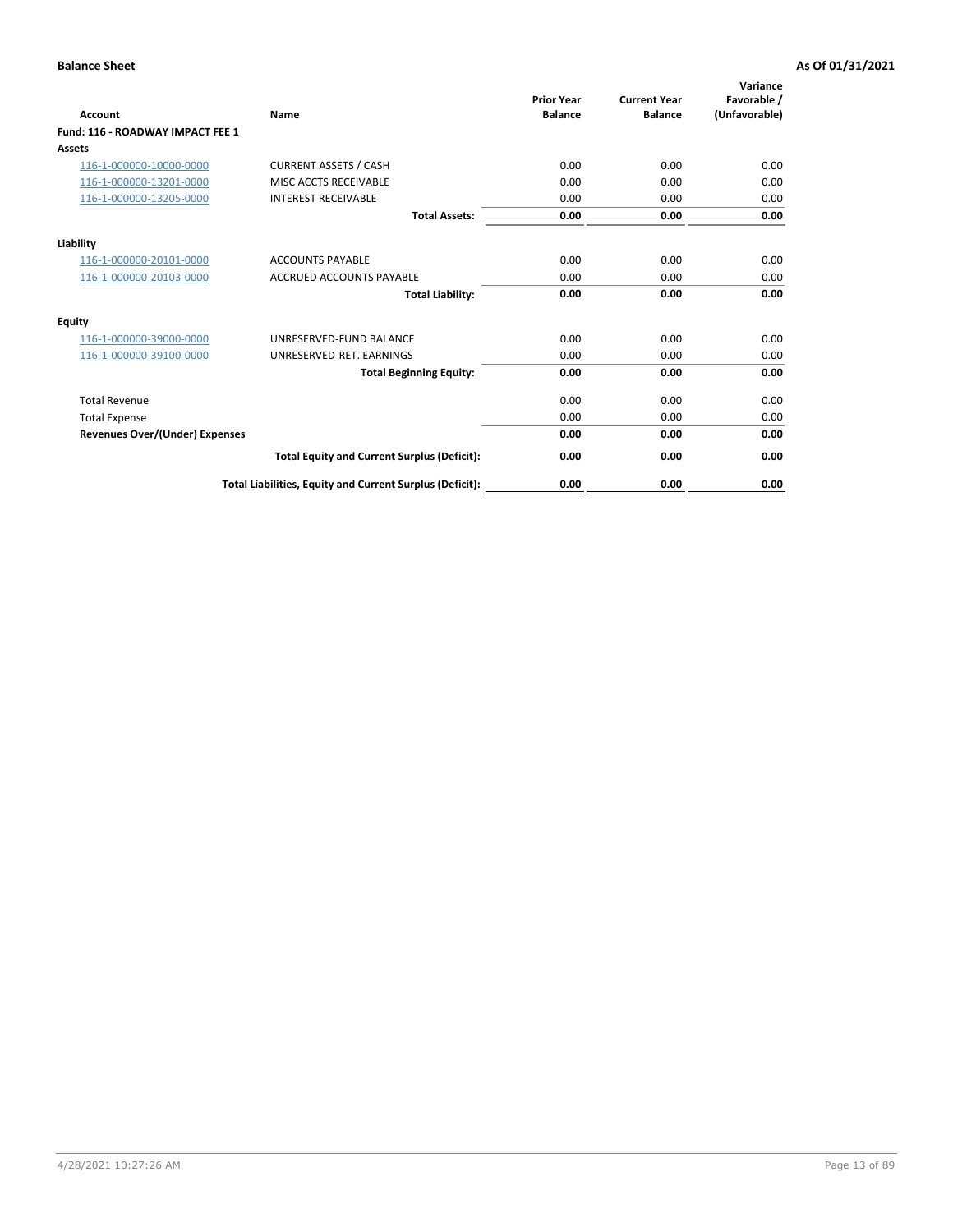| <b>Account</b>                        | Name                                                     | <b>Prior Year</b><br><b>Balance</b> | <b>Current Year</b><br><b>Balance</b> | Variance<br>Favorable /<br>(Unfavorable) |
|---------------------------------------|----------------------------------------------------------|-------------------------------------|---------------------------------------|------------------------------------------|
| Fund: 116 - ROADWAY IMPACT FEE 1      |                                                          |                                     |                                       |                                          |
| Assets                                |                                                          |                                     |                                       |                                          |
| 116-1-000000-10000-0000               | <b>CURRENT ASSETS / CASH</b>                             | 0.00                                | 0.00                                  | 0.00                                     |
| 116-1-000000-13201-0000               | <b>MISC ACCTS RECEIVABLE</b>                             | 0.00                                | 0.00                                  | 0.00                                     |
| 116-1-000000-13205-0000               | <b>INTEREST RECEIVABLE</b>                               | 0.00                                | 0.00                                  | 0.00                                     |
|                                       | <b>Total Assets:</b>                                     | 0.00                                | 0.00                                  | 0.00                                     |
| Liability                             |                                                          |                                     |                                       |                                          |
| 116-1-000000-20101-0000               | <b>ACCOUNTS PAYABLE</b>                                  | 0.00                                | 0.00                                  | 0.00                                     |
| 116-1-000000-20103-0000               | <b>ACCRUED ACCOUNTS PAYABLE</b>                          | 0.00                                | 0.00                                  | 0.00                                     |
|                                       | <b>Total Liability:</b>                                  | 0.00                                | 0.00                                  | 0.00                                     |
| Equity                                |                                                          |                                     |                                       |                                          |
| 116-1-000000-39000-0000               | UNRESERVED-FUND BALANCE                                  | 0.00                                | 0.00                                  | 0.00                                     |
| 116-1-000000-39100-0000               | UNRESERVED-RET. EARNINGS                                 | 0.00                                | 0.00                                  | 0.00                                     |
|                                       | <b>Total Beginning Equity:</b>                           | 0.00                                | 0.00                                  | 0.00                                     |
| <b>Total Revenue</b>                  |                                                          | 0.00                                | 0.00                                  | 0.00                                     |
| <b>Total Expense</b>                  |                                                          | 0.00                                | 0.00                                  | 0.00                                     |
| <b>Revenues Over/(Under) Expenses</b> |                                                          | 0.00                                | 0.00                                  | 0.00                                     |
|                                       | <b>Total Equity and Current Surplus (Deficit):</b>       | 0.00                                | 0.00                                  | 0.00                                     |
|                                       | Total Liabilities, Equity and Current Surplus (Deficit): | 0.00                                | 0.00                                  | 0.00                                     |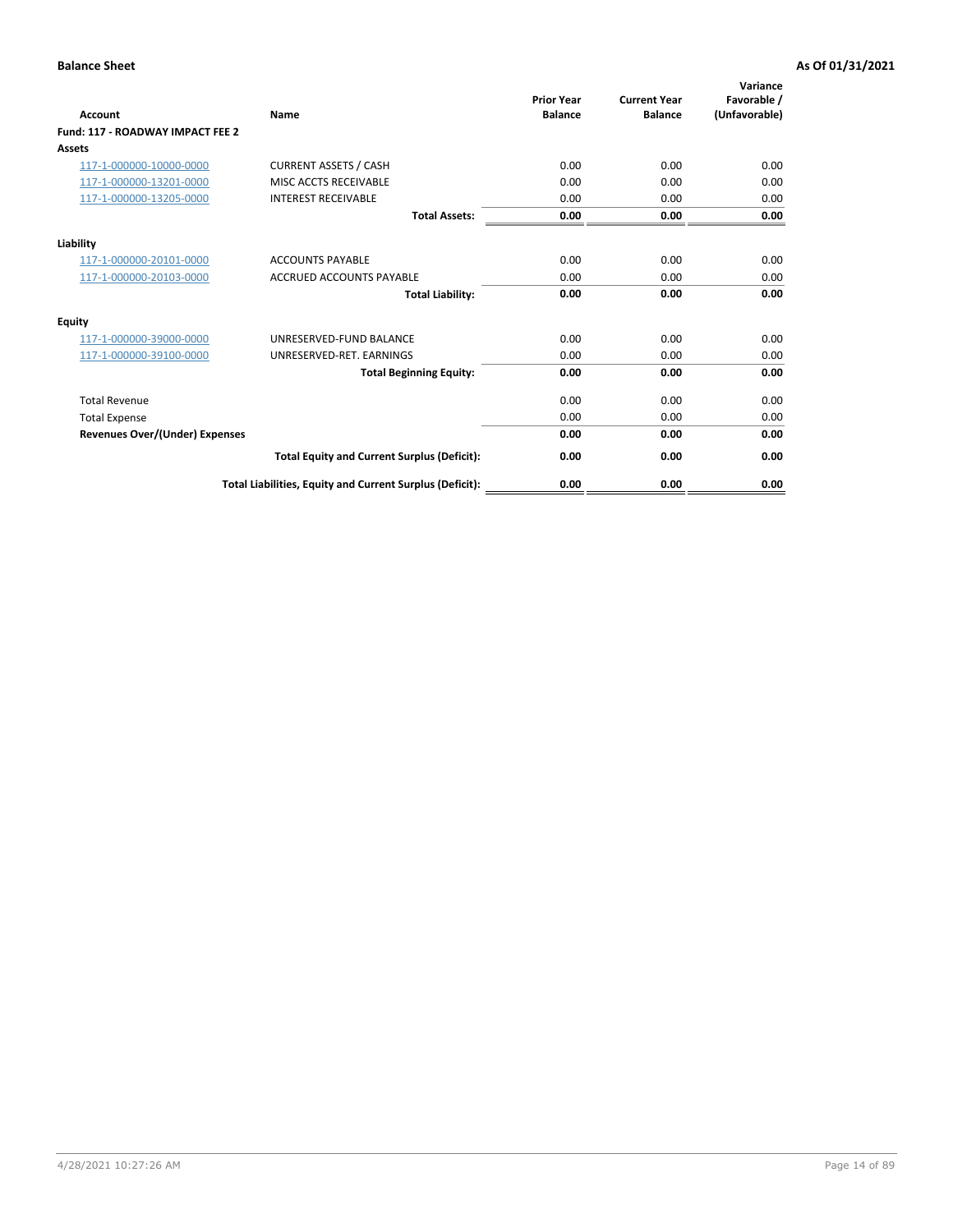| <b>Account</b>                        | Name                                                     | <b>Prior Year</b><br><b>Balance</b> | <b>Current Year</b><br><b>Balance</b> | Variance<br>Favorable /<br>(Unfavorable) |
|---------------------------------------|----------------------------------------------------------|-------------------------------------|---------------------------------------|------------------------------------------|
| Fund: 117 - ROADWAY IMPACT FEE 2      |                                                          |                                     |                                       |                                          |
| Assets                                |                                                          |                                     |                                       |                                          |
| 117-1-000000-10000-0000               | <b>CURRENT ASSETS / CASH</b>                             | 0.00                                | 0.00                                  | 0.00                                     |
| 117-1-000000-13201-0000               | MISC ACCTS RECEIVABLE                                    | 0.00                                | 0.00                                  | 0.00                                     |
| 117-1-000000-13205-0000               | <b>INTEREST RECEIVABLE</b>                               | 0.00                                | 0.00                                  | 0.00                                     |
|                                       | <b>Total Assets:</b>                                     | 0.00                                | 0.00                                  | 0.00                                     |
| Liability                             |                                                          |                                     |                                       |                                          |
| 117-1-000000-20101-0000               | <b>ACCOUNTS PAYABLE</b>                                  | 0.00                                | 0.00                                  | 0.00                                     |
| 117-1-000000-20103-0000               | <b>ACCRUED ACCOUNTS PAYABLE</b>                          | 0.00                                | 0.00                                  | 0.00                                     |
|                                       | <b>Total Liability:</b>                                  | 0.00                                | 0.00                                  | 0.00                                     |
| Equity                                |                                                          |                                     |                                       |                                          |
| 117-1-000000-39000-0000               | UNRESERVED-FUND BALANCE                                  | 0.00                                | 0.00                                  | 0.00                                     |
| 117-1-000000-39100-0000               | UNRESERVED-RET. EARNINGS                                 | 0.00                                | 0.00                                  | 0.00                                     |
|                                       | <b>Total Beginning Equity:</b>                           | 0.00                                | 0.00                                  | 0.00                                     |
| <b>Total Revenue</b>                  |                                                          | 0.00                                | 0.00                                  | 0.00                                     |
| <b>Total Expense</b>                  |                                                          | 0.00                                | 0.00                                  | 0.00                                     |
| <b>Revenues Over/(Under) Expenses</b> |                                                          | 0.00                                | 0.00                                  | 0.00                                     |
|                                       | <b>Total Equity and Current Surplus (Deficit):</b>       | 0.00                                | 0.00                                  | 0.00                                     |
|                                       | Total Liabilities, Equity and Current Surplus (Deficit): | 0.00                                | 0.00                                  | 0.00                                     |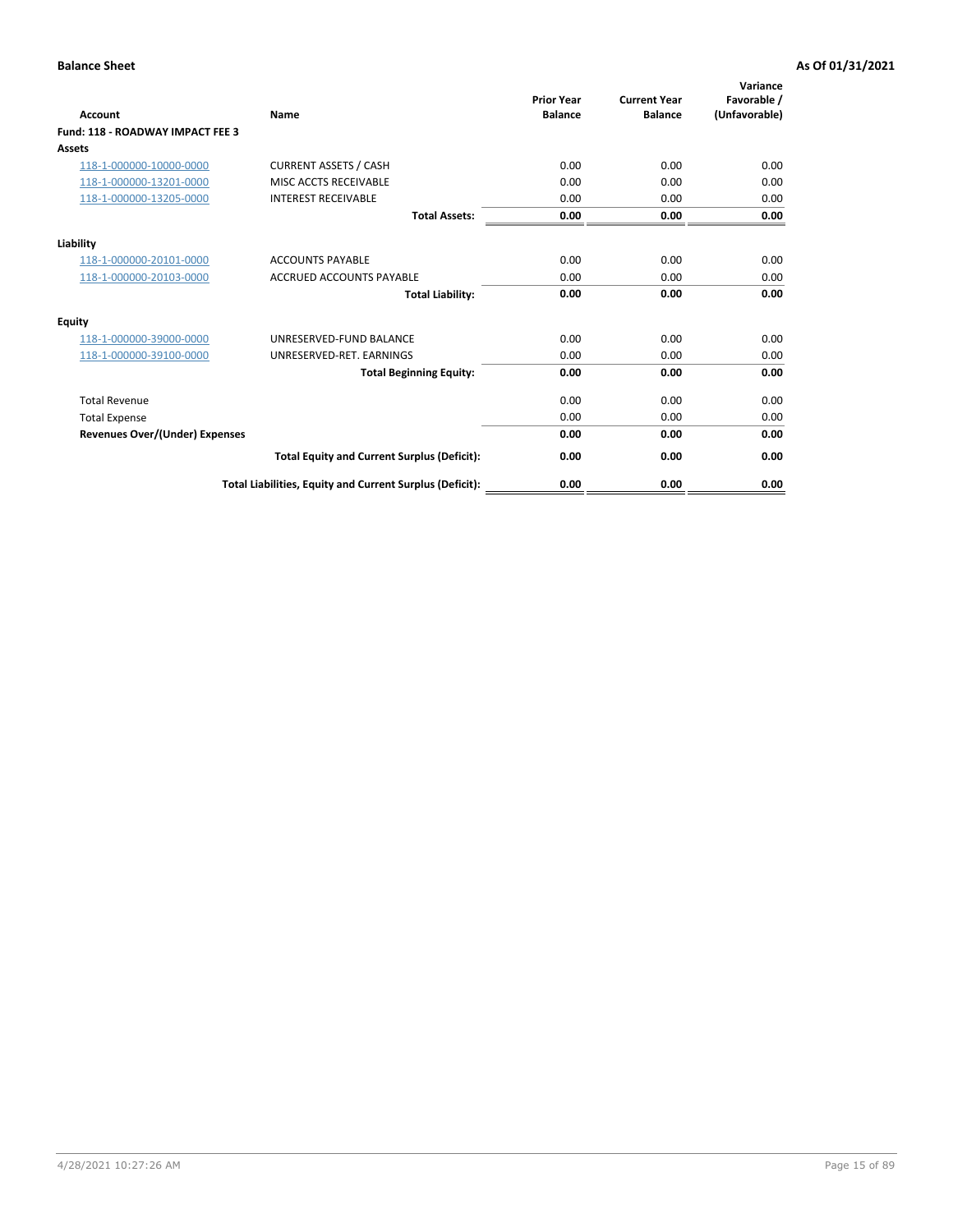| <b>Account</b>                        | Name                                                     | <b>Prior Year</b><br><b>Balance</b> | <b>Current Year</b><br><b>Balance</b> | Variance<br>Favorable /<br>(Unfavorable) |
|---------------------------------------|----------------------------------------------------------|-------------------------------------|---------------------------------------|------------------------------------------|
| Fund: 118 - ROADWAY IMPACT FEE 3      |                                                          |                                     |                                       |                                          |
| <b>Assets</b>                         |                                                          |                                     |                                       |                                          |
| 118-1-000000-10000-0000               | <b>CURRENT ASSETS / CASH</b>                             | 0.00                                | 0.00                                  | 0.00                                     |
| 118-1-000000-13201-0000               | MISC ACCTS RECEIVABLE                                    | 0.00                                | 0.00                                  | 0.00                                     |
| 118-1-000000-13205-0000               | <b>INTEREST RECEIVABLE</b>                               | 0.00                                | 0.00                                  | 0.00                                     |
|                                       | <b>Total Assets:</b>                                     | 0.00                                | 0.00                                  | 0.00                                     |
| Liability                             |                                                          |                                     |                                       |                                          |
| 118-1-000000-20101-0000               | <b>ACCOUNTS PAYABLE</b>                                  | 0.00                                | 0.00                                  | 0.00                                     |
| 118-1-000000-20103-0000               | <b>ACCRUED ACCOUNTS PAYABLE</b>                          | 0.00                                | 0.00                                  | 0.00                                     |
|                                       | <b>Total Liability:</b>                                  | 0.00                                | 0.00                                  | 0.00                                     |
| Equity                                |                                                          |                                     |                                       |                                          |
| 118-1-000000-39000-0000               | UNRESERVED-FUND BALANCE                                  | 0.00                                | 0.00                                  | 0.00                                     |
| 118-1-000000-39100-0000               | UNRESERVED-RET. EARNINGS                                 | 0.00                                | 0.00                                  | 0.00                                     |
|                                       | <b>Total Beginning Equity:</b>                           | 0.00                                | 0.00                                  | 0.00                                     |
| <b>Total Revenue</b>                  |                                                          | 0.00                                | 0.00                                  | 0.00                                     |
| <b>Total Expense</b>                  |                                                          | 0.00                                | 0.00                                  | 0.00                                     |
| <b>Revenues Over/(Under) Expenses</b> |                                                          | 0.00                                | 0.00                                  | 0.00                                     |
|                                       | <b>Total Equity and Current Surplus (Deficit):</b>       | 0.00                                | 0.00                                  | 0.00                                     |
|                                       | Total Liabilities, Equity and Current Surplus (Deficit): | 0.00                                | 0.00                                  | 0.00                                     |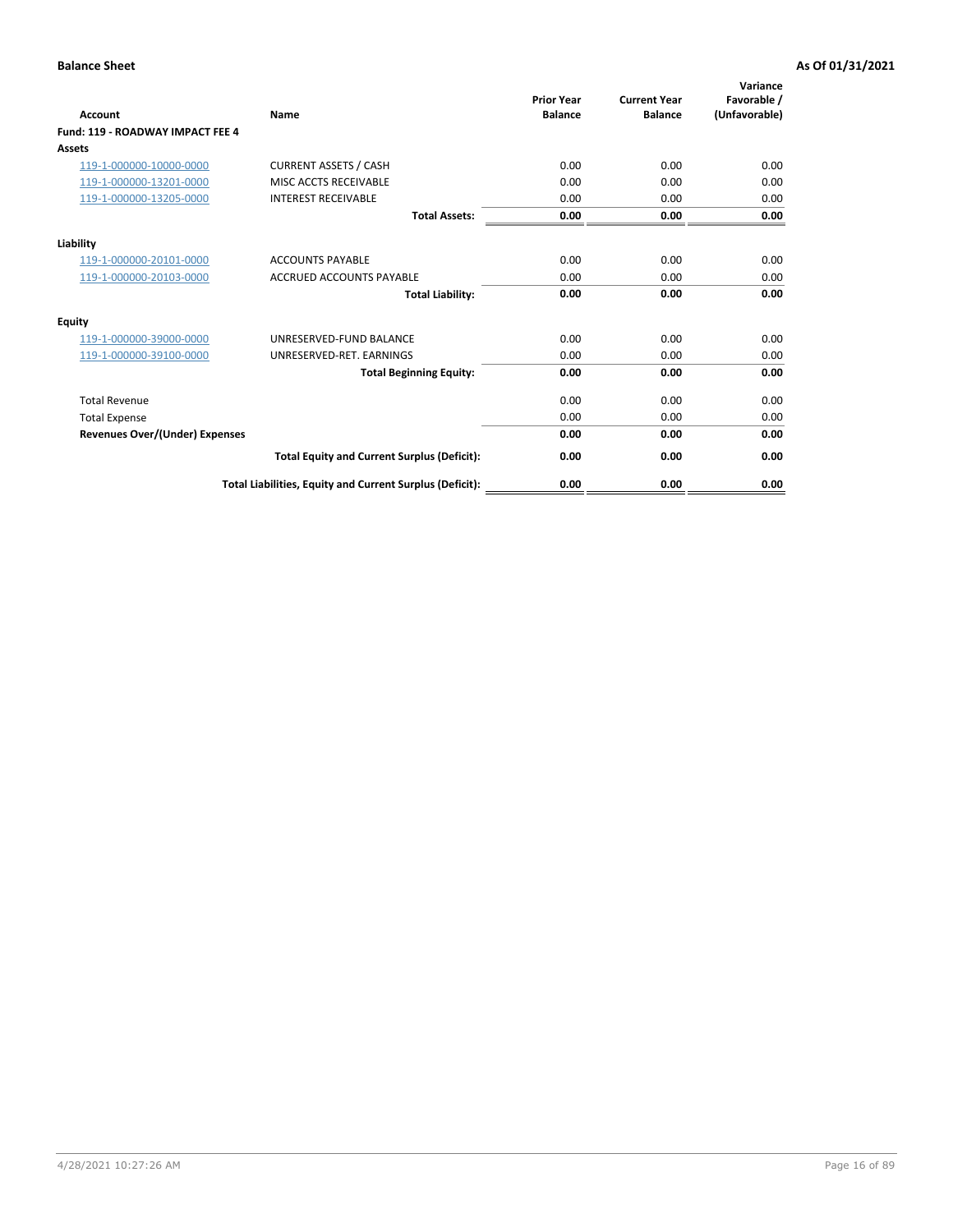| <b>Account</b>                        | Name                                                     | <b>Prior Year</b><br><b>Balance</b> | <b>Current Year</b><br><b>Balance</b> | Variance<br>Favorable /<br>(Unfavorable) |
|---------------------------------------|----------------------------------------------------------|-------------------------------------|---------------------------------------|------------------------------------------|
| Fund: 119 - ROADWAY IMPACT FEE 4      |                                                          |                                     |                                       |                                          |
| Assets                                |                                                          |                                     |                                       |                                          |
| 119-1-000000-10000-0000               | <b>CURRENT ASSETS / CASH</b>                             | 0.00                                | 0.00                                  | 0.00                                     |
| 119-1-000000-13201-0000               | MISC ACCTS RECEIVABLE                                    | 0.00                                | 0.00                                  | 0.00                                     |
| 119-1-000000-13205-0000               | <b>INTEREST RECEIVABLE</b>                               | 0.00                                | 0.00                                  | 0.00                                     |
|                                       | <b>Total Assets:</b>                                     | 0.00                                | 0.00                                  | 0.00                                     |
| Liability                             |                                                          |                                     |                                       |                                          |
| 119-1-000000-20101-0000               | <b>ACCOUNTS PAYABLE</b>                                  | 0.00                                | 0.00                                  | 0.00                                     |
| 119-1-000000-20103-0000               | <b>ACCRUED ACCOUNTS PAYABLE</b>                          | 0.00                                | 0.00                                  | 0.00                                     |
|                                       | <b>Total Liability:</b>                                  | 0.00                                | 0.00                                  | 0.00                                     |
| Equity                                |                                                          |                                     |                                       |                                          |
| 119-1-000000-39000-0000               | UNRESERVED-FUND BALANCE                                  | 0.00                                | 0.00                                  | 0.00                                     |
| 119-1-000000-39100-0000               | UNRESERVED-RET. EARNINGS                                 | 0.00                                | 0.00                                  | 0.00                                     |
|                                       | <b>Total Beginning Equity:</b>                           | 0.00                                | 0.00                                  | 0.00                                     |
| <b>Total Revenue</b>                  |                                                          | 0.00                                | 0.00                                  | 0.00                                     |
| <b>Total Expense</b>                  |                                                          | 0.00                                | 0.00                                  | 0.00                                     |
| <b>Revenues Over/(Under) Expenses</b> |                                                          | 0.00                                | 0.00                                  | 0.00                                     |
|                                       | <b>Total Equity and Current Surplus (Deficit):</b>       | 0.00                                | 0.00                                  | 0.00                                     |
|                                       | Total Liabilities, Equity and Current Surplus (Deficit): | 0.00                                | 0.00                                  | 0.00                                     |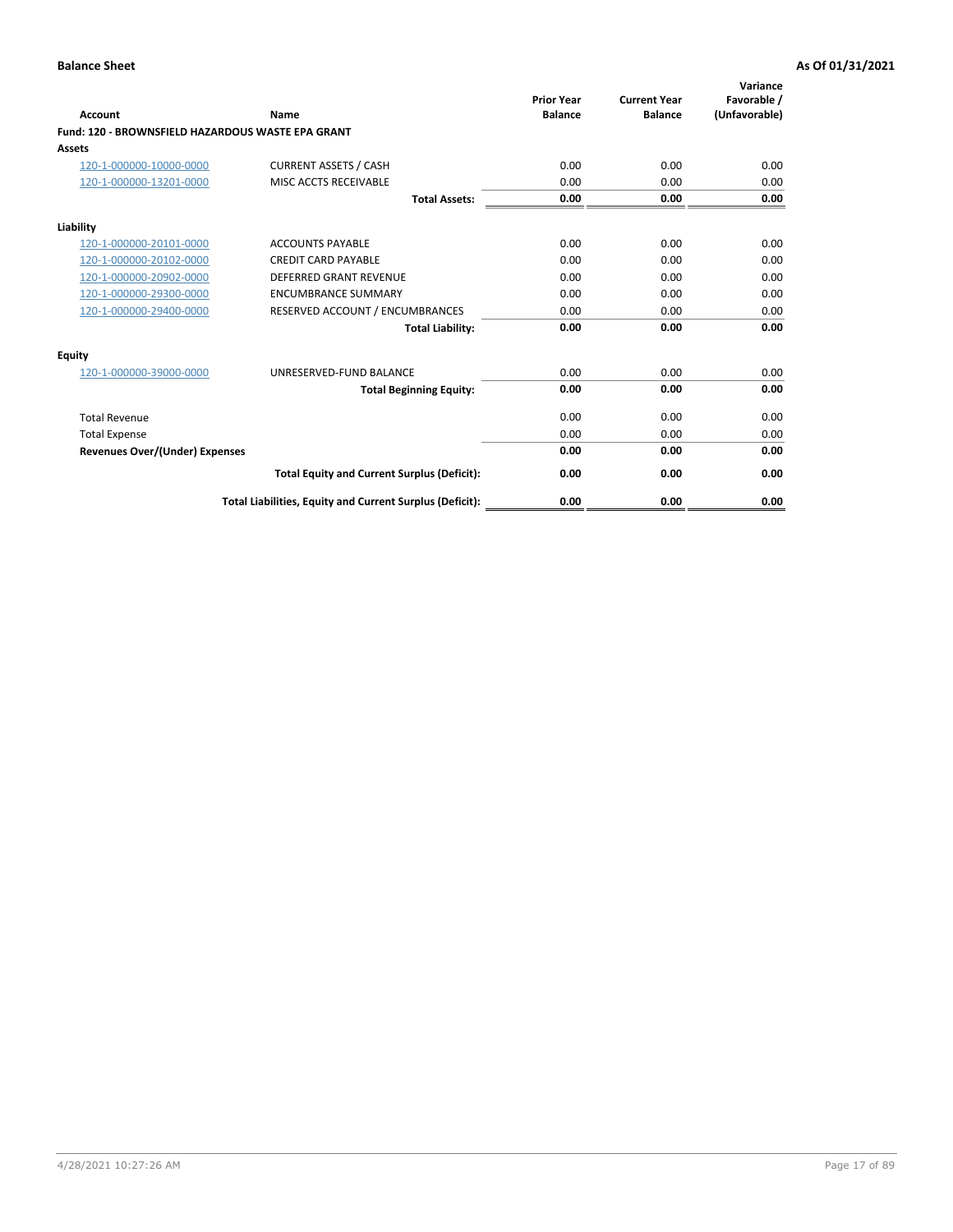| <b>Account</b>                                    | <b>Name</b>                                              | <b>Prior Year</b><br><b>Balance</b> | <b>Current Year</b><br><b>Balance</b> | Variance<br>Favorable /<br>(Unfavorable) |
|---------------------------------------------------|----------------------------------------------------------|-------------------------------------|---------------------------------------|------------------------------------------|
| Fund: 120 - BROWNSFIELD HAZARDOUS WASTE EPA GRANT |                                                          |                                     |                                       |                                          |
| Assets                                            |                                                          |                                     |                                       |                                          |
| 120-1-000000-10000-0000                           | <b>CURRENT ASSETS / CASH</b>                             | 0.00                                | 0.00                                  | 0.00                                     |
| 120-1-000000-13201-0000                           | MISC ACCTS RECEIVABLE                                    | 0.00                                | 0.00                                  | 0.00                                     |
|                                                   | <b>Total Assets:</b>                                     | 0.00                                | 0.00                                  | 0.00                                     |
| Liability                                         |                                                          |                                     |                                       |                                          |
| 120-1-000000-20101-0000                           | <b>ACCOUNTS PAYABLE</b>                                  | 0.00                                | 0.00                                  | 0.00                                     |
| 120-1-000000-20102-0000                           | <b>CREDIT CARD PAYABLE</b>                               | 0.00                                | 0.00                                  | 0.00                                     |
| 120-1-000000-20902-0000                           | <b>DEFERRED GRANT REVENUE</b>                            | 0.00                                | 0.00                                  | 0.00                                     |
| 120-1-000000-29300-0000                           | <b>ENCUMBRANCE SUMMARY</b>                               | 0.00                                | 0.00                                  | 0.00                                     |
| 120-1-000000-29400-0000                           | RESERVED ACCOUNT / ENCUMBRANCES                          | 0.00                                | 0.00                                  | 0.00                                     |
|                                                   | <b>Total Liability:</b>                                  | 0.00                                | 0.00                                  | 0.00                                     |
| Equity                                            |                                                          |                                     |                                       |                                          |
| 120-1-000000-39000-0000                           | UNRESERVED-FUND BALANCE                                  | 0.00                                | 0.00                                  | 0.00                                     |
|                                                   | <b>Total Beginning Equity:</b>                           | 0.00                                | 0.00                                  | 0.00                                     |
| <b>Total Revenue</b>                              |                                                          | 0.00                                | 0.00                                  | 0.00                                     |
| <b>Total Expense</b>                              |                                                          | 0.00                                | 0.00                                  | 0.00                                     |
| <b>Revenues Over/(Under) Expenses</b>             |                                                          | 0.00                                | 0.00                                  | 0.00                                     |
|                                                   | <b>Total Equity and Current Surplus (Deficit):</b>       | 0.00                                | 0.00                                  | 0.00                                     |
|                                                   | Total Liabilities, Equity and Current Surplus (Deficit): | 0.00                                | 0.00                                  | 0.00                                     |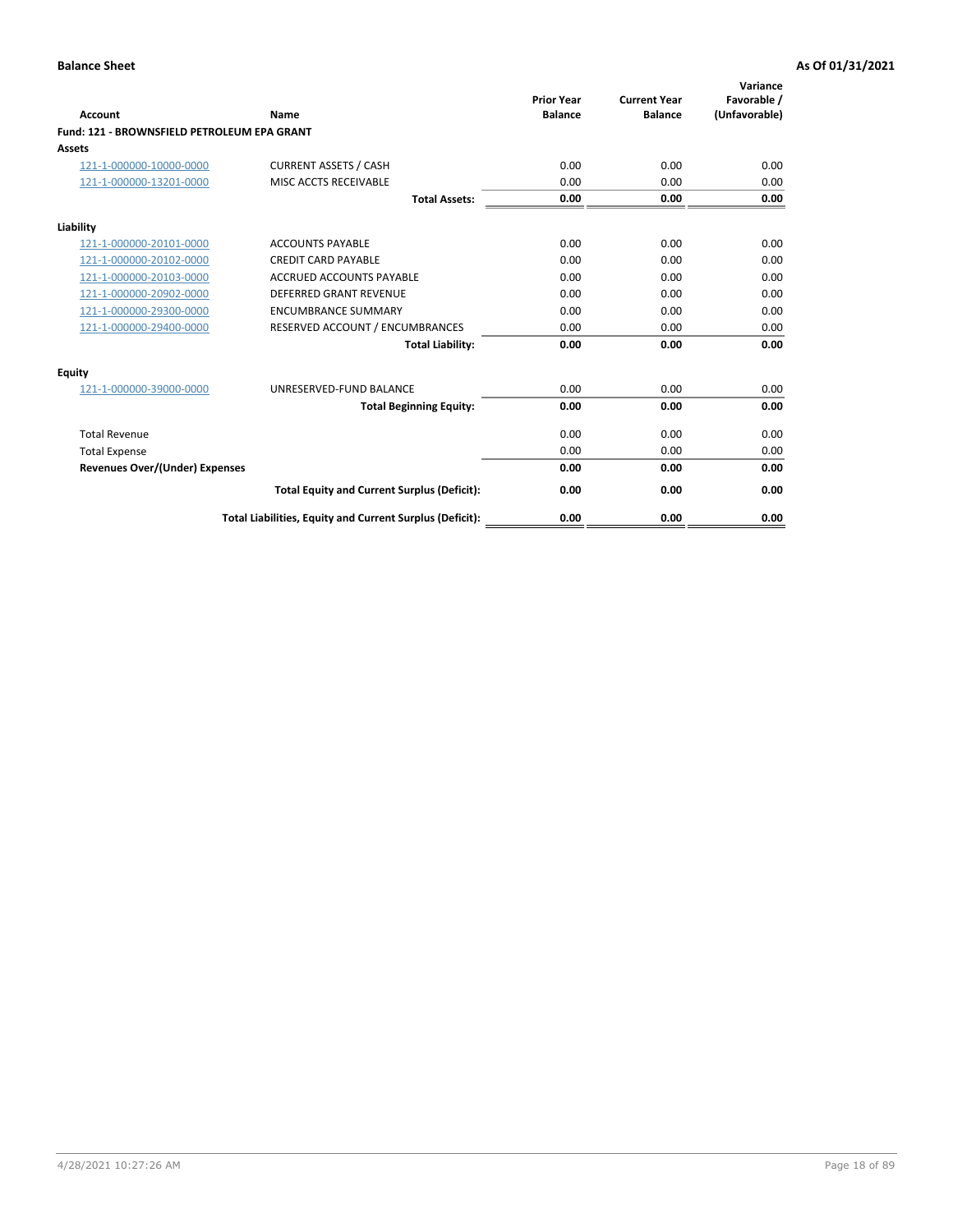| <b>Account</b>                              | Name                                                     | <b>Prior Year</b><br><b>Balance</b> | <b>Current Year</b><br><b>Balance</b> | Variance<br>Favorable /<br>(Unfavorable) |
|---------------------------------------------|----------------------------------------------------------|-------------------------------------|---------------------------------------|------------------------------------------|
| Fund: 121 - BROWNSFIELD PETROLEUM EPA GRANT |                                                          |                                     |                                       |                                          |
| Assets                                      |                                                          |                                     |                                       |                                          |
| 121-1-000000-10000-0000                     | <b>CURRENT ASSETS / CASH</b>                             | 0.00                                | 0.00                                  | 0.00                                     |
| 121-1-000000-13201-0000                     | MISC ACCTS RECEIVABLE                                    | 0.00                                | 0.00                                  | 0.00                                     |
|                                             | <b>Total Assets:</b>                                     | 0.00                                | 0.00                                  | 0.00                                     |
| Liability                                   |                                                          |                                     |                                       |                                          |
| 121-1-000000-20101-0000                     | <b>ACCOUNTS PAYABLE</b>                                  | 0.00                                | 0.00                                  | 0.00                                     |
| 121-1-000000-20102-0000                     | <b>CREDIT CARD PAYABLE</b>                               | 0.00                                | 0.00                                  | 0.00                                     |
| 121-1-000000-20103-0000                     | <b>ACCRUED ACCOUNTS PAYABLE</b>                          | 0.00                                | 0.00                                  | 0.00                                     |
| 121-1-000000-20902-0000                     | <b>DEFERRED GRANT REVENUE</b>                            | 0.00                                | 0.00                                  | 0.00                                     |
| 121-1-000000-29300-0000                     | <b>ENCUMBRANCE SUMMARY</b>                               | 0.00                                | 0.00                                  | 0.00                                     |
| 121-1-000000-29400-0000                     | RESERVED ACCOUNT / ENCUMBRANCES                          | 0.00                                | 0.00                                  | 0.00                                     |
|                                             | <b>Total Liability:</b>                                  | 0.00                                | 0.00                                  | 0.00                                     |
| Equity                                      |                                                          |                                     |                                       |                                          |
| 121-1-000000-39000-0000                     | UNRESERVED-FUND BALANCE                                  | 0.00                                | 0.00                                  | 0.00                                     |
|                                             | <b>Total Beginning Equity:</b>                           | 0.00                                | 0.00                                  | 0.00                                     |
| <b>Total Revenue</b>                        |                                                          | 0.00                                | 0.00                                  | 0.00                                     |
| <b>Total Expense</b>                        |                                                          | 0.00                                | 0.00                                  | 0.00                                     |
| <b>Revenues Over/(Under) Expenses</b>       |                                                          | 0.00                                | 0.00                                  | 0.00                                     |
|                                             | <b>Total Equity and Current Surplus (Deficit):</b>       | 0.00                                | 0.00                                  | 0.00                                     |
|                                             | Total Liabilities, Equity and Current Surplus (Deficit): | 0.00                                | 0.00                                  | 0.00                                     |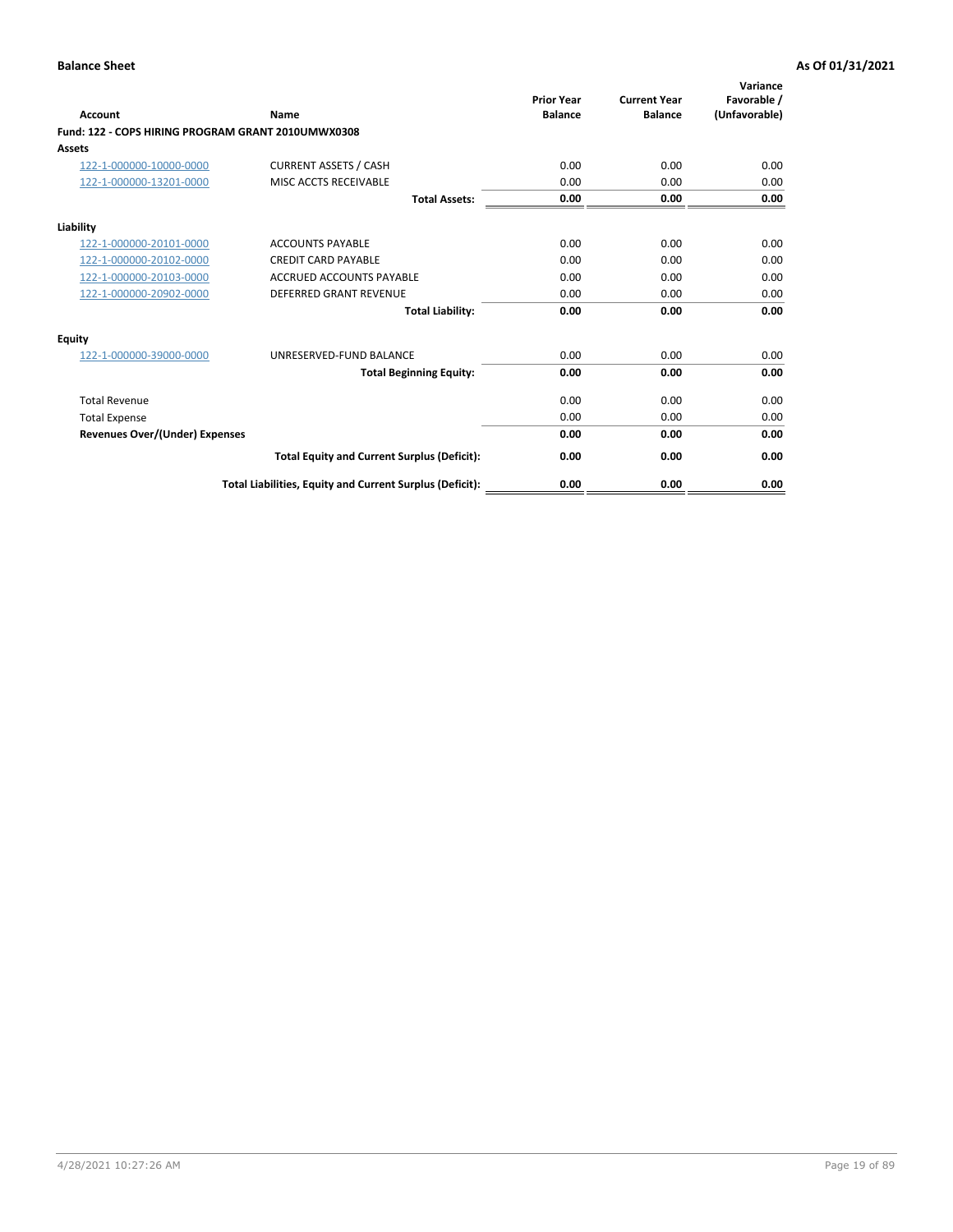| <b>Account</b>                                     | Name                                                     | <b>Prior Year</b><br><b>Balance</b> | <b>Current Year</b><br><b>Balance</b> | Variance<br>Favorable /<br>(Unfavorable) |
|----------------------------------------------------|----------------------------------------------------------|-------------------------------------|---------------------------------------|------------------------------------------|
| Fund: 122 - COPS HIRING PROGRAM GRANT 2010UMWX0308 |                                                          |                                     |                                       |                                          |
| Assets                                             |                                                          |                                     |                                       |                                          |
| 122-1-000000-10000-0000                            | <b>CURRENT ASSETS / CASH</b>                             | 0.00                                | 0.00                                  | 0.00                                     |
| 122-1-000000-13201-0000                            | MISC ACCTS RECEIVABLE                                    | 0.00                                | 0.00                                  | 0.00                                     |
|                                                    | <b>Total Assets:</b>                                     | 0.00                                | 0.00                                  | 0.00                                     |
| Liability                                          |                                                          |                                     |                                       |                                          |
| 122-1-000000-20101-0000                            | <b>ACCOUNTS PAYABLE</b>                                  | 0.00                                | 0.00                                  | 0.00                                     |
| 122-1-000000-20102-0000                            | <b>CREDIT CARD PAYABLE</b>                               | 0.00                                | 0.00                                  | 0.00                                     |
| 122-1-000000-20103-0000                            | <b>ACCRUED ACCOUNTS PAYABLE</b>                          | 0.00                                | 0.00                                  | 0.00                                     |
| 122-1-000000-20902-0000                            | <b>DEFERRED GRANT REVENUE</b>                            | 0.00                                | 0.00                                  | 0.00                                     |
|                                                    | <b>Total Liability:</b>                                  | 0.00                                | 0.00                                  | 0.00                                     |
| Equity                                             |                                                          |                                     |                                       |                                          |
| 122-1-000000-39000-0000                            | UNRESERVED-FUND BALANCE                                  | 0.00                                | 0.00                                  | 0.00                                     |
|                                                    | <b>Total Beginning Equity:</b>                           | 0.00                                | 0.00                                  | 0.00                                     |
| <b>Total Revenue</b>                               |                                                          | 0.00                                | 0.00                                  | 0.00                                     |
| <b>Total Expense</b>                               |                                                          | 0.00                                | 0.00                                  | 0.00                                     |
| <b>Revenues Over/(Under) Expenses</b>              |                                                          | 0.00                                | 0.00                                  | 0.00                                     |
|                                                    | <b>Total Equity and Current Surplus (Deficit):</b>       | 0.00                                | 0.00                                  | 0.00                                     |
|                                                    | Total Liabilities, Equity and Current Surplus (Deficit): | 0.00                                | 0.00                                  | 0.00                                     |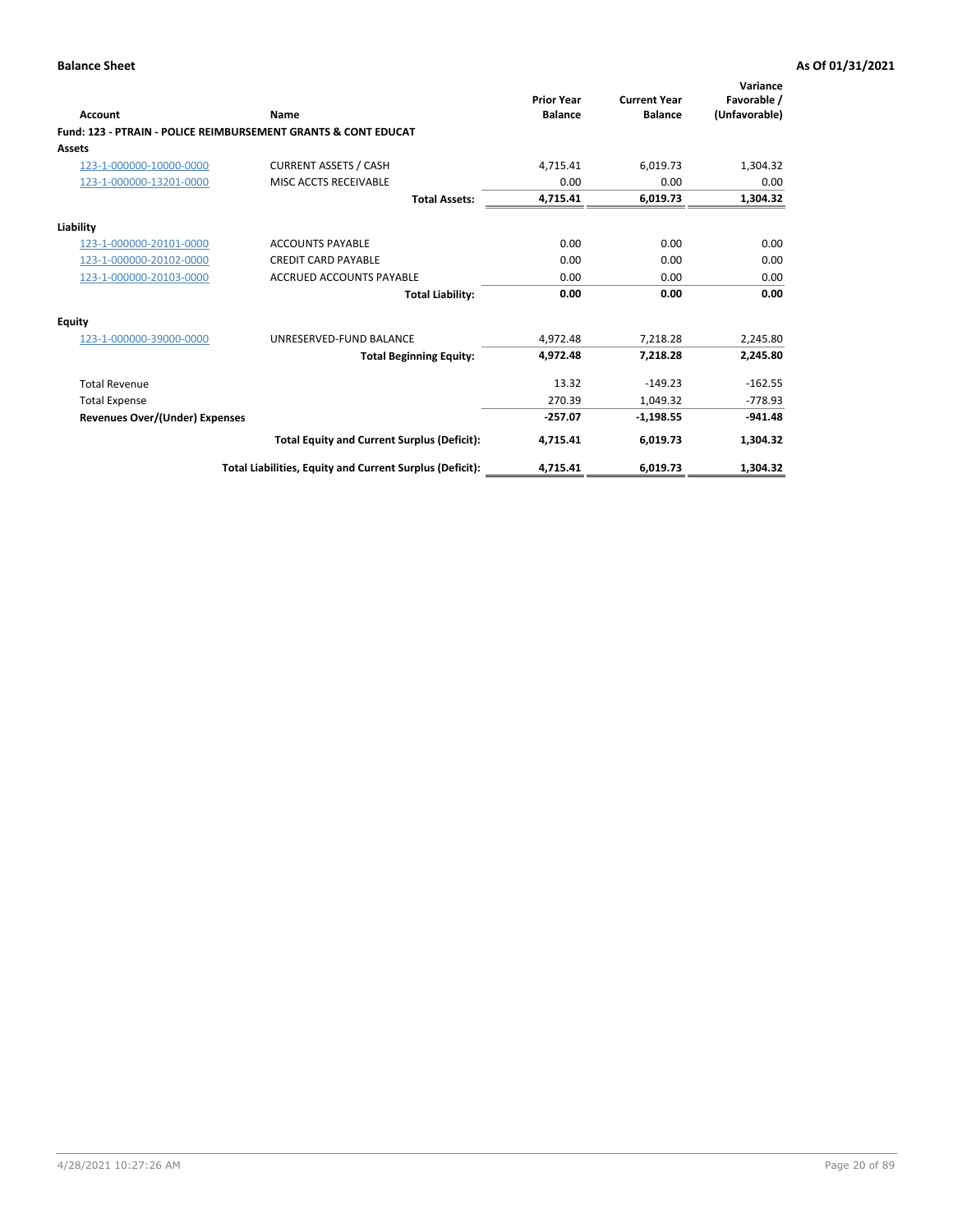| Account                               | Name                                                           | <b>Prior Year</b><br><b>Balance</b> | <b>Current Year</b><br><b>Balance</b> | Variance<br>Favorable /<br>(Unfavorable) |
|---------------------------------------|----------------------------------------------------------------|-------------------------------------|---------------------------------------|------------------------------------------|
|                                       | Fund: 123 - PTRAIN - POLICE REIMBURSEMENT GRANTS & CONT EDUCAT |                                     |                                       |                                          |
| Assets                                |                                                                |                                     |                                       |                                          |
| 123-1-000000-10000-0000               | <b>CURRENT ASSETS / CASH</b>                                   | 4,715.41                            | 6,019.73                              | 1,304.32                                 |
| 123-1-000000-13201-0000               | MISC ACCTS RECEIVABLE                                          | 0.00                                | 0.00                                  | 0.00                                     |
|                                       | <b>Total Assets:</b>                                           | 4,715.41                            | 6,019.73                              | 1,304.32                                 |
| Liability                             |                                                                |                                     |                                       |                                          |
| 123-1-000000-20101-0000               | <b>ACCOUNTS PAYABLE</b>                                        | 0.00                                | 0.00                                  | 0.00                                     |
| 123-1-000000-20102-0000               | <b>CREDIT CARD PAYABLE</b>                                     | 0.00                                | 0.00                                  | 0.00                                     |
| 123-1-000000-20103-0000               | <b>ACCRUED ACCOUNTS PAYABLE</b>                                | 0.00                                | 0.00                                  | 0.00                                     |
|                                       | <b>Total Liability:</b>                                        | 0.00                                | 0.00                                  | 0.00                                     |
| Equity                                |                                                                |                                     |                                       |                                          |
| 123-1-000000-39000-0000               | UNRESERVED-FUND BALANCE                                        | 4,972.48                            | 7,218.28                              | 2,245.80                                 |
|                                       | <b>Total Beginning Equity:</b>                                 | 4,972.48                            | 7,218.28                              | 2,245.80                                 |
| <b>Total Revenue</b>                  |                                                                | 13.32                               | $-149.23$                             | $-162.55$                                |
| <b>Total Expense</b>                  |                                                                | 270.39                              | 1.049.32                              | $-778.93$                                |
| <b>Revenues Over/(Under) Expenses</b> |                                                                | $-257.07$                           | $-1,198.55$                           | $-941.48$                                |
|                                       | <b>Total Equity and Current Surplus (Deficit):</b>             | 4,715.41                            | 6,019.73                              | 1,304.32                                 |
|                                       | Total Liabilities, Equity and Current Surplus (Deficit):       | 4,715.41                            | 6,019.73                              | 1,304.32                                 |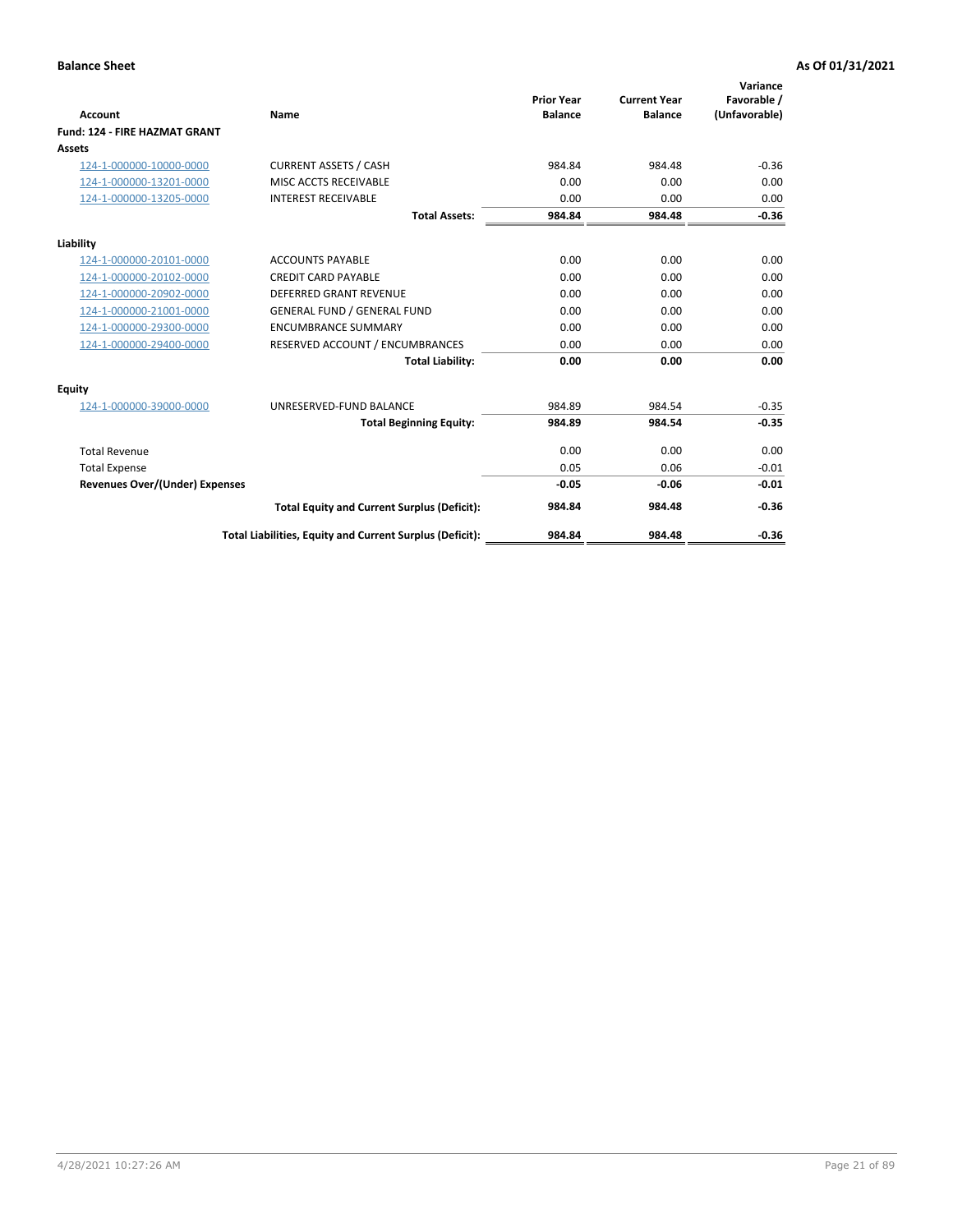|                                      |                                                          | <b>Prior Year</b> | <b>Current Year</b> | Variance<br>Favorable / |
|--------------------------------------|----------------------------------------------------------|-------------------|---------------------|-------------------------|
| <b>Account</b>                       | Name                                                     | <b>Balance</b>    | <b>Balance</b>      | (Unfavorable)           |
| <b>Fund: 124 - FIRE HAZMAT GRANT</b> |                                                          |                   |                     |                         |
| Assets                               |                                                          |                   |                     |                         |
| 124-1-000000-10000-0000              | <b>CURRENT ASSETS / CASH</b>                             | 984.84            | 984.48              | $-0.36$                 |
| 124-1-000000-13201-0000              | MISC ACCTS RECEIVABLE                                    | 0.00              | 0.00                | 0.00                    |
| 124-1-000000-13205-0000              | <b>INTEREST RECEIVABLE</b>                               | 0.00              | 0.00                | 0.00                    |
|                                      | <b>Total Assets:</b>                                     | 984.84            | 984.48              | $-0.36$                 |
| Liability                            |                                                          |                   |                     |                         |
| 124-1-000000-20101-0000              | <b>ACCOUNTS PAYABLE</b>                                  | 0.00              | 0.00                | 0.00                    |
| 124-1-000000-20102-0000              | <b>CREDIT CARD PAYABLE</b>                               | 0.00              | 0.00                | 0.00                    |
| 124-1-000000-20902-0000              | <b>DEFERRED GRANT REVENUE</b>                            | 0.00              | 0.00                | 0.00                    |
| 124-1-000000-21001-0000              | <b>GENERAL FUND / GENERAL FUND</b>                       | 0.00              | 0.00                | 0.00                    |
| 124-1-000000-29300-0000              | <b>ENCUMBRANCE SUMMARY</b>                               | 0.00              | 0.00                | 0.00                    |
| 124-1-000000-29400-0000              | RESERVED ACCOUNT / ENCUMBRANCES                          | 0.00              | 0.00                | 0.00                    |
|                                      | <b>Total Liability:</b>                                  | 0.00              | 0.00                | 0.00                    |
| Equity                               |                                                          |                   |                     |                         |
| 124-1-000000-39000-0000              | UNRESERVED-FUND BALANCE                                  | 984.89            | 984.54              | $-0.35$                 |
|                                      | <b>Total Beginning Equity:</b>                           | 984.89            | 984.54              | $-0.35$                 |
| <b>Total Revenue</b>                 |                                                          | 0.00              | 0.00                | 0.00                    |
| <b>Total Expense</b>                 |                                                          | 0.05              | 0.06                | $-0.01$                 |
| Revenues Over/(Under) Expenses       |                                                          | $-0.05$           | $-0.06$             | $-0.01$                 |
|                                      | <b>Total Equity and Current Surplus (Deficit):</b>       | 984.84            | 984.48              | $-0.36$                 |
|                                      | Total Liabilities, Equity and Current Surplus (Deficit): | 984.84            | 984.48              | $-0.36$                 |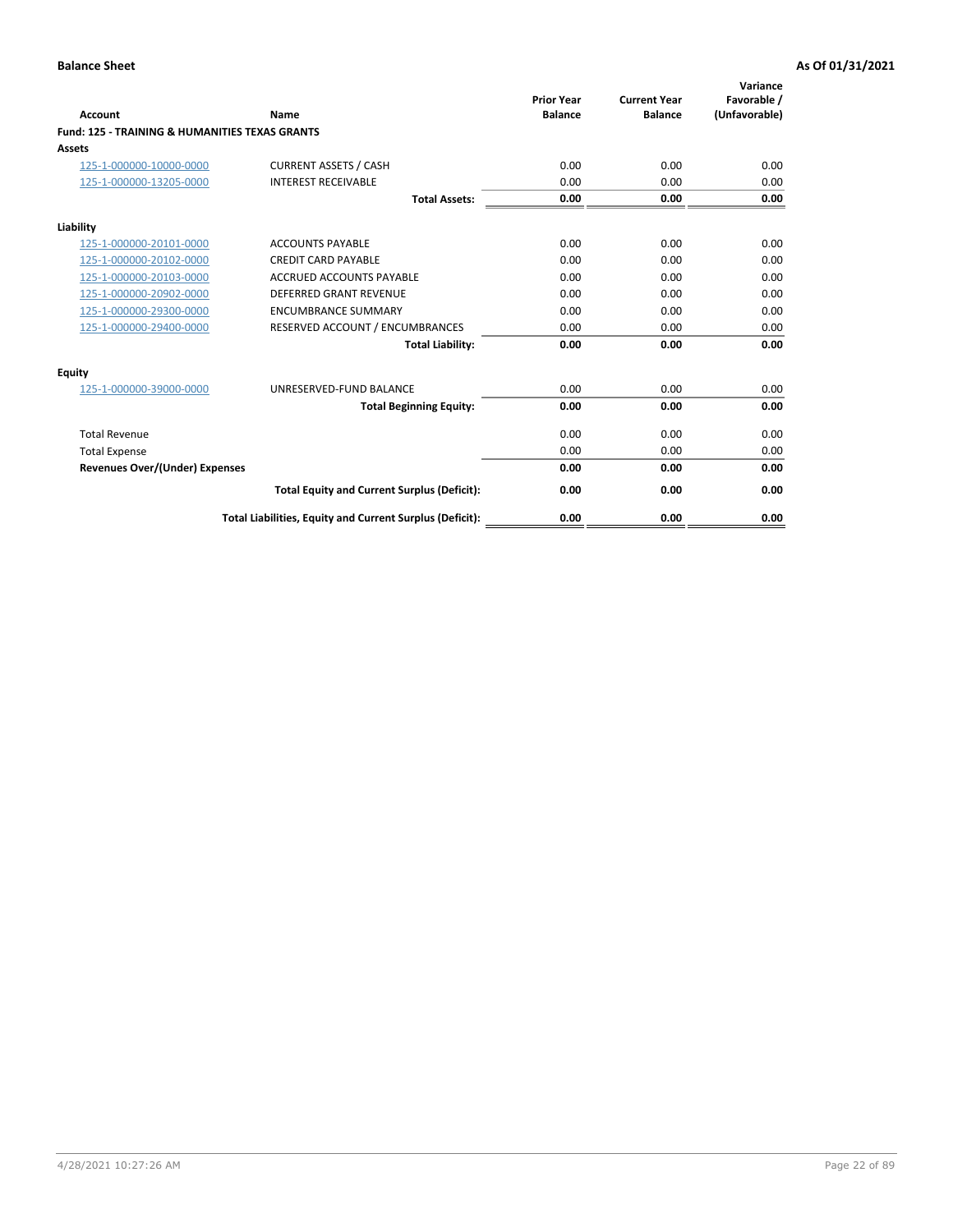| Account                                                   | Name                                                     | <b>Prior Year</b><br><b>Balance</b> | <b>Current Year</b><br><b>Balance</b> | Variance<br>Favorable /<br>(Unfavorable) |
|-----------------------------------------------------------|----------------------------------------------------------|-------------------------------------|---------------------------------------|------------------------------------------|
| <b>Fund: 125 - TRAINING &amp; HUMANITIES TEXAS GRANTS</b> |                                                          |                                     |                                       |                                          |
| <b>Assets</b>                                             |                                                          |                                     |                                       |                                          |
| 125-1-000000-10000-0000                                   | <b>CURRENT ASSETS / CASH</b>                             | 0.00                                | 0.00                                  | 0.00                                     |
| 125-1-000000-13205-0000                                   | <b>INTEREST RECEIVABLE</b>                               | 0.00                                | 0.00                                  | 0.00                                     |
|                                                           | <b>Total Assets:</b>                                     | 0.00                                | 0.00                                  | 0.00                                     |
| Liability                                                 |                                                          |                                     |                                       |                                          |
| 125-1-000000-20101-0000                                   | <b>ACCOUNTS PAYABLE</b>                                  | 0.00                                | 0.00                                  | 0.00                                     |
| 125-1-000000-20102-0000                                   | <b>CREDIT CARD PAYABLE</b>                               | 0.00                                | 0.00                                  | 0.00                                     |
| 125-1-000000-20103-0000                                   | <b>ACCRUED ACCOUNTS PAYABLE</b>                          | 0.00                                | 0.00                                  | 0.00                                     |
| 125-1-000000-20902-0000                                   | DEFERRED GRANT REVENUE                                   | 0.00                                | 0.00                                  | 0.00                                     |
| 125-1-000000-29300-0000                                   | <b>ENCUMBRANCE SUMMARY</b>                               | 0.00                                | 0.00                                  | 0.00                                     |
| 125-1-000000-29400-0000                                   | RESERVED ACCOUNT / ENCUMBRANCES                          | 0.00                                | 0.00                                  | 0.00                                     |
|                                                           | <b>Total Liability:</b>                                  | 0.00                                | 0.00                                  | 0.00                                     |
| <b>Equity</b>                                             |                                                          |                                     |                                       |                                          |
| 125-1-000000-39000-0000                                   | UNRESERVED-FUND BALANCE                                  | 0.00                                | 0.00                                  | 0.00                                     |
|                                                           | <b>Total Beginning Equity:</b>                           | 0.00                                | 0.00                                  | 0.00                                     |
| <b>Total Revenue</b>                                      |                                                          | 0.00                                | 0.00                                  | 0.00                                     |
| <b>Total Expense</b>                                      |                                                          | 0.00                                | 0.00                                  | 0.00                                     |
| <b>Revenues Over/(Under) Expenses</b>                     |                                                          | 0.00                                | 0.00                                  | 0.00                                     |
|                                                           | <b>Total Equity and Current Surplus (Deficit):</b>       | 0.00                                | 0.00                                  | 0.00                                     |
|                                                           | Total Liabilities, Equity and Current Surplus (Deficit): | 0.00                                | 0.00                                  | 0.00                                     |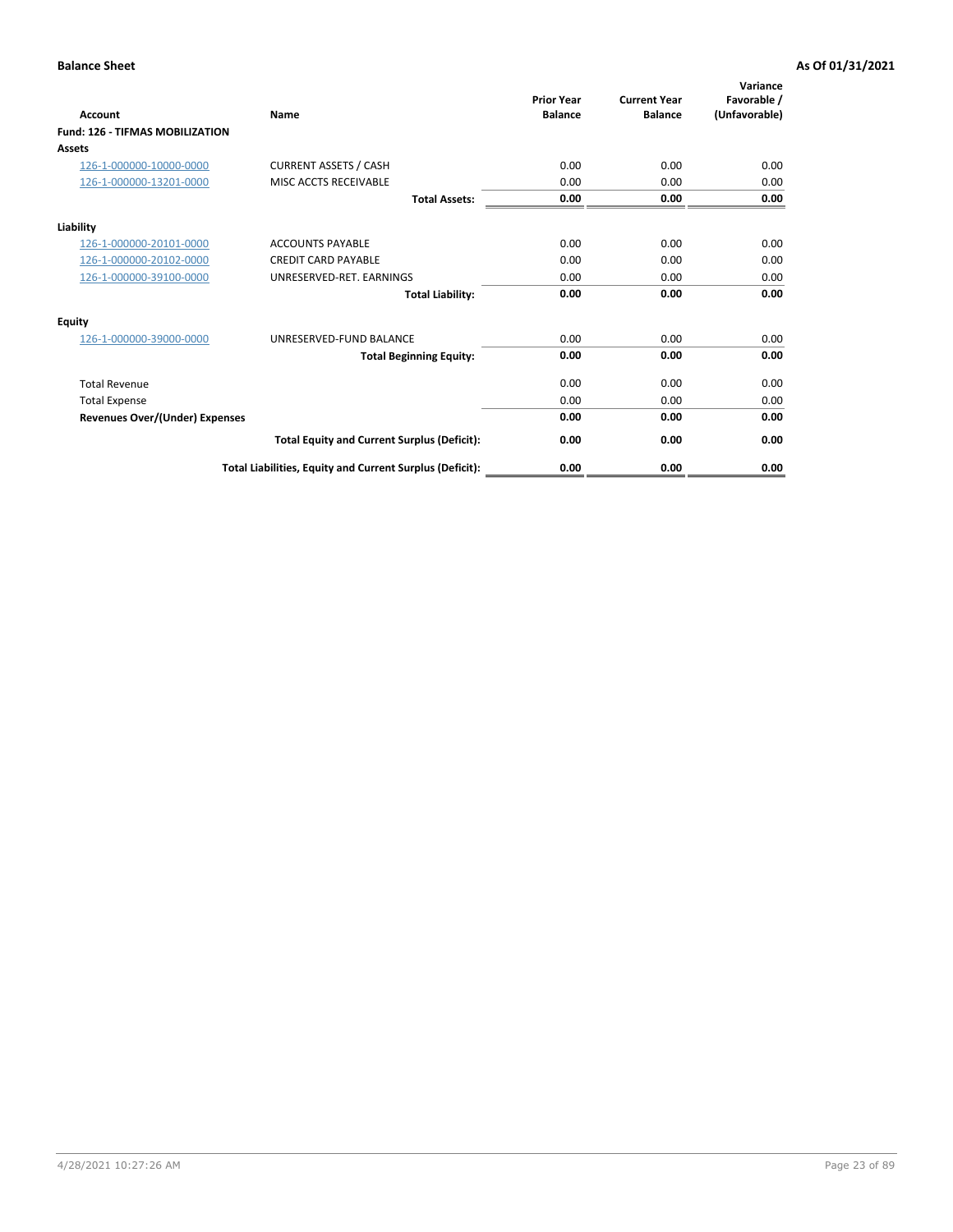| <b>Account</b>                         | Name                                                     | <b>Prior Year</b><br><b>Balance</b> | <b>Current Year</b><br><b>Balance</b> | Variance<br>Favorable /<br>(Unfavorable) |
|----------------------------------------|----------------------------------------------------------|-------------------------------------|---------------------------------------|------------------------------------------|
| <b>Fund: 126 - TIFMAS MOBILIZATION</b> |                                                          |                                     |                                       |                                          |
| Assets                                 |                                                          |                                     |                                       |                                          |
| 126-1-000000-10000-0000                | <b>CURRENT ASSETS / CASH</b>                             | 0.00                                | 0.00                                  | 0.00                                     |
| 126-1-000000-13201-0000                | MISC ACCTS RECEIVABLE                                    | 0.00                                | 0.00                                  | 0.00                                     |
|                                        | <b>Total Assets:</b>                                     | 0.00                                | 0.00                                  | 0.00                                     |
| Liability                              |                                                          |                                     |                                       |                                          |
| 126-1-000000-20101-0000                | <b>ACCOUNTS PAYABLE</b>                                  | 0.00                                | 0.00                                  | 0.00                                     |
| 126-1-000000-20102-0000                | <b>CREDIT CARD PAYABLE</b>                               | 0.00                                | 0.00                                  | 0.00                                     |
| 126-1-000000-39100-0000                | UNRESERVED-RET. EARNINGS                                 | 0.00                                | 0.00                                  | 0.00                                     |
|                                        | <b>Total Liability:</b>                                  | 0.00                                | 0.00                                  | 0.00                                     |
| Equity                                 |                                                          |                                     |                                       |                                          |
| 126-1-000000-39000-0000                | UNRESERVED-FUND BALANCE                                  | 0.00                                | 0.00                                  | 0.00                                     |
|                                        | <b>Total Beginning Equity:</b>                           | 0.00                                | 0.00                                  | 0.00                                     |
| <b>Total Revenue</b>                   |                                                          | 0.00                                | 0.00                                  | 0.00                                     |
| <b>Total Expense</b>                   |                                                          | 0.00                                | 0.00                                  | 0.00                                     |
| <b>Revenues Over/(Under) Expenses</b>  |                                                          | 0.00                                | 0.00                                  | 0.00                                     |
|                                        | <b>Total Equity and Current Surplus (Deficit):</b>       | 0.00                                | 0.00                                  | 0.00                                     |
|                                        | Total Liabilities, Equity and Current Surplus (Deficit): | 0.00                                | 0.00                                  | 0.00                                     |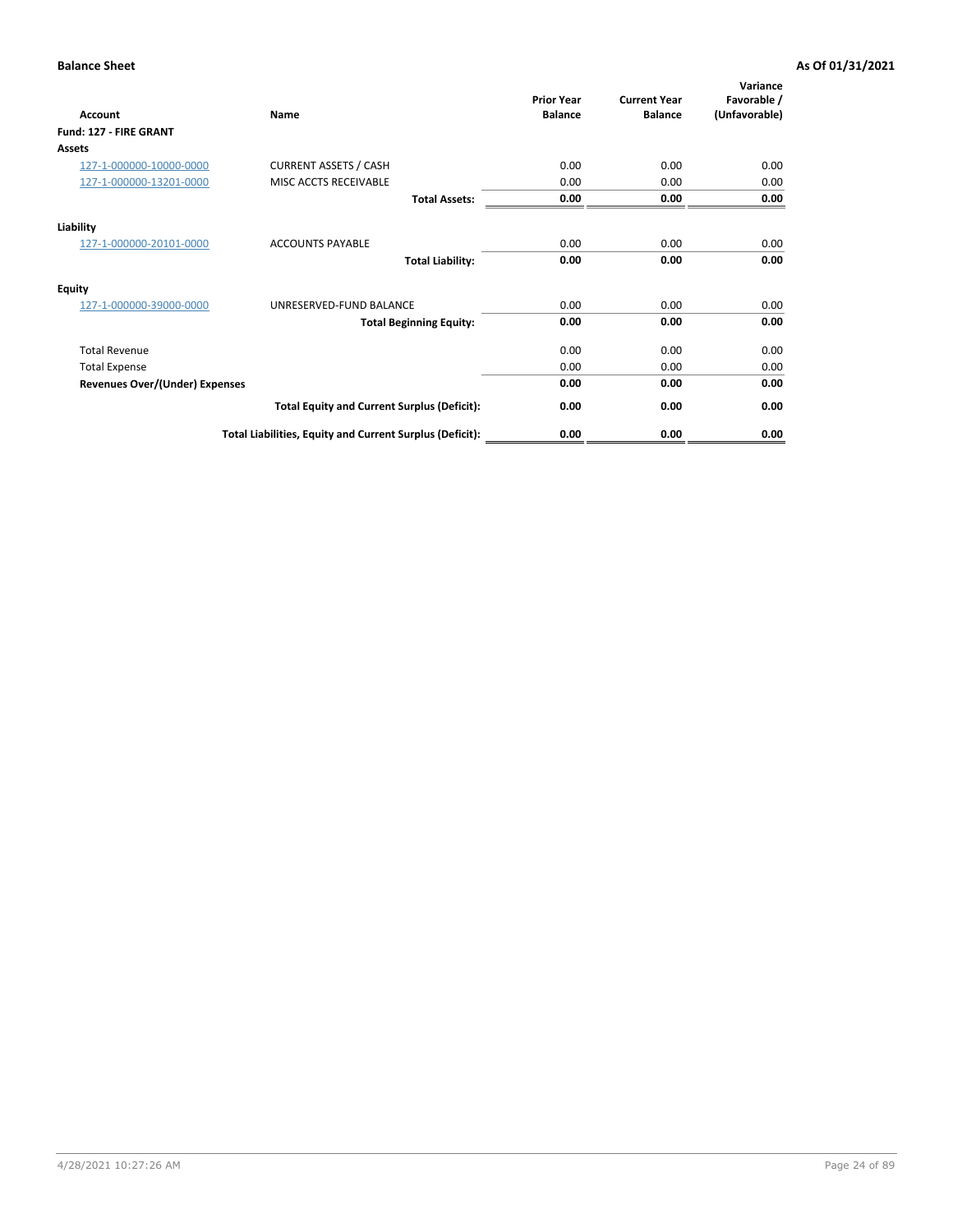| Account                               | Name                                                     | <b>Prior Year</b><br><b>Balance</b> | <b>Current Year</b><br><b>Balance</b> | Variance<br>Favorable /<br>(Unfavorable) |
|---------------------------------------|----------------------------------------------------------|-------------------------------------|---------------------------------------|------------------------------------------|
| Fund: 127 - FIRE GRANT                |                                                          |                                     |                                       |                                          |
| <b>Assets</b>                         |                                                          |                                     |                                       |                                          |
| 127-1-000000-10000-0000               | <b>CURRENT ASSETS / CASH</b>                             | 0.00                                | 0.00                                  | 0.00                                     |
| 127-1-000000-13201-0000               | MISC ACCTS RECEIVABLE                                    | 0.00                                | 0.00                                  | 0.00                                     |
|                                       | <b>Total Assets:</b>                                     | 0.00                                | 0.00                                  | 0.00                                     |
| Liability                             |                                                          |                                     |                                       |                                          |
| 127-1-000000-20101-0000               | <b>ACCOUNTS PAYABLE</b>                                  | 0.00                                | 0.00                                  | 0.00                                     |
|                                       | <b>Total Liability:</b>                                  | 0.00                                | 0.00                                  | 0.00                                     |
| <b>Equity</b>                         |                                                          |                                     |                                       |                                          |
| 127-1-000000-39000-0000               | UNRESERVED-FUND BALANCE                                  | 0.00                                | 0.00                                  | 0.00                                     |
|                                       | <b>Total Beginning Equity:</b>                           | 0.00                                | 0.00                                  | 0.00                                     |
| <b>Total Revenue</b>                  |                                                          | 0.00                                | 0.00                                  | 0.00                                     |
| <b>Total Expense</b>                  |                                                          | 0.00                                | 0.00                                  | 0.00                                     |
| <b>Revenues Over/(Under) Expenses</b> |                                                          | 0.00                                | 0.00                                  | 0.00                                     |
|                                       | <b>Total Equity and Current Surplus (Deficit):</b>       | 0.00                                | 0.00                                  | 0.00                                     |
|                                       | Total Liabilities, Equity and Current Surplus (Deficit): | 0.00                                | 0.00                                  | 0.00                                     |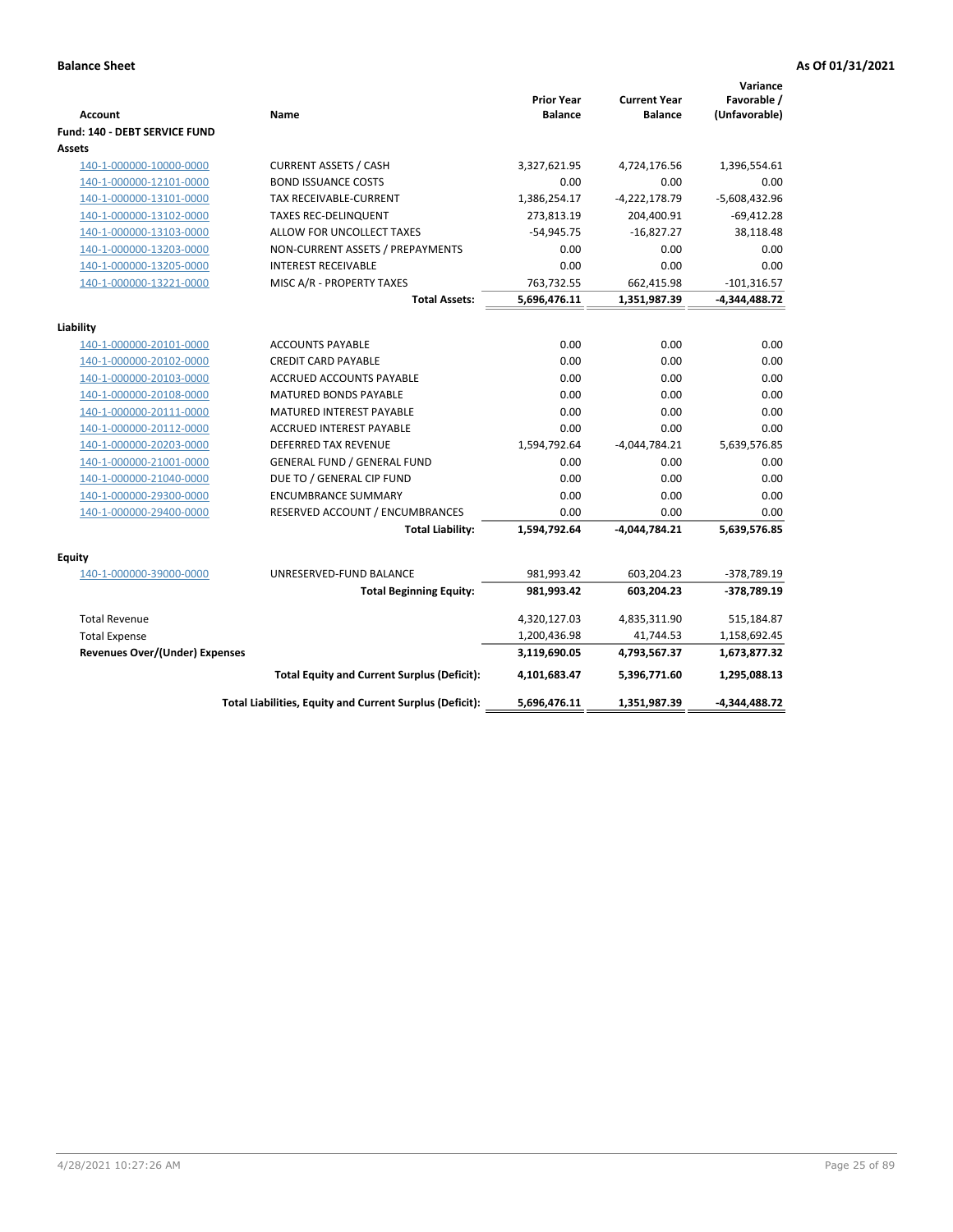|                                       |                                                                 |                                     |                                       | Variance                     |
|---------------------------------------|-----------------------------------------------------------------|-------------------------------------|---------------------------------------|------------------------------|
| <b>Account</b>                        | Name                                                            | <b>Prior Year</b><br><b>Balance</b> | <b>Current Year</b><br><b>Balance</b> | Favorable /<br>(Unfavorable) |
| Fund: 140 - DEBT SERVICE FUND         |                                                                 |                                     |                                       |                              |
| Assets                                |                                                                 |                                     |                                       |                              |
| 140-1-000000-10000-0000               | <b>CURRENT ASSETS / CASH</b>                                    | 3,327,621.95                        | 4,724,176.56                          | 1,396,554.61                 |
| 140-1-000000-12101-0000               | <b>BOND ISSUANCE COSTS</b>                                      | 0.00                                | 0.00                                  | 0.00                         |
| 140-1-000000-13101-0000               | <b>TAX RECEIVABLE-CURRENT</b>                                   | 1,386,254.17                        | $-4,222,178.79$                       | $-5,608,432.96$              |
| 140-1-000000-13102-0000               | <b>TAXES REC-DELINQUENT</b>                                     | 273,813.19                          | 204,400.91                            | $-69,412.28$                 |
| 140-1-000000-13103-0000               | ALLOW FOR UNCOLLECT TAXES                                       | $-54,945.75$                        | $-16,827.27$                          | 38,118.48                    |
| 140-1-000000-13203-0000               | NON-CURRENT ASSETS / PREPAYMENTS                                | 0.00                                | 0.00                                  | 0.00                         |
| 140-1-000000-13205-0000               | <b>INTEREST RECEIVABLE</b>                                      | 0.00                                | 0.00                                  | 0.00                         |
| 140-1-000000-13221-0000               | MISC A/R - PROPERTY TAXES                                       | 763,732.55                          | 662,415.98                            | $-101,316.57$                |
|                                       | <b>Total Assets:</b>                                            | 5,696,476.11                        | 1,351,987.39                          | $-4,344,488.72$              |
|                                       |                                                                 |                                     |                                       |                              |
| Liability                             |                                                                 |                                     |                                       |                              |
| 140-1-000000-20101-0000               | <b>ACCOUNTS PAYABLE</b>                                         | 0.00                                | 0.00                                  | 0.00                         |
| 140-1-000000-20102-0000               | <b>CREDIT CARD PAYABLE</b>                                      | 0.00<br>0.00                        | 0.00<br>0.00                          | 0.00                         |
| 140-1-000000-20103-0000               | <b>ACCRUED ACCOUNTS PAYABLE</b><br><b>MATURED BONDS PAYABLE</b> | 0.00                                | 0.00                                  | 0.00                         |
| 140-1-000000-20108-0000               |                                                                 |                                     |                                       | 0.00                         |
| 140-1-000000-20111-0000               | <b>MATURED INTEREST PAYABLE</b>                                 | 0.00<br>0.00                        | 0.00                                  | 0.00<br>0.00                 |
| 140-1-000000-20112-0000               | <b>ACCRUED INTEREST PAYABLE</b><br><b>DEFERRED TAX REVENUE</b>  |                                     | 0.00                                  |                              |
| 140-1-000000-20203-0000               |                                                                 | 1,594,792.64                        | $-4,044,784.21$                       | 5,639,576.85                 |
| 140-1-000000-21001-0000               | <b>GENERAL FUND / GENERAL FUND</b>                              | 0.00                                | 0.00                                  | 0.00                         |
| 140-1-000000-21040-0000               | DUE TO / GENERAL CIP FUND                                       | 0.00                                | 0.00                                  | 0.00                         |
| 140-1-000000-29300-0000               | <b>ENCUMBRANCE SUMMARY</b>                                      | 0.00                                | 0.00                                  | 0.00                         |
| 140-1-000000-29400-0000               | RESERVED ACCOUNT / ENCUMBRANCES<br><b>Total Liability:</b>      | 0.00<br>1,594,792.64                | 0.00<br>-4,044,784.21                 | 0.00<br>5,639,576.85         |
|                                       |                                                                 |                                     |                                       |                              |
| <b>Equity</b>                         |                                                                 |                                     |                                       |                              |
| 140-1-000000-39000-0000               | UNRESERVED-FUND BALANCE                                         | 981,993.42                          | 603,204.23                            | -378,789.19                  |
|                                       | <b>Total Beginning Equity:</b>                                  | 981,993.42                          | 603,204.23                            | -378,789.19                  |
| <b>Total Revenue</b>                  |                                                                 | 4,320,127.03                        | 4,835,311.90                          | 515,184.87                   |
| <b>Total Expense</b>                  |                                                                 | 1,200,436.98                        | 41,744.53                             | 1,158,692.45                 |
| <b>Revenues Over/(Under) Expenses</b> |                                                                 | 3,119,690.05                        | 4,793,567.37                          | 1,673,877.32                 |
|                                       | <b>Total Equity and Current Surplus (Deficit):</b>              | 4,101,683.47                        | 5,396,771.60                          | 1,295,088.13                 |
|                                       | Total Liabilities, Equity and Current Surplus (Deficit):        | 5,696,476.11                        | 1,351,987.39                          | -4,344,488.72                |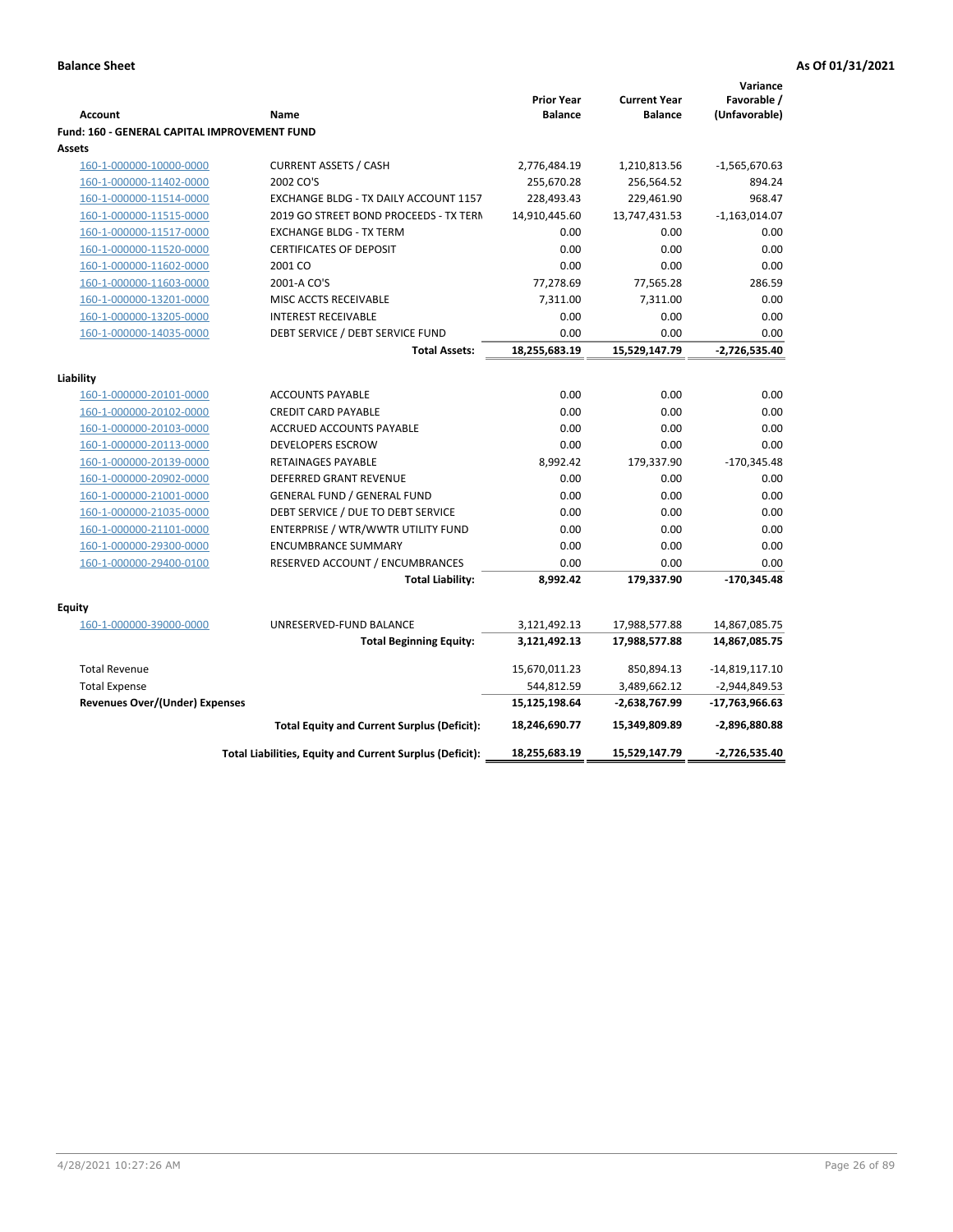| Favorable /<br><b>Prior Year</b><br><b>Current Year</b><br><b>Balance</b><br><b>Balance</b><br>(Unfavorable)<br><b>Account</b><br>Name<br>Fund: 160 - GENERAL CAPITAL IMPROVEMENT FUND<br>Assets<br><b>CURRENT ASSETS / CASH</b><br>2,776,484.19<br>$-1,565,670.63$<br>160-1-000000-10000-0000<br>1,210,813.56<br>2002 CO'S<br>255,670.28<br>160-1-000000-11402-0000<br>256,564.52<br>894.24<br>160-1-000000-11514-0000<br>EXCHANGE BLDG - TX DAILY ACCOUNT 1157<br>228,493.43<br>229,461.90<br>968.47<br>160-1-000000-11515-0000<br>2019 GO STREET BOND PROCEEDS - TX TERN<br>14,910,445.60<br>13,747,431.53<br>$-1,163,014.07$<br>0.00<br>0.00<br>160-1-000000-11517-0000<br><b>EXCHANGE BLDG - TX TERM</b><br>0.00<br>0.00<br>160-1-000000-11520-0000<br><b>CERTIFICATES OF DEPOSIT</b><br>0.00<br>0.00<br>0.00<br>160-1-000000-11602-0000<br>2001 CO<br>0.00<br>0.00<br>286.59<br>160-1-000000-11603-0000<br>2001-A CO'S<br>77,278.69<br>77,565.28<br>160-1-000000-13201-0000<br>MISC ACCTS RECEIVABLE<br>7,311.00<br>0.00<br>7,311.00<br>0.00<br>160-1-000000-13205-0000<br><b>INTEREST RECEIVABLE</b><br>0.00<br>0.00<br>160-1-000000-14035-0000<br>DEBT SERVICE / DEBT SERVICE FUND<br>0.00<br>0.00<br>0.00<br>18,255,683.19<br>15,529,147.79<br>$-2,726,535.40$<br><b>Total Assets:</b><br>Liability<br>0.00<br>160-1-000000-20101-0000<br><b>ACCOUNTS PAYABLE</b><br>0.00<br>0.00<br>160-1-000000-20102-0000<br><b>CREDIT CARD PAYABLE</b><br>0.00<br>0.00<br>0.00<br>ACCRUED ACCOUNTS PAYABLE<br>0.00<br>0.00<br>0.00<br>160-1-000000-20103-0000<br>0.00<br>0.00<br>160-1-000000-20113-0000<br><b>DEVELOPERS ESCROW</b><br>0.00<br>160-1-000000-20139-0000<br><b>RETAINAGES PAYABLE</b><br>8,992.42<br>179,337.90<br>$-170,345.48$<br>160-1-000000-20902-0000<br><b>DEFERRED GRANT REVENUE</b><br>0.00<br>0.00<br>0.00<br><b>GENERAL FUND / GENERAL FUND</b><br>0.00<br>0.00<br>160-1-000000-21001-0000<br>0.00<br>DEBT SERVICE / DUE TO DEBT SERVICE<br>0.00<br>0.00<br>0.00<br>160-1-000000-21035-0000<br>ENTERPRISE / WTR/WWTR UTILITY FUND<br>0.00<br>0.00<br>0.00<br>160-1-000000-21101-0000<br>0.00<br>0.00<br>160-1-000000-29300-0000<br><b>ENCUMBRANCE SUMMARY</b><br>0.00<br>160-1-000000-29400-0100<br>RESERVED ACCOUNT / ENCUMBRANCES<br>0.00<br>0.00<br>0.00<br>8,992.42<br>179,337.90<br>-170,345.48<br><b>Total Liability:</b><br><b>Equity</b><br>UNRESERVED-FUND BALANCE<br>160-1-000000-39000-0000<br>3,121,492.13<br>17,988,577.88<br>14,867,085.75<br><b>Total Beginning Equity:</b><br>3,121,492.13<br>17,988,577.88<br>14,867,085.75<br><b>Total Revenue</b><br>15,670,011.23<br>850,894.13<br>$-14,819,117.10$<br>544,812.59<br><b>Total Expense</b><br>3,489,662.12<br>$-2,944,849.53$<br><b>Revenues Over/(Under) Expenses</b><br>15,125,198.64<br>-2,638,767.99<br>-17,763,966.63<br><b>Total Equity and Current Surplus (Deficit):</b><br>-2,896,880.88<br>18,246,690.77<br>15,349,809.89<br>Total Liabilities, Equity and Current Surplus (Deficit):<br>18,255,683.19<br>15,529,147.79<br>-2,726,535.40 |  |  | Variance |
|----------------------------------------------------------------------------------------------------------------------------------------------------------------------------------------------------------------------------------------------------------------------------------------------------------------------------------------------------------------------------------------------------------------------------------------------------------------------------------------------------------------------------------------------------------------------------------------------------------------------------------------------------------------------------------------------------------------------------------------------------------------------------------------------------------------------------------------------------------------------------------------------------------------------------------------------------------------------------------------------------------------------------------------------------------------------------------------------------------------------------------------------------------------------------------------------------------------------------------------------------------------------------------------------------------------------------------------------------------------------------------------------------------------------------------------------------------------------------------------------------------------------------------------------------------------------------------------------------------------------------------------------------------------------------------------------------------------------------------------------------------------------------------------------------------------------------------------------------------------------------------------------------------------------------------------------------------------------------------------------------------------------------------------------------------------------------------------------------------------------------------------------------------------------------------------------------------------------------------------------------------------------------------------------------------------------------------------------------------------------------------------------------------------------------------------------------------------------------------------------------------------------------------------------------------------------------------------------------------------------------------------------------------------------------------------------------------------------------------------------------------------------------------------------------------------------------------------------------------------------------------------------------------------------------------------------------------------------------------------------------------------------------------------------|--|--|----------|
|                                                                                                                                                                                                                                                                                                                                                                                                                                                                                                                                                                                                                                                                                                                                                                                                                                                                                                                                                                                                                                                                                                                                                                                                                                                                                                                                                                                                                                                                                                                                                                                                                                                                                                                                                                                                                                                                                                                                                                                                                                                                                                                                                                                                                                                                                                                                                                                                                                                                                                                                                                                                                                                                                                                                                                                                                                                                                                                                                                                                                                              |  |  |          |
|                                                                                                                                                                                                                                                                                                                                                                                                                                                                                                                                                                                                                                                                                                                                                                                                                                                                                                                                                                                                                                                                                                                                                                                                                                                                                                                                                                                                                                                                                                                                                                                                                                                                                                                                                                                                                                                                                                                                                                                                                                                                                                                                                                                                                                                                                                                                                                                                                                                                                                                                                                                                                                                                                                                                                                                                                                                                                                                                                                                                                                              |  |  |          |
|                                                                                                                                                                                                                                                                                                                                                                                                                                                                                                                                                                                                                                                                                                                                                                                                                                                                                                                                                                                                                                                                                                                                                                                                                                                                                                                                                                                                                                                                                                                                                                                                                                                                                                                                                                                                                                                                                                                                                                                                                                                                                                                                                                                                                                                                                                                                                                                                                                                                                                                                                                                                                                                                                                                                                                                                                                                                                                                                                                                                                                              |  |  |          |
|                                                                                                                                                                                                                                                                                                                                                                                                                                                                                                                                                                                                                                                                                                                                                                                                                                                                                                                                                                                                                                                                                                                                                                                                                                                                                                                                                                                                                                                                                                                                                                                                                                                                                                                                                                                                                                                                                                                                                                                                                                                                                                                                                                                                                                                                                                                                                                                                                                                                                                                                                                                                                                                                                                                                                                                                                                                                                                                                                                                                                                              |  |  |          |
|                                                                                                                                                                                                                                                                                                                                                                                                                                                                                                                                                                                                                                                                                                                                                                                                                                                                                                                                                                                                                                                                                                                                                                                                                                                                                                                                                                                                                                                                                                                                                                                                                                                                                                                                                                                                                                                                                                                                                                                                                                                                                                                                                                                                                                                                                                                                                                                                                                                                                                                                                                                                                                                                                                                                                                                                                                                                                                                                                                                                                                              |  |  |          |
|                                                                                                                                                                                                                                                                                                                                                                                                                                                                                                                                                                                                                                                                                                                                                                                                                                                                                                                                                                                                                                                                                                                                                                                                                                                                                                                                                                                                                                                                                                                                                                                                                                                                                                                                                                                                                                                                                                                                                                                                                                                                                                                                                                                                                                                                                                                                                                                                                                                                                                                                                                                                                                                                                                                                                                                                                                                                                                                                                                                                                                              |  |  |          |
|                                                                                                                                                                                                                                                                                                                                                                                                                                                                                                                                                                                                                                                                                                                                                                                                                                                                                                                                                                                                                                                                                                                                                                                                                                                                                                                                                                                                                                                                                                                                                                                                                                                                                                                                                                                                                                                                                                                                                                                                                                                                                                                                                                                                                                                                                                                                                                                                                                                                                                                                                                                                                                                                                                                                                                                                                                                                                                                                                                                                                                              |  |  |          |
|                                                                                                                                                                                                                                                                                                                                                                                                                                                                                                                                                                                                                                                                                                                                                                                                                                                                                                                                                                                                                                                                                                                                                                                                                                                                                                                                                                                                                                                                                                                                                                                                                                                                                                                                                                                                                                                                                                                                                                                                                                                                                                                                                                                                                                                                                                                                                                                                                                                                                                                                                                                                                                                                                                                                                                                                                                                                                                                                                                                                                                              |  |  |          |
|                                                                                                                                                                                                                                                                                                                                                                                                                                                                                                                                                                                                                                                                                                                                                                                                                                                                                                                                                                                                                                                                                                                                                                                                                                                                                                                                                                                                                                                                                                                                                                                                                                                                                                                                                                                                                                                                                                                                                                                                                                                                                                                                                                                                                                                                                                                                                                                                                                                                                                                                                                                                                                                                                                                                                                                                                                                                                                                                                                                                                                              |  |  |          |
|                                                                                                                                                                                                                                                                                                                                                                                                                                                                                                                                                                                                                                                                                                                                                                                                                                                                                                                                                                                                                                                                                                                                                                                                                                                                                                                                                                                                                                                                                                                                                                                                                                                                                                                                                                                                                                                                                                                                                                                                                                                                                                                                                                                                                                                                                                                                                                                                                                                                                                                                                                                                                                                                                                                                                                                                                                                                                                                                                                                                                                              |  |  |          |
|                                                                                                                                                                                                                                                                                                                                                                                                                                                                                                                                                                                                                                                                                                                                                                                                                                                                                                                                                                                                                                                                                                                                                                                                                                                                                                                                                                                                                                                                                                                                                                                                                                                                                                                                                                                                                                                                                                                                                                                                                                                                                                                                                                                                                                                                                                                                                                                                                                                                                                                                                                                                                                                                                                                                                                                                                                                                                                                                                                                                                                              |  |  |          |
|                                                                                                                                                                                                                                                                                                                                                                                                                                                                                                                                                                                                                                                                                                                                                                                                                                                                                                                                                                                                                                                                                                                                                                                                                                                                                                                                                                                                                                                                                                                                                                                                                                                                                                                                                                                                                                                                                                                                                                                                                                                                                                                                                                                                                                                                                                                                                                                                                                                                                                                                                                                                                                                                                                                                                                                                                                                                                                                                                                                                                                              |  |  |          |
|                                                                                                                                                                                                                                                                                                                                                                                                                                                                                                                                                                                                                                                                                                                                                                                                                                                                                                                                                                                                                                                                                                                                                                                                                                                                                                                                                                                                                                                                                                                                                                                                                                                                                                                                                                                                                                                                                                                                                                                                                                                                                                                                                                                                                                                                                                                                                                                                                                                                                                                                                                                                                                                                                                                                                                                                                                                                                                                                                                                                                                              |  |  |          |
|                                                                                                                                                                                                                                                                                                                                                                                                                                                                                                                                                                                                                                                                                                                                                                                                                                                                                                                                                                                                                                                                                                                                                                                                                                                                                                                                                                                                                                                                                                                                                                                                                                                                                                                                                                                                                                                                                                                                                                                                                                                                                                                                                                                                                                                                                                                                                                                                                                                                                                                                                                                                                                                                                                                                                                                                                                                                                                                                                                                                                                              |  |  |          |
|                                                                                                                                                                                                                                                                                                                                                                                                                                                                                                                                                                                                                                                                                                                                                                                                                                                                                                                                                                                                                                                                                                                                                                                                                                                                                                                                                                                                                                                                                                                                                                                                                                                                                                                                                                                                                                                                                                                                                                                                                                                                                                                                                                                                                                                                                                                                                                                                                                                                                                                                                                                                                                                                                                                                                                                                                                                                                                                                                                                                                                              |  |  |          |
|                                                                                                                                                                                                                                                                                                                                                                                                                                                                                                                                                                                                                                                                                                                                                                                                                                                                                                                                                                                                                                                                                                                                                                                                                                                                                                                                                                                                                                                                                                                                                                                                                                                                                                                                                                                                                                                                                                                                                                                                                                                                                                                                                                                                                                                                                                                                                                                                                                                                                                                                                                                                                                                                                                                                                                                                                                                                                                                                                                                                                                              |  |  |          |
|                                                                                                                                                                                                                                                                                                                                                                                                                                                                                                                                                                                                                                                                                                                                                                                                                                                                                                                                                                                                                                                                                                                                                                                                                                                                                                                                                                                                                                                                                                                                                                                                                                                                                                                                                                                                                                                                                                                                                                                                                                                                                                                                                                                                                                                                                                                                                                                                                                                                                                                                                                                                                                                                                                                                                                                                                                                                                                                                                                                                                                              |  |  |          |
|                                                                                                                                                                                                                                                                                                                                                                                                                                                                                                                                                                                                                                                                                                                                                                                                                                                                                                                                                                                                                                                                                                                                                                                                                                                                                                                                                                                                                                                                                                                                                                                                                                                                                                                                                                                                                                                                                                                                                                                                                                                                                                                                                                                                                                                                                                                                                                                                                                                                                                                                                                                                                                                                                                                                                                                                                                                                                                                                                                                                                                              |  |  |          |
|                                                                                                                                                                                                                                                                                                                                                                                                                                                                                                                                                                                                                                                                                                                                                                                                                                                                                                                                                                                                                                                                                                                                                                                                                                                                                                                                                                                                                                                                                                                                                                                                                                                                                                                                                                                                                                                                                                                                                                                                                                                                                                                                                                                                                                                                                                                                                                                                                                                                                                                                                                                                                                                                                                                                                                                                                                                                                                                                                                                                                                              |  |  |          |
|                                                                                                                                                                                                                                                                                                                                                                                                                                                                                                                                                                                                                                                                                                                                                                                                                                                                                                                                                                                                                                                                                                                                                                                                                                                                                                                                                                                                                                                                                                                                                                                                                                                                                                                                                                                                                                                                                                                                                                                                                                                                                                                                                                                                                                                                                                                                                                                                                                                                                                                                                                                                                                                                                                                                                                                                                                                                                                                                                                                                                                              |  |  |          |
|                                                                                                                                                                                                                                                                                                                                                                                                                                                                                                                                                                                                                                                                                                                                                                                                                                                                                                                                                                                                                                                                                                                                                                                                                                                                                                                                                                                                                                                                                                                                                                                                                                                                                                                                                                                                                                                                                                                                                                                                                                                                                                                                                                                                                                                                                                                                                                                                                                                                                                                                                                                                                                                                                                                                                                                                                                                                                                                                                                                                                                              |  |  |          |
|                                                                                                                                                                                                                                                                                                                                                                                                                                                                                                                                                                                                                                                                                                                                                                                                                                                                                                                                                                                                                                                                                                                                                                                                                                                                                                                                                                                                                                                                                                                                                                                                                                                                                                                                                                                                                                                                                                                                                                                                                                                                                                                                                                                                                                                                                                                                                                                                                                                                                                                                                                                                                                                                                                                                                                                                                                                                                                                                                                                                                                              |  |  |          |
|                                                                                                                                                                                                                                                                                                                                                                                                                                                                                                                                                                                                                                                                                                                                                                                                                                                                                                                                                                                                                                                                                                                                                                                                                                                                                                                                                                                                                                                                                                                                                                                                                                                                                                                                                                                                                                                                                                                                                                                                                                                                                                                                                                                                                                                                                                                                                                                                                                                                                                                                                                                                                                                                                                                                                                                                                                                                                                                                                                                                                                              |  |  |          |
|                                                                                                                                                                                                                                                                                                                                                                                                                                                                                                                                                                                                                                                                                                                                                                                                                                                                                                                                                                                                                                                                                                                                                                                                                                                                                                                                                                                                                                                                                                                                                                                                                                                                                                                                                                                                                                                                                                                                                                                                                                                                                                                                                                                                                                                                                                                                                                                                                                                                                                                                                                                                                                                                                                                                                                                                                                                                                                                                                                                                                                              |  |  |          |
|                                                                                                                                                                                                                                                                                                                                                                                                                                                                                                                                                                                                                                                                                                                                                                                                                                                                                                                                                                                                                                                                                                                                                                                                                                                                                                                                                                                                                                                                                                                                                                                                                                                                                                                                                                                                                                                                                                                                                                                                                                                                                                                                                                                                                                                                                                                                                                                                                                                                                                                                                                                                                                                                                                                                                                                                                                                                                                                                                                                                                                              |  |  |          |
|                                                                                                                                                                                                                                                                                                                                                                                                                                                                                                                                                                                                                                                                                                                                                                                                                                                                                                                                                                                                                                                                                                                                                                                                                                                                                                                                                                                                                                                                                                                                                                                                                                                                                                                                                                                                                                                                                                                                                                                                                                                                                                                                                                                                                                                                                                                                                                                                                                                                                                                                                                                                                                                                                                                                                                                                                                                                                                                                                                                                                                              |  |  |          |
|                                                                                                                                                                                                                                                                                                                                                                                                                                                                                                                                                                                                                                                                                                                                                                                                                                                                                                                                                                                                                                                                                                                                                                                                                                                                                                                                                                                                                                                                                                                                                                                                                                                                                                                                                                                                                                                                                                                                                                                                                                                                                                                                                                                                                                                                                                                                                                                                                                                                                                                                                                                                                                                                                                                                                                                                                                                                                                                                                                                                                                              |  |  |          |
|                                                                                                                                                                                                                                                                                                                                                                                                                                                                                                                                                                                                                                                                                                                                                                                                                                                                                                                                                                                                                                                                                                                                                                                                                                                                                                                                                                                                                                                                                                                                                                                                                                                                                                                                                                                                                                                                                                                                                                                                                                                                                                                                                                                                                                                                                                                                                                                                                                                                                                                                                                                                                                                                                                                                                                                                                                                                                                                                                                                                                                              |  |  |          |
|                                                                                                                                                                                                                                                                                                                                                                                                                                                                                                                                                                                                                                                                                                                                                                                                                                                                                                                                                                                                                                                                                                                                                                                                                                                                                                                                                                                                                                                                                                                                                                                                                                                                                                                                                                                                                                                                                                                                                                                                                                                                                                                                                                                                                                                                                                                                                                                                                                                                                                                                                                                                                                                                                                                                                                                                                                                                                                                                                                                                                                              |  |  |          |
|                                                                                                                                                                                                                                                                                                                                                                                                                                                                                                                                                                                                                                                                                                                                                                                                                                                                                                                                                                                                                                                                                                                                                                                                                                                                                                                                                                                                                                                                                                                                                                                                                                                                                                                                                                                                                                                                                                                                                                                                                                                                                                                                                                                                                                                                                                                                                                                                                                                                                                                                                                                                                                                                                                                                                                                                                                                                                                                                                                                                                                              |  |  |          |
|                                                                                                                                                                                                                                                                                                                                                                                                                                                                                                                                                                                                                                                                                                                                                                                                                                                                                                                                                                                                                                                                                                                                                                                                                                                                                                                                                                                                                                                                                                                                                                                                                                                                                                                                                                                                                                                                                                                                                                                                                                                                                                                                                                                                                                                                                                                                                                                                                                                                                                                                                                                                                                                                                                                                                                                                                                                                                                                                                                                                                                              |  |  |          |
|                                                                                                                                                                                                                                                                                                                                                                                                                                                                                                                                                                                                                                                                                                                                                                                                                                                                                                                                                                                                                                                                                                                                                                                                                                                                                                                                                                                                                                                                                                                                                                                                                                                                                                                                                                                                                                                                                                                                                                                                                                                                                                                                                                                                                                                                                                                                                                                                                                                                                                                                                                                                                                                                                                                                                                                                                                                                                                                                                                                                                                              |  |  |          |
|                                                                                                                                                                                                                                                                                                                                                                                                                                                                                                                                                                                                                                                                                                                                                                                                                                                                                                                                                                                                                                                                                                                                                                                                                                                                                                                                                                                                                                                                                                                                                                                                                                                                                                                                                                                                                                                                                                                                                                                                                                                                                                                                                                                                                                                                                                                                                                                                                                                                                                                                                                                                                                                                                                                                                                                                                                                                                                                                                                                                                                              |  |  |          |
|                                                                                                                                                                                                                                                                                                                                                                                                                                                                                                                                                                                                                                                                                                                                                                                                                                                                                                                                                                                                                                                                                                                                                                                                                                                                                                                                                                                                                                                                                                                                                                                                                                                                                                                                                                                                                                                                                                                                                                                                                                                                                                                                                                                                                                                                                                                                                                                                                                                                                                                                                                                                                                                                                                                                                                                                                                                                                                                                                                                                                                              |  |  |          |
|                                                                                                                                                                                                                                                                                                                                                                                                                                                                                                                                                                                                                                                                                                                                                                                                                                                                                                                                                                                                                                                                                                                                                                                                                                                                                                                                                                                                                                                                                                                                                                                                                                                                                                                                                                                                                                                                                                                                                                                                                                                                                                                                                                                                                                                                                                                                                                                                                                                                                                                                                                                                                                                                                                                                                                                                                                                                                                                                                                                                                                              |  |  |          |
|                                                                                                                                                                                                                                                                                                                                                                                                                                                                                                                                                                                                                                                                                                                                                                                                                                                                                                                                                                                                                                                                                                                                                                                                                                                                                                                                                                                                                                                                                                                                                                                                                                                                                                                                                                                                                                                                                                                                                                                                                                                                                                                                                                                                                                                                                                                                                                                                                                                                                                                                                                                                                                                                                                                                                                                                                                                                                                                                                                                                                                              |  |  |          |
|                                                                                                                                                                                                                                                                                                                                                                                                                                                                                                                                                                                                                                                                                                                                                                                                                                                                                                                                                                                                                                                                                                                                                                                                                                                                                                                                                                                                                                                                                                                                                                                                                                                                                                                                                                                                                                                                                                                                                                                                                                                                                                                                                                                                                                                                                                                                                                                                                                                                                                                                                                                                                                                                                                                                                                                                                                                                                                                                                                                                                                              |  |  |          |
|                                                                                                                                                                                                                                                                                                                                                                                                                                                                                                                                                                                                                                                                                                                                                                                                                                                                                                                                                                                                                                                                                                                                                                                                                                                                                                                                                                                                                                                                                                                                                                                                                                                                                                                                                                                                                                                                                                                                                                                                                                                                                                                                                                                                                                                                                                                                                                                                                                                                                                                                                                                                                                                                                                                                                                                                                                                                                                                                                                                                                                              |  |  |          |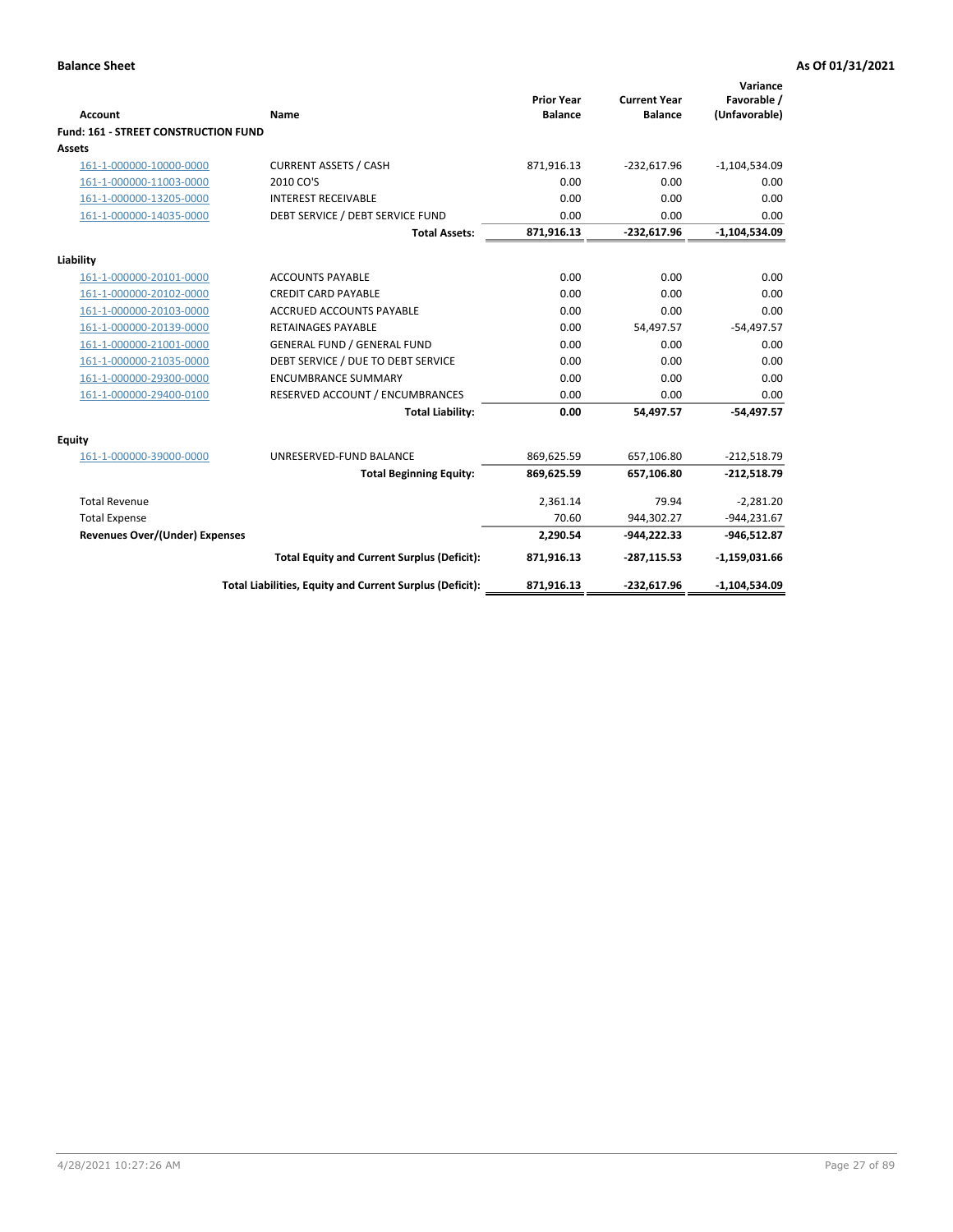| <b>Account</b>                              | Name                                                     | <b>Prior Year</b><br><b>Balance</b> | <b>Current Year</b><br><b>Balance</b> | Variance<br>Favorable /<br>(Unfavorable) |
|---------------------------------------------|----------------------------------------------------------|-------------------------------------|---------------------------------------|------------------------------------------|
| <b>Fund: 161 - STREET CONSTRUCTION FUND</b> |                                                          |                                     |                                       |                                          |
| Assets                                      |                                                          |                                     |                                       |                                          |
| 161-1-000000-10000-0000                     | <b>CURRENT ASSETS / CASH</b>                             | 871,916.13                          | $-232,617.96$                         | $-1,104,534.09$                          |
| 161-1-000000-11003-0000                     | 2010 CO'S                                                | 0.00                                | 0.00                                  | 0.00                                     |
| 161-1-000000-13205-0000                     | <b>INTEREST RECEIVABLE</b>                               | 0.00                                | 0.00                                  | 0.00                                     |
| 161-1-000000-14035-0000                     | DEBT SERVICE / DEBT SERVICE FUND                         | 0.00                                | 0.00                                  | 0.00                                     |
|                                             | <b>Total Assets:</b>                                     | 871,916.13                          | $-232,617.96$                         | $-1,104,534.09$                          |
| Liability                                   |                                                          |                                     |                                       |                                          |
| 161-1-000000-20101-0000                     | <b>ACCOUNTS PAYABLE</b>                                  | 0.00                                | 0.00                                  | 0.00                                     |
| 161-1-000000-20102-0000                     | <b>CREDIT CARD PAYABLE</b>                               | 0.00                                | 0.00                                  | 0.00                                     |
| 161-1-000000-20103-0000                     | <b>ACCRUED ACCOUNTS PAYABLE</b>                          | 0.00                                | 0.00                                  | 0.00                                     |
| 161-1-000000-20139-0000                     | <b>RETAINAGES PAYABLE</b>                                | 0.00                                | 54,497.57                             | $-54,497.57$                             |
| 161-1-000000-21001-0000                     | <b>GENERAL FUND / GENERAL FUND</b>                       | 0.00                                | 0.00                                  | 0.00                                     |
| 161-1-000000-21035-0000                     | DEBT SERVICE / DUE TO DEBT SERVICE                       | 0.00                                | 0.00                                  | 0.00                                     |
| 161-1-000000-29300-0000                     | <b>ENCUMBRANCE SUMMARY</b>                               | 0.00                                | 0.00                                  | 0.00                                     |
| 161-1-000000-29400-0100                     | RESERVED ACCOUNT / ENCUMBRANCES                          | 0.00                                | 0.00                                  | 0.00                                     |
|                                             | <b>Total Liability:</b>                                  | 0.00                                | 54.497.57                             | $-54.497.57$                             |
| <b>Equity</b>                               |                                                          |                                     |                                       |                                          |
| 161-1-000000-39000-0000                     | UNRESERVED-FUND BALANCE                                  | 869,625.59                          | 657,106.80                            | $-212,518.79$                            |
|                                             | <b>Total Beginning Equity:</b>                           | 869,625.59                          | 657,106.80                            | $-212,518.79$                            |
| <b>Total Revenue</b>                        |                                                          | 2,361.14                            | 79.94                                 | $-2,281.20$                              |
| <b>Total Expense</b>                        |                                                          | 70.60                               | 944,302.27                            | $-944,231.67$                            |
| Revenues Over/(Under) Expenses              |                                                          | 2,290.54                            | $-944,222.33$                         | $-946,512.87$                            |
|                                             | <b>Total Equity and Current Surplus (Deficit):</b>       | 871,916.13                          | $-287,115.53$                         | $-1,159,031.66$                          |
|                                             | Total Liabilities, Equity and Current Surplus (Deficit): | 871,916.13                          | $-232,617.96$                         | $-1,104,534.09$                          |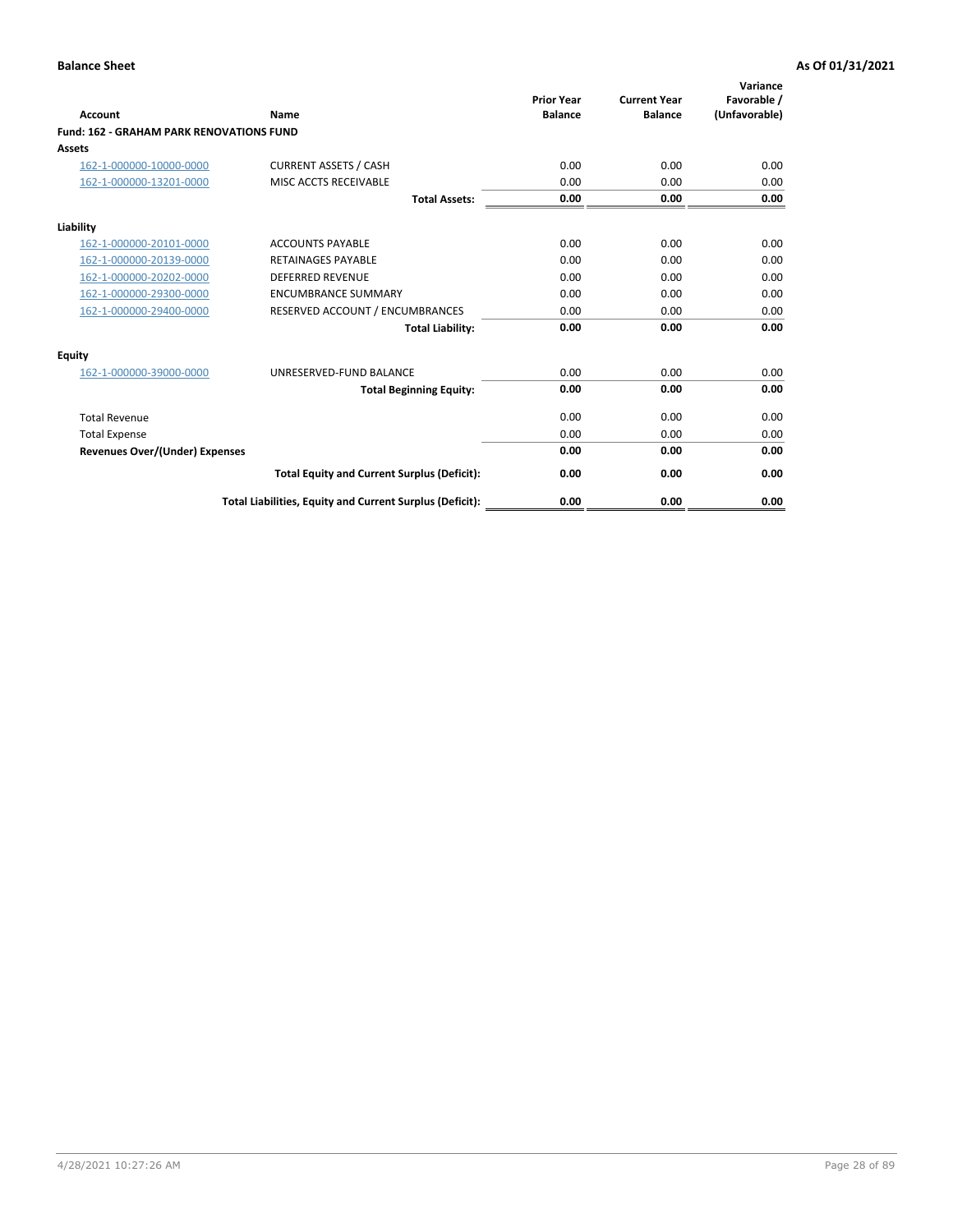| <b>Account</b>                                  | Name                                                     | <b>Prior Year</b><br><b>Balance</b> | <b>Current Year</b><br><b>Balance</b> | Variance<br>Favorable /<br>(Unfavorable) |
|-------------------------------------------------|----------------------------------------------------------|-------------------------------------|---------------------------------------|------------------------------------------|
| <b>Fund: 162 - GRAHAM PARK RENOVATIONS FUND</b> |                                                          |                                     |                                       |                                          |
| Assets                                          |                                                          |                                     |                                       |                                          |
| 162-1-000000-10000-0000                         | <b>CURRENT ASSETS / CASH</b>                             | 0.00                                | 0.00                                  | 0.00                                     |
| 162-1-000000-13201-0000                         | MISC ACCTS RECEIVABLE                                    | 0.00                                | 0.00                                  | 0.00                                     |
|                                                 | <b>Total Assets:</b>                                     | 0.00                                | 0.00                                  | 0.00                                     |
| Liability                                       |                                                          |                                     |                                       |                                          |
| 162-1-000000-20101-0000                         | <b>ACCOUNTS PAYABLE</b>                                  | 0.00                                | 0.00                                  | 0.00                                     |
| 162-1-000000-20139-0000                         | <b>RETAINAGES PAYABLE</b>                                | 0.00                                | 0.00                                  | 0.00                                     |
| 162-1-000000-20202-0000                         | <b>DEFERRED REVENUE</b>                                  | 0.00                                | 0.00                                  | 0.00                                     |
| 162-1-000000-29300-0000                         | <b>ENCUMBRANCE SUMMARY</b>                               | 0.00                                | 0.00                                  | 0.00                                     |
| 162-1-000000-29400-0000                         | RESERVED ACCOUNT / ENCUMBRANCES                          | 0.00                                | 0.00                                  | 0.00                                     |
|                                                 | <b>Total Liability:</b>                                  | 0.00                                | 0.00                                  | 0.00                                     |
| Equity                                          |                                                          |                                     |                                       |                                          |
| 162-1-000000-39000-0000                         | UNRESERVED-FUND BALANCE                                  | 0.00                                | 0.00                                  | 0.00                                     |
|                                                 | <b>Total Beginning Equity:</b>                           | 0.00                                | 0.00                                  | 0.00                                     |
| <b>Total Revenue</b>                            |                                                          | 0.00                                | 0.00                                  | 0.00                                     |
| <b>Total Expense</b>                            |                                                          | 0.00                                | 0.00                                  | 0.00                                     |
| <b>Revenues Over/(Under) Expenses</b>           |                                                          | 0.00                                | 0.00                                  | 0.00                                     |
|                                                 | <b>Total Equity and Current Surplus (Deficit):</b>       | 0.00                                | 0.00                                  | 0.00                                     |
|                                                 | Total Liabilities, Equity and Current Surplus (Deficit): | 0.00                                | 0.00                                  | 0.00                                     |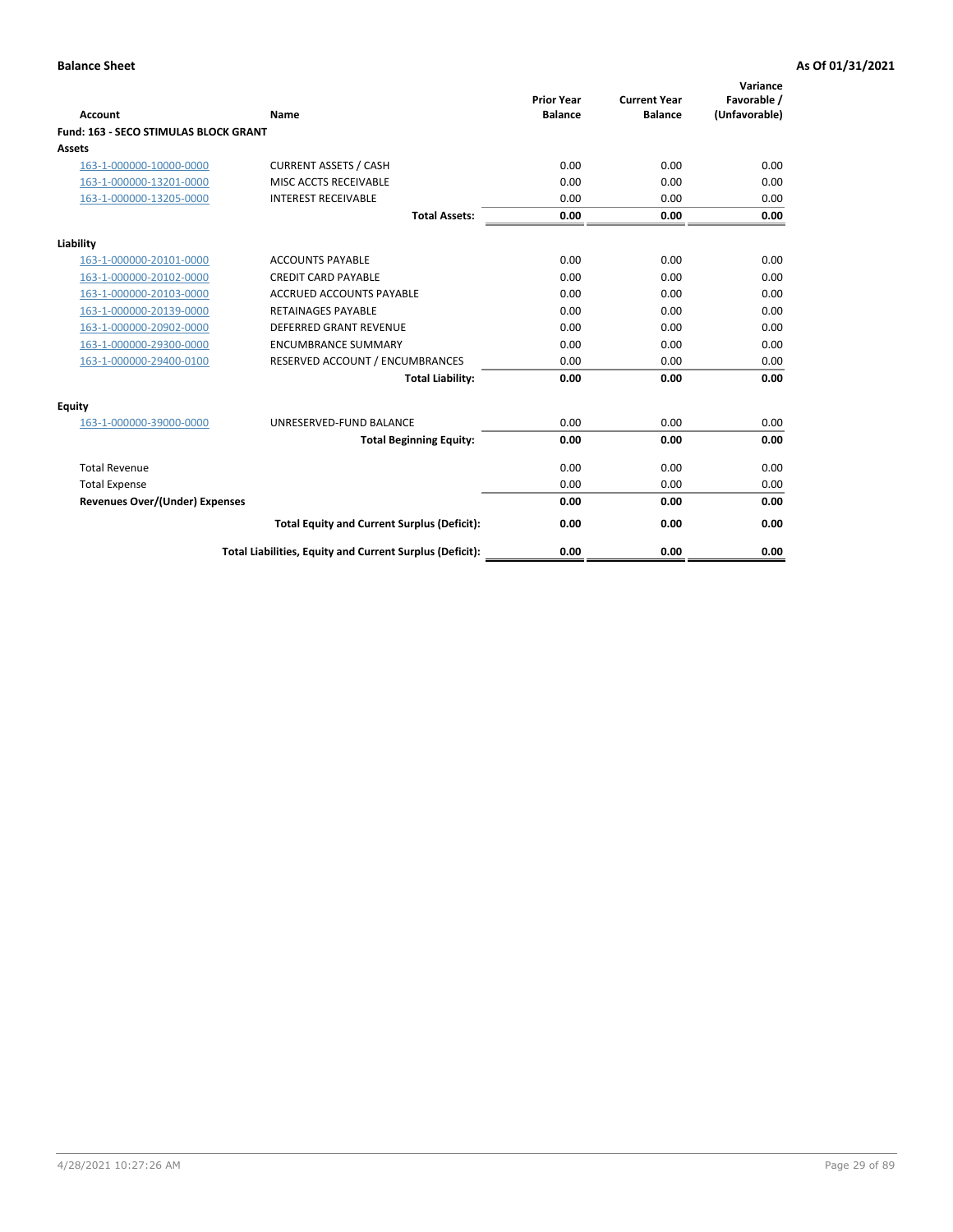|                                              |                                                          | <b>Prior Year</b> | <b>Current Year</b> | Variance<br>Favorable / |
|----------------------------------------------|----------------------------------------------------------|-------------------|---------------------|-------------------------|
| <b>Account</b>                               | Name                                                     | <b>Balance</b>    | <b>Balance</b>      | (Unfavorable)           |
| <b>Fund: 163 - SECO STIMULAS BLOCK GRANT</b> |                                                          |                   |                     |                         |
| Assets                                       |                                                          |                   |                     |                         |
| 163-1-000000-10000-0000                      | <b>CURRENT ASSETS / CASH</b>                             | 0.00              | 0.00                | 0.00                    |
| 163-1-000000-13201-0000                      | MISC ACCTS RECEIVABLE                                    | 0.00              | 0.00                | 0.00                    |
| 163-1-000000-13205-0000                      | <b>INTEREST RECEIVABLE</b>                               | 0.00              | 0.00                | 0.00                    |
|                                              | <b>Total Assets:</b>                                     | 0.00              | 0.00                | 0.00                    |
| Liability                                    |                                                          |                   |                     |                         |
| 163-1-000000-20101-0000                      | <b>ACCOUNTS PAYABLE</b>                                  | 0.00              | 0.00                | 0.00                    |
| 163-1-000000-20102-0000                      | <b>CREDIT CARD PAYABLE</b>                               | 0.00              | 0.00                | 0.00                    |
| 163-1-000000-20103-0000                      | <b>ACCRUED ACCOUNTS PAYABLE</b>                          | 0.00              | 0.00                | 0.00                    |
| 163-1-000000-20139-0000                      | <b>RETAINAGES PAYABLE</b>                                | 0.00              | 0.00                | 0.00                    |
| 163-1-000000-20902-0000                      | <b>DEFERRED GRANT REVENUE</b>                            | 0.00              | 0.00                | 0.00                    |
| 163-1-000000-29300-0000                      | <b>ENCUMBRANCE SUMMARY</b>                               | 0.00              | 0.00                | 0.00                    |
| 163-1-000000-29400-0100                      | RESERVED ACCOUNT / ENCUMBRANCES                          | 0.00              | 0.00                | 0.00                    |
|                                              | <b>Total Liability:</b>                                  | 0.00              | 0.00                | 0.00                    |
| <b>Equity</b>                                |                                                          |                   |                     |                         |
| 163-1-000000-39000-0000                      | UNRESERVED-FUND BALANCE                                  | 0.00              | 0.00                | 0.00                    |
|                                              | <b>Total Beginning Equity:</b>                           | 0.00              | 0.00                | 0.00                    |
| <b>Total Revenue</b>                         |                                                          | 0.00              | 0.00                | 0.00                    |
| <b>Total Expense</b>                         |                                                          | 0.00              | 0.00                | 0.00                    |
| Revenues Over/(Under) Expenses               |                                                          | 0.00              | 0.00                | 0.00                    |
|                                              | <b>Total Equity and Current Surplus (Deficit):</b>       | 0.00              | 0.00                | 0.00                    |
|                                              | Total Liabilities, Equity and Current Surplus (Deficit): | 0.00              | 0.00                | 0.00                    |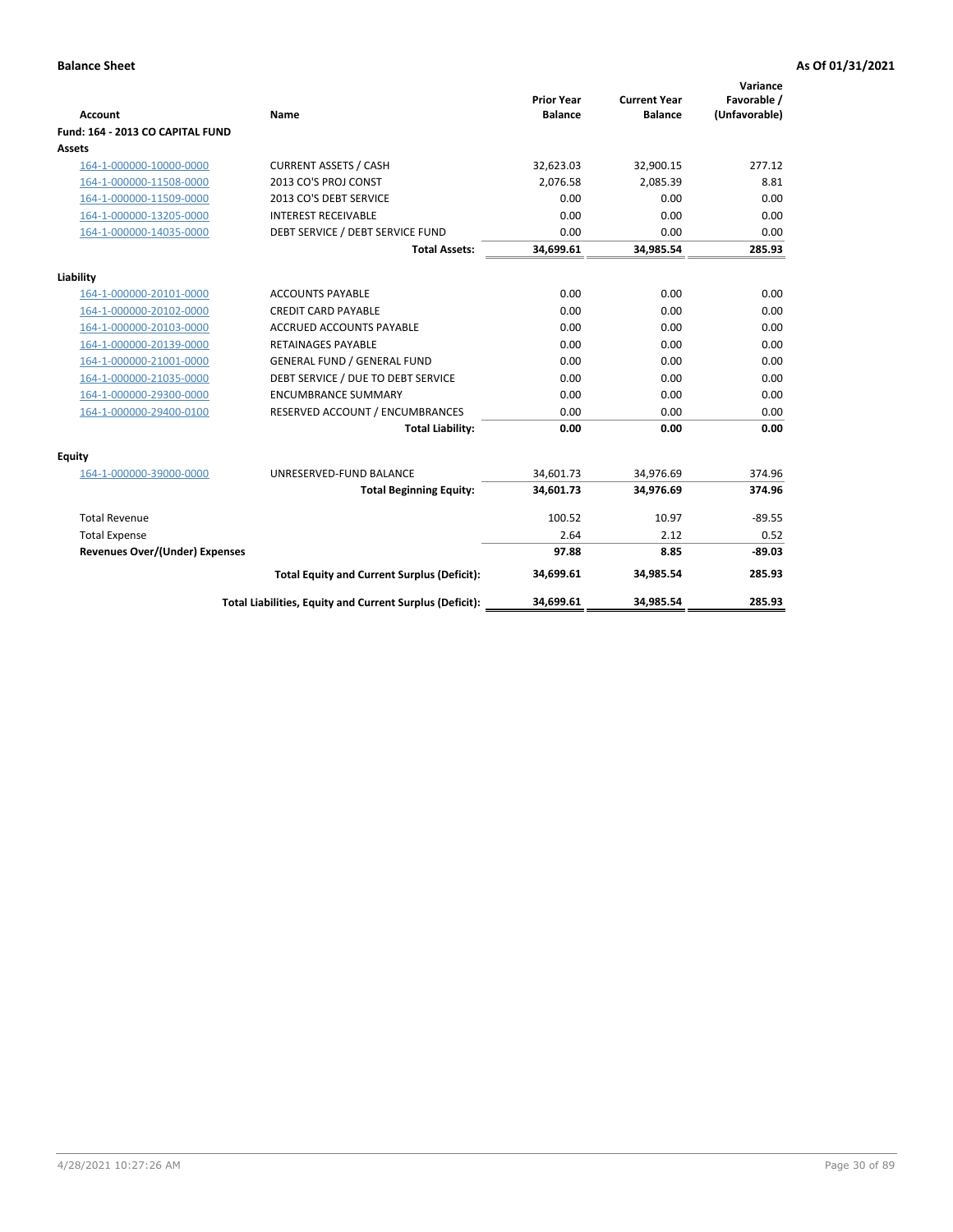| <b>Account</b>                        | Name                                                     | <b>Prior Year</b><br><b>Balance</b> | <b>Current Year</b><br><b>Balance</b> | Variance<br>Favorable /<br>(Unfavorable) |
|---------------------------------------|----------------------------------------------------------|-------------------------------------|---------------------------------------|------------------------------------------|
| Fund: 164 - 2013 CO CAPITAL FUND      |                                                          |                                     |                                       |                                          |
| Assets                                |                                                          |                                     |                                       |                                          |
| 164-1-000000-10000-0000               | <b>CURRENT ASSETS / CASH</b>                             | 32,623.03                           | 32,900.15                             | 277.12                                   |
| 164-1-000000-11508-0000               | 2013 CO'S PROJ CONST                                     | 2.076.58                            | 2.085.39                              | 8.81                                     |
| 164-1-000000-11509-0000               | 2013 CO'S DEBT SERVICE                                   | 0.00                                | 0.00                                  | 0.00                                     |
| 164-1-000000-13205-0000               | <b>INTEREST RECEIVABLE</b>                               | 0.00                                | 0.00                                  | 0.00                                     |
| 164-1-000000-14035-0000               | DEBT SERVICE / DEBT SERVICE FUND                         | 0.00                                | 0.00                                  | 0.00                                     |
|                                       | <b>Total Assets:</b>                                     | 34,699.61                           | 34,985.54                             | 285.93                                   |
| Liability                             |                                                          |                                     |                                       |                                          |
| 164-1-000000-20101-0000               | <b>ACCOUNTS PAYABLE</b>                                  | 0.00                                | 0.00                                  | 0.00                                     |
| 164-1-000000-20102-0000               | <b>CREDIT CARD PAYABLE</b>                               | 0.00                                | 0.00                                  | 0.00                                     |
| 164-1-000000-20103-0000               | <b>ACCRUED ACCOUNTS PAYABLE</b>                          | 0.00                                | 0.00                                  | 0.00                                     |
| 164-1-000000-20139-0000               | <b>RETAINAGES PAYABLE</b>                                | 0.00                                | 0.00                                  | 0.00                                     |
| 164-1-000000-21001-0000               | <b>GENERAL FUND / GENERAL FUND</b>                       | 0.00                                | 0.00                                  | 0.00                                     |
| 164-1-000000-21035-0000               | DEBT SERVICE / DUE TO DEBT SERVICE                       | 0.00                                | 0.00                                  | 0.00                                     |
| 164-1-000000-29300-0000               | <b>ENCUMBRANCE SUMMARY</b>                               | 0.00                                | 0.00                                  | 0.00                                     |
| 164-1-000000-29400-0100               | RESERVED ACCOUNT / ENCUMBRANCES                          | 0.00                                | 0.00                                  | 0.00                                     |
|                                       | <b>Total Liability:</b>                                  | 0.00                                | 0.00                                  | 0.00                                     |
| Equity                                |                                                          |                                     |                                       |                                          |
| 164-1-000000-39000-0000               | UNRESERVED-FUND BALANCE                                  | 34,601.73                           | 34,976.69                             | 374.96                                   |
|                                       | <b>Total Beginning Equity:</b>                           | 34,601.73                           | 34,976.69                             | 374.96                                   |
| <b>Total Revenue</b>                  |                                                          | 100.52                              | 10.97                                 | $-89.55$                                 |
| <b>Total Expense</b>                  |                                                          | 2.64                                | 2.12                                  | 0.52                                     |
| <b>Revenues Over/(Under) Expenses</b> |                                                          | 97.88                               | 8.85                                  | $-89.03$                                 |
|                                       | <b>Total Equity and Current Surplus (Deficit):</b>       | 34,699.61                           | 34.985.54                             | 285.93                                   |
|                                       | Total Liabilities, Equity and Current Surplus (Deficit): | 34,699.61                           | 34,985.54                             | 285.93                                   |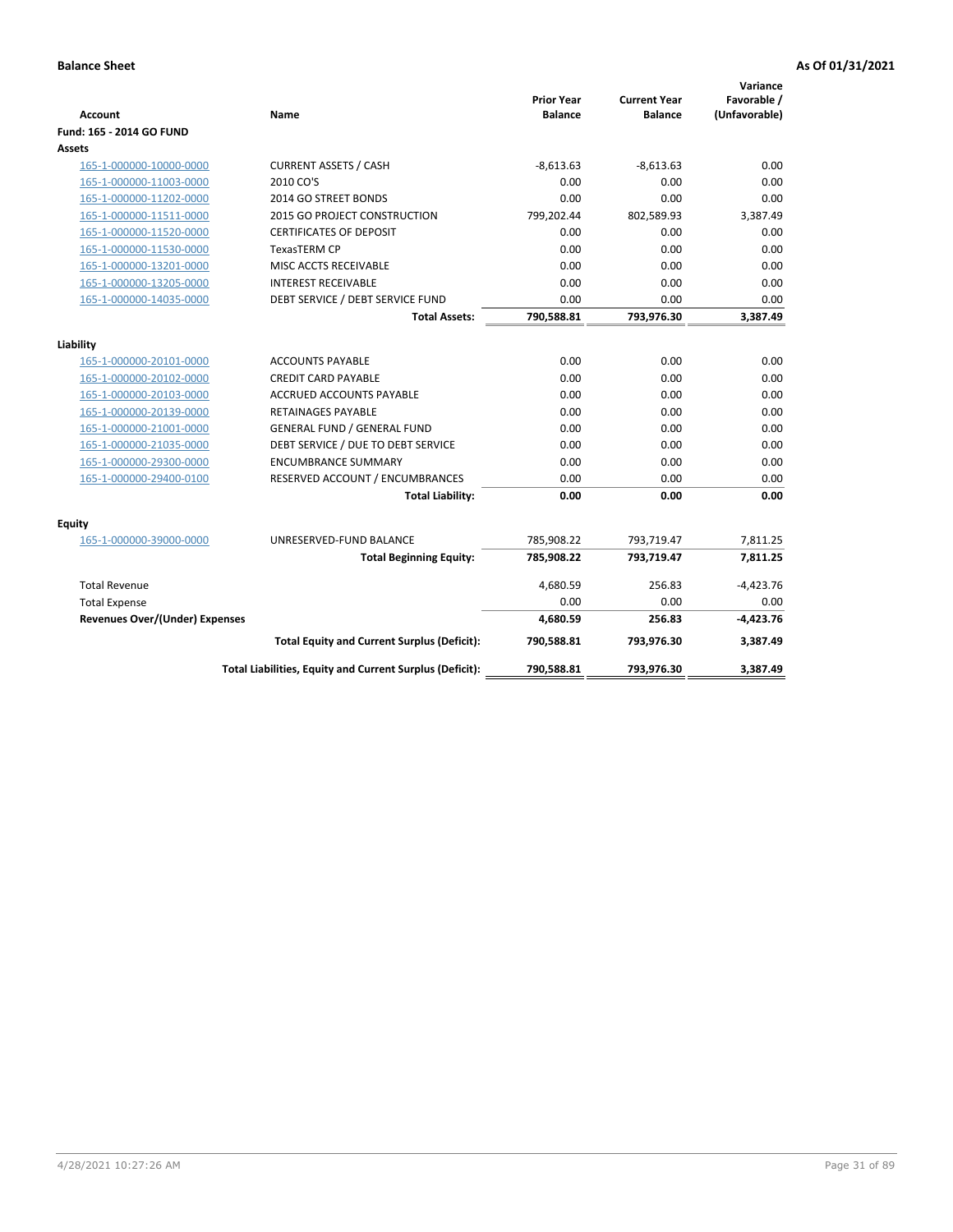| <b>Account</b>                        | Name                                                     | <b>Prior Year</b><br><b>Balance</b> | <b>Current Year</b><br><b>Balance</b> | Variance<br>Favorable /<br>(Unfavorable) |
|---------------------------------------|----------------------------------------------------------|-------------------------------------|---------------------------------------|------------------------------------------|
| Fund: 165 - 2014 GO FUND              |                                                          |                                     |                                       |                                          |
| Assets                                |                                                          |                                     |                                       |                                          |
| 165-1-000000-10000-0000               | <b>CURRENT ASSETS / CASH</b>                             | $-8,613.63$                         | $-8,613.63$                           | 0.00                                     |
| 165-1-000000-11003-0000               | 2010 CO'S                                                | 0.00                                | 0.00                                  | 0.00                                     |
| 165-1-000000-11202-0000               | 2014 GO STREET BONDS                                     | 0.00                                | 0.00                                  | 0.00                                     |
| 165-1-000000-11511-0000               | 2015 GO PROJECT CONSTRUCTION                             | 799,202.44                          | 802,589.93                            | 3,387.49                                 |
| 165-1-000000-11520-0000               | <b>CERTIFICATES OF DEPOSIT</b>                           | 0.00                                | 0.00                                  | 0.00                                     |
| 165-1-000000-11530-0000               | <b>TexasTERM CP</b>                                      | 0.00                                | 0.00                                  | 0.00                                     |
| 165-1-000000-13201-0000               | MISC ACCTS RECEIVABLE                                    | 0.00                                | 0.00                                  | 0.00                                     |
| 165-1-000000-13205-0000               | <b>INTEREST RECEIVABLE</b>                               | 0.00                                | 0.00                                  | 0.00                                     |
| 165-1-000000-14035-0000               | DEBT SERVICE / DEBT SERVICE FUND                         | 0.00                                | 0.00                                  | 0.00                                     |
|                                       | <b>Total Assets:</b>                                     | 790,588.81                          | 793,976.30                            | 3,387.49                                 |
| Liability                             |                                                          |                                     |                                       |                                          |
| 165-1-000000-20101-0000               | <b>ACCOUNTS PAYABLE</b>                                  | 0.00                                | 0.00                                  | 0.00                                     |
| 165-1-000000-20102-0000               | <b>CREDIT CARD PAYABLE</b>                               | 0.00                                | 0.00                                  | 0.00                                     |
| 165-1-000000-20103-0000               | ACCRUED ACCOUNTS PAYABLE                                 | 0.00                                | 0.00                                  | 0.00                                     |
| 165-1-000000-20139-0000               | <b>RETAINAGES PAYABLE</b>                                | 0.00                                | 0.00                                  | 0.00                                     |
| 165-1-000000-21001-0000               | <b>GENERAL FUND / GENERAL FUND</b>                       | 0.00                                | 0.00                                  | 0.00                                     |
| 165-1-000000-21035-0000               | DEBT SERVICE / DUE TO DEBT SERVICE                       | 0.00                                | 0.00                                  | 0.00                                     |
| 165-1-000000-29300-0000               | <b>ENCUMBRANCE SUMMARY</b>                               | 0.00                                | 0.00                                  | 0.00                                     |
| 165-1-000000-29400-0100               | RESERVED ACCOUNT / ENCUMBRANCES                          | 0.00                                | 0.00                                  | 0.00                                     |
|                                       | <b>Total Liability:</b>                                  | 0.00                                | 0.00                                  | 0.00                                     |
| Fquity                                |                                                          |                                     |                                       |                                          |
| 165-1-000000-39000-0000               | UNRESERVED-FUND BALANCE                                  | 785,908.22                          | 793,719.47                            | 7,811.25                                 |
|                                       | <b>Total Beginning Equity:</b>                           | 785,908.22                          | 793,719.47                            | 7,811.25                                 |
| <b>Total Revenue</b>                  |                                                          | 4,680.59                            | 256.83                                | $-4,423.76$                              |
| <b>Total Expense</b>                  |                                                          | 0.00                                | 0.00                                  | 0.00                                     |
| <b>Revenues Over/(Under) Expenses</b> |                                                          | 4,680.59                            | 256.83                                | $-4,423.76$                              |
|                                       | <b>Total Equity and Current Surplus (Deficit):</b>       | 790,588.81                          | 793,976.30                            | 3,387.49                                 |
|                                       | Total Liabilities, Equity and Current Surplus (Deficit): | 790,588.81                          | 793,976.30                            | 3.387.49                                 |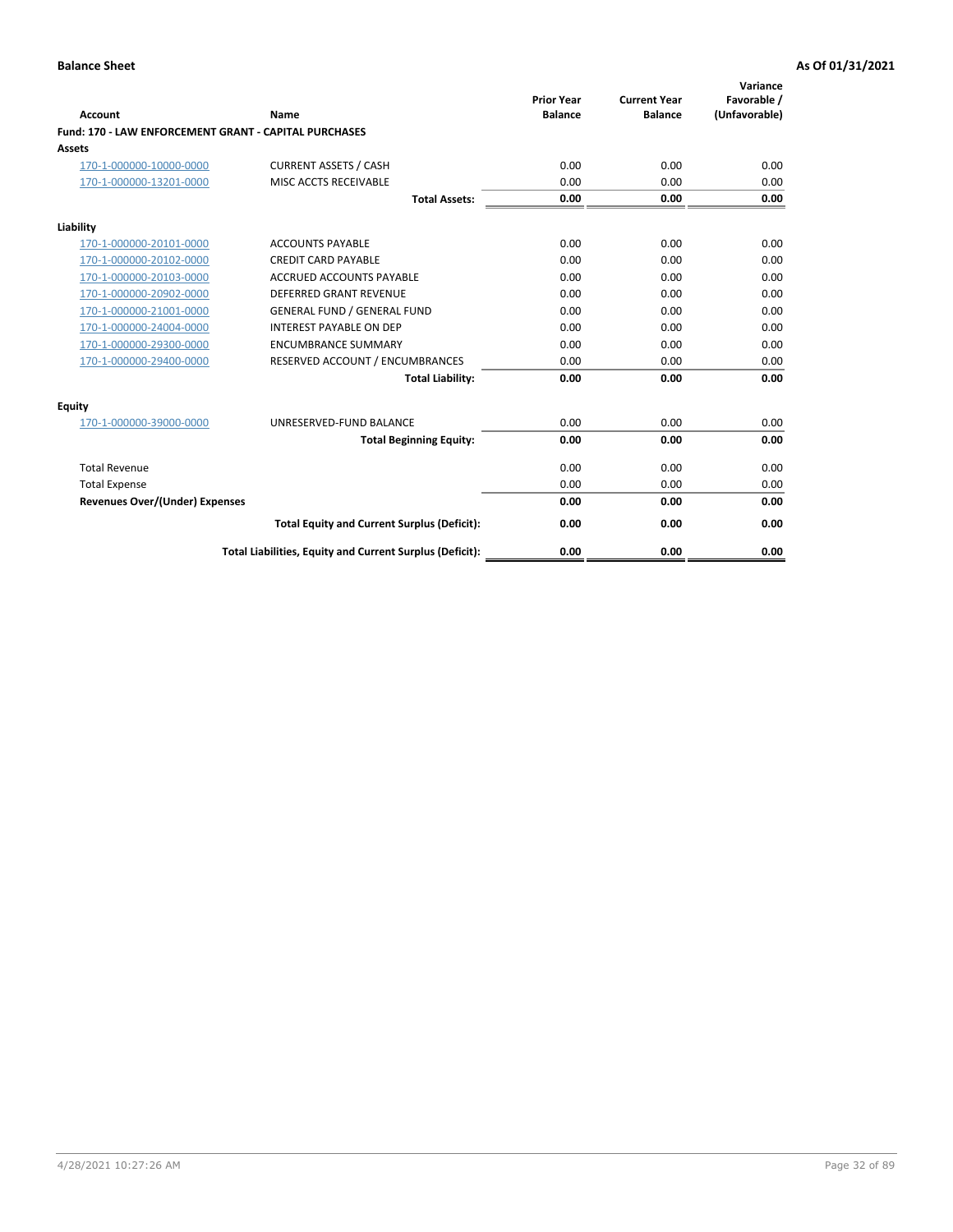|                                                              |                                                          |                                     |                                       | Variance                     |
|--------------------------------------------------------------|----------------------------------------------------------|-------------------------------------|---------------------------------------|------------------------------|
| Account                                                      | Name                                                     | <b>Prior Year</b><br><b>Balance</b> | <b>Current Year</b><br><b>Balance</b> | Favorable /<br>(Unfavorable) |
| <b>Fund: 170 - LAW ENFORCEMENT GRANT - CAPITAL PURCHASES</b> |                                                          |                                     |                                       |                              |
| <b>Assets</b>                                                |                                                          |                                     |                                       |                              |
| 170-1-000000-10000-0000                                      | <b>CURRENT ASSETS / CASH</b>                             | 0.00                                | 0.00                                  | 0.00                         |
| 170-1-000000-13201-0000                                      | MISC ACCTS RECEIVABLE                                    | 0.00                                | 0.00                                  | 0.00                         |
|                                                              | <b>Total Assets:</b>                                     | 0.00                                | 0.00                                  | 0.00                         |
| Liability                                                    |                                                          |                                     |                                       |                              |
| 170-1-000000-20101-0000                                      | <b>ACCOUNTS PAYABLE</b>                                  | 0.00                                | 0.00                                  | 0.00                         |
| 170-1-000000-20102-0000                                      | <b>CREDIT CARD PAYABLE</b>                               | 0.00                                | 0.00                                  | 0.00                         |
| 170-1-000000-20103-0000                                      | <b>ACCRUED ACCOUNTS PAYABLE</b>                          | 0.00                                | 0.00                                  | 0.00                         |
| 170-1-000000-20902-0000                                      | <b>DEFERRED GRANT REVENUE</b>                            | 0.00                                | 0.00                                  | 0.00                         |
| 170-1-000000-21001-0000                                      | <b>GENERAL FUND / GENERAL FUND</b>                       | 0.00                                | 0.00                                  | 0.00                         |
| 170-1-000000-24004-0000                                      | <b>INTEREST PAYABLE ON DEP</b>                           | 0.00                                | 0.00                                  | 0.00                         |
| 170-1-000000-29300-0000                                      | <b>ENCUMBRANCE SUMMARY</b>                               | 0.00                                | 0.00                                  | 0.00                         |
| 170-1-000000-29400-0000                                      | RESERVED ACCOUNT / ENCUMBRANCES                          | 0.00                                | 0.00                                  | 0.00                         |
|                                                              | <b>Total Liability:</b>                                  | 0.00                                | 0.00                                  | 0.00                         |
| <b>Equity</b>                                                |                                                          |                                     |                                       |                              |
| 170-1-000000-39000-0000                                      | UNRESERVED-FUND BALANCE                                  | 0.00                                | 0.00                                  | 0.00                         |
|                                                              | <b>Total Beginning Equity:</b>                           | 0.00                                | 0.00                                  | 0.00                         |
| <b>Total Revenue</b>                                         |                                                          | 0.00                                | 0.00                                  | 0.00                         |
| <b>Total Expense</b>                                         |                                                          | 0.00                                | 0.00                                  | 0.00                         |
| <b>Revenues Over/(Under) Expenses</b>                        |                                                          | 0.00                                | 0.00                                  | 0.00                         |
|                                                              | <b>Total Equity and Current Surplus (Deficit):</b>       | 0.00                                | 0.00                                  | 0.00                         |
|                                                              | Total Liabilities, Equity and Current Surplus (Deficit): | 0.00                                | 0.00                                  | 0.00                         |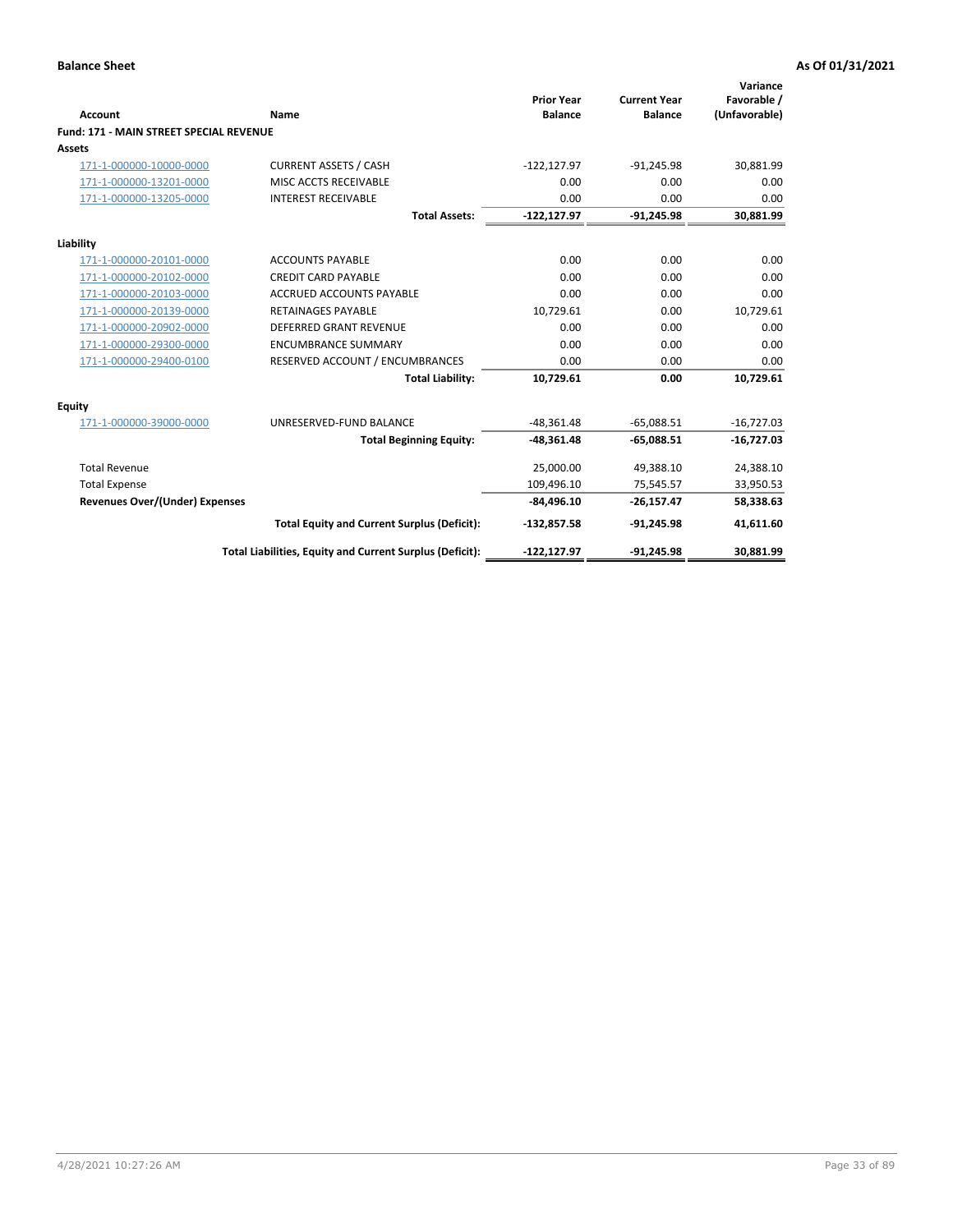| Account                                        | Name                                                     | <b>Prior Year</b><br><b>Balance</b> | <b>Current Year</b><br><b>Balance</b> | Variance<br>Favorable /<br>(Unfavorable) |
|------------------------------------------------|----------------------------------------------------------|-------------------------------------|---------------------------------------|------------------------------------------|
| <b>Fund: 171 - MAIN STREET SPECIAL REVENUE</b> |                                                          |                                     |                                       |                                          |
| Assets                                         |                                                          |                                     |                                       |                                          |
| 171-1-000000-10000-0000                        | <b>CURRENT ASSETS / CASH</b>                             | $-122, 127.97$                      | $-91,245.98$                          | 30,881.99                                |
| 171-1-000000-13201-0000                        | MISC ACCTS RECEIVABLE                                    | 0.00                                | 0.00                                  | 0.00                                     |
| 171-1-000000-13205-0000                        | <b>INTEREST RECEIVABLE</b>                               | 0.00                                | 0.00                                  | 0.00                                     |
|                                                | <b>Total Assets:</b>                                     | $-122, 127.97$                      | $-91,245.98$                          | 30,881.99                                |
| Liability                                      |                                                          |                                     |                                       |                                          |
| 171-1-000000-20101-0000                        | <b>ACCOUNTS PAYABLE</b>                                  | 0.00                                | 0.00                                  | 0.00                                     |
| 171-1-000000-20102-0000                        | <b>CREDIT CARD PAYABLE</b>                               | 0.00                                | 0.00                                  | 0.00                                     |
| 171-1-000000-20103-0000                        | <b>ACCRUED ACCOUNTS PAYABLE</b>                          | 0.00                                | 0.00                                  | 0.00                                     |
| 171-1-000000-20139-0000                        | <b>RETAINAGES PAYABLE</b>                                | 10,729.61                           | 0.00                                  | 10,729.61                                |
| 171-1-000000-20902-0000                        | <b>DEFERRED GRANT REVENUE</b>                            | 0.00                                | 0.00                                  | 0.00                                     |
| 171-1-000000-29300-0000                        | <b>ENCUMBRANCE SUMMARY</b>                               | 0.00                                | 0.00                                  | 0.00                                     |
| 171-1-000000-29400-0100                        | RESERVED ACCOUNT / ENCUMBRANCES                          | 0.00                                | 0.00                                  | 0.00                                     |
|                                                | <b>Total Liability:</b>                                  | 10,729.61                           | 0.00                                  | 10,729.61                                |
| <b>Equity</b>                                  |                                                          |                                     |                                       |                                          |
| 171-1-000000-39000-0000                        | UNRESERVED-FUND BALANCE                                  | $-48,361.48$                        | $-65.088.51$                          | $-16,727.03$                             |
|                                                | <b>Total Beginning Equity:</b>                           | $-48,361.48$                        | $-65,088.51$                          | $-16,727.03$                             |
| <b>Total Revenue</b>                           |                                                          | 25,000.00                           | 49,388.10                             | 24,388.10                                |
| <b>Total Expense</b>                           |                                                          | 109,496.10                          | 75,545.57                             | 33,950.53                                |
| Revenues Over/(Under) Expenses                 |                                                          | $-84,496.10$                        | $-26,157.47$                          | 58,338.63                                |
|                                                | <b>Total Equity and Current Surplus (Deficit):</b>       | $-132,857.58$                       | $-91,245.98$                          | 41,611.60                                |
|                                                | Total Liabilities, Equity and Current Surplus (Deficit): | -122,127.97                         | $-91.245.98$                          | 30.881.99                                |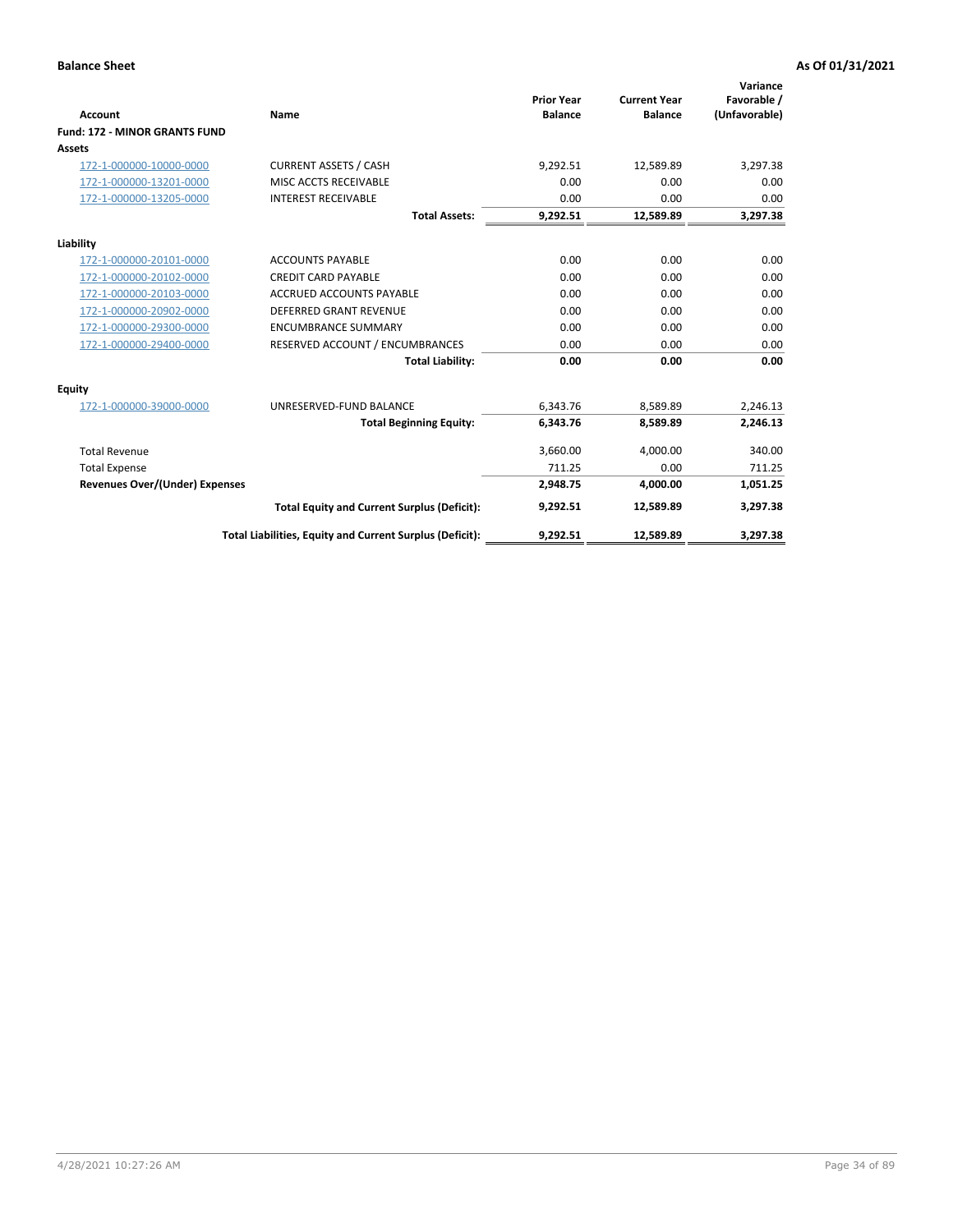|                                       |                                                          | <b>Prior Year</b> | <b>Current Year</b> | Variance<br>Favorable / |
|---------------------------------------|----------------------------------------------------------|-------------------|---------------------|-------------------------|
| <b>Account</b>                        | Name                                                     | <b>Balance</b>    | <b>Balance</b>      | (Unfavorable)           |
| <b>Fund: 172 - MINOR GRANTS FUND</b>  |                                                          |                   |                     |                         |
| Assets                                |                                                          |                   |                     |                         |
| 172-1-000000-10000-0000               | <b>CURRENT ASSETS / CASH</b>                             | 9,292.51          | 12,589.89           | 3,297.38                |
| 172-1-000000-13201-0000               | MISC ACCTS RECEIVABLE                                    | 0.00              | 0.00                | 0.00                    |
| 172-1-000000-13205-0000               | <b>INTEREST RECEIVABLE</b>                               | 0.00              | 0.00                | 0.00                    |
|                                       | <b>Total Assets:</b>                                     | 9,292.51          | 12,589.89           | 3,297.38                |
| Liability                             |                                                          |                   |                     |                         |
| 172-1-000000-20101-0000               | <b>ACCOUNTS PAYABLE</b>                                  | 0.00              | 0.00                | 0.00                    |
| 172-1-000000-20102-0000               | <b>CREDIT CARD PAYABLE</b>                               | 0.00              | 0.00                | 0.00                    |
| 172-1-000000-20103-0000               | <b>ACCRUED ACCOUNTS PAYABLE</b>                          | 0.00              | 0.00                | 0.00                    |
| 172-1-000000-20902-0000               | <b>DEFERRED GRANT REVENUE</b>                            | 0.00              | 0.00                | 0.00                    |
| 172-1-000000-29300-0000               | <b>ENCUMBRANCE SUMMARY</b>                               | 0.00              | 0.00                | 0.00                    |
| 172-1-000000-29400-0000               | RESERVED ACCOUNT / ENCUMBRANCES                          | 0.00              | 0.00                | 0.00                    |
|                                       | <b>Total Liability:</b>                                  | 0.00              | 0.00                | 0.00                    |
| Equity                                |                                                          |                   |                     |                         |
| 172-1-000000-39000-0000               | UNRESERVED-FUND BALANCE                                  | 6,343.76          | 8,589.89            | 2,246.13                |
|                                       | <b>Total Beginning Equity:</b>                           | 6,343.76          | 8,589.89            | 2,246.13                |
| <b>Total Revenue</b>                  |                                                          | 3,660.00          | 4,000.00            | 340.00                  |
| <b>Total Expense</b>                  |                                                          | 711.25            | 0.00                | 711.25                  |
| <b>Revenues Over/(Under) Expenses</b> |                                                          | 2,948.75          | 4,000.00            | 1,051.25                |
|                                       | <b>Total Equity and Current Surplus (Deficit):</b>       | 9,292.51          | 12.589.89           | 3,297.38                |
|                                       | Total Liabilities, Equity and Current Surplus (Deficit): | 9,292.51          | 12,589.89           | 3,297.38                |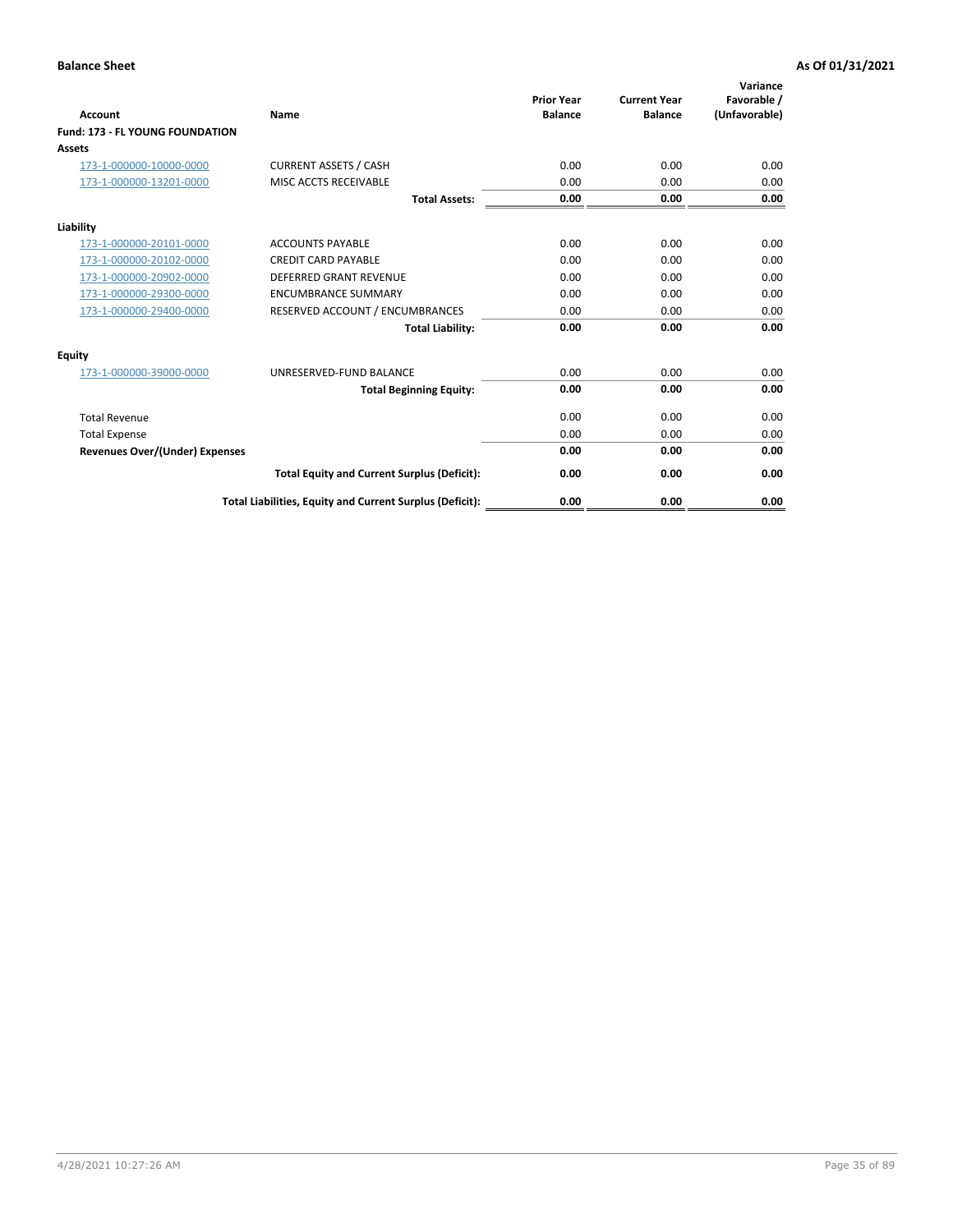| <b>Account</b>                         | Name                                                     | <b>Prior Year</b><br><b>Balance</b> | <b>Current Year</b><br><b>Balance</b> | Variance<br>Favorable /<br>(Unfavorable) |
|----------------------------------------|----------------------------------------------------------|-------------------------------------|---------------------------------------|------------------------------------------|
| <b>Fund: 173 - FL YOUNG FOUNDATION</b> |                                                          |                                     |                                       |                                          |
| Assets                                 |                                                          |                                     |                                       |                                          |
| 173-1-000000-10000-0000                | <b>CURRENT ASSETS / CASH</b>                             | 0.00                                | 0.00                                  | 0.00                                     |
| 173-1-000000-13201-0000                | MISC ACCTS RECEIVABLE                                    | 0.00                                | 0.00                                  | 0.00                                     |
|                                        | <b>Total Assets:</b>                                     | 0.00                                | 0.00                                  | 0.00                                     |
| Liability                              |                                                          |                                     |                                       |                                          |
| 173-1-000000-20101-0000                | <b>ACCOUNTS PAYABLE</b>                                  | 0.00                                | 0.00                                  | 0.00                                     |
| 173-1-000000-20102-0000                | <b>CREDIT CARD PAYABLE</b>                               | 0.00                                | 0.00                                  | 0.00                                     |
| 173-1-000000-20902-0000                | <b>DEFERRED GRANT REVENUE</b>                            | 0.00                                | 0.00                                  | 0.00                                     |
| 173-1-000000-29300-0000                | <b>ENCUMBRANCE SUMMARY</b>                               | 0.00                                | 0.00                                  | 0.00                                     |
| 173-1-000000-29400-0000                | RESERVED ACCOUNT / ENCUMBRANCES                          | 0.00                                | 0.00                                  | 0.00                                     |
|                                        | <b>Total Liability:</b>                                  | 0.00                                | 0.00                                  | 0.00                                     |
| Equity                                 |                                                          |                                     |                                       |                                          |
| 173-1-000000-39000-0000                | UNRESERVED-FUND BALANCE                                  | 0.00                                | 0.00                                  | 0.00                                     |
|                                        | <b>Total Beginning Equity:</b>                           | 0.00                                | 0.00                                  | 0.00                                     |
| <b>Total Revenue</b>                   |                                                          | 0.00                                | 0.00                                  | 0.00                                     |
| <b>Total Expense</b>                   |                                                          | 0.00                                | 0.00                                  | 0.00                                     |
| <b>Revenues Over/(Under) Expenses</b>  |                                                          | 0.00                                | 0.00                                  | 0.00                                     |
|                                        | <b>Total Equity and Current Surplus (Deficit):</b>       | 0.00                                | 0.00                                  | 0.00                                     |
|                                        | Total Liabilities, Equity and Current Surplus (Deficit): | 0.00                                | 0.00                                  | 0.00                                     |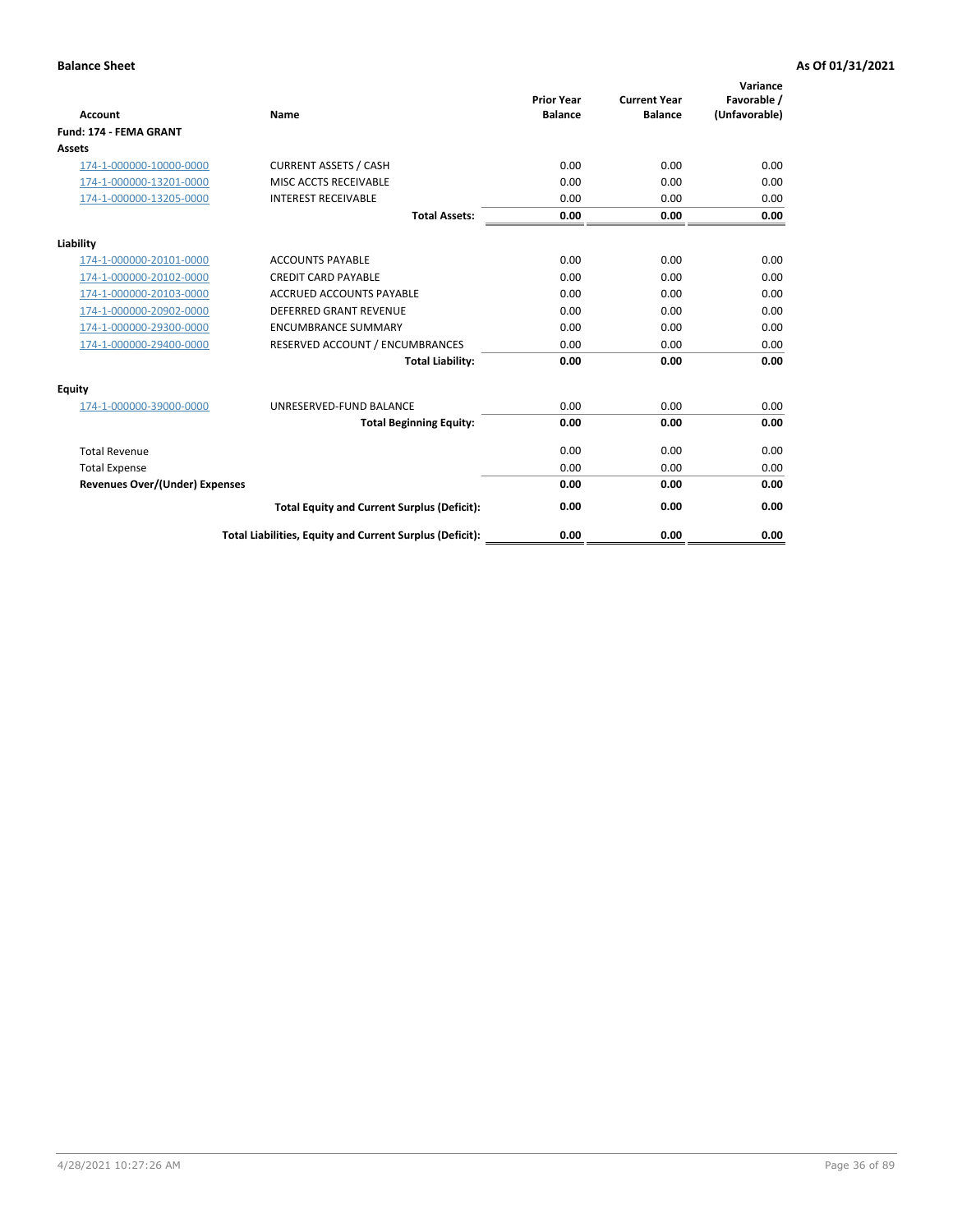|                                       |                                                          |                                     |                                       | Variance                     |
|---------------------------------------|----------------------------------------------------------|-------------------------------------|---------------------------------------|------------------------------|
| <b>Account</b>                        | <b>Name</b>                                              | <b>Prior Year</b><br><b>Balance</b> | <b>Current Year</b><br><b>Balance</b> | Favorable /<br>(Unfavorable) |
| <b>Fund: 174 - FEMA GRANT</b>         |                                                          |                                     |                                       |                              |
| Assets                                |                                                          |                                     |                                       |                              |
| 174-1-000000-10000-0000               | <b>CURRENT ASSETS / CASH</b>                             | 0.00                                | 0.00                                  | 0.00                         |
| 174-1-000000-13201-0000               | MISC ACCTS RECEIVABLE                                    | 0.00                                | 0.00                                  | 0.00                         |
| 174-1-000000-13205-0000               | <b>INTEREST RECEIVABLE</b>                               | 0.00                                | 0.00                                  | 0.00                         |
|                                       | <b>Total Assets:</b>                                     | 0.00                                | 0.00                                  | 0.00                         |
| Liability                             |                                                          |                                     |                                       |                              |
| 174-1-000000-20101-0000               | <b>ACCOUNTS PAYABLE</b>                                  | 0.00                                | 0.00                                  | 0.00                         |
| 174-1-000000-20102-0000               | <b>CREDIT CARD PAYABLE</b>                               | 0.00                                | 0.00                                  | 0.00                         |
| 174-1-000000-20103-0000               | <b>ACCRUED ACCOUNTS PAYABLE</b>                          | 0.00                                | 0.00                                  | 0.00                         |
| 174-1-000000-20902-0000               | <b>DEFERRED GRANT REVENUE</b>                            | 0.00                                | 0.00                                  | 0.00                         |
| 174-1-000000-29300-0000               | <b>ENCUMBRANCE SUMMARY</b>                               | 0.00                                | 0.00                                  | 0.00                         |
| 174-1-000000-29400-0000               | RESERVED ACCOUNT / ENCUMBRANCES                          | 0.00                                | 0.00                                  | 0.00                         |
|                                       | <b>Total Liability:</b>                                  | 0.00                                | 0.00                                  | 0.00                         |
| Equity                                |                                                          |                                     |                                       |                              |
| 174-1-000000-39000-0000               | UNRESERVED-FUND BALANCE                                  | 0.00                                | 0.00                                  | 0.00                         |
|                                       | <b>Total Beginning Equity:</b>                           | 0.00                                | 0.00                                  | 0.00                         |
| <b>Total Revenue</b>                  |                                                          | 0.00                                | 0.00                                  | 0.00                         |
| <b>Total Expense</b>                  |                                                          | 0.00                                | 0.00                                  | 0.00                         |
| <b>Revenues Over/(Under) Expenses</b> |                                                          | 0.00                                | 0.00                                  | 0.00                         |
|                                       | <b>Total Equity and Current Surplus (Deficit):</b>       | 0.00                                | 0.00                                  | 0.00                         |
|                                       | Total Liabilities, Equity and Current Surplus (Deficit): | 0.00                                | 0.00                                  | 0.00                         |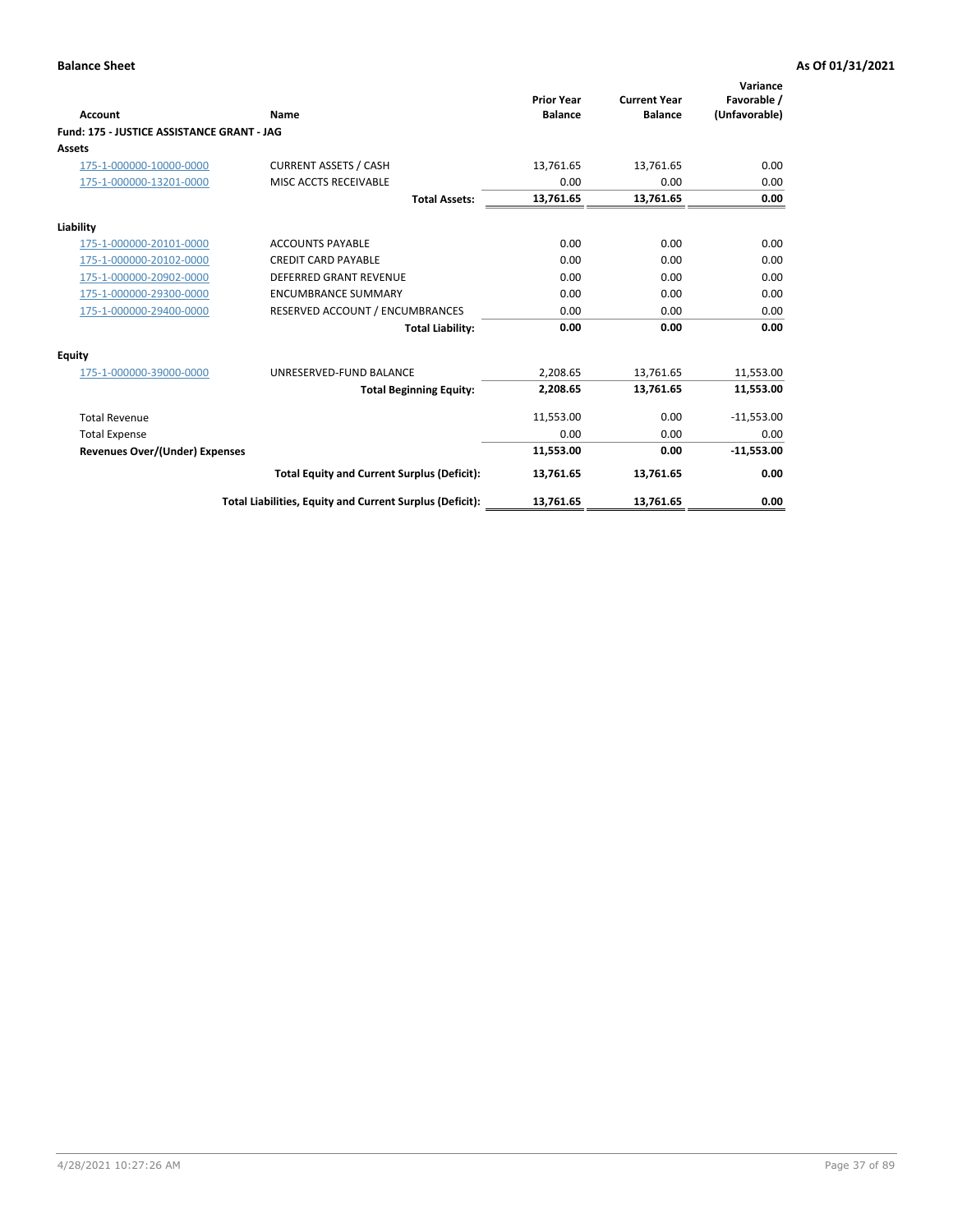|                                            |                                                          | <b>Prior Year</b> | <b>Current Year</b> | Variance<br>Favorable / |
|--------------------------------------------|----------------------------------------------------------|-------------------|---------------------|-------------------------|
| Account                                    | Name                                                     | <b>Balance</b>    | <b>Balance</b>      | (Unfavorable)           |
| Fund: 175 - JUSTICE ASSISTANCE GRANT - JAG |                                                          |                   |                     |                         |
| Assets                                     |                                                          |                   |                     |                         |
| 175-1-000000-10000-0000                    | <b>CURRENT ASSETS / CASH</b>                             | 13,761.65         | 13,761.65           | 0.00                    |
| 175-1-000000-13201-0000                    | MISC ACCTS RECEIVABLE                                    | 0.00              | 0.00                | 0.00                    |
|                                            | <b>Total Assets:</b>                                     | 13,761.65         | 13,761.65           | 0.00                    |
| Liability                                  |                                                          |                   |                     |                         |
| 175-1-000000-20101-0000                    | <b>ACCOUNTS PAYABLE</b>                                  | 0.00              | 0.00                | 0.00                    |
| 175-1-000000-20102-0000                    | <b>CREDIT CARD PAYABLE</b>                               | 0.00              | 0.00                | 0.00                    |
| 175-1-000000-20902-0000                    | <b>DEFERRED GRANT REVENUE</b>                            | 0.00              | 0.00                | 0.00                    |
| 175-1-000000-29300-0000                    | <b>ENCUMBRANCE SUMMARY</b>                               | 0.00              | 0.00                | 0.00                    |
| 175-1-000000-29400-0000                    | RESERVED ACCOUNT / ENCUMBRANCES                          | 0.00              | 0.00                | 0.00                    |
|                                            | <b>Total Liability:</b>                                  | 0.00              | 0.00                | 0.00                    |
| Equity                                     |                                                          |                   |                     |                         |
| 175-1-000000-39000-0000                    | UNRESERVED-FUND BALANCE                                  | 2,208.65          | 13,761.65           | 11,553.00               |
|                                            | <b>Total Beginning Equity:</b>                           | 2,208.65          | 13,761.65           | 11,553.00               |
| <b>Total Revenue</b>                       |                                                          | 11,553.00         | 0.00                | $-11,553.00$            |
| <b>Total Expense</b>                       |                                                          | 0.00              | 0.00                | 0.00                    |
| <b>Revenues Over/(Under) Expenses</b>      |                                                          | 11,553.00         | 0.00                | $-11,553.00$            |
|                                            | <b>Total Equity and Current Surplus (Deficit):</b>       | 13,761.65         | 13,761.65           | 0.00                    |
|                                            | Total Liabilities, Equity and Current Surplus (Deficit): | 13,761.65         | 13,761.65           | 0.00                    |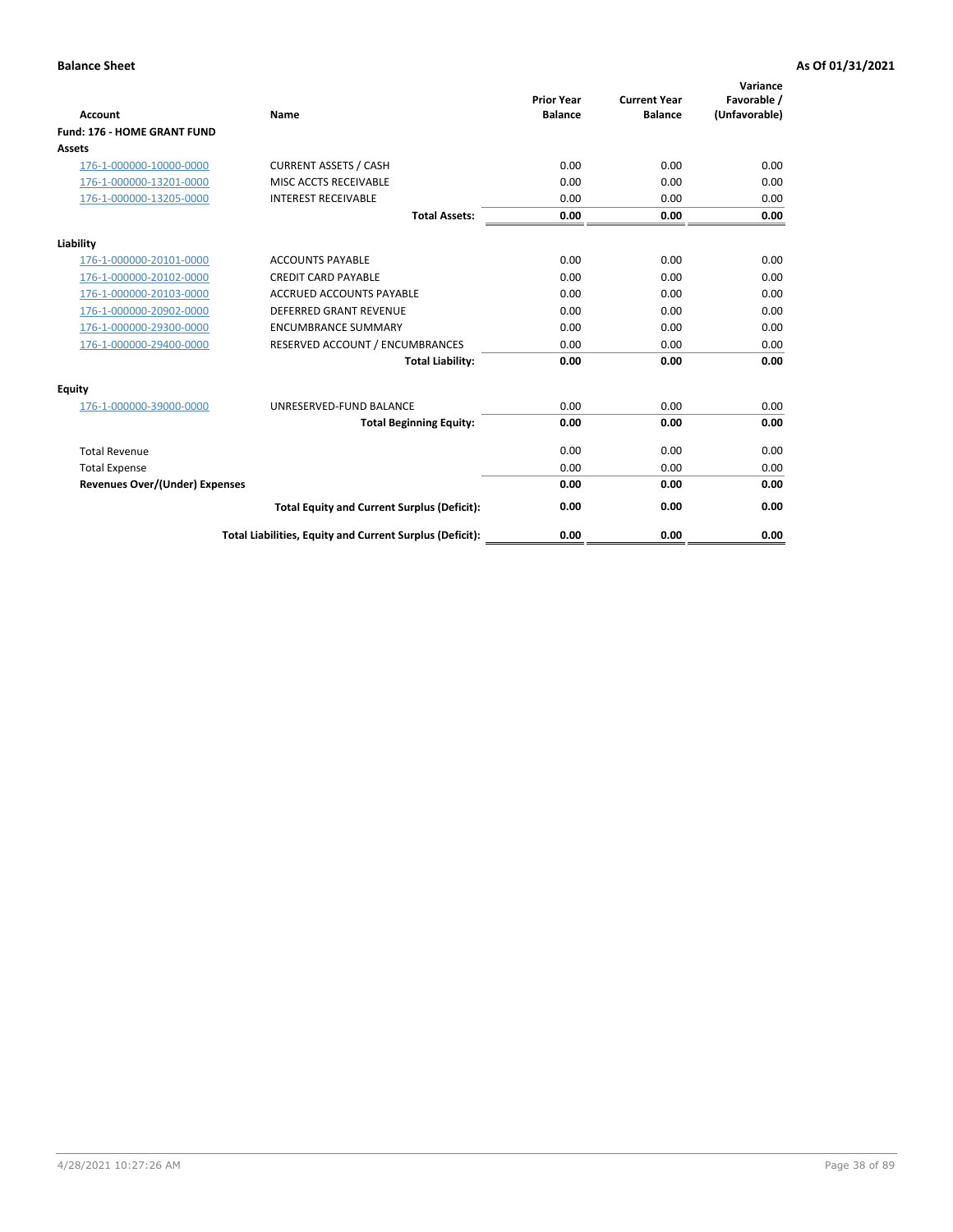| Account                               | Name                                                     | <b>Prior Year</b><br><b>Balance</b> | <b>Current Year</b><br><b>Balance</b> | Variance<br>Favorable /<br>(Unfavorable) |
|---------------------------------------|----------------------------------------------------------|-------------------------------------|---------------------------------------|------------------------------------------|
| <b>Fund: 176 - HOME GRANT FUND</b>    |                                                          |                                     |                                       |                                          |
| Assets                                |                                                          |                                     |                                       |                                          |
| 176-1-000000-10000-0000               | <b>CURRENT ASSETS / CASH</b>                             | 0.00                                | 0.00                                  | 0.00                                     |
| 176-1-000000-13201-0000               | MISC ACCTS RECEIVABLE                                    | 0.00                                | 0.00                                  | 0.00                                     |
| 176-1-000000-13205-0000               | <b>INTEREST RECEIVABLE</b>                               | 0.00                                | 0.00                                  | 0.00                                     |
|                                       | <b>Total Assets:</b>                                     | 0.00                                | 0.00                                  | 0.00                                     |
| Liability                             |                                                          |                                     |                                       |                                          |
| 176-1-000000-20101-0000               | <b>ACCOUNTS PAYABLE</b>                                  | 0.00                                | 0.00                                  | 0.00                                     |
| 176-1-000000-20102-0000               | <b>CREDIT CARD PAYABLE</b>                               | 0.00                                | 0.00                                  | 0.00                                     |
| 176-1-000000-20103-0000               | <b>ACCRUED ACCOUNTS PAYABLE</b>                          | 0.00                                | 0.00                                  | 0.00                                     |
| 176-1-000000-20902-0000               | <b>DEFERRED GRANT REVENUE</b>                            | 0.00                                | 0.00                                  | 0.00                                     |
| 176-1-000000-29300-0000               | <b>ENCUMBRANCE SUMMARY</b>                               | 0.00                                | 0.00                                  | 0.00                                     |
| 176-1-000000-29400-0000               | RESERVED ACCOUNT / ENCUMBRANCES                          | 0.00                                | 0.00                                  | 0.00                                     |
|                                       | <b>Total Liability:</b>                                  | 0.00                                | 0.00                                  | 0.00                                     |
| Equity                                |                                                          |                                     |                                       |                                          |
| 176-1-000000-39000-0000               | UNRESERVED-FUND BALANCE                                  | 0.00                                | 0.00                                  | 0.00                                     |
|                                       | <b>Total Beginning Equity:</b>                           | 0.00                                | 0.00                                  | 0.00                                     |
| <b>Total Revenue</b>                  |                                                          | 0.00                                | 0.00                                  | 0.00                                     |
| <b>Total Expense</b>                  |                                                          | 0.00                                | 0.00                                  | 0.00                                     |
| <b>Revenues Over/(Under) Expenses</b> |                                                          | 0.00                                | 0.00                                  | 0.00                                     |
|                                       | <b>Total Equity and Current Surplus (Deficit):</b>       | 0.00                                | 0.00                                  | 0.00                                     |
|                                       | Total Liabilities, Equity and Current Surplus (Deficit): | 0.00                                | 0.00                                  | 0.00                                     |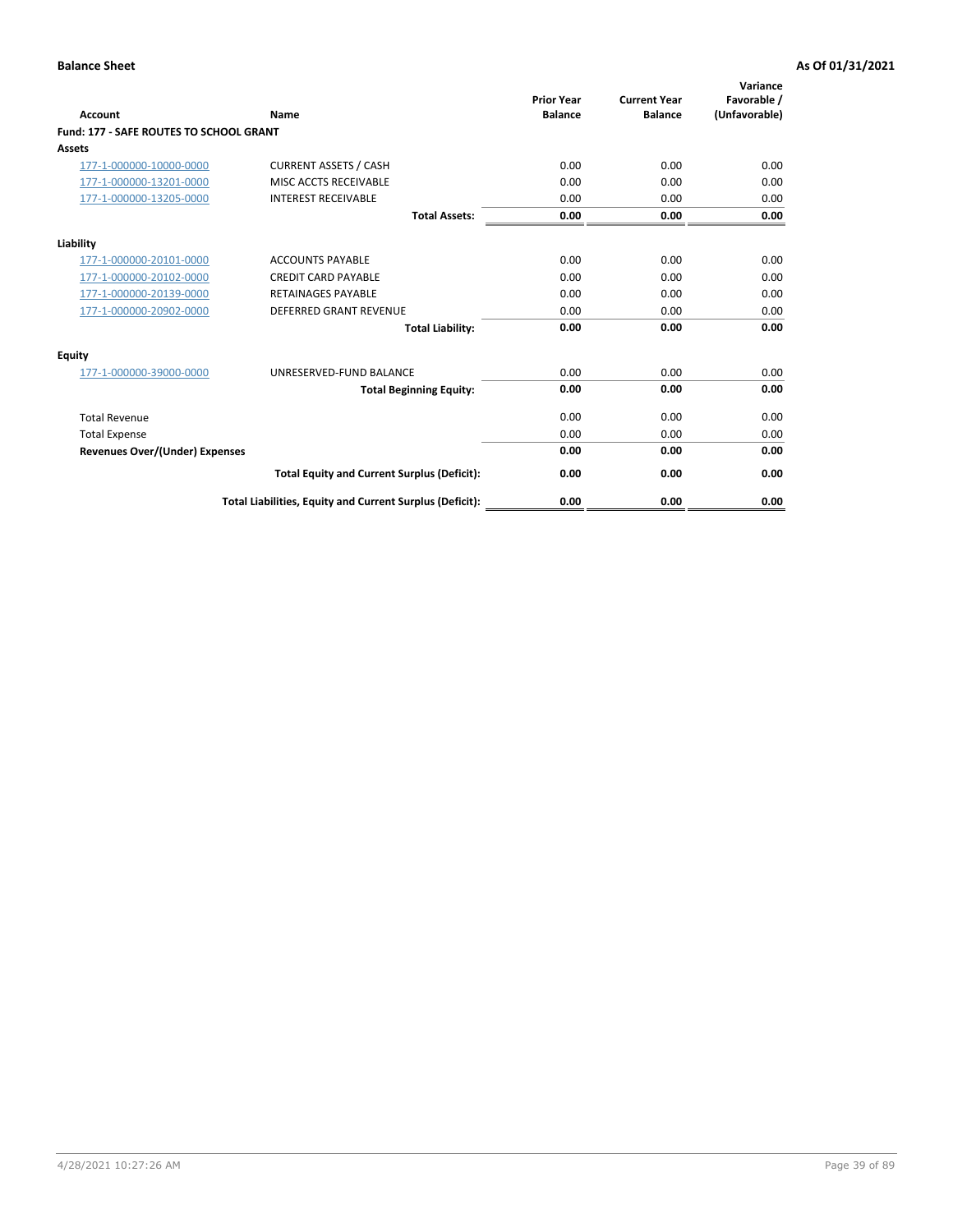| Account                                        | Name                                                     | <b>Prior Year</b><br><b>Balance</b> | <b>Current Year</b><br><b>Balance</b> | Variance<br>Favorable /<br>(Unfavorable) |
|------------------------------------------------|----------------------------------------------------------|-------------------------------------|---------------------------------------|------------------------------------------|
| <b>Fund: 177 - SAFE ROUTES TO SCHOOL GRANT</b> |                                                          |                                     |                                       |                                          |
| <b>Assets</b>                                  |                                                          |                                     |                                       |                                          |
| 177-1-000000-10000-0000                        | <b>CURRENT ASSETS / CASH</b>                             | 0.00                                | 0.00                                  | 0.00                                     |
| 177-1-000000-13201-0000                        | MISC ACCTS RECEIVABLE                                    | 0.00                                | 0.00                                  | 0.00                                     |
| 177-1-000000-13205-0000                        | <b>INTEREST RECEIVABLE</b>                               | 0.00                                | 0.00                                  | 0.00                                     |
|                                                | <b>Total Assets:</b>                                     | 0.00                                | 0.00                                  | 0.00                                     |
| Liability                                      |                                                          |                                     |                                       |                                          |
| 177-1-000000-20101-0000                        | <b>ACCOUNTS PAYABLE</b>                                  | 0.00                                | 0.00                                  | 0.00                                     |
| 177-1-000000-20102-0000                        | <b>CREDIT CARD PAYABLE</b>                               | 0.00                                | 0.00                                  | 0.00                                     |
| 177-1-000000-20139-0000                        | <b>RETAINAGES PAYABLE</b>                                | 0.00                                | 0.00                                  | 0.00                                     |
| 177-1-000000-20902-0000                        | <b>DEFERRED GRANT REVENUE</b>                            | 0.00                                | 0.00                                  | 0.00                                     |
|                                                | <b>Total Liability:</b>                                  | 0.00                                | 0.00                                  | 0.00                                     |
| Equity                                         |                                                          |                                     |                                       |                                          |
| 177-1-000000-39000-0000                        | UNRESERVED-FUND BALANCE                                  | 0.00                                | 0.00                                  | 0.00                                     |
|                                                | <b>Total Beginning Equity:</b>                           | 0.00                                | 0.00                                  | 0.00                                     |
| <b>Total Revenue</b>                           |                                                          | 0.00                                | 0.00                                  | 0.00                                     |
| <b>Total Expense</b>                           |                                                          | 0.00                                | 0.00                                  | 0.00                                     |
| <b>Revenues Over/(Under) Expenses</b>          |                                                          | 0.00                                | 0.00                                  | 0.00                                     |
|                                                | <b>Total Equity and Current Surplus (Deficit):</b>       | 0.00                                | 0.00                                  | 0.00                                     |
|                                                | Total Liabilities, Equity and Current Surplus (Deficit): | 0.00                                | 0.00                                  | 0.00                                     |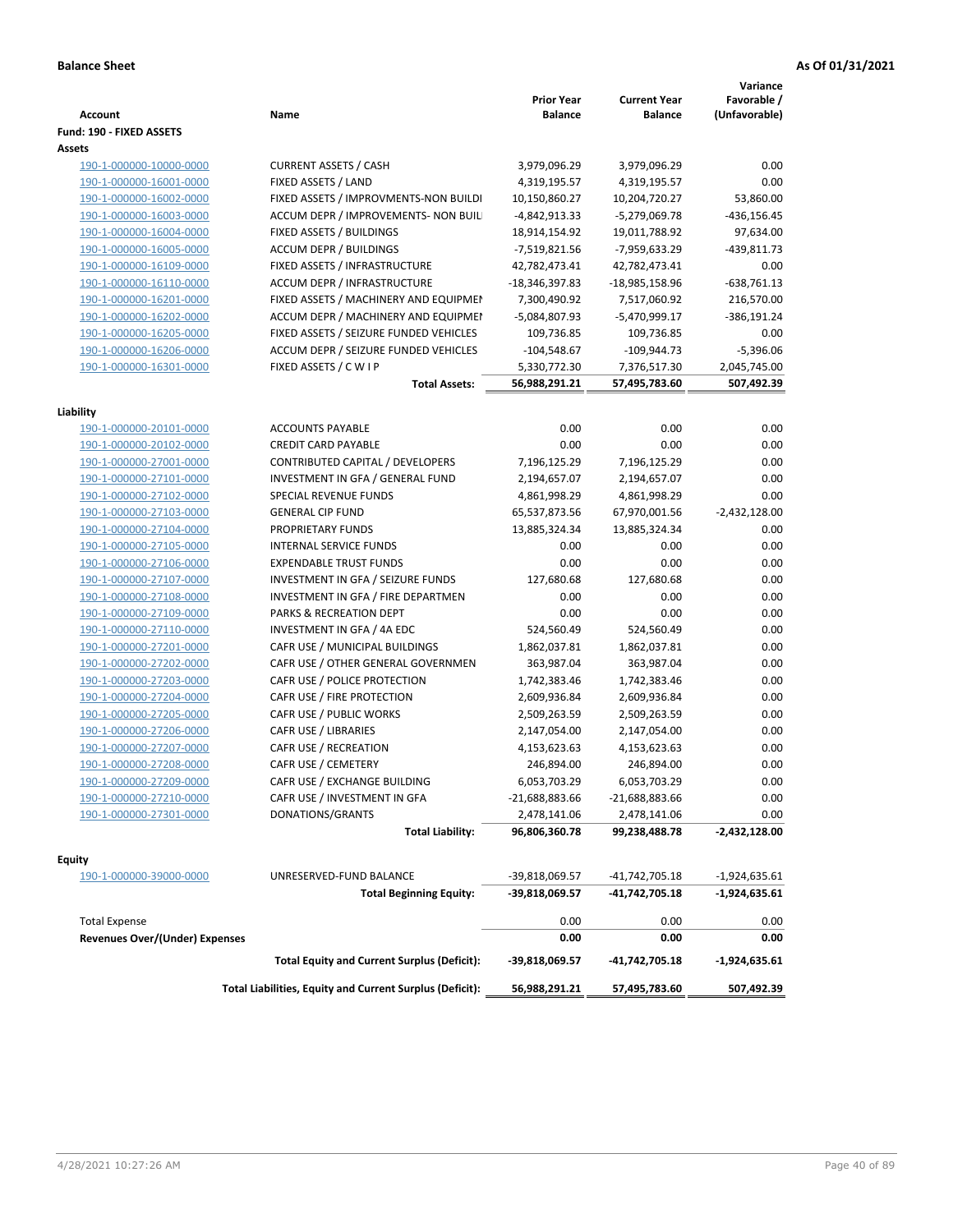| <b>Account</b>                           | Name                                                     | <b>Prior Year</b><br><b>Balance</b> | <b>Current Year</b><br><b>Balance</b> | Variance<br>Favorable /<br>(Unfavorable) |
|------------------------------------------|----------------------------------------------------------|-------------------------------------|---------------------------------------|------------------------------------------|
| Fund: 190 - FIXED ASSETS                 |                                                          |                                     |                                       |                                          |
| Assets                                   |                                                          |                                     |                                       |                                          |
| 190-1-000000-10000-0000                  | <b>CURRENT ASSETS / CASH</b>                             | 3,979,096.29                        | 3,979,096.29                          | 0.00                                     |
| 190-1-000000-16001-0000                  | FIXED ASSETS / LAND                                      | 4,319,195.57                        | 4,319,195.57                          | 0.00                                     |
| 190-1-000000-16002-0000                  | FIXED ASSETS / IMPROVMENTS-NON BUILDI                    | 10,150,860.27                       | 10,204,720.27                         | 53,860.00                                |
| 190-1-000000-16003-0000                  | ACCUM DEPR / IMPROVEMENTS- NON BUIL                      | -4,842,913.33                       | -5,279,069.78                         | $-436, 156.45$                           |
| 190-1-000000-16004-0000                  | FIXED ASSETS / BUILDINGS                                 | 18,914,154.92                       | 19,011,788.92                         | 97,634.00                                |
| 190-1-000000-16005-0000                  | <b>ACCUM DEPR / BUILDINGS</b>                            | -7,519,821.56                       | -7,959,633.29                         | -439,811.73                              |
| 190-1-000000-16109-0000                  | FIXED ASSETS / INFRASTRUCTURE                            | 42,782,473.41                       | 42,782,473.41                         | 0.00                                     |
| 190-1-000000-16110-0000                  | ACCUM DEPR / INFRASTRUCTURE                              | -18,346,397.83                      | -18,985,158.96                        | $-638,761.13$                            |
| 190-1-000000-16201-0000                  | FIXED ASSETS / MACHINERY AND EQUIPMEN                    | 7,300,490.92                        | 7,517,060.92                          | 216,570.00                               |
| 190-1-000000-16202-0000                  | ACCUM DEPR / MACHINERY AND EQUIPMEI                      | -5,084,807.93                       | -5,470,999.17                         | -386,191.24                              |
| 190-1-000000-16205-0000                  | FIXED ASSETS / SEIZURE FUNDED VEHICLES                   | 109,736.85                          | 109,736.85                            | 0.00                                     |
| 190-1-000000-16206-0000                  | ACCUM DEPR / SEIZURE FUNDED VEHICLES                     | $-104,548.67$                       | $-109,944.73$                         | $-5,396.06$                              |
| 190-1-000000-16301-0000                  | FIXED ASSETS / C W I P                                   | 5,330,772.30                        | 7,376,517.30                          | 2,045,745.00                             |
|                                          | <b>Total Assets:</b>                                     | 56,988,291.21                       | 57,495,783.60                         | 507,492.39                               |
|                                          |                                                          |                                     |                                       |                                          |
| Liability                                |                                                          |                                     |                                       |                                          |
| 190-1-000000-20101-0000                  | <b>ACCOUNTS PAYABLE</b>                                  | 0.00                                | 0.00                                  | 0.00                                     |
| 190-1-000000-20102-0000                  | <b>CREDIT CARD PAYABLE</b>                               | 0.00                                | 0.00                                  | 0.00                                     |
| 190-1-000000-27001-0000                  | <b>CONTRIBUTED CAPITAL / DEVELOPERS</b>                  | 7,196,125.29                        | 7,196,125.29                          | 0.00                                     |
| 190-1-000000-27101-0000                  | INVESTMENT IN GFA / GENERAL FUND                         | 2,194,657.07                        | 2,194,657.07                          | 0.00                                     |
| 190-1-000000-27102-0000                  | SPECIAL REVENUE FUNDS                                    | 4,861,998.29                        | 4,861,998.29                          | 0.00                                     |
| 190-1-000000-27103-0000                  | <b>GENERAL CIP FUND</b>                                  | 65,537,873.56                       | 67,970,001.56                         | $-2,432,128.00$                          |
| 190-1-000000-27104-0000                  | PROPRIETARY FUNDS                                        | 13,885,324.34                       | 13,885,324.34                         | 0.00                                     |
| 190-1-000000-27105-0000                  | <b>INTERNAL SERVICE FUNDS</b>                            | 0.00                                | 0.00                                  | 0.00                                     |
| 190-1-000000-27106-0000                  | <b>EXPENDABLE TRUST FUNDS</b>                            | 0.00                                | 0.00                                  | 0.00                                     |
| 190-1-000000-27107-0000                  | INVESTMENT IN GFA / SEIZURE FUNDS                        | 127,680.68                          | 127,680.68                            | 0.00                                     |
| 190-1-000000-27108-0000                  | INVESTMENT IN GFA / FIRE DEPARTMEN                       | 0.00                                | 0.00                                  | 0.00                                     |
| 190-1-000000-27109-0000                  | PARKS & RECREATION DEPT                                  | 0.00                                | 0.00                                  | 0.00                                     |
| 190-1-000000-27110-0000                  | INVESTMENT IN GFA / 4A EDC                               | 524,560.49                          | 524,560.49                            | 0.00                                     |
| 190-1-000000-27201-0000                  | CAFR USE / MUNICIPAL BUILDINGS                           | 1,862,037.81                        | 1,862,037.81                          | 0.00                                     |
| 190-1-000000-27202-0000                  | CAFR USE / OTHER GENERAL GOVERNMEN                       | 363,987.04                          | 363,987.04                            | 0.00                                     |
| 190-1-000000-27203-0000                  | CAFR USE / POLICE PROTECTION                             | 1,742,383.46                        | 1,742,383.46                          | 0.00                                     |
| 190-1-000000-27204-0000                  | CAFR USE / FIRE PROTECTION                               | 2,609,936.84                        | 2,609,936.84                          | 0.00                                     |
| 190-1-000000-27205-0000                  | CAFR USE / PUBLIC WORKS                                  | 2,509,263.59                        | 2,509,263.59                          | 0.00                                     |
| 190-1-000000-27206-0000                  | CAFR USE / LIBRARIES                                     | 2,147,054.00                        | 2,147,054.00                          | 0.00                                     |
| 190-1-000000-27207-0000                  | CAFR USE / RECREATION                                    | 4,153,623.63                        | 4,153,623.63                          | 0.00                                     |
| 190-1-000000-27208-0000                  | CAFR USE / CEMETERY                                      | 246,894.00                          | 246,894.00                            | 0.00                                     |
| 190-1-000000-27209-0000                  | CAFR USE / EXCHANGE BUILDING                             | 6,053,703.29                        | 6,053,703.29                          | 0.00                                     |
| 190-1-000000-27210-0000                  | CAFR USE / INVESTMENT IN GFA                             | $-21,688,883.66$                    | $-21,688,883.66$                      | 0.00                                     |
| 190-1-000000-27301-0000                  | DONATIONS/GRANTS                                         | 2,478,141.06                        | 2,478,141.06                          | 0.00                                     |
|                                          | <b>Total Liability:</b>                                  | 96,806,360.78                       | 99,238,488.78                         | -2,432,128.00                            |
|                                          |                                                          |                                     |                                       |                                          |
| <b>Equity</b><br>190-1-000000-39000-0000 | UNRESERVED-FUND BALANCE                                  | -39,818,069.57                      | -41,742,705.18                        | $-1,924,635.61$                          |
|                                          | <b>Total Beginning Equity:</b>                           | -39,818,069.57                      | -41,742,705.18                        | $-1,924,635.61$                          |
|                                          |                                                          |                                     |                                       |                                          |
| <b>Total Expense</b>                     |                                                          | 0.00                                | 0.00                                  | 0.00                                     |
| Revenues Over/(Under) Expenses           |                                                          | 0.00                                | 0.00                                  | 0.00                                     |
|                                          | <b>Total Equity and Current Surplus (Deficit):</b>       | -39,818,069.57                      | -41,742,705.18                        | -1,924,635.61                            |
|                                          | Total Liabilities, Equity and Current Surplus (Deficit): | 56,988,291.21                       | 57,495,783.60                         | 507,492.39                               |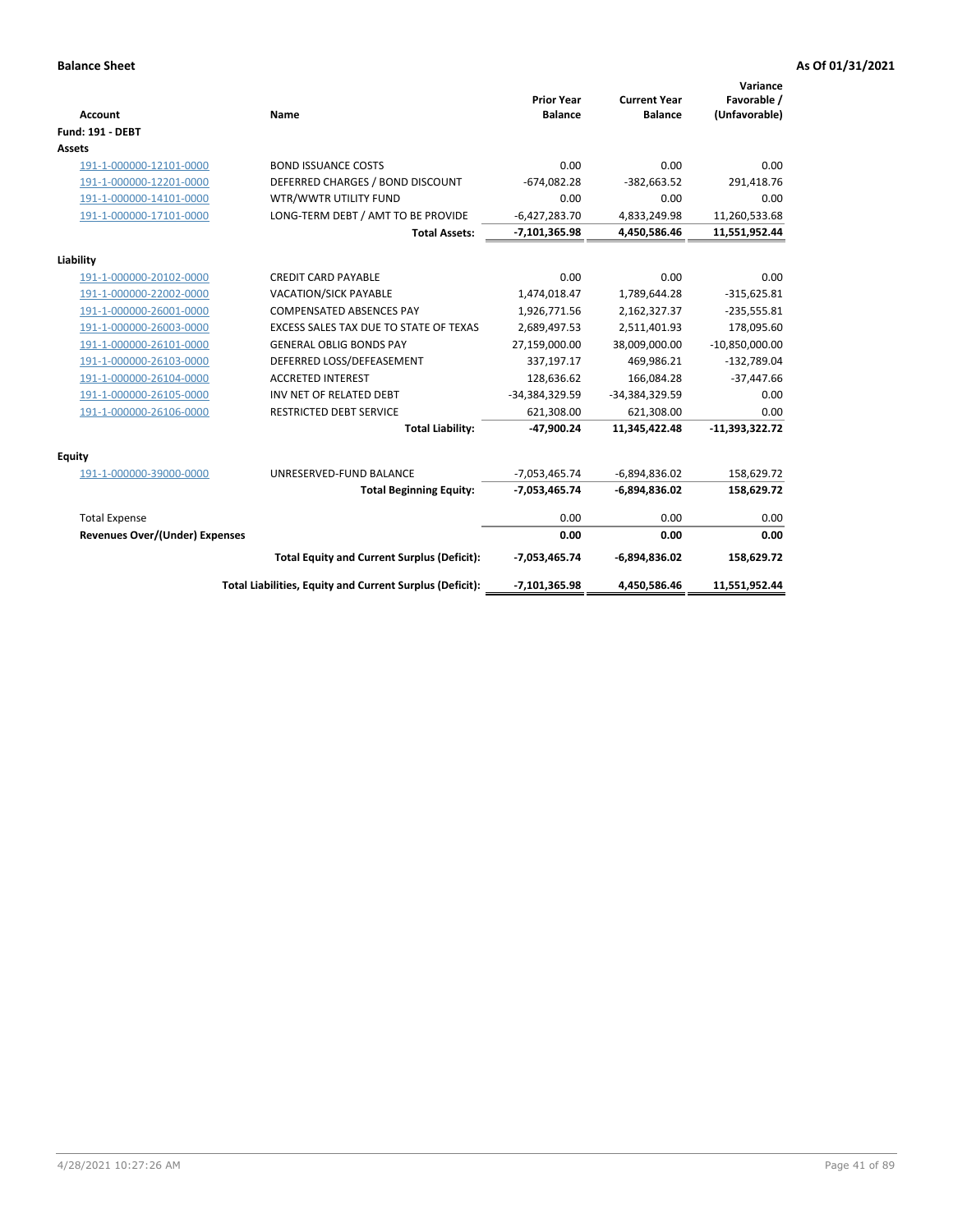| <b>Account</b>                        | Name                                                     | <b>Prior Year</b><br><b>Balance</b> | <b>Current Year</b><br><b>Balance</b> | Variance<br>Favorable /<br>(Unfavorable) |
|---------------------------------------|----------------------------------------------------------|-------------------------------------|---------------------------------------|------------------------------------------|
| Fund: 191 - DEBT                      |                                                          |                                     |                                       |                                          |
| Assets                                |                                                          |                                     |                                       |                                          |
| 191-1-000000-12101-0000               | <b>BOND ISSUANCE COSTS</b>                               | 0.00                                | 0.00                                  | 0.00                                     |
| 191-1-000000-12201-0000               | DEFERRED CHARGES / BOND DISCOUNT                         | $-674,082.28$                       | $-382,663.52$                         | 291,418.76                               |
| 191-1-000000-14101-0000               | WTR/WWTR UTILITY FUND                                    | 0.00                                | 0.00                                  | 0.00                                     |
| 191-1-000000-17101-0000               | LONG-TERM DEBT / AMT TO BE PROVIDE                       | $-6,427,283.70$                     | 4,833,249.98                          | 11,260,533.68                            |
|                                       | <b>Total Assets:</b>                                     | $-7,101,365.98$                     | 4,450,586.46                          | 11,551,952.44                            |
| Liability                             |                                                          |                                     |                                       |                                          |
| 191-1-000000-20102-0000               | <b>CREDIT CARD PAYABLE</b>                               | 0.00                                | 0.00                                  | 0.00                                     |
| 191-1-000000-22002-0000               | <b>VACATION/SICK PAYABLE</b>                             | 1,474,018.47                        | 1,789,644.28                          | $-315,625.81$                            |
| 191-1-000000-26001-0000               | <b>COMPENSATED ABSENCES PAY</b>                          | 1,926,771.56                        | 2,162,327.37                          | $-235,555.81$                            |
| 191-1-000000-26003-0000               | EXCESS SALES TAX DUE TO STATE OF TEXAS                   | 2,689,497.53                        | 2,511,401.93                          | 178,095.60                               |
| 191-1-000000-26101-0000               | <b>GENERAL OBLIG BONDS PAY</b>                           | 27,159,000.00                       | 38,009,000.00                         | $-10,850,000.00$                         |
| 191-1-000000-26103-0000               | DEFERRED LOSS/DEFEASEMENT                                | 337,197.17                          | 469,986.21                            | $-132,789.04$                            |
| 191-1-000000-26104-0000               | <b>ACCRETED INTEREST</b>                                 | 128,636.62                          | 166,084.28                            | $-37,447.66$                             |
| 191-1-000000-26105-0000               | INV NET OF RELATED DEBT                                  | -34,384,329.59                      | -34,384,329.59                        | 0.00                                     |
| 191-1-000000-26106-0000               | RESTRICTED DEBT SERVICE                                  | 621,308.00                          | 621,308.00                            | 0.00                                     |
|                                       | <b>Total Liability:</b>                                  | $-47,900.24$                        | 11,345,422.48                         | $-11,393,322.72$                         |
| Equity                                |                                                          |                                     |                                       |                                          |
| 191-1-000000-39000-0000               | UNRESERVED-FUND BALANCE                                  | $-7,053,465.74$                     | $-6,894,836.02$                       | 158,629.72                               |
|                                       | <b>Total Beginning Equity:</b>                           | $-7,053,465.74$                     | $-6,894,836.02$                       | 158,629.72                               |
| <b>Total Expense</b>                  |                                                          | 0.00                                | 0.00                                  | 0.00                                     |
| <b>Revenues Over/(Under) Expenses</b> |                                                          | 0.00                                | 0.00                                  | 0.00                                     |
|                                       | <b>Total Equity and Current Surplus (Deficit):</b>       | $-7,053,465.74$                     | $-6,894,836.02$                       | 158,629.72                               |
|                                       | Total Liabilities, Equity and Current Surplus (Deficit): | $-7,101,365.98$                     | 4,450,586.46                          | 11,551,952.44                            |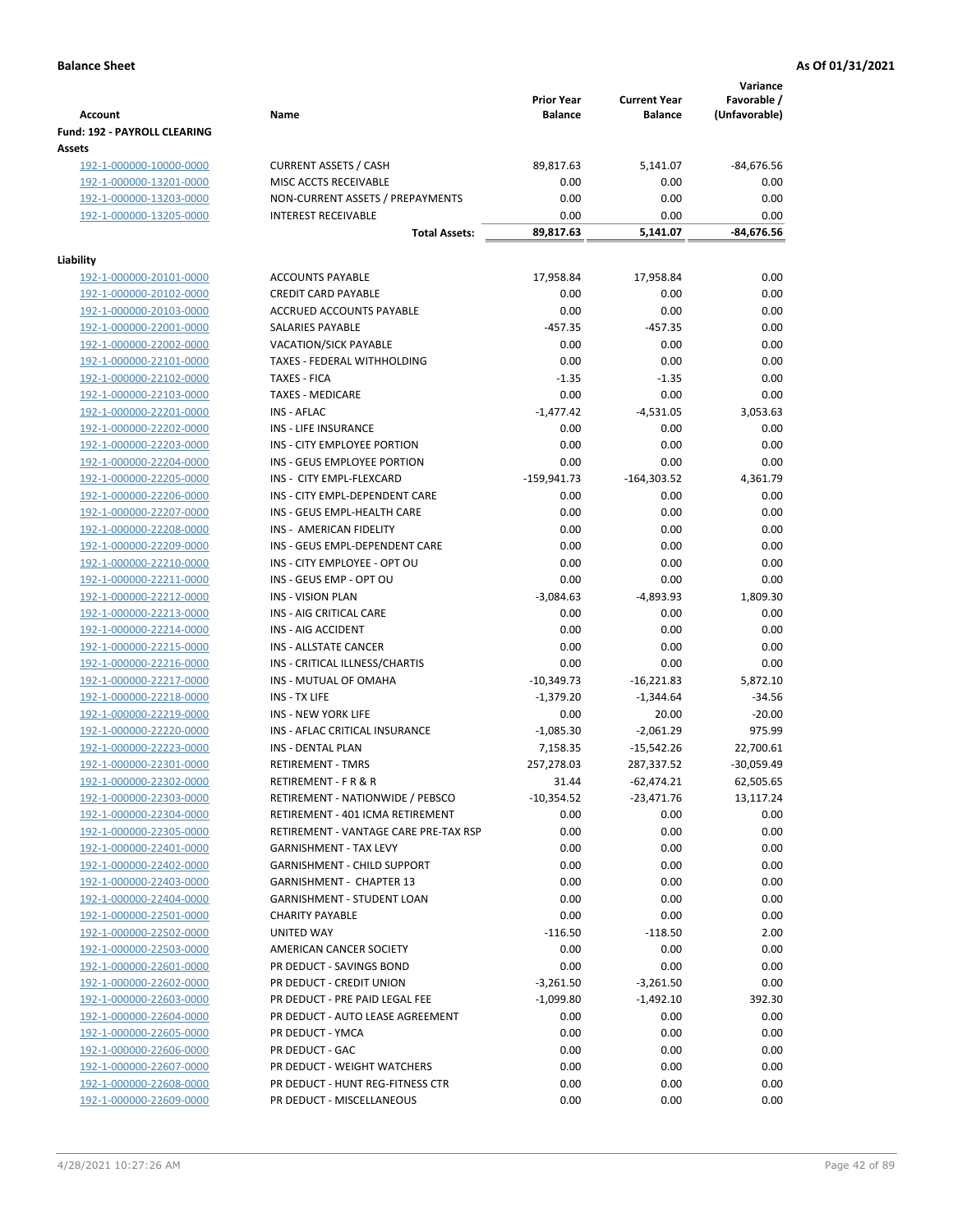|                                                    |                                                                    | <b>Prior Year</b> | <b>Current Year</b> | Variance<br>Favorable / |
|----------------------------------------------------|--------------------------------------------------------------------|-------------------|---------------------|-------------------------|
| <b>Account</b>                                     | Name                                                               | <b>Balance</b>    | <b>Balance</b>      | (Unfavorable)           |
| Fund: 192 - PAYROLL CLEARING                       |                                                                    |                   |                     |                         |
| Assets                                             |                                                                    |                   |                     |                         |
| 192-1-000000-10000-0000                            | <b>CURRENT ASSETS / CASH</b>                                       | 89,817.63         | 5,141.07            | $-84,676.56$            |
| 192-1-000000-13201-0000                            | MISC ACCTS RECEIVABLE                                              | 0.00              | 0.00                | 0.00                    |
| 192-1-000000-13203-0000                            | NON-CURRENT ASSETS / PREPAYMENTS                                   | 0.00              | 0.00                | 0.00                    |
| 192-1-000000-13205-0000                            | <b>INTEREST RECEIVABLE</b>                                         | 0.00              | 0.00                | 0.00                    |
|                                                    | <b>Total Assets:</b>                                               | 89,817.63         | 5,141.07            | -84,676.56              |
| Liability                                          |                                                                    |                   |                     |                         |
| 192-1-000000-20101-0000                            | <b>ACCOUNTS PAYABLE</b>                                            | 17,958.84         | 17,958.84           | 0.00                    |
| 192-1-000000-20102-0000                            | <b>CREDIT CARD PAYABLE</b>                                         | 0.00              | 0.00                | 0.00                    |
| 192-1-000000-20103-0000                            | ACCRUED ACCOUNTS PAYABLE                                           | 0.00              | 0.00                | 0.00                    |
| 192-1-000000-22001-0000                            | SALARIES PAYABLE                                                   | $-457.35$         | $-457.35$           | 0.00                    |
| 192-1-000000-22002-0000                            | <b>VACATION/SICK PAYABLE</b>                                       | 0.00              | 0.00                | 0.00                    |
| 192-1-000000-22101-0000                            | TAXES - FEDERAL WITHHOLDING                                        | 0.00              | 0.00                | 0.00                    |
| 192-1-000000-22102-0000                            | <b>TAXES - FICA</b>                                                | $-1.35$           | $-1.35$             | 0.00                    |
| 192-1-000000-22103-0000                            | <b>TAXES - MEDICARE</b>                                            | 0.00              | 0.00                | 0.00                    |
| 192-1-000000-22201-0000                            | INS - AFLAC                                                        | $-1,477.42$       | $-4,531.05$         | 3,053.63                |
| 192-1-000000-22202-0000                            | <b>INS - LIFE INSURANCE</b>                                        | 0.00              | 0.00                | 0.00                    |
| 192-1-000000-22203-0000                            | INS - CITY EMPLOYEE PORTION                                        | 0.00              | 0.00                | 0.00                    |
| 192-1-000000-22204-0000                            | INS - GEUS EMPLOYEE PORTION                                        | 0.00              | 0.00                | 0.00                    |
| 192-1-000000-22205-0000                            | INS - CITY EMPL-FLEXCARD                                           | $-159,941.73$     | $-164,303.52$       | 4,361.79                |
| 192-1-000000-22206-0000                            | INS - CITY EMPL-DEPENDENT CARE                                     | 0.00              | 0.00                | 0.00                    |
| 192-1-000000-22207-0000                            | INS - GEUS EMPL-HEALTH CARE                                        | 0.00              | 0.00                | 0.00                    |
| 192-1-000000-22208-0000                            | INS - AMERICAN FIDELITY                                            | 0.00              | 0.00                | 0.00                    |
| 192-1-000000-22209-0000                            | INS - GEUS EMPL-DEPENDENT CARE                                     | 0.00              | 0.00                | 0.00                    |
| 192-1-000000-22210-0000                            | INS - CITY EMPLOYEE - OPT OU                                       | 0.00              | 0.00                | 0.00                    |
| 192-1-000000-22211-0000                            | INS - GEUS EMP - OPT OU                                            | 0.00              | 0.00                | 0.00                    |
| 192-1-000000-22212-0000                            | <b>INS - VISION PLAN</b>                                           | $-3,084.63$       | $-4,893.93$         | 1,809.30                |
| 192-1-000000-22213-0000                            | INS - AIG CRITICAL CARE                                            | 0.00              | 0.00                | 0.00                    |
| 192-1-000000-22214-0000                            | INS - AIG ACCIDENT                                                 | 0.00              | 0.00                | 0.00                    |
| 192-1-000000-22215-0000                            | INS - ALLSTATE CANCER                                              | 0.00              | 0.00                | 0.00                    |
| 192-1-000000-22216-0000                            | INS - CRITICAL ILLNESS/CHARTIS                                     | 0.00              | 0.00                | 0.00                    |
| 192-1-000000-22217-0000                            | <b>INS - MUTUAL OF OMAHA</b>                                       | $-10,349.73$      | $-16,221.83$        | 5,872.10                |
| 192-1-000000-22218-0000                            | INS - TX LIFE                                                      | $-1,379.20$       | $-1,344.64$         | $-34.56$                |
| 192-1-000000-22219-0000                            | <b>INS - NEW YORK LIFE</b>                                         | 0.00              | 20.00               | $-20.00$                |
| 192-1-000000-22220-0000                            | INS - AFLAC CRITICAL INSURANCE                                     | $-1,085.30$       | $-2,061.29$         | 975.99                  |
| 192-1-000000-22223-0000                            | INS - DENTAL PLAN                                                  | 7,158.35          | $-15,542.26$        | 22,700.61               |
| 192-1-000000-22301-0000                            | <b>RETIREMENT - TMRS</b>                                           | 257,278.03        | 287,337.52          | $-30,059.49$            |
| 192-1-000000-22302-0000                            | RETIREMENT - F R & R                                               | 31.44             | $-62,474.21$        | 62,505.65               |
| 192-1-000000-22303-0000                            | RETIREMENT - NATIONWIDE / PEBSCO                                   | $-10,354.52$      | $-23,471.76$        | 13,117.24               |
| 192-1-000000-22304-0000                            | RETIREMENT - 401 ICMA RETIREMENT                                   | 0.00              | 0.00                | 0.00                    |
| 192-1-000000-22305-0000                            | RETIREMENT - VANTAGE CARE PRE-TAX RSP                              | 0.00              | 0.00                | 0.00                    |
| 192-1-000000-22401-0000                            | <b>GARNISHMENT - TAX LEVY</b>                                      | 0.00              | 0.00                | 0.00                    |
| 192-1-000000-22402-0000                            | <b>GARNISHMENT - CHILD SUPPORT</b>                                 | 0.00              | 0.00                | 0.00                    |
| 192-1-000000-22403-0000                            | <b>GARNISHMENT - CHAPTER 13</b>                                    | 0.00              | 0.00                | 0.00                    |
| 192-1-000000-22404-0000                            | <b>GARNISHMENT - STUDENT LOAN</b>                                  | 0.00              | 0.00                | 0.00                    |
| 192-1-000000-22501-0000                            | <b>CHARITY PAYABLE</b>                                             | 0.00              | 0.00                | 0.00                    |
| 192-1-000000-22502-0000                            | UNITED WAY                                                         | $-116.50$         | $-118.50$           | 2.00                    |
| 192-1-000000-22503-0000                            | AMERICAN CANCER SOCIETY                                            | 0.00              | 0.00                | 0.00                    |
| 192-1-000000-22601-0000                            | PR DEDUCT - SAVINGS BOND                                           | 0.00              | 0.00                | 0.00                    |
| 192-1-000000-22602-0000                            | PR DEDUCT - CREDIT UNION                                           | $-3,261.50$       | $-3,261.50$         | 0.00                    |
| 192-1-000000-22603-0000                            | PR DEDUCT - PRE PAID LEGAL FEE<br>PR DEDUCT - AUTO LEASE AGREEMENT | $-1,099.80$       | $-1,492.10$         | 392.30                  |
| 192-1-000000-22604-0000                            |                                                                    | 0.00              | 0.00                | 0.00                    |
| 192-1-000000-22605-0000                            | PR DEDUCT - YMCA                                                   | 0.00              | 0.00                | 0.00                    |
| 192-1-000000-22606-0000                            | PR DEDUCT - GAC                                                    | 0.00              | 0.00                | 0.00                    |
| 192-1-000000-22607-0000                            | PR DEDUCT - WEIGHT WATCHERS<br>PR DEDUCT - HUNT REG-FITNESS CTR    | 0.00              | 0.00                | 0.00                    |
| 192-1-000000-22608-0000<br>192-1-000000-22609-0000 | PR DEDUCT - MISCELLANEOUS                                          | 0.00<br>0.00      | 0.00<br>0.00        | 0.00<br>0.00            |
|                                                    |                                                                    |                   |                     |                         |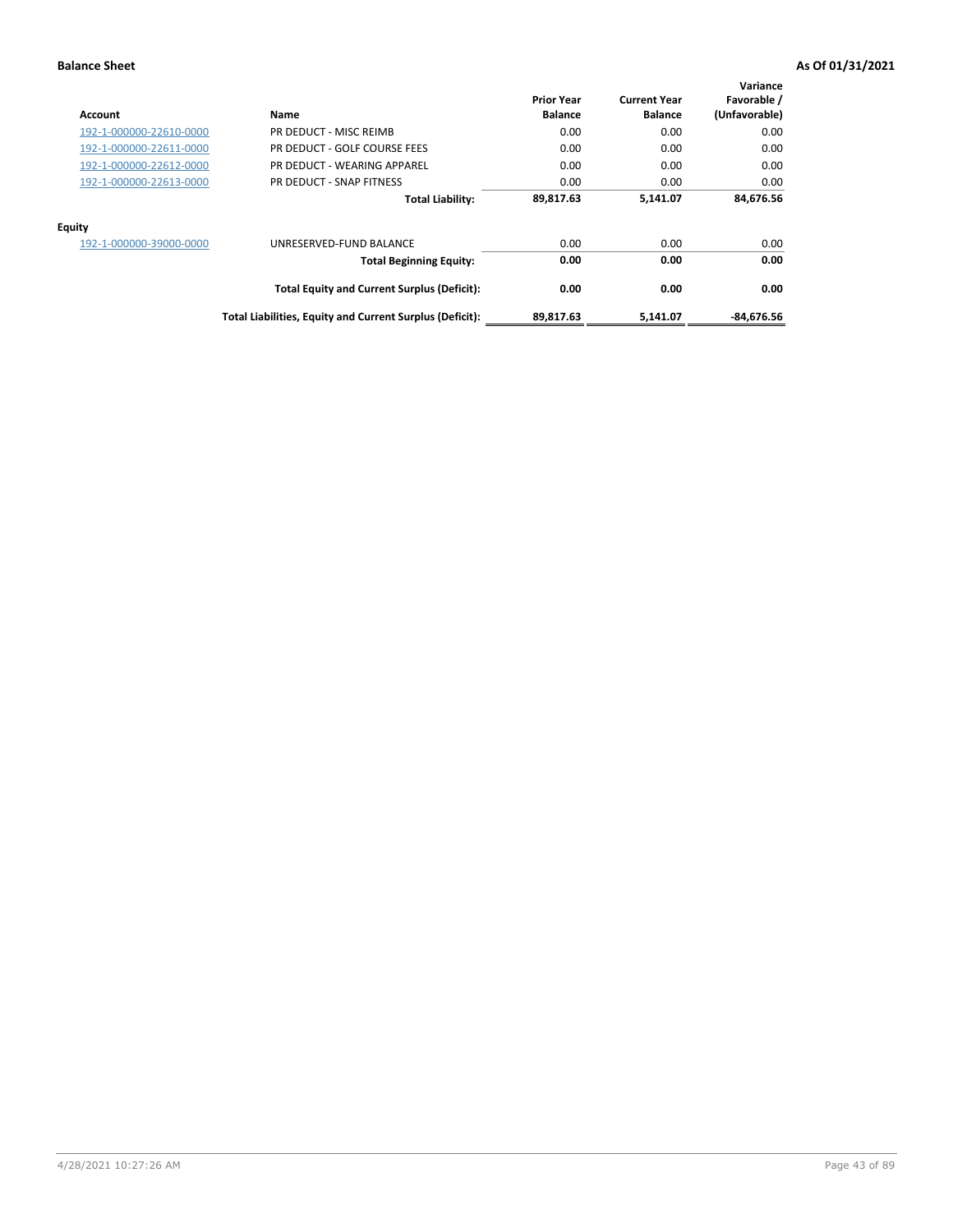| Account                 | Name                                                     | <b>Prior Year</b><br><b>Balance</b> | <b>Current Year</b><br><b>Balance</b> | Variance<br>Favorable /<br>(Unfavorable) |
|-------------------------|----------------------------------------------------------|-------------------------------------|---------------------------------------|------------------------------------------|
| 192-1-000000-22610-0000 | PR DEDUCT - MISC REIMB                                   | 0.00                                | 0.00                                  | 0.00                                     |
| 192-1-000000-22611-0000 | PR DEDUCT - GOLF COURSE FEES                             | 0.00                                | 0.00                                  | 0.00                                     |
| 192-1-000000-22612-0000 | PR DEDUCT - WEARING APPAREL                              | 0.00                                | 0.00                                  | 0.00                                     |
| 192-1-000000-22613-0000 | PR DEDUCT - SNAP FITNESS                                 | 0.00                                | 0.00                                  | 0.00                                     |
|                         | <b>Total Liability:</b>                                  | 89,817.63                           | 5,141.07                              | 84,676.56                                |
| <b>Equity</b>           |                                                          |                                     |                                       |                                          |
| 192-1-000000-39000-0000 | UNRESERVED-FUND BALANCE                                  | 0.00                                | 0.00                                  | 0.00                                     |
|                         | <b>Total Beginning Equity:</b>                           | 0.00                                | 0.00                                  | 0.00                                     |
|                         | <b>Total Equity and Current Surplus (Deficit):</b>       | 0.00                                | 0.00                                  | 0.00                                     |
|                         | Total Liabilities, Equity and Current Surplus (Deficit): | 89,817.63                           | 5.141.07                              | $-84.676.56$                             |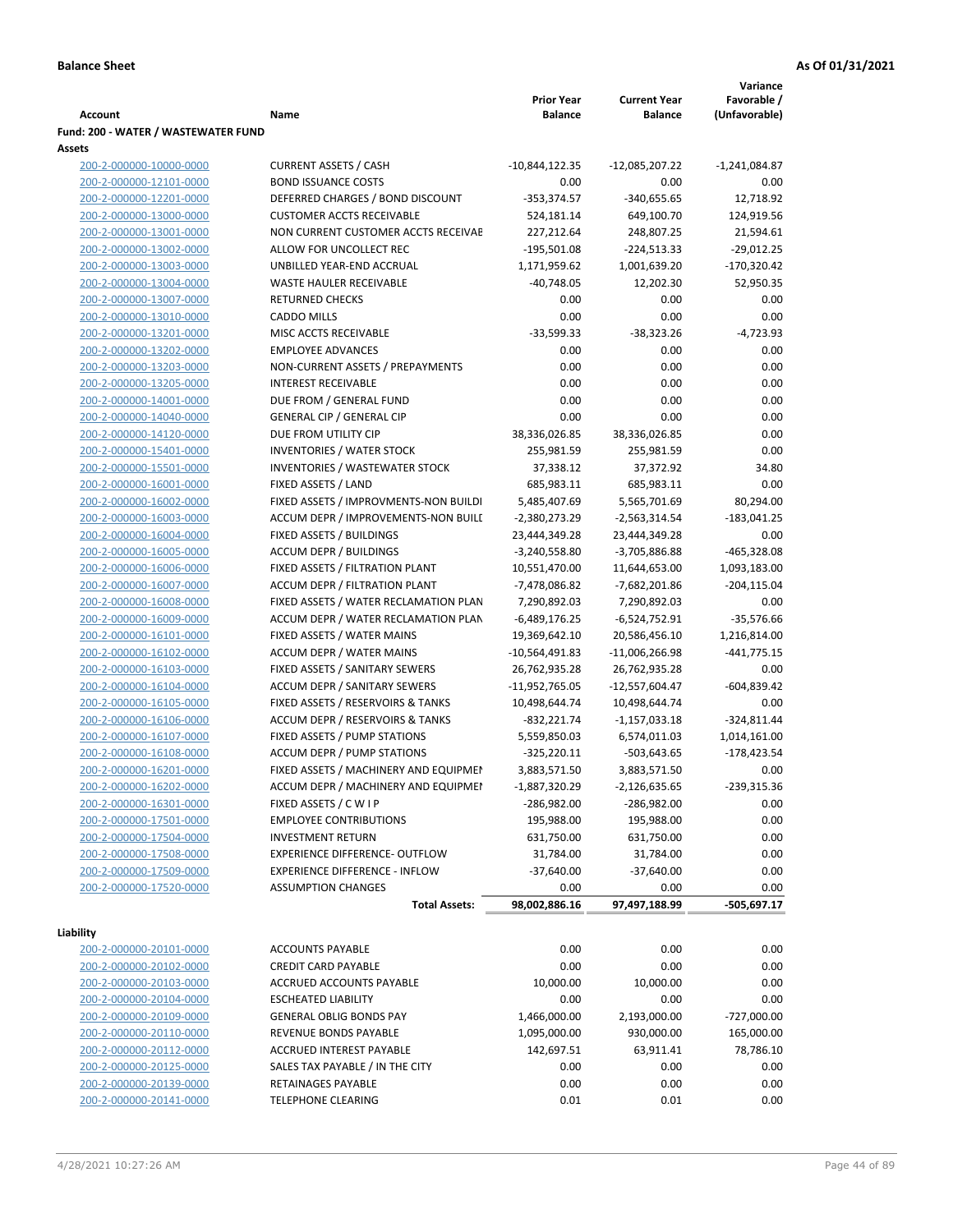**Variance**

|                                                    |                                                        | <b>Prior Year</b> | <b>Current Year</b> | Favorable /     |
|----------------------------------------------------|--------------------------------------------------------|-------------------|---------------------|-----------------|
| Account                                            | Name                                                   | <b>Balance</b>    | <b>Balance</b>      | (Unfavorable)   |
| Fund: 200 - WATER / WASTEWATER FUND                |                                                        |                   |                     |                 |
| Assets                                             |                                                        |                   |                     |                 |
| 200-2-000000-10000-0000                            | <b>CURRENT ASSETS / CASH</b>                           | $-10,844,122.35$  | -12,085,207.22      | $-1,241,084.87$ |
| 200-2-000000-12101-0000                            | <b>BOND ISSUANCE COSTS</b>                             | 0.00              | 0.00                | 0.00            |
| 200-2-000000-12201-0000                            | DEFERRED CHARGES / BOND DISCOUNT                       | $-353,374.57$     | $-340,655.65$       | 12,718.92       |
| 200-2-000000-13000-0000                            | <b>CUSTOMER ACCTS RECEIVABLE</b>                       | 524,181.14        | 649,100.70          | 124,919.56      |
| 200-2-000000-13001-0000                            | NON CURRENT CUSTOMER ACCTS RECEIVAE                    | 227,212.64        | 248,807.25          | 21,594.61       |
| 200-2-000000-13002-0000                            | ALLOW FOR UNCOLLECT REC                                | $-195,501.08$     | $-224,513.33$       | $-29,012.25$    |
| 200-2-000000-13003-0000                            | UNBILLED YEAR-END ACCRUAL                              | 1,171,959.62      | 1,001,639.20        | $-170,320.42$   |
| 200-2-000000-13004-0000                            | WASTE HAULER RECEIVABLE                                | $-40,748.05$      | 12,202.30           | 52,950.35       |
| 200-2-000000-13007-0000                            | <b>RETURNED CHECKS</b>                                 | 0.00              | 0.00                | 0.00            |
| 200-2-000000-13010-0000                            | <b>CADDO MILLS</b>                                     | 0.00              | 0.00                | 0.00            |
| 200-2-000000-13201-0000                            | MISC ACCTS RECEIVABLE                                  | $-33,599.33$      | $-38,323.26$        | $-4,723.93$     |
| 200-2-000000-13202-0000                            | <b>EMPLOYEE ADVANCES</b>                               | 0.00              | 0.00                | 0.00            |
| 200-2-000000-13203-0000                            | NON-CURRENT ASSETS / PREPAYMENTS                       | 0.00              | 0.00                | 0.00            |
| 200-2-000000-13205-0000                            | <b>INTEREST RECEIVABLE</b>                             | 0.00              | 0.00                | 0.00            |
| 200-2-000000-14001-0000                            | DUE FROM / GENERAL FUND                                | 0.00              | 0.00                | 0.00            |
| 200-2-000000-14040-0000                            | <b>GENERAL CIP / GENERAL CIP</b>                       | 0.00              | 0.00                | 0.00            |
| 200-2-000000-14120-0000                            | DUE FROM UTILITY CIP                                   | 38,336,026.85     | 38,336,026.85       | 0.00            |
| 200-2-000000-15401-0000                            | <b>INVENTORIES / WATER STOCK</b>                       | 255,981.59        | 255,981.59          | 0.00            |
| 200-2-000000-15501-0000                            | INVENTORIES / WASTEWATER STOCK                         | 37,338.12         | 37,372.92           | 34.80           |
| 200-2-000000-16001-0000                            | FIXED ASSETS / LAND                                    | 685,983.11        | 685,983.11          | 0.00            |
| 200-2-000000-16002-0000                            | FIXED ASSETS / IMPROVMENTS-NON BUILDI                  | 5,485,407.69      | 5,565,701.69        | 80,294.00       |
| 200-2-000000-16003-0000                            | ACCUM DEPR / IMPROVEMENTS-NON BUILL                    | $-2,380,273.29$   | -2,563,314.54       | $-183,041.25$   |
| 200-2-000000-16004-0000                            | FIXED ASSETS / BUILDINGS                               | 23,444,349.28     | 23,444,349.28       | 0.00            |
| 200-2-000000-16005-0000                            | <b>ACCUM DEPR / BUILDINGS</b>                          | $-3,240,558.80$   | $-3,705,886.88$     | $-465,328.08$   |
| 200-2-000000-16006-0000                            | FIXED ASSETS / FILTRATION PLANT                        | 10,551,470.00     | 11,644,653.00       | 1,093,183.00    |
| 200-2-000000-16007-0000                            | ACCUM DEPR / FILTRATION PLANT                          | -7,478,086.82     | -7,682,201.86       | $-204, 115.04$  |
| 200-2-000000-16008-0000                            | FIXED ASSETS / WATER RECLAMATION PLAN                  | 7,290,892.03      | 7,290,892.03        | 0.00            |
| 200-2-000000-16009-0000                            | ACCUM DEPR / WATER RECLAMATION PLAN                    | $-6,489,176.25$   | $-6,524,752.91$     | $-35,576.66$    |
| 200-2-000000-16101-0000                            | FIXED ASSETS / WATER MAINS                             | 19,369,642.10     | 20,586,456.10       | 1,216,814.00    |
| 200-2-000000-16102-0000                            | <b>ACCUM DEPR / WATER MAINS</b>                        | $-10,564,491.83$  | $-11,006,266.98$    | $-441,775.15$   |
| 200-2-000000-16103-0000                            | FIXED ASSETS / SANITARY SEWERS                         | 26,762,935.28     | 26,762,935.28       | 0.00            |
| 200-2-000000-16104-0000                            | ACCUM DEPR / SANITARY SEWERS                           | $-11,952,765.05$  | -12,557,604.47      | $-604,839.42$   |
| 200-2-000000-16105-0000                            | FIXED ASSETS / RESERVOIRS & TANKS                      | 10,498,644.74     | 10,498,644.74       | 0.00            |
| 200-2-000000-16106-0000                            | ACCUM DEPR / RESERVOIRS & TANKS                        | $-832,221.74$     | $-1,157,033.18$     | $-324,811.44$   |
| 200-2-000000-16107-0000                            | FIXED ASSETS / PUMP STATIONS                           | 5,559,850.03      | 6,574,011.03        | 1,014,161.00    |
| 200-2-000000-16108-0000                            | <b>ACCUM DEPR / PUMP STATIONS</b>                      | $-325,220.11$     | -503,643.65         | $-178,423.54$   |
| 200-2-000000-16201-0000                            | FIXED ASSETS / MACHINERY AND EQUIPMEN                  | 3,883,571.50      | 3,883,571.50        | 0.00            |
| 200-2-000000-16202-0000                            | ACCUM DEPR / MACHINERY AND EQUIPMEI                    | $-1,887,320.29$   | $-2,126,635.65$     | -239,315.36     |
| 200-2-000000-16301-0000                            | FIXED ASSETS / C W I P                                 | -286,982.00       | -286,982.00         | 0.00            |
| 200-2-000000-17501-0000                            | <b>EMPLOYEE CONTRIBUTIONS</b>                          | 195,988.00        | 195,988.00          | 0.00            |
| 200-2-000000-17504-0000                            | <b>INVESTMENT RETURN</b>                               | 631,750.00        | 631,750.00          | 0.00            |
| 200-2-000000-17508-0000                            | <b>EXPERIENCE DIFFERENCE- OUTFLOW</b>                  | 31,784.00         | 31,784.00           | 0.00            |
| 200-2-000000-17509-0000                            | <b>EXPERIENCE DIFFERENCE - INFLOW</b>                  | $-37,640.00$      | $-37,640.00$        | 0.00            |
| 200-2-000000-17520-0000                            | <b>ASSUMPTION CHANGES</b>                              | 0.00              | 0.00                | 0.00            |
|                                                    | <b>Total Assets:</b>                                   | 98,002,886.16     | 97,497,188.99       | $-505,697.17$   |
| Liability                                          |                                                        |                   |                     |                 |
|                                                    | <b>ACCOUNTS PAYABLE</b>                                | 0.00              |                     |                 |
| 200-2-000000-20101-0000<br>200-2-000000-20102-0000 |                                                        | 0.00              | 0.00                | 0.00            |
|                                                    | <b>CREDIT CARD PAYABLE</b><br>ACCRUED ACCOUNTS PAYABLE | 10,000.00         | 0.00                | 0.00            |
| 200-2-000000-20103-0000                            |                                                        |                   | 10,000.00           | 0.00            |
| 200-2-000000-20104-0000                            | <b>ESCHEATED LIABILITY</b>                             | 0.00              | 0.00                | 0.00            |
| 200-2-000000-20109-0000                            | <b>GENERAL OBLIG BONDS PAY</b>                         | 1,466,000.00      | 2,193,000.00        | $-727,000.00$   |
| 200-2-000000-20110-0000                            | REVENUE BONDS PAYABLE                                  | 1,095,000.00      | 930,000.00          | 165,000.00      |
| 200-2-000000-20112-0000                            | ACCRUED INTEREST PAYABLE                               | 142,697.51        | 63,911.41           | 78,786.10       |
| 200-2-000000-20125-0000                            | SALES TAX PAYABLE / IN THE CITY                        | 0.00              | 0.00                | 0.00            |
| 200-2-000000-20139-0000                            | RETAINAGES PAYABLE                                     | 0.00              | 0.00                | 0.00            |
| 200-2-000000-20141-0000                            | <b>TELEPHONE CLEARING</b>                              | 0.01              | 0.01                | 0.00            |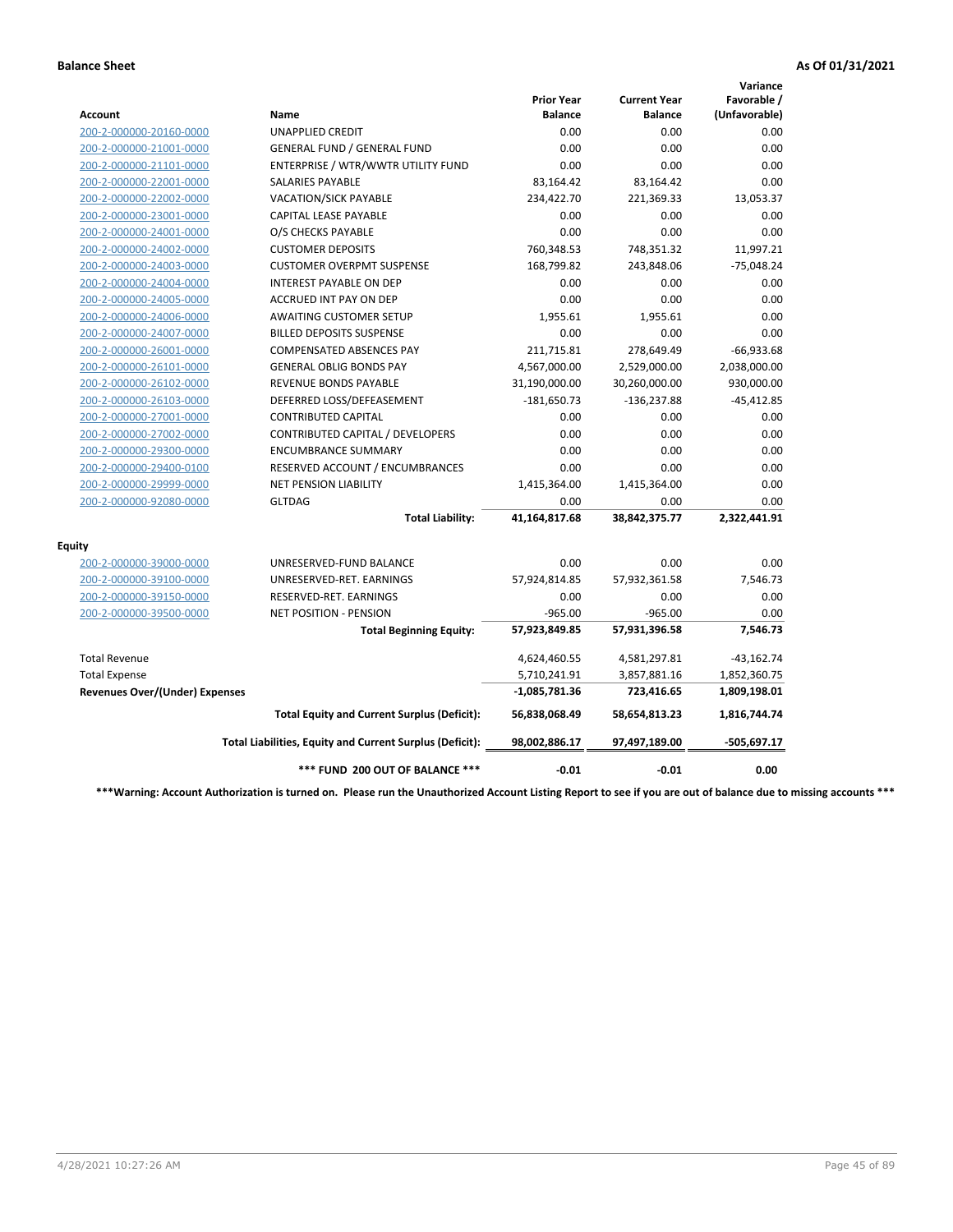|                                       |                                                          |                                     |                                       | Variance                     |
|---------------------------------------|----------------------------------------------------------|-------------------------------------|---------------------------------------|------------------------------|
| Account                               | Name                                                     | <b>Prior Year</b><br><b>Balance</b> | <b>Current Year</b><br><b>Balance</b> | Favorable /<br>(Unfavorable) |
| 200-2-000000-20160-0000               | <b>UNAPPLIED CREDIT</b>                                  | 0.00                                | 0.00                                  | 0.00                         |
| 200-2-000000-21001-0000               | <b>GENERAL FUND / GENERAL FUND</b>                       | 0.00                                | 0.00                                  | 0.00                         |
| 200-2-000000-21101-0000               | ENTERPRISE / WTR/WWTR UTILITY FUND                       | 0.00                                | 0.00                                  | 0.00                         |
| 200-2-000000-22001-0000               | <b>SALARIES PAYABLE</b>                                  | 83,164.42                           | 83,164.42                             | 0.00                         |
| 200-2-000000-22002-0000               | <b>VACATION/SICK PAYABLE</b>                             | 234,422.70                          | 221,369.33                            | 13,053.37                    |
| 200-2-000000-23001-0000               | CAPITAL LEASE PAYABLE                                    | 0.00                                | 0.00                                  | 0.00                         |
| 200-2-000000-24001-0000               | O/S CHECKS PAYABLE                                       | 0.00                                | 0.00                                  | 0.00                         |
| 200-2-000000-24002-0000               | <b>CUSTOMER DEPOSITS</b>                                 | 760,348.53                          | 748,351.32                            | 11,997.21                    |
| 200-2-000000-24003-0000               | <b>CUSTOMER OVERPMT SUSPENSE</b>                         | 168,799.82                          | 243,848.06                            | $-75,048.24$                 |
| 200-2-000000-24004-0000               | <b>INTEREST PAYABLE ON DEP</b>                           | 0.00                                | 0.00                                  | 0.00                         |
| 200-2-000000-24005-0000               | <b>ACCRUED INT PAY ON DEP</b>                            | 0.00                                | 0.00                                  | 0.00                         |
| 200-2-000000-24006-0000               | <b>AWAITING CUSTOMER SETUP</b>                           | 1,955.61                            | 1,955.61                              | 0.00                         |
| 200-2-000000-24007-0000               | <b>BILLED DEPOSITS SUSPENSE</b>                          | 0.00                                | 0.00                                  | 0.00                         |
| 200-2-000000-26001-0000               | <b>COMPENSATED ABSENCES PAY</b>                          | 211,715.81                          | 278,649.49                            | $-66,933.68$                 |
| 200-2-000000-26101-0000               | <b>GENERAL OBLIG BONDS PAY</b>                           | 4,567,000.00                        | 2,529,000.00                          | 2,038,000.00                 |
| 200-2-000000-26102-0000               | <b>REVENUE BONDS PAYABLE</b>                             | 31,190,000.00                       | 30,260,000.00                         | 930,000.00                   |
| 200-2-000000-26103-0000               | DEFERRED LOSS/DEFEASEMENT                                | $-181,650.73$                       | $-136,237.88$                         | $-45,412.85$                 |
| 200-2-000000-27001-0000               | <b>CONTRIBUTED CAPITAL</b>                               | 0.00                                | 0.00                                  | 0.00                         |
| 200-2-000000-27002-0000               | CONTRIBUTED CAPITAL / DEVELOPERS                         | 0.00                                | 0.00                                  | 0.00                         |
| 200-2-000000-29300-0000               | <b>ENCUMBRANCE SUMMARY</b>                               | 0.00                                | 0.00                                  | 0.00                         |
| 200-2-000000-29400-0100               | RESERVED ACCOUNT / ENCUMBRANCES                          | 0.00                                | 0.00                                  | 0.00                         |
| 200-2-000000-29999-0000               | <b>NET PENSION LIABILITY</b>                             | 1,415,364.00                        | 1,415,364.00                          | 0.00                         |
| 200-2-000000-92080-0000               | <b>GLTDAG</b>                                            | 0.00                                | 0.00                                  | 0.00                         |
|                                       | <b>Total Liability:</b>                                  | 41,164,817.68                       | 38,842,375.77                         | 2,322,441.91                 |
| <b>Equity</b>                         |                                                          |                                     |                                       |                              |
| 200-2-000000-39000-0000               | UNRESERVED-FUND BALANCE                                  | 0.00                                | 0.00                                  | 0.00                         |
| 200-2-000000-39100-0000               | UNRESERVED-RET. EARNINGS                                 | 57,924,814.85                       | 57,932,361.58                         | 7,546.73                     |
| 200-2-000000-39150-0000               | RESERVED-RET. EARNINGS                                   | 0.00                                | 0.00                                  | 0.00                         |
| 200-2-000000-39500-0000               | NET POSITION - PENSION                                   | $-965.00$                           | $-965.00$                             | 0.00                         |
|                                       | <b>Total Beginning Equity:</b>                           | 57,923,849.85                       | 57,931,396.58                         | 7,546.73                     |
| <b>Total Revenue</b>                  |                                                          | 4,624,460.55                        | 4,581,297.81                          | $-43,162.74$                 |
| <b>Total Expense</b>                  |                                                          | 5,710,241.91                        | 3,857,881.16                          | 1,852,360.75                 |
| <b>Revenues Over/(Under) Expenses</b> |                                                          | $-1,085,781.36$                     | 723,416.65                            | 1,809,198.01                 |
|                                       | <b>Total Equity and Current Surplus (Deficit):</b>       | 56,838,068.49                       | 58,654,813.23                         | 1,816,744.74                 |
|                                       | Total Liabilities, Equity and Current Surplus (Deficit): | 98,002,886.17                       | 97,497,189.00                         | $-505,697.17$                |
|                                       | *** FUND 200 OUT OF BALANCE ***                          | $-0.01$                             | $-0.01$                               | 0.00                         |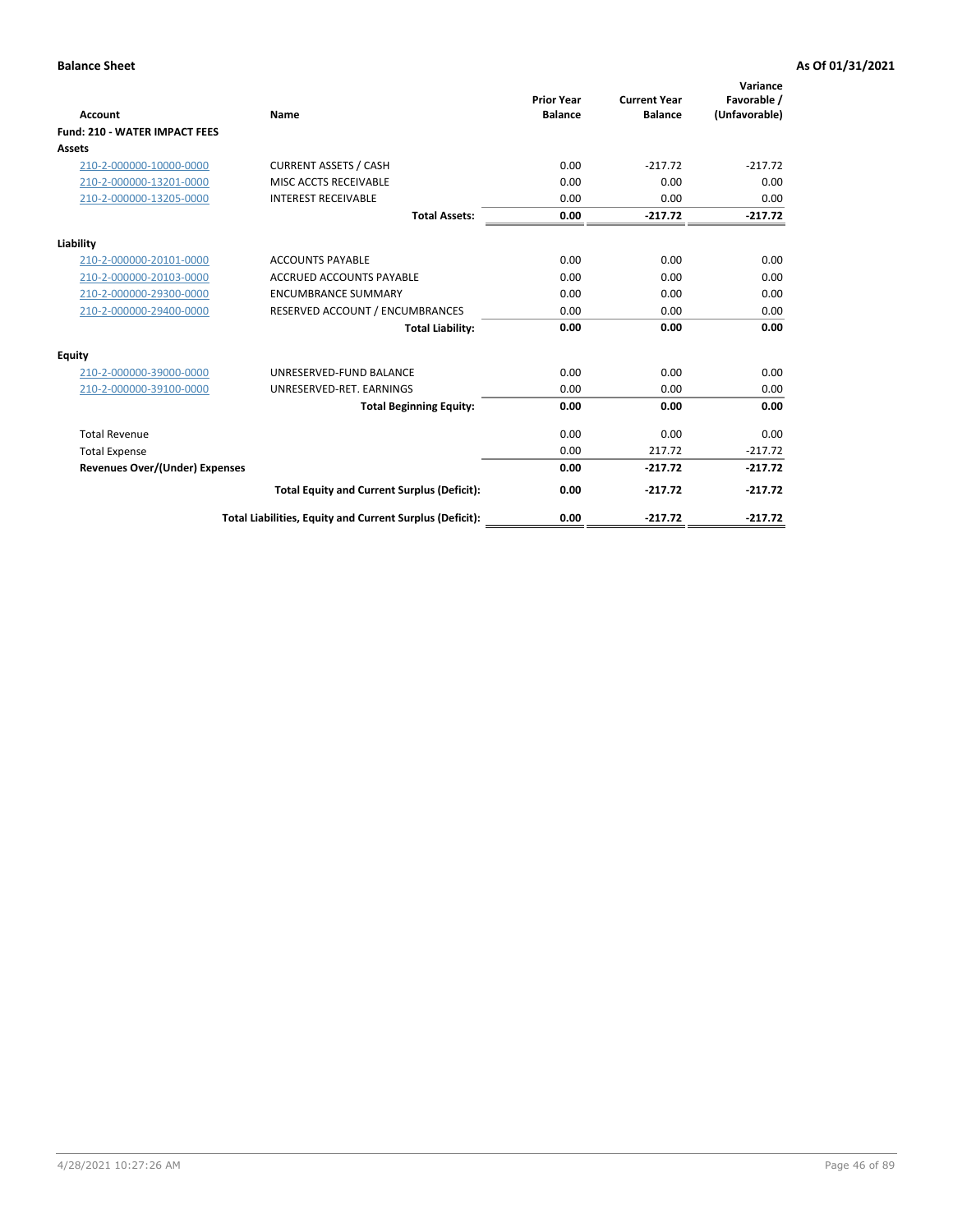| Account                               | Name                                                     | <b>Prior Year</b><br><b>Balance</b> | <b>Current Year</b><br><b>Balance</b> | Variance<br>Favorable /<br>(Unfavorable) |
|---------------------------------------|----------------------------------------------------------|-------------------------------------|---------------------------------------|------------------------------------------|
| <b>Fund: 210 - WATER IMPACT FEES</b>  |                                                          |                                     |                                       |                                          |
| <b>Assets</b>                         |                                                          |                                     |                                       |                                          |
| 210-2-000000-10000-0000               | <b>CURRENT ASSETS / CASH</b>                             | 0.00                                | $-217.72$                             | $-217.72$                                |
| 210-2-000000-13201-0000               | MISC ACCTS RECEIVABLE                                    | 0.00                                | 0.00                                  | 0.00                                     |
| 210-2-000000-13205-0000               | <b>INTEREST RECEIVABLE</b>                               | 0.00                                | 0.00                                  | 0.00                                     |
|                                       | <b>Total Assets:</b>                                     | 0.00                                | $-217.72$                             | $-217.72$                                |
| Liability                             |                                                          |                                     |                                       |                                          |
| 210-2-000000-20101-0000               | <b>ACCOUNTS PAYABLE</b>                                  | 0.00                                | 0.00                                  | 0.00                                     |
| 210-2-000000-20103-0000               | <b>ACCRUED ACCOUNTS PAYABLE</b>                          | 0.00                                | 0.00                                  | 0.00                                     |
| 210-2-000000-29300-0000               | <b>ENCUMBRANCE SUMMARY</b>                               | 0.00                                | 0.00                                  | 0.00                                     |
| 210-2-000000-29400-0000               | RESERVED ACCOUNT / ENCUMBRANCES                          | 0.00                                | 0.00                                  | 0.00                                     |
|                                       | <b>Total Liability:</b>                                  | 0.00                                | 0.00                                  | 0.00                                     |
| <b>Equity</b>                         |                                                          |                                     |                                       |                                          |
| 210-2-000000-39000-0000               | UNRESERVED-FUND BALANCE                                  | 0.00                                | 0.00                                  | 0.00                                     |
| 210-2-000000-39100-0000               | UNRESERVED-RET. EARNINGS                                 | 0.00                                | 0.00                                  | 0.00                                     |
|                                       | <b>Total Beginning Equity:</b>                           | 0.00                                | 0.00                                  | 0.00                                     |
| <b>Total Revenue</b>                  |                                                          | 0.00                                | 0.00                                  | 0.00                                     |
| <b>Total Expense</b>                  |                                                          | 0.00                                | 217.72                                | $-217.72$                                |
| <b>Revenues Over/(Under) Expenses</b> |                                                          | 0.00                                | $-217.72$                             | $-217.72$                                |
|                                       | <b>Total Equity and Current Surplus (Deficit):</b>       | 0.00                                | $-217.72$                             | $-217.72$                                |
|                                       | Total Liabilities, Equity and Current Surplus (Deficit): | 0.00                                | $-217.72$                             | $-217.72$                                |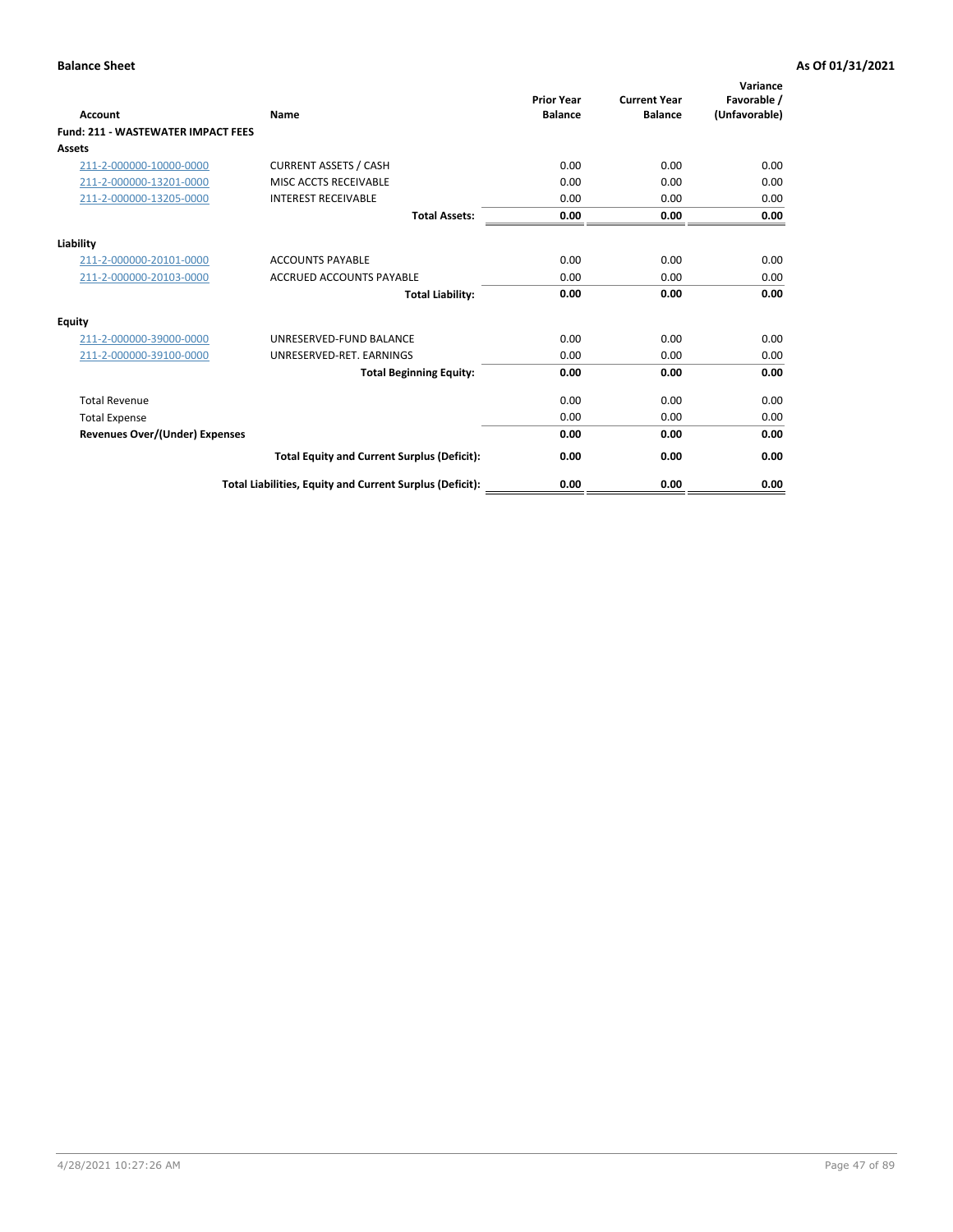| Account                                   | Name                                                     | <b>Prior Year</b><br><b>Balance</b> | <b>Current Year</b><br><b>Balance</b> | Variance<br>Favorable /<br>(Unfavorable) |
|-------------------------------------------|----------------------------------------------------------|-------------------------------------|---------------------------------------|------------------------------------------|
| <b>Fund: 211 - WASTEWATER IMPACT FEES</b> |                                                          |                                     |                                       |                                          |
| <b>Assets</b>                             |                                                          |                                     |                                       |                                          |
| 211-2-000000-10000-0000                   | <b>CURRENT ASSETS / CASH</b>                             | 0.00                                | 0.00                                  | 0.00                                     |
| 211-2-000000-13201-0000                   | MISC ACCTS RECEIVABLE                                    | 0.00                                | 0.00                                  | 0.00                                     |
| 211-2-000000-13205-0000                   | <b>INTEREST RECEIVABLE</b>                               | 0.00                                | 0.00                                  | 0.00                                     |
|                                           | <b>Total Assets:</b>                                     | 0.00                                | 0.00                                  | 0.00                                     |
| Liability                                 |                                                          |                                     |                                       |                                          |
| 211-2-000000-20101-0000                   | <b>ACCOUNTS PAYABLE</b>                                  | 0.00                                | 0.00                                  | 0.00                                     |
| 211-2-000000-20103-0000                   | <b>ACCRUED ACCOUNTS PAYABLE</b>                          | 0.00                                | 0.00                                  | 0.00                                     |
|                                           | <b>Total Liability:</b>                                  | 0.00                                | 0.00                                  | 0.00                                     |
| Equity                                    |                                                          |                                     |                                       |                                          |
| 211-2-000000-39000-0000                   | UNRESERVED-FUND BALANCE                                  | 0.00                                | 0.00                                  | 0.00                                     |
| 211-2-000000-39100-0000                   | UNRESERVED-RET. EARNINGS                                 | 0.00                                | 0.00                                  | 0.00                                     |
|                                           | <b>Total Beginning Equity:</b>                           | 0.00                                | 0.00                                  | 0.00                                     |
| <b>Total Revenue</b>                      |                                                          | 0.00                                | 0.00                                  | 0.00                                     |
| <b>Total Expense</b>                      |                                                          | 0.00                                | 0.00                                  | 0.00                                     |
| <b>Revenues Over/(Under) Expenses</b>     |                                                          | 0.00                                | 0.00                                  | 0.00                                     |
|                                           | <b>Total Equity and Current Surplus (Deficit):</b>       | 0.00                                | 0.00                                  | 0.00                                     |
|                                           | Total Liabilities, Equity and Current Surplus (Deficit): | 0.00                                | 0.00                                  | 0.00                                     |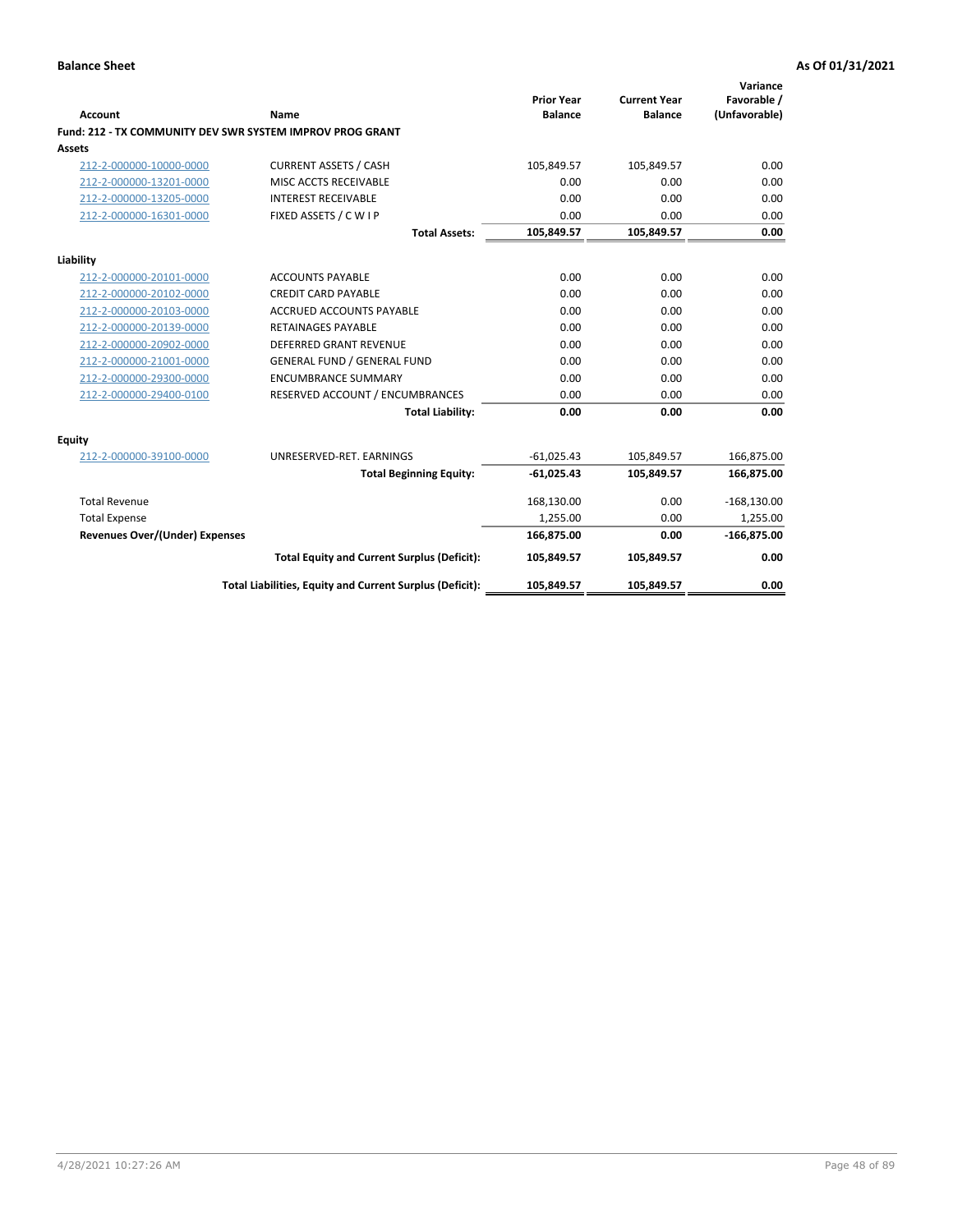|                                       |                                                           |                                     |                                       | Variance                     |
|---------------------------------------|-----------------------------------------------------------|-------------------------------------|---------------------------------------|------------------------------|
| <b>Account</b>                        | <b>Name</b>                                               | <b>Prior Year</b><br><b>Balance</b> | <b>Current Year</b><br><b>Balance</b> | Favorable /<br>(Unfavorable) |
|                                       | Fund: 212 - TX COMMUNITY DEV SWR SYSTEM IMPROV PROG GRANT |                                     |                                       |                              |
| <b>Assets</b>                         |                                                           |                                     |                                       |                              |
| 212-2-000000-10000-0000               | <b>CURRENT ASSETS / CASH</b>                              | 105,849.57                          | 105,849.57                            | 0.00                         |
| 212-2-000000-13201-0000               | MISC ACCTS RECEIVABLE                                     | 0.00                                | 0.00                                  | 0.00                         |
| 212-2-000000-13205-0000               | <b>INTEREST RECEIVABLE</b>                                | 0.00                                | 0.00                                  | 0.00                         |
| 212-2-000000-16301-0000               | FIXED ASSETS / C W I P                                    | 0.00                                | 0.00                                  | 0.00                         |
|                                       | <b>Total Assets:</b>                                      | 105,849.57                          | 105,849.57                            | 0.00                         |
| Liability                             |                                                           |                                     |                                       |                              |
| 212-2-000000-20101-0000               | <b>ACCOUNTS PAYABLE</b>                                   | 0.00                                | 0.00                                  | 0.00                         |
| 212-2-000000-20102-0000               | <b>CREDIT CARD PAYABLE</b>                                | 0.00                                | 0.00                                  | 0.00                         |
| 212-2-000000-20103-0000               | <b>ACCRUED ACCOUNTS PAYABLE</b>                           | 0.00                                | 0.00                                  | 0.00                         |
| 212-2-000000-20139-0000               | <b>RETAINAGES PAYABLE</b>                                 | 0.00                                | 0.00                                  | 0.00                         |
| 212-2-000000-20902-0000               | <b>DEFERRED GRANT REVENUE</b>                             | 0.00                                | 0.00                                  | 0.00                         |
| 212-2-000000-21001-0000               | <b>GENERAL FUND / GENERAL FUND</b>                        | 0.00                                | 0.00                                  | 0.00                         |
| 212-2-000000-29300-0000               | <b>ENCUMBRANCE SUMMARY</b>                                | 0.00                                | 0.00                                  | 0.00                         |
| 212-2-000000-29400-0100               | RESERVED ACCOUNT / ENCUMBRANCES                           | 0.00                                | 0.00                                  | 0.00                         |
|                                       | <b>Total Liability:</b>                                   | 0.00                                | 0.00                                  | 0.00                         |
| Equity                                |                                                           |                                     |                                       |                              |
| 212-2-000000-39100-0000               | UNRESERVED-RET. EARNINGS                                  | $-61.025.43$                        | 105,849.57                            | 166,875.00                   |
|                                       | <b>Total Beginning Equity:</b>                            | $-61,025.43$                        | 105,849.57                            | 166,875.00                   |
| <b>Total Revenue</b>                  |                                                           | 168,130.00                          | 0.00                                  | $-168,130.00$                |
| <b>Total Expense</b>                  |                                                           | 1,255.00                            | 0.00                                  | 1,255.00                     |
| <b>Revenues Over/(Under) Expenses</b> |                                                           | 166,875.00                          | 0.00                                  | $-166,875.00$                |
|                                       | <b>Total Equity and Current Surplus (Deficit):</b>        | 105,849.57                          | 105,849.57                            | 0.00                         |
|                                       | Total Liabilities, Equity and Current Surplus (Deficit):  | 105,849.57                          | 105,849.57                            | 0.00                         |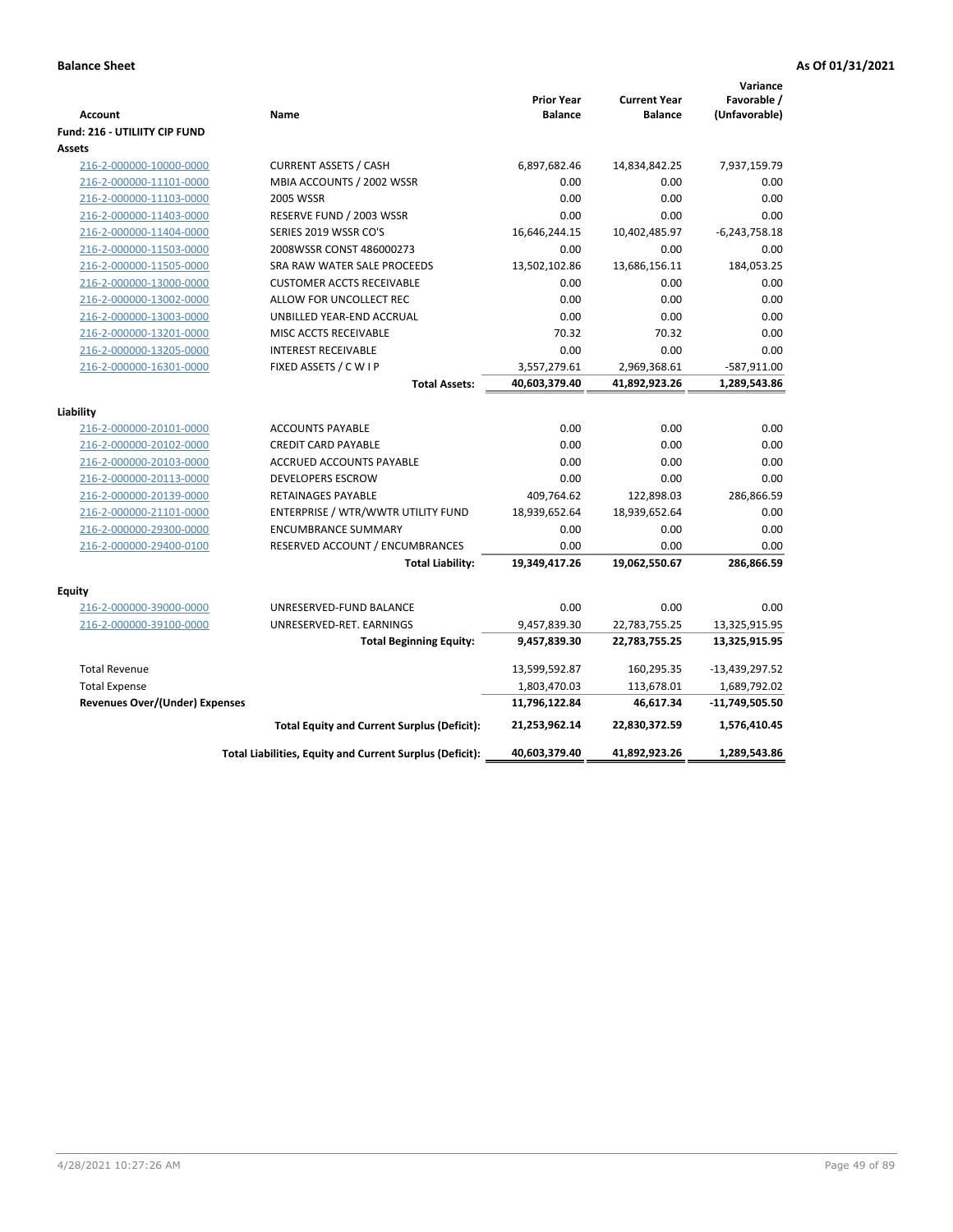|                                                    |                                                          |                                     |                                       | Variance                     |
|----------------------------------------------------|----------------------------------------------------------|-------------------------------------|---------------------------------------|------------------------------|
| <b>Account</b>                                     | Name                                                     | <b>Prior Year</b><br><b>Balance</b> | <b>Current Year</b><br><b>Balance</b> | Favorable /<br>(Unfavorable) |
| Fund: 216 - UTILIITY CIP FUND                      |                                                          |                                     |                                       |                              |
| <b>Assets</b>                                      |                                                          |                                     |                                       |                              |
| 216-2-000000-10000-0000                            | <b>CURRENT ASSETS / CASH</b>                             | 6,897,682.46                        | 14,834,842.25                         | 7,937,159.79                 |
| 216-2-000000-11101-0000                            | MBIA ACCOUNTS / 2002 WSSR                                | 0.00                                | 0.00                                  | 0.00                         |
| 216-2-000000-11103-0000                            | <b>2005 WSSR</b>                                         | 0.00                                | 0.00                                  | 0.00                         |
| 216-2-000000-11403-0000                            | RESERVE FUND / 2003 WSSR                                 | 0.00                                | 0.00                                  | 0.00                         |
| 216-2-000000-11404-0000                            | SERIES 2019 WSSR CO'S                                    | 16,646,244.15                       | 10,402,485.97                         | $-6,243,758.18$              |
| 216-2-000000-11503-0000                            | 2008WSSR CONST 486000273                                 | 0.00                                | 0.00                                  | 0.00                         |
| 216-2-000000-11505-0000                            | SRA RAW WATER SALE PROCEEDS                              | 13,502,102.86                       | 13,686,156.11                         | 184,053.25                   |
| 216-2-000000-13000-0000                            | <b>CUSTOMER ACCTS RECEIVABLE</b>                         | 0.00                                | 0.00                                  | 0.00                         |
| 216-2-000000-13002-0000                            | ALLOW FOR UNCOLLECT REC                                  | 0.00                                | 0.00                                  | 0.00                         |
| 216-2-000000-13003-0000                            | UNBILLED YEAR-END ACCRUAL                                | 0.00                                | 0.00                                  | 0.00                         |
| 216-2-000000-13201-0000                            | MISC ACCTS RECEIVABLE                                    | 70.32                               | 70.32                                 | 0.00                         |
| 216-2-000000-13205-0000                            | <b>INTEREST RECEIVABLE</b>                               | 0.00                                | 0.00                                  | 0.00                         |
| 216-2-000000-16301-0000                            | FIXED ASSETS / C W I P                                   | 3,557,279.61                        | 2,969,368.61                          | -587,911.00                  |
|                                                    | <b>Total Assets:</b>                                     | 40,603,379.40                       | 41,892,923.26                         | 1,289,543.86                 |
|                                                    |                                                          |                                     |                                       |                              |
| Liability                                          |                                                          |                                     |                                       |                              |
| 216-2-000000-20101-0000                            | <b>ACCOUNTS PAYABLE</b>                                  | 0.00                                | 0.00                                  | 0.00                         |
| 216-2-000000-20102-0000                            | <b>CREDIT CARD PAYABLE</b>                               | 0.00                                | 0.00                                  | 0.00                         |
| 216-2-000000-20103-0000                            | ACCRUED ACCOUNTS PAYABLE                                 | 0.00                                | 0.00                                  | 0.00                         |
| 216-2-000000-20113-0000                            | <b>DEVELOPERS ESCROW</b>                                 | 0.00                                | 0.00                                  | 0.00                         |
| 216-2-000000-20139-0000                            | RETAINAGES PAYABLE                                       | 409,764.62                          | 122,898.03                            | 286,866.59                   |
| 216-2-000000-21101-0000                            | ENTERPRISE / WTR/WWTR UTILITY FUND                       | 18,939,652.64                       | 18,939,652.64                         | 0.00                         |
| 216-2-000000-29300-0000                            | <b>ENCUMBRANCE SUMMARY</b>                               | 0.00                                | 0.00                                  | 0.00                         |
| 216-2-000000-29400-0100                            | RESERVED ACCOUNT / ENCUMBRANCES                          | 0.00                                | 0.00                                  | 0.00                         |
|                                                    | <b>Total Liability:</b>                                  | 19,349,417.26                       | 19,062,550.67                         | 286,866.59                   |
|                                                    |                                                          |                                     |                                       |                              |
| <b>Equity</b>                                      | UNRESERVED-FUND BALANCE                                  | 0.00                                | 0.00                                  | 0.00                         |
| 216-2-000000-39000-0000<br>216-2-000000-39100-0000 | UNRESERVED-RET. EARNINGS                                 | 9,457,839.30                        | 22,783,755.25                         | 13,325,915.95                |
|                                                    | <b>Total Beginning Equity:</b>                           | 9,457,839.30                        | 22,783,755.25                         | 13,325,915.95                |
|                                                    |                                                          |                                     |                                       |                              |
| <b>Total Revenue</b>                               |                                                          | 13,599,592.87                       | 160,295.35                            | -13,439,297.52               |
| <b>Total Expense</b>                               |                                                          | 1,803,470.03                        | 113,678.01                            | 1,689,792.02                 |
| <b>Revenues Over/(Under) Expenses</b>              |                                                          | 11,796,122.84                       | 46,617.34                             | -11,749,505.50               |
|                                                    | <b>Total Equity and Current Surplus (Deficit):</b>       | 21,253,962.14                       | 22,830,372.59                         | 1,576,410.45                 |
|                                                    | Total Liabilities, Equity and Current Surplus (Deficit): | 40,603,379.40                       | 41,892,923.26                         | 1,289,543.86                 |
|                                                    |                                                          |                                     |                                       |                              |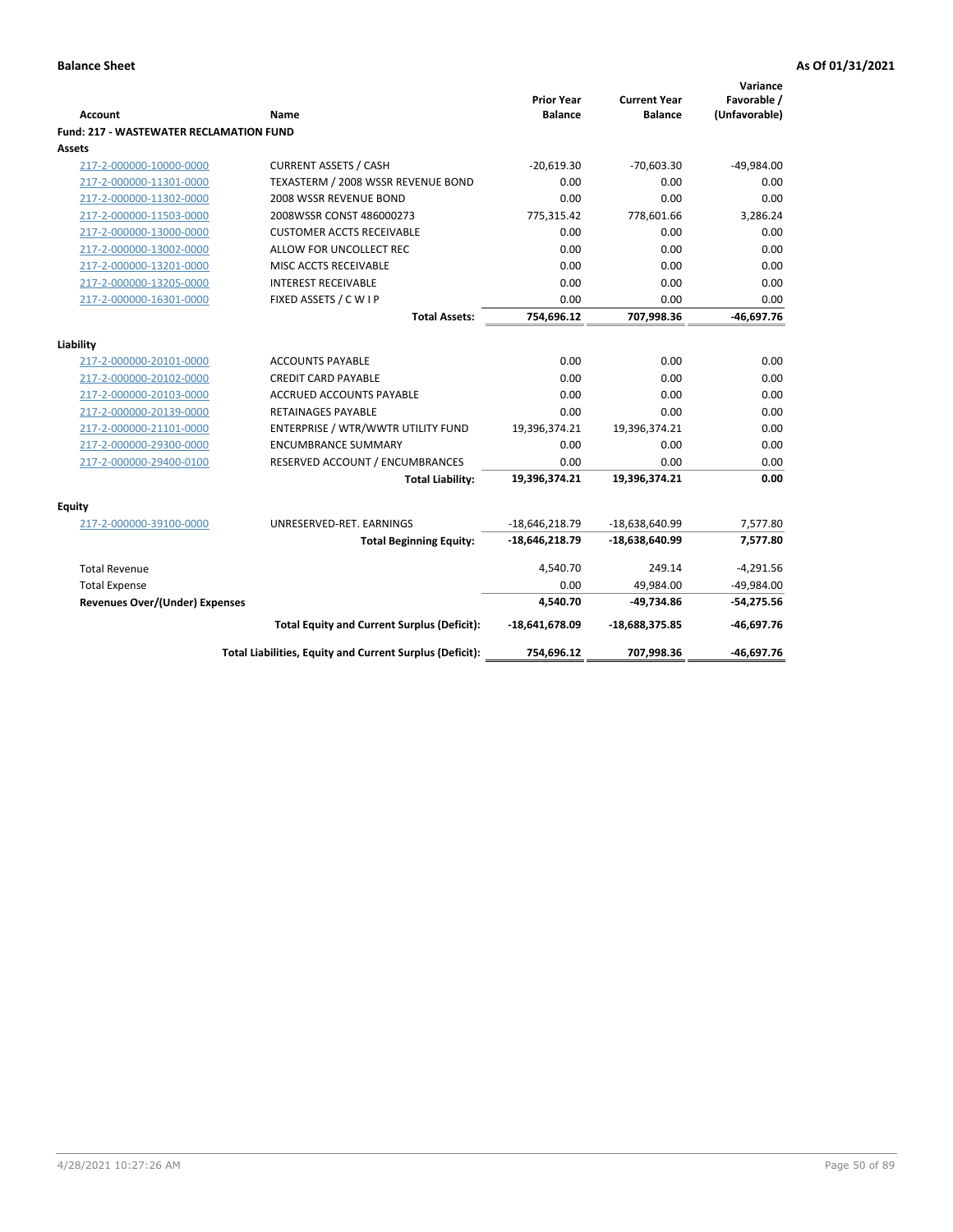| <b>Account</b>                                 | <b>Name</b>                                              | <b>Prior Year</b><br><b>Balance</b> | <b>Current Year</b><br><b>Balance</b> | Variance<br>Favorable /<br>(Unfavorable) |
|------------------------------------------------|----------------------------------------------------------|-------------------------------------|---------------------------------------|------------------------------------------|
| <b>Fund: 217 - WASTEWATER RECLAMATION FUND</b> |                                                          |                                     |                                       |                                          |
| Assets                                         |                                                          |                                     |                                       |                                          |
| 217-2-000000-10000-0000                        | <b>CURRENT ASSETS / CASH</b>                             | $-20.619.30$                        | $-70,603.30$                          | $-49,984.00$                             |
| 217-2-000000-11301-0000                        | TEXASTERM / 2008 WSSR REVENUE BOND                       | 0.00                                | 0.00                                  | 0.00                                     |
| 217-2-000000-11302-0000                        | 2008 WSSR REVENUE BOND                                   | 0.00                                | 0.00                                  | 0.00                                     |
| 217-2-000000-11503-0000                        | 2008WSSR CONST 486000273                                 | 775,315.42                          | 778,601.66                            | 3,286.24                                 |
| 217-2-000000-13000-0000                        | <b>CUSTOMER ACCTS RECEIVABLE</b>                         | 0.00                                | 0.00                                  | 0.00                                     |
| 217-2-000000-13002-0000                        | ALLOW FOR UNCOLLECT REC                                  | 0.00                                | 0.00                                  | 0.00                                     |
| 217-2-000000-13201-0000                        | MISC ACCTS RECEIVABLE                                    | 0.00                                | 0.00                                  | 0.00                                     |
| 217-2-000000-13205-0000                        | <b>INTEREST RECEIVABLE</b>                               | 0.00                                | 0.00                                  | 0.00                                     |
| 217-2-000000-16301-0000                        | FIXED ASSETS / C W I P                                   | 0.00                                | 0.00                                  | 0.00                                     |
|                                                | <b>Total Assets:</b>                                     | 754,696.12                          | 707,998.36                            | $-46,697.76$                             |
|                                                |                                                          |                                     |                                       |                                          |
| Liability                                      |                                                          |                                     |                                       |                                          |
| 217-2-000000-20101-0000                        | <b>ACCOUNTS PAYABLE</b>                                  | 0.00                                | 0.00                                  | 0.00                                     |
| 217-2-000000-20102-0000                        | <b>CREDIT CARD PAYABLE</b>                               | 0.00                                | 0.00                                  | 0.00                                     |
| 217-2-000000-20103-0000                        | <b>ACCRUED ACCOUNTS PAYABLE</b>                          | 0.00                                | 0.00                                  | 0.00                                     |
| 217-2-000000-20139-0000                        | <b>RETAINAGES PAYABLE</b>                                | 0.00                                | 0.00                                  | 0.00                                     |
| 217-2-000000-21101-0000                        | ENTERPRISE / WTR/WWTR UTILITY FUND                       | 19,396,374.21                       | 19,396,374.21                         | 0.00                                     |
| 217-2-000000-29300-0000                        | <b>ENCUMBRANCE SUMMARY</b>                               | 0.00                                | 0.00                                  | 0.00                                     |
| 217-2-000000-29400-0100                        | RESERVED ACCOUNT / ENCUMBRANCES                          | 0.00                                | 0.00                                  | 0.00                                     |
|                                                | <b>Total Liability:</b>                                  | 19,396,374.21                       | 19,396,374.21                         | 0.00                                     |
| <b>Equity</b>                                  |                                                          |                                     |                                       |                                          |
| 217-2-000000-39100-0000                        | UNRESERVED-RET. EARNINGS                                 | $-18,646,218.79$                    | -18,638,640.99                        | 7,577.80                                 |
|                                                | <b>Total Beginning Equity:</b>                           | $-18,646,218.79$                    | -18,638,640.99                        | 7,577.80                                 |
| <b>Total Revenue</b>                           |                                                          | 4,540.70                            | 249.14                                | $-4,291.56$                              |
| <b>Total Expense</b>                           |                                                          | 0.00                                | 49,984.00                             | $-49,984.00$                             |
| Revenues Over/(Under) Expenses                 |                                                          | 4,540.70                            | -49,734.86                            | $-54,275.56$                             |
|                                                | <b>Total Equity and Current Surplus (Deficit):</b>       | -18,641,678.09                      | $-18,688,375.85$                      | $-46,697.76$                             |
|                                                | Total Liabilities, Equity and Current Surplus (Deficit): | 754,696.12                          | 707,998.36                            | $-46,697.76$                             |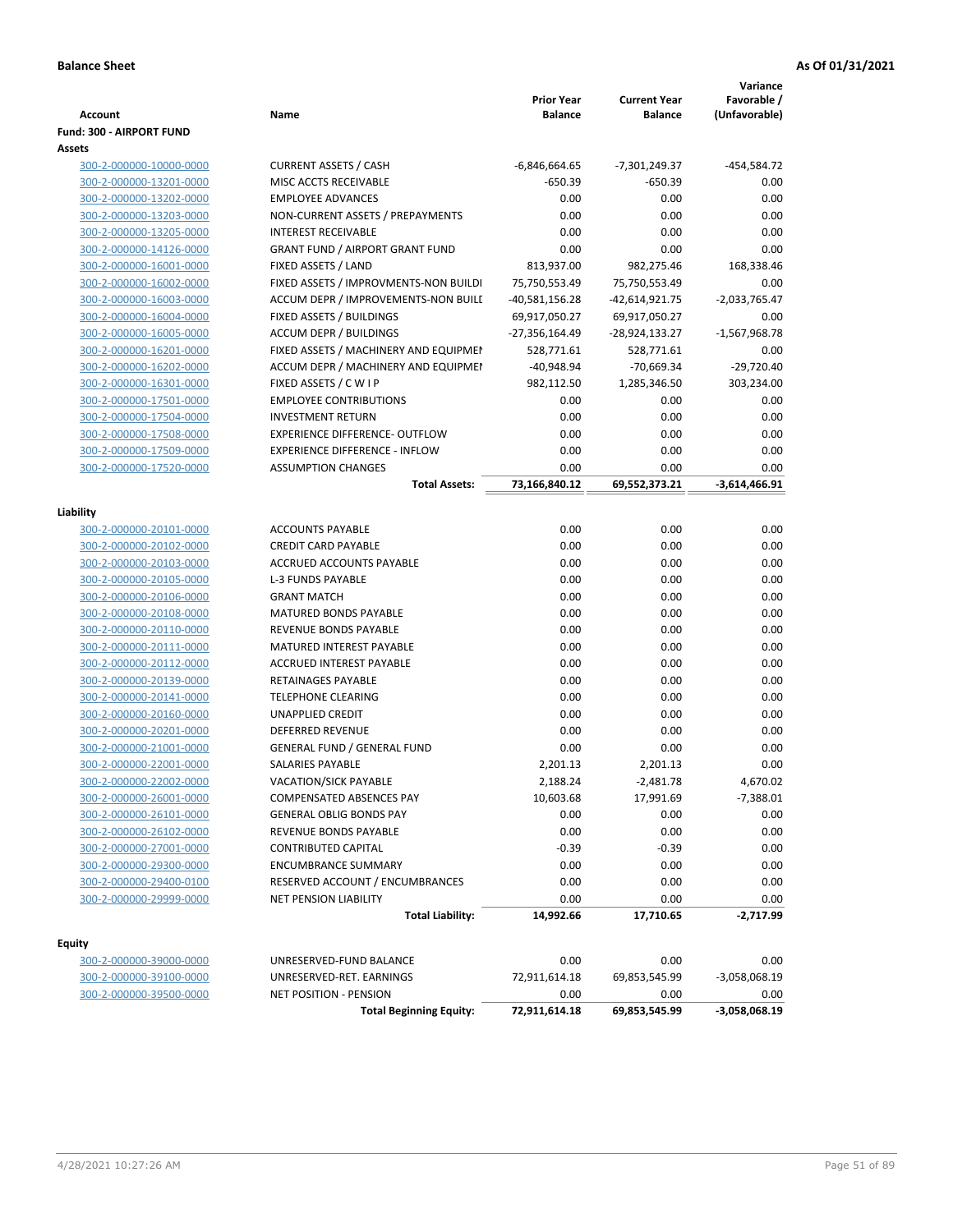| <b>Account</b>                  | Name                                                     | <b>Prior Year</b><br><b>Balance</b> | <b>Current Year</b><br><b>Balance</b> | Variance<br>Favorable /<br>(Unfavorable) |
|---------------------------------|----------------------------------------------------------|-------------------------------------|---------------------------------------|------------------------------------------|
| <b>Fund: 300 - AIRPORT FUND</b> |                                                          |                                     |                                       |                                          |
| Assets                          |                                                          |                                     |                                       |                                          |
| 300-2-000000-10000-0000         | <b>CURRENT ASSETS / CASH</b>                             | -6,846,664.65                       | $-7,301,249.37$                       | -454,584.72                              |
| 300-2-000000-13201-0000         | MISC ACCTS RECEIVABLE                                    | $-650.39$                           | -650.39                               | 0.00                                     |
| 300-2-000000-13202-0000         | <b>EMPLOYEE ADVANCES</b>                                 | 0.00                                | 0.00                                  | 0.00                                     |
| 300-2-000000-13203-0000         | NON-CURRENT ASSETS / PREPAYMENTS                         | 0.00                                | 0.00                                  | 0.00                                     |
| 300-2-000000-13205-0000         | <b>INTEREST RECEIVABLE</b>                               | 0.00                                | 0.00                                  | 0.00                                     |
| 300-2-000000-14126-0000         | <b>GRANT FUND / AIRPORT GRANT FUND</b>                   | 0.00                                | 0.00                                  | 0.00                                     |
| 300-2-000000-16001-0000         | FIXED ASSETS / LAND                                      | 813,937.00                          | 982,275.46                            | 168,338.46                               |
| 300-2-000000-16002-0000         | FIXED ASSETS / IMPROVMENTS-NON BUILDI                    | 75,750,553.49                       | 75,750,553.49                         | 0.00                                     |
| 300-2-000000-16003-0000         | ACCUM DEPR / IMPROVEMENTS-NON BUILI                      | -40,581,156.28                      | -42,614,921.75                        | $-2,033,765.47$                          |
| 300-2-000000-16004-0000         | FIXED ASSETS / BUILDINGS                                 | 69,917,050.27                       | 69,917,050.27                         | 0.00                                     |
| 300-2-000000-16005-0000         | <b>ACCUM DEPR / BUILDINGS</b>                            | -27,356,164.49                      | -28,924,133.27                        | $-1,567,968.78$                          |
| 300-2-000000-16201-0000         | FIXED ASSETS / MACHINERY AND EQUIPMEN                    | 528,771.61                          | 528,771.61                            | 0.00                                     |
| 300-2-000000-16202-0000         | ACCUM DEPR / MACHINERY AND EQUIPMEI                      | $-40,948.94$                        | $-70,669.34$                          | $-29,720.40$                             |
| 300-2-000000-16301-0000         | FIXED ASSETS / C W I P                                   | 982,112.50                          | 1,285,346.50                          | 303,234.00                               |
| 300-2-000000-17501-0000         | <b>EMPLOYEE CONTRIBUTIONS</b>                            | 0.00                                | 0.00                                  | 0.00                                     |
| 300-2-000000-17504-0000         | <b>INVESTMENT RETURN</b>                                 | 0.00                                | 0.00                                  | 0.00                                     |
| 300-2-000000-17508-0000         | <b>EXPERIENCE DIFFERENCE- OUTFLOW</b>                    | 0.00                                | 0.00                                  | 0.00                                     |
| 300-2-000000-17509-0000         | <b>EXPERIENCE DIFFERENCE - INFLOW</b>                    | 0.00                                | 0.00                                  | 0.00                                     |
| 300-2-000000-17520-0000         | <b>ASSUMPTION CHANGES</b>                                | 0.00                                | 0.00                                  | 0.00                                     |
|                                 | <b>Total Assets:</b>                                     | 73,166,840.12                       | 69,552,373.21                         | $-3,614,466.91$                          |
| Liability                       |                                                          |                                     |                                       |                                          |
| 300-2-000000-20101-0000         | <b>ACCOUNTS PAYABLE</b>                                  | 0.00                                | 0.00                                  | 0.00                                     |
| 300-2-000000-20102-0000         | <b>CREDIT CARD PAYABLE</b>                               | 0.00                                | 0.00                                  | 0.00                                     |
| 300-2-000000-20103-0000         | ACCRUED ACCOUNTS PAYABLE                                 | 0.00                                | 0.00                                  | 0.00                                     |
| 300-2-000000-20105-0000         | L-3 FUNDS PAYABLE                                        | 0.00                                | 0.00                                  | 0.00                                     |
| 300-2-000000-20106-0000         | <b>GRANT MATCH</b>                                       | 0.00                                | 0.00                                  | 0.00                                     |
| 300-2-000000-20108-0000         | <b>MATURED BONDS PAYABLE</b>                             | 0.00                                | 0.00                                  | 0.00                                     |
| 300-2-000000-20110-0000         | REVENUE BONDS PAYABLE                                    | 0.00                                | 0.00                                  | 0.00                                     |
| 300-2-000000-20111-0000         | MATURED INTEREST PAYABLE                                 | 0.00                                | 0.00                                  | 0.00                                     |
| 300-2-000000-20112-0000         | <b>ACCRUED INTEREST PAYABLE</b>                          | 0.00                                | 0.00                                  | 0.00                                     |
| 300-2-000000-20139-0000         | RETAINAGES PAYABLE                                       | 0.00                                | 0.00                                  | 0.00                                     |
| 300-2-000000-20141-0000         | <b>TELEPHONE CLEARING</b>                                | 0.00                                | 0.00                                  | 0.00                                     |
| 300-2-000000-20160-0000         | <b>UNAPPLIED CREDIT</b>                                  | 0.00                                | 0.00                                  | 0.00                                     |
| 300-2-000000-20201-0000         | <b>DEFERRED REVENUE</b>                                  | 0.00                                | 0.00                                  | 0.00                                     |
| 300-2-000000-21001-0000         | <b>GENERAL FUND / GENERAL FUND</b>                       | 0.00                                | 0.00                                  | 0.00                                     |
| 300-2-000000-22001-0000         | SALARIES PAYABLE                                         | 2,201.13                            | 2,201.13                              | 0.00                                     |
| 300-2-000000-22002-0000         | <b>VACATION/SICK PAYABLE</b>                             | 2,188.24                            | $-2,481.78$                           | 4,670.02                                 |
| 300-2-000000-26001-0000         | COMPENSATED ABSENCES PAY                                 | 10,603.68                           | 17,991.69                             | $-7,388.01$                              |
| 300-2-000000-26101-0000         | <b>GENERAL OBLIG BONDS PAY</b>                           | 0.00                                | 0.00                                  | 0.00                                     |
| 300-2-000000-26102-0000         | REVENUE BONDS PAYABLE                                    | 0.00                                | 0.00                                  | 0.00                                     |
| 300-2-000000-27001-0000         | CONTRIBUTED CAPITAL                                      | $-0.39$                             | $-0.39$                               | 0.00                                     |
| 300-2-000000-29300-0000         | <b>ENCUMBRANCE SUMMARY</b>                               | 0.00                                | 0.00                                  | 0.00                                     |
| 300-2-000000-29400-0100         | RESERVED ACCOUNT / ENCUMBRANCES                          | 0.00                                | 0.00                                  | 0.00                                     |
| 300-2-000000-29999-0000         | <b>NET PENSION LIABILITY</b>                             | 0.00                                | 0.00                                  | 0.00                                     |
|                                 | <b>Total Liability:</b>                                  | 14,992.66                           | 17,710.65                             | -2,717.99                                |
|                                 |                                                          |                                     |                                       |                                          |
| <b>Equity</b>                   |                                                          |                                     |                                       |                                          |
| 300-2-000000-39000-0000         | UNRESERVED-FUND BALANCE                                  | 0.00                                | 0.00                                  | 0.00                                     |
| 300-2-000000-39100-0000         | UNRESERVED-RET. EARNINGS                                 | 72,911,614.18                       | 69,853,545.99                         | -3,058,068.19                            |
| 300-2-000000-39500-0000         | NET POSITION - PENSION<br><b>Total Beginning Equity:</b> | 0.00<br>72,911,614.18               | 0.00<br>69,853,545.99                 | 0.00<br>$-3,058,068.19$                  |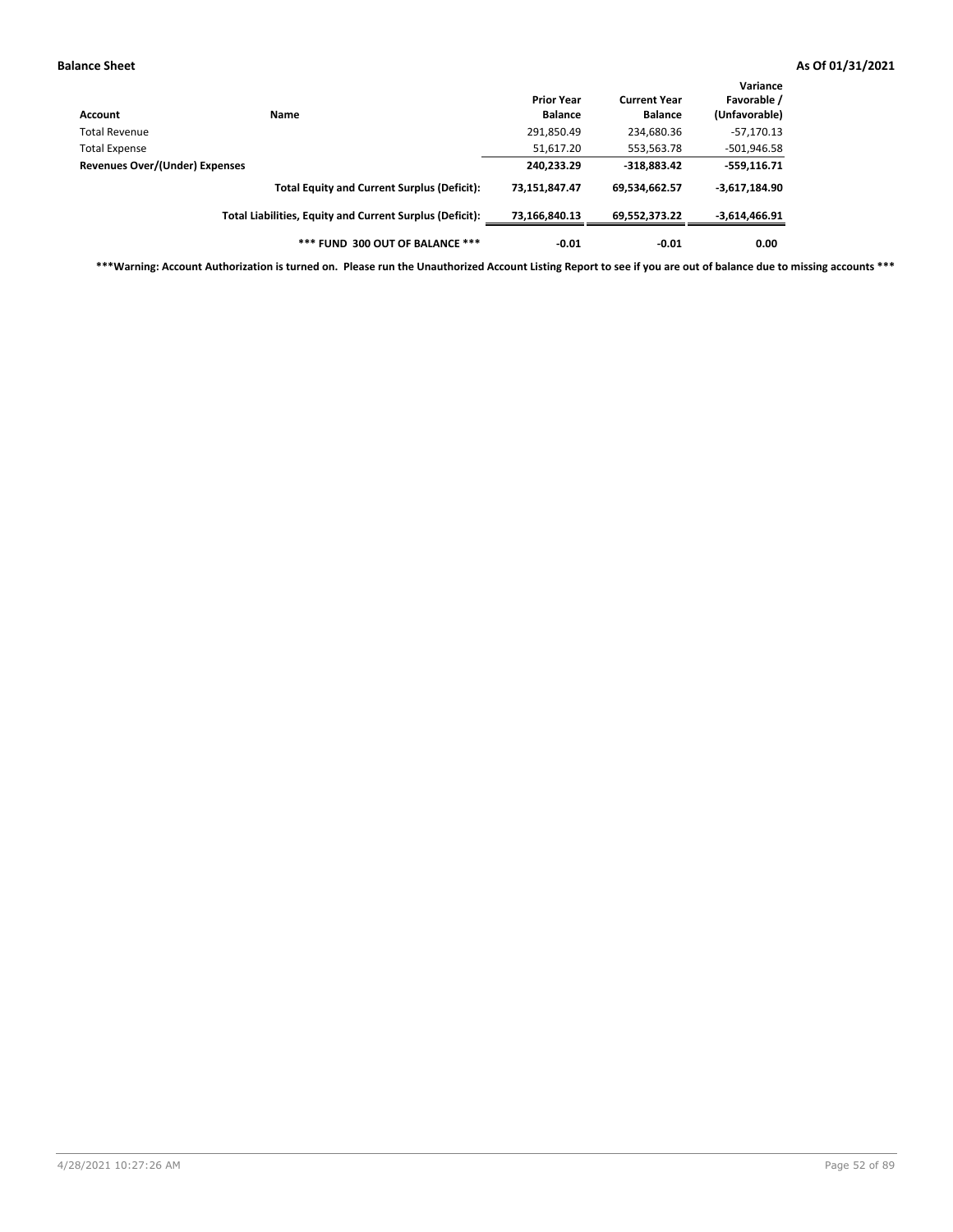| Account                        | <b>Name</b>                                              | <b>Prior Year</b><br><b>Balance</b> | <b>Current Year</b><br><b>Balance</b> | Variance<br>Favorable /<br>(Unfavorable) |
|--------------------------------|----------------------------------------------------------|-------------------------------------|---------------------------------------|------------------------------------------|
| <b>Total Revenue</b>           |                                                          | 291,850.49                          | 234,680.36                            | $-57,170.13$                             |
| <b>Total Expense</b>           |                                                          | 51,617.20                           | 553,563.78                            | $-501,946.58$                            |
| Revenues Over/(Under) Expenses |                                                          | 240,233.29                          | $-318,883.42$                         | $-559,116.71$                            |
|                                | <b>Total Equity and Current Surplus (Deficit):</b>       | 73,151,847.47                       | 69,534,662.57                         | $-3,617,184.90$                          |
|                                | Total Liabilities, Equity and Current Surplus (Deficit): | 73,166,840.13                       | 69.552.373.22                         | -3,614,466.91                            |
|                                | *** FUND 300 OUT OF BALANCE ***                          | $-0.01$                             | $-0.01$                               | 0.00                                     |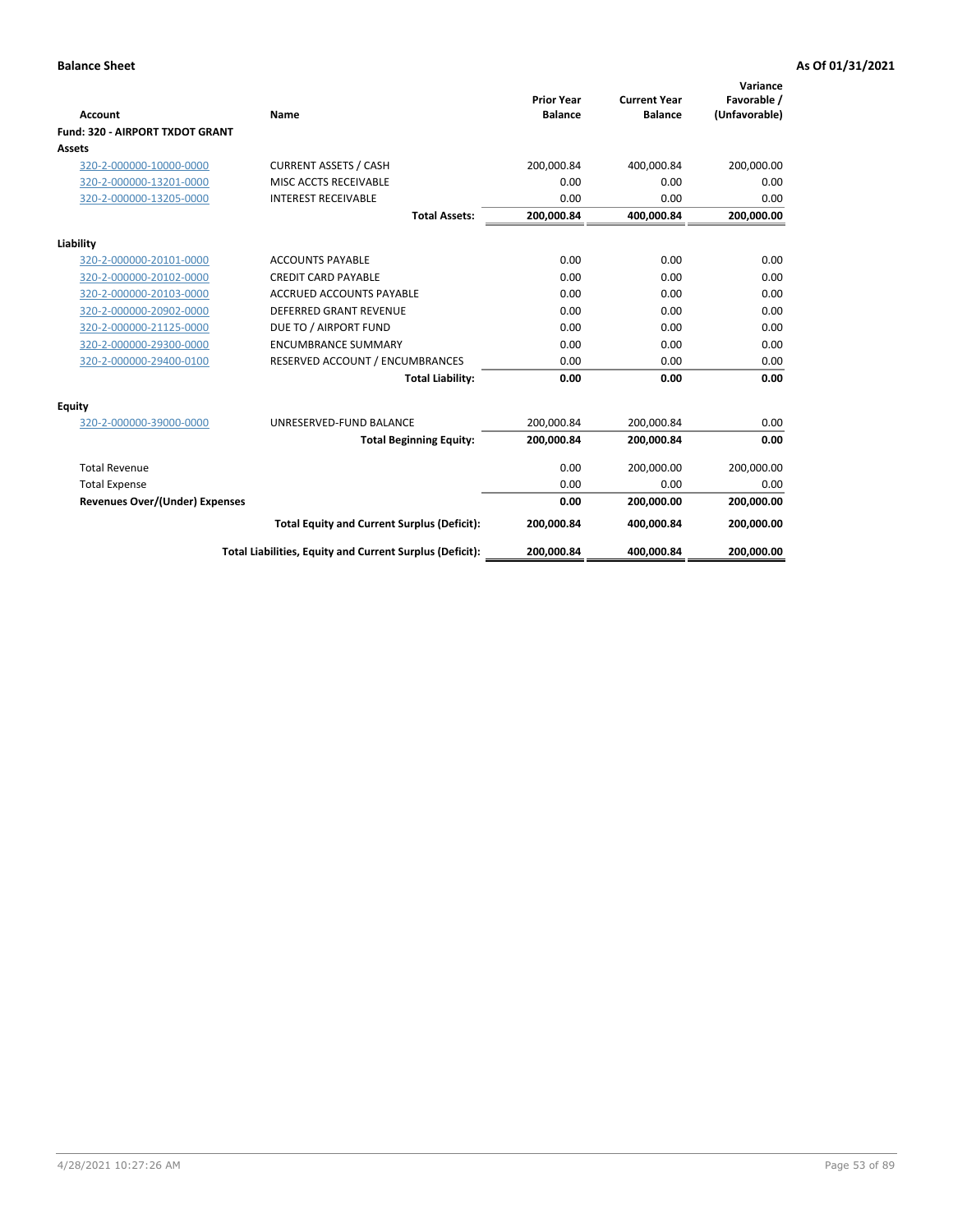|                                        |                                                          |                                     |                                       | Variance                     |
|----------------------------------------|----------------------------------------------------------|-------------------------------------|---------------------------------------|------------------------------|
| Account                                | Name                                                     | <b>Prior Year</b><br><b>Balance</b> | <b>Current Year</b><br><b>Balance</b> | Favorable /<br>(Unfavorable) |
| <b>Fund: 320 - AIRPORT TXDOT GRANT</b> |                                                          |                                     |                                       |                              |
| Assets                                 |                                                          |                                     |                                       |                              |
| 320-2-000000-10000-0000                | <b>CURRENT ASSETS / CASH</b>                             | 200,000.84                          | 400,000.84                            | 200,000.00                   |
| 320-2-000000-13201-0000                | MISC ACCTS RECEIVABLE                                    | 0.00                                | 0.00                                  | 0.00                         |
| 320-2-000000-13205-0000                | <b>INTEREST RECEIVABLE</b>                               | 0.00                                | 0.00                                  | 0.00                         |
|                                        | <b>Total Assets:</b>                                     | 200,000.84                          | 400,000.84                            | 200,000.00                   |
|                                        |                                                          |                                     |                                       |                              |
| Liability                              |                                                          |                                     |                                       |                              |
| 320-2-000000-20101-0000                | <b>ACCOUNTS PAYABLE</b>                                  | 0.00                                | 0.00                                  | 0.00                         |
| 320-2-000000-20102-0000                | <b>CREDIT CARD PAYABLE</b>                               | 0.00                                | 0.00                                  | 0.00                         |
| 320-2-000000-20103-0000                | <b>ACCRUED ACCOUNTS PAYABLE</b>                          | 0.00                                | 0.00                                  | 0.00                         |
| 320-2-000000-20902-0000                | <b>DEFERRED GRANT REVENUE</b>                            | 0.00                                | 0.00                                  | 0.00                         |
| 320-2-000000-21125-0000                | DUE TO / AIRPORT FUND                                    | 0.00                                | 0.00                                  | 0.00                         |
| 320-2-000000-29300-0000                | <b>ENCUMBRANCE SUMMARY</b>                               | 0.00                                | 0.00                                  | 0.00                         |
| 320-2-000000-29400-0100                | RESERVED ACCOUNT / ENCUMBRANCES                          | 0.00                                | 0.00                                  | 0.00                         |
|                                        | <b>Total Liability:</b>                                  | 0.00                                | 0.00                                  | 0.00                         |
| Equity                                 |                                                          |                                     |                                       |                              |
| 320-2-000000-39000-0000                | UNRESERVED-FUND BALANCE                                  | 200,000.84                          | 200,000.84                            | 0.00                         |
|                                        | <b>Total Beginning Equity:</b>                           | 200,000.84                          | 200,000.84                            | 0.00                         |
| <b>Total Revenue</b>                   |                                                          | 0.00                                | 200,000.00                            | 200,000.00                   |
| <b>Total Expense</b>                   |                                                          | 0.00                                | 0.00                                  | 0.00                         |
| <b>Revenues Over/(Under) Expenses</b>  |                                                          | 0.00                                | 200,000.00                            | 200,000.00                   |
|                                        | <b>Total Equity and Current Surplus (Deficit):</b>       | 200,000.84                          | 400,000.84                            | 200,000.00                   |
|                                        | Total Liabilities, Equity and Current Surplus (Deficit): | 200,000.84                          | 400,000.84                            | 200,000.00                   |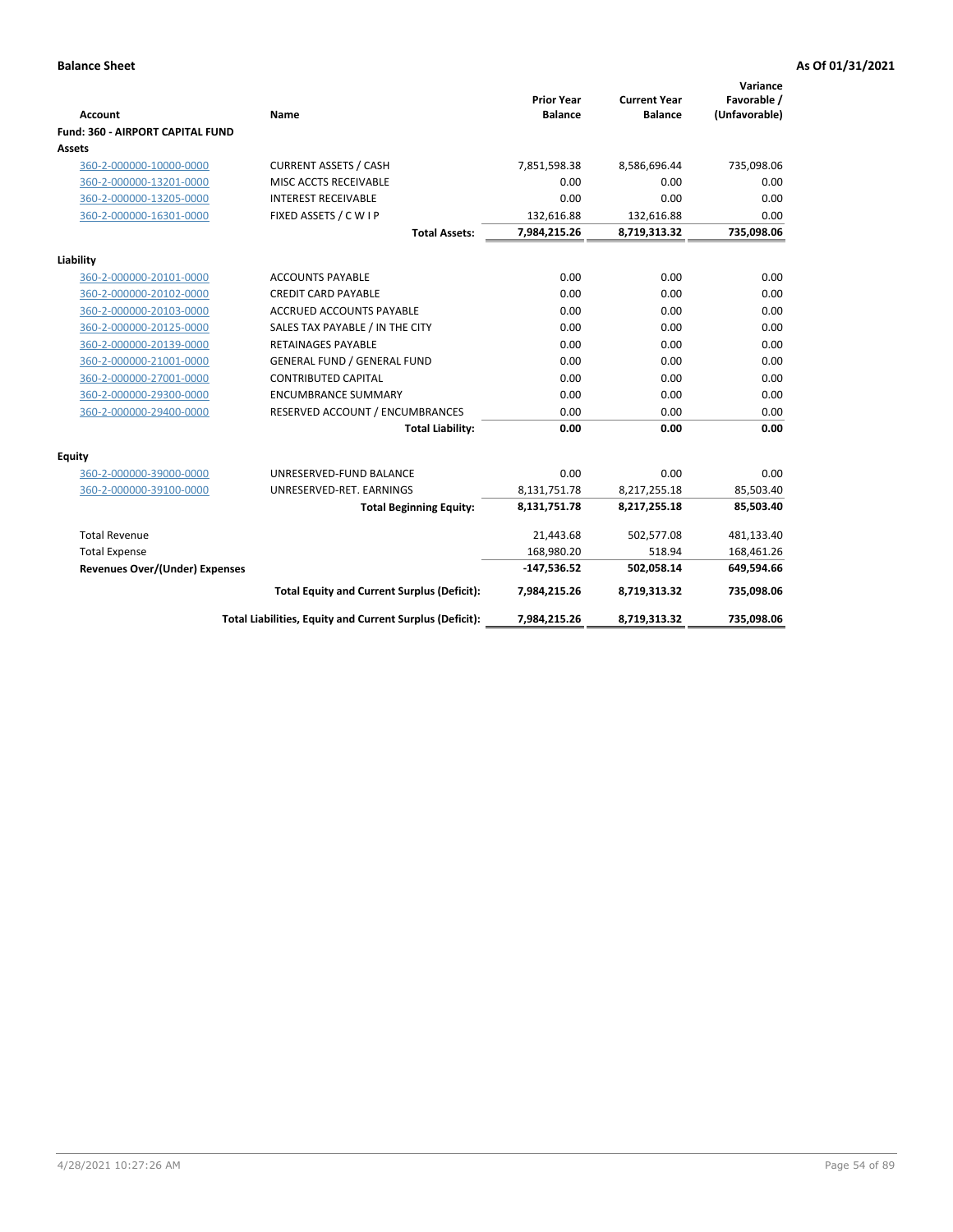|                                         |                                                          |                                     |                                       | Variance                     |
|-----------------------------------------|----------------------------------------------------------|-------------------------------------|---------------------------------------|------------------------------|
| Account                                 | Name                                                     | <b>Prior Year</b><br><b>Balance</b> | <b>Current Year</b><br><b>Balance</b> | Favorable /<br>(Unfavorable) |
| <b>Fund: 360 - AIRPORT CAPITAL FUND</b> |                                                          |                                     |                                       |                              |
| Assets                                  |                                                          |                                     |                                       |                              |
| 360-2-000000-10000-0000                 | <b>CURRENT ASSETS / CASH</b>                             | 7,851,598.38                        | 8,586,696.44                          | 735,098.06                   |
| 360-2-000000-13201-0000                 | MISC ACCTS RECEIVABLE                                    | 0.00                                | 0.00                                  | 0.00                         |
| 360-2-000000-13205-0000                 | <b>INTEREST RECEIVABLE</b>                               | 0.00                                | 0.00                                  | 0.00                         |
| 360-2-000000-16301-0000                 | FIXED ASSETS / C W I P                                   | 132,616.88                          | 132,616.88                            | 0.00                         |
|                                         | <b>Total Assets:</b>                                     | 7,984,215.26                        | 8,719,313.32                          | 735,098.06                   |
| Liability                               |                                                          |                                     |                                       |                              |
| 360-2-000000-20101-0000                 | <b>ACCOUNTS PAYABLE</b>                                  | 0.00                                | 0.00                                  | 0.00                         |
| 360-2-000000-20102-0000                 | <b>CREDIT CARD PAYABLE</b>                               | 0.00                                | 0.00                                  | 0.00                         |
| 360-2-000000-20103-0000                 | ACCRUED ACCOUNTS PAYABLE                                 | 0.00                                | 0.00                                  | 0.00                         |
| 360-2-000000-20125-0000                 | SALES TAX PAYABLE / IN THE CITY                          | 0.00                                | 0.00                                  | 0.00                         |
| 360-2-000000-20139-0000                 | <b>RETAINAGES PAYABLE</b>                                | 0.00                                | 0.00                                  | 0.00                         |
| 360-2-000000-21001-0000                 | <b>GENERAL FUND / GENERAL FUND</b>                       | 0.00                                | 0.00                                  | 0.00                         |
| 360-2-000000-27001-0000                 | <b>CONTRIBUTED CAPITAL</b>                               | 0.00                                | 0.00                                  | 0.00                         |
| 360-2-000000-29300-0000                 | <b>ENCUMBRANCE SUMMARY</b>                               | 0.00                                | 0.00                                  | 0.00                         |
| 360-2-000000-29400-0000                 | RESERVED ACCOUNT / ENCUMBRANCES                          | 0.00                                | 0.00                                  | 0.00                         |
|                                         | <b>Total Liability:</b>                                  | 0.00                                | 0.00                                  | 0.00                         |
| Equity                                  |                                                          |                                     |                                       |                              |
| 360-2-000000-39000-0000                 | UNRESERVED-FUND BALANCE                                  | 0.00                                | 0.00                                  | 0.00                         |
| 360-2-000000-39100-0000                 | UNRESERVED-RET. EARNINGS                                 | 8,131,751.78                        | 8,217,255.18                          | 85,503.40                    |
|                                         | <b>Total Beginning Equity:</b>                           | 8,131,751.78                        | 8,217,255.18                          | 85,503.40                    |
| <b>Total Revenue</b>                    |                                                          | 21,443.68                           | 502,577.08                            | 481,133.40                   |
| <b>Total Expense</b>                    |                                                          | 168,980.20                          | 518.94                                | 168,461.26                   |
| Revenues Over/(Under) Expenses          |                                                          | $-147,536.52$                       | 502,058.14                            | 649,594.66                   |
|                                         | <b>Total Equity and Current Surplus (Deficit):</b>       | 7,984,215.26                        | 8,719,313.32                          | 735,098.06                   |
|                                         | Total Liabilities, Equity and Current Surplus (Deficit): | 7,984,215.26                        | 8,719,313.32                          | 735,098.06                   |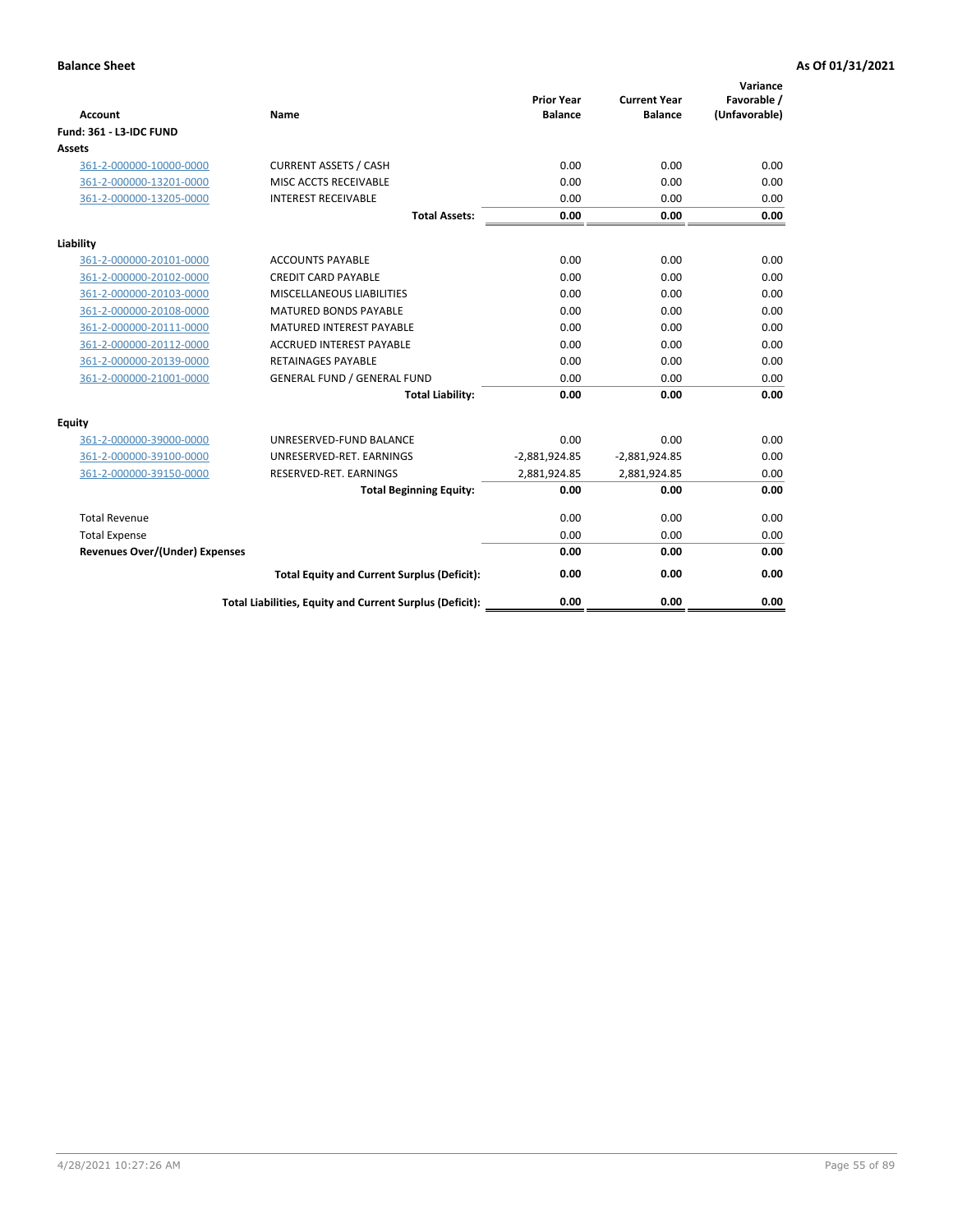| <b>Account</b>                        | Name                                                     | <b>Prior Year</b><br><b>Balance</b> | <b>Current Year</b><br><b>Balance</b> | Variance<br>Favorable /<br>(Unfavorable) |
|---------------------------------------|----------------------------------------------------------|-------------------------------------|---------------------------------------|------------------------------------------|
| <b>Fund: 361 - L3-IDC FUND</b>        |                                                          |                                     |                                       |                                          |
| Assets                                |                                                          |                                     |                                       |                                          |
| 361-2-000000-10000-0000               | <b>CURRENT ASSETS / CASH</b>                             | 0.00                                | 0.00                                  | 0.00                                     |
| 361-2-000000-13201-0000               | MISC ACCTS RECEIVABLE                                    | 0.00                                | 0.00                                  | 0.00                                     |
| 361-2-000000-13205-0000               | <b>INTEREST RECEIVABLE</b>                               | 0.00                                | 0.00                                  | 0.00                                     |
|                                       | <b>Total Assets:</b>                                     | 0.00                                | 0.00                                  | 0.00                                     |
| Liability                             |                                                          |                                     |                                       |                                          |
| 361-2-000000-20101-0000               | <b>ACCOUNTS PAYABLE</b>                                  | 0.00                                | 0.00                                  | 0.00                                     |
| 361-2-000000-20102-0000               | <b>CREDIT CARD PAYABLE</b>                               | 0.00                                | 0.00                                  | 0.00                                     |
| 361-2-000000-20103-0000               | MISCELLANEOUS LIABILITIES                                | 0.00                                | 0.00                                  | 0.00                                     |
| 361-2-000000-20108-0000               | <b>MATURED BONDS PAYABLE</b>                             | 0.00                                | 0.00                                  | 0.00                                     |
| 361-2-000000-20111-0000               | <b>MATURED INTEREST PAYABLE</b>                          | 0.00                                | 0.00                                  | 0.00                                     |
| 361-2-000000-20112-0000               | <b>ACCRUED INTEREST PAYABLE</b>                          | 0.00                                | 0.00                                  | 0.00                                     |
| 361-2-000000-20139-0000               | <b>RETAINAGES PAYABLE</b>                                | 0.00                                | 0.00                                  | 0.00                                     |
| 361-2-000000-21001-0000               | <b>GENERAL FUND / GENERAL FUND</b>                       | 0.00                                | 0.00                                  | 0.00                                     |
|                                       | <b>Total Liability:</b>                                  | 0.00                                | 0.00                                  | 0.00                                     |
| Equity                                |                                                          |                                     |                                       |                                          |
| 361-2-000000-39000-0000               | UNRESERVED-FUND BALANCE                                  | 0.00                                | 0.00                                  | 0.00                                     |
| 361-2-000000-39100-0000               | UNRESERVED-RET. EARNINGS                                 | $-2,881,924.85$                     | $-2,881,924.85$                       | 0.00                                     |
| 361-2-000000-39150-0000               | RESERVED-RET. EARNINGS                                   | 2,881,924.85                        | 2,881,924.85                          | 0.00                                     |
|                                       | <b>Total Beginning Equity:</b>                           | 0.00                                | 0.00                                  | 0.00                                     |
| <b>Total Revenue</b>                  |                                                          | 0.00                                | 0.00                                  | 0.00                                     |
| <b>Total Expense</b>                  |                                                          | 0.00                                | 0.00                                  | 0.00                                     |
| <b>Revenues Over/(Under) Expenses</b> |                                                          | 0.00                                | 0.00                                  | 0.00                                     |
|                                       | <b>Total Equity and Current Surplus (Deficit):</b>       | 0.00                                | 0.00                                  | 0.00                                     |
|                                       | Total Liabilities, Equity and Current Surplus (Deficit): | 0.00                                | 0.00                                  | 0.00                                     |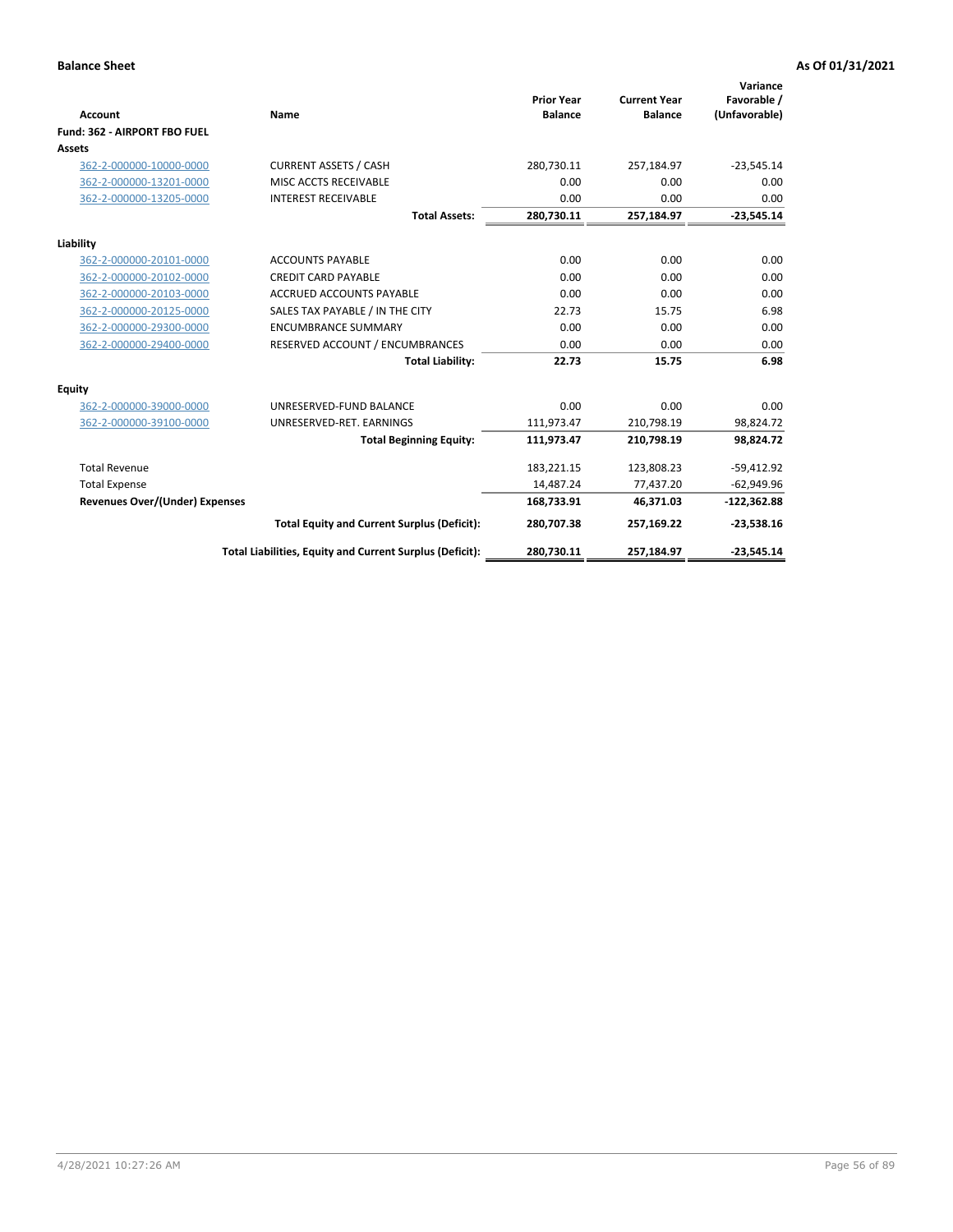|                                       |                                                          |                                     |                                       | Variance                     |
|---------------------------------------|----------------------------------------------------------|-------------------------------------|---------------------------------------|------------------------------|
| <b>Account</b>                        | Name                                                     | <b>Prior Year</b><br><b>Balance</b> | <b>Current Year</b><br><b>Balance</b> | Favorable /<br>(Unfavorable) |
| Fund: 362 - AIRPORT FBO FUEL          |                                                          |                                     |                                       |                              |
| <b>Assets</b>                         |                                                          |                                     |                                       |                              |
| 362-2-000000-10000-0000               | <b>CURRENT ASSETS / CASH</b>                             | 280,730.11                          | 257,184.97                            | $-23,545.14$                 |
| 362-2-000000-13201-0000               | MISC ACCTS RECEIVABLE                                    | 0.00                                | 0.00                                  | 0.00                         |
| 362-2-000000-13205-0000               | <b>INTEREST RECEIVABLE</b>                               | 0.00                                | 0.00                                  | 0.00                         |
|                                       | <b>Total Assets:</b>                                     | 280,730.11                          | 257,184.97                            | $-23,545.14$                 |
| Liability                             |                                                          |                                     |                                       |                              |
| 362-2-000000-20101-0000               | <b>ACCOUNTS PAYABLE</b>                                  | 0.00                                | 0.00                                  | 0.00                         |
| 362-2-000000-20102-0000               | <b>CREDIT CARD PAYABLE</b>                               | 0.00                                | 0.00                                  | 0.00                         |
| 362-2-000000-20103-0000               | <b>ACCRUED ACCOUNTS PAYABLE</b>                          | 0.00                                | 0.00                                  | 0.00                         |
| 362-2-000000-20125-0000               | SALES TAX PAYABLE / IN THE CITY                          | 22.73                               | 15.75                                 | 6.98                         |
| 362-2-000000-29300-0000               | <b>ENCUMBRANCE SUMMARY</b>                               | 0.00                                | 0.00                                  | 0.00                         |
| 362-2-000000-29400-0000               | RESERVED ACCOUNT / ENCUMBRANCES                          | 0.00                                | 0.00                                  | 0.00                         |
|                                       | <b>Total Liability:</b>                                  | 22.73                               | 15.75                                 | 6.98                         |
| <b>Equity</b>                         |                                                          |                                     |                                       |                              |
| 362-2-000000-39000-0000               | UNRESERVED-FUND BALANCE                                  | 0.00                                | 0.00                                  | 0.00                         |
| 362-2-000000-39100-0000               | UNRESERVED-RET. EARNINGS                                 | 111,973.47                          | 210,798.19                            | 98,824.72                    |
|                                       | <b>Total Beginning Equity:</b>                           | 111,973.47                          | 210,798.19                            | 98,824.72                    |
| <b>Total Revenue</b>                  |                                                          | 183,221.15                          | 123,808.23                            | $-59,412.92$                 |
| <b>Total Expense</b>                  |                                                          | 14,487.24                           | 77,437.20                             | $-62,949.96$                 |
| <b>Revenues Over/(Under) Expenses</b> |                                                          | 168,733.91                          | 46,371.03                             | $-122,362.88$                |
|                                       | <b>Total Equity and Current Surplus (Deficit):</b>       | 280,707.38                          | 257,169.22                            | $-23,538.16$                 |
|                                       | Total Liabilities, Equity and Current Surplus (Deficit): | 280,730.11                          | 257,184.97                            | $-23,545.14$                 |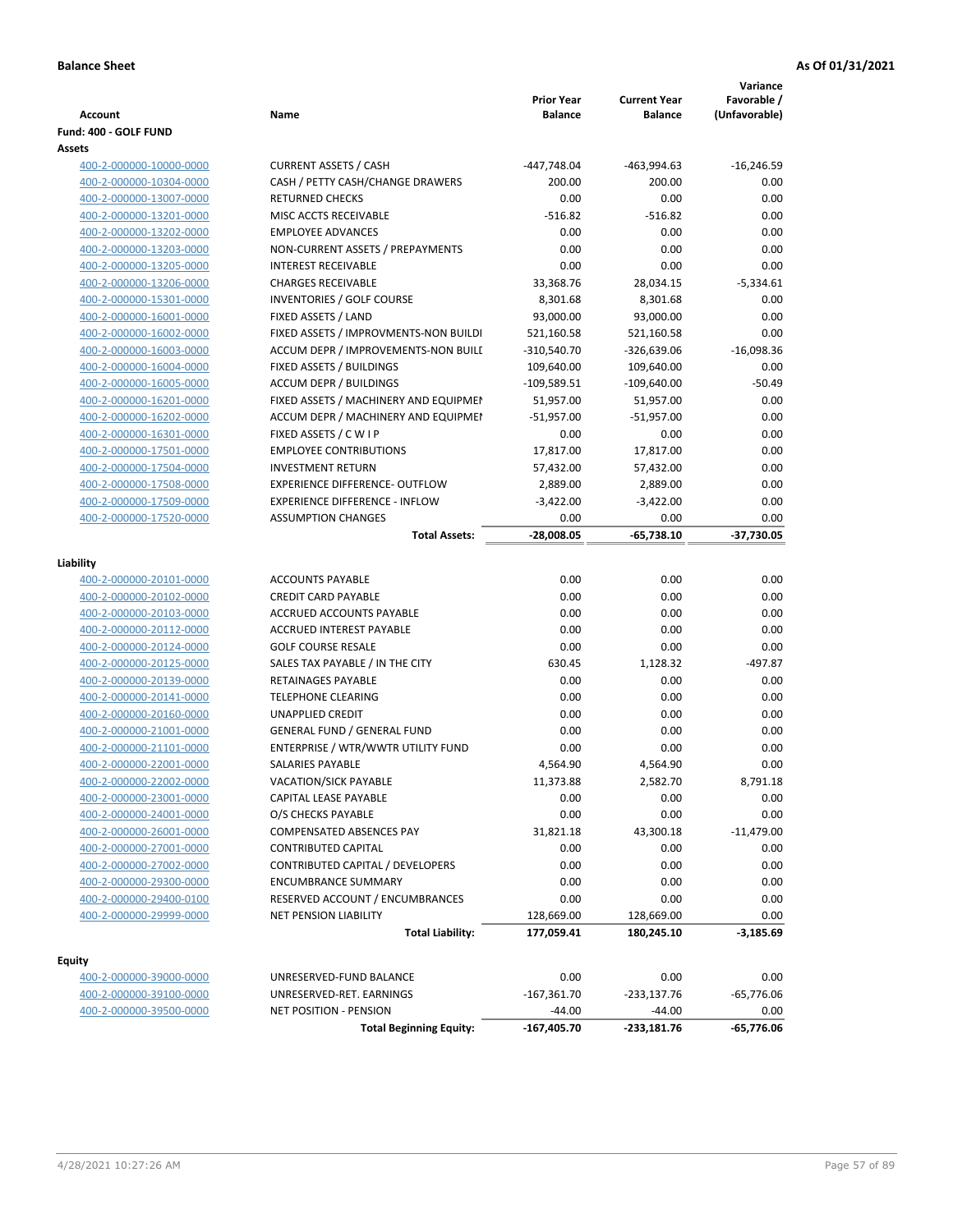| <b>Account</b><br>Fund: 400 - GOLF FUND            | Name                                                   | <b>Prior Year</b><br><b>Balance</b> | <b>Current Year</b><br><b>Balance</b> | Variance<br>Favorable /<br>(Unfavorable) |
|----------------------------------------------------|--------------------------------------------------------|-------------------------------------|---------------------------------------|------------------------------------------|
| Assets                                             |                                                        |                                     |                                       |                                          |
| 400-2-000000-10000-0000                            | <b>CURRENT ASSETS / CASH</b>                           | -447,748.04                         | -463,994.63                           | $-16,246.59$                             |
| 400-2-000000-10304-0000                            | CASH / PETTY CASH/CHANGE DRAWERS                       | 200.00                              | 200.00                                | 0.00                                     |
| 400-2-000000-13007-0000                            | <b>RETURNED CHECKS</b>                                 | 0.00                                | 0.00                                  | 0.00                                     |
| 400-2-000000-13201-0000                            | MISC ACCTS RECEIVABLE                                  | $-516.82$                           | $-516.82$                             | 0.00                                     |
| 400-2-000000-13202-0000                            | <b>EMPLOYEE ADVANCES</b>                               | 0.00                                | 0.00                                  | 0.00                                     |
| 400-2-000000-13203-0000                            | NON-CURRENT ASSETS / PREPAYMENTS                       | 0.00                                | 0.00                                  | 0.00                                     |
| 400-2-000000-13205-0000                            | <b>INTEREST RECEIVABLE</b>                             | 0.00                                | 0.00                                  | 0.00                                     |
| 400-2-000000-13206-0000                            | <b>CHARGES RECEIVABLE</b>                              | 33,368.76                           | 28,034.15                             | $-5,334.61$                              |
| 400-2-000000-15301-0000                            | INVENTORIES / GOLF COURSE                              | 8,301.68                            | 8,301.68                              | 0.00                                     |
| 400-2-000000-16001-0000                            | FIXED ASSETS / LAND                                    | 93,000.00                           | 93,000.00                             | 0.00                                     |
| 400-2-000000-16002-0000                            | FIXED ASSETS / IMPROVMENTS-NON BUILDI                  | 521,160.58                          | 521,160.58                            | 0.00                                     |
| 400-2-000000-16003-0000                            | ACCUM DEPR / IMPROVEMENTS-NON BUILI                    | -310,540.70                         | -326,639.06                           | $-16,098.36$                             |
| 400-2-000000-16004-0000                            | FIXED ASSETS / BUILDINGS                               | 109,640.00                          | 109,640.00                            | 0.00                                     |
| 400-2-000000-16005-0000                            | <b>ACCUM DEPR / BUILDINGS</b>                          | $-109,589.51$                       | $-109,640.00$                         | $-50.49$                                 |
| 400-2-000000-16201-0000                            | FIXED ASSETS / MACHINERY AND EQUIPMEN                  | 51,957.00                           | 51,957.00                             | 0.00                                     |
| 400-2-000000-16202-0000                            | ACCUM DEPR / MACHINERY AND EQUIPMEI                    | -51,957.00                          | $-51,957.00$                          | 0.00                                     |
| 400-2-000000-16301-0000                            | FIXED ASSETS / C W I P                                 | 0.00                                | 0.00                                  | 0.00                                     |
| 400-2-000000-17501-0000                            | <b>EMPLOYEE CONTRIBUTIONS</b>                          | 17,817.00                           | 17,817.00                             | 0.00                                     |
| 400-2-000000-17504-0000                            | <b>INVESTMENT RETURN</b>                               | 57,432.00                           | 57,432.00                             | 0.00                                     |
| 400-2-000000-17508-0000                            | <b>EXPERIENCE DIFFERENCE- OUTFLOW</b>                  | 2,889.00                            | 2,889.00                              | 0.00                                     |
| 400-2-000000-17509-0000                            | <b>EXPERIENCE DIFFERENCE - INFLOW</b>                  | $-3,422.00$                         | $-3,422.00$                           | 0.00                                     |
| 400-2-000000-17520-0000                            | <b>ASSUMPTION CHANGES</b>                              | 0.00                                | 0.00                                  | 0.00                                     |
|                                                    | <b>Total Assets:</b>                                   | $-28,008.05$                        | $-65,738.10$                          | -37,730.05                               |
|                                                    |                                                        |                                     |                                       |                                          |
| Liability                                          |                                                        |                                     |                                       |                                          |
| 400-2-000000-20101-0000                            | <b>ACCOUNTS PAYABLE</b>                                | 0.00                                | 0.00                                  | 0.00<br>0.00                             |
| 400-2-000000-20102-0000<br>400-2-000000-20103-0000 | <b>CREDIT CARD PAYABLE</b><br>ACCRUED ACCOUNTS PAYABLE | 0.00<br>0.00                        | 0.00<br>0.00                          | 0.00                                     |
| 400-2-000000-20112-0000                            | <b>ACCRUED INTEREST PAYABLE</b>                        | 0.00                                | 0.00                                  | 0.00                                     |
|                                                    | <b>GOLF COURSE RESALE</b>                              | 0.00                                | 0.00                                  | 0.00                                     |
| 400-2-000000-20124-0000                            |                                                        | 630.45                              |                                       | $-497.87$                                |
| 400-2-000000-20125-0000<br>400-2-000000-20139-0000 | SALES TAX PAYABLE / IN THE CITY<br>RETAINAGES PAYABLE  | 0.00                                | 1,128.32<br>0.00                      | 0.00                                     |
| 400-2-000000-20141-0000                            | <b>TELEPHONE CLEARING</b>                              | 0.00                                | 0.00                                  | 0.00                                     |
| 400-2-000000-20160-0000                            | <b>UNAPPLIED CREDIT</b>                                | 0.00                                | 0.00                                  | 0.00                                     |
| 400-2-000000-21001-0000                            | <b>GENERAL FUND / GENERAL FUND</b>                     | 0.00                                | 0.00                                  | 0.00                                     |
| 400-2-000000-21101-0000                            | ENTERPRISE / WTR/WWTR UTILITY FUND                     | 0.00                                | 0.00                                  | 0.00                                     |
| 400-2-000000-22001-0000                            | SALARIES PAYABLE                                       | 4,564.90                            | 4,564.90                              | 0.00                                     |
| 400-2-000000-22002-0000                            | VACATION/SICK PAYABLE                                  | 11,373.88                           | 2,582.70                              | 8,791.18                                 |
| 400-2-000000-23001-0000                            | CAPITAL LEASE PAYABLE                                  | 0.00                                | 0.00                                  | 0.00                                     |
| 400-2-000000-24001-0000                            | O/S CHECKS PAYABLE                                     | 0.00                                | 0.00                                  | 0.00                                     |
| 400-2-000000-26001-0000                            | <b>COMPENSATED ABSENCES PAY</b>                        | 31,821.18                           | 43,300.18                             | $-11,479.00$                             |
| 400-2-000000-27001-0000                            | <b>CONTRIBUTED CAPITAL</b>                             | 0.00                                | 0.00                                  | 0.00                                     |
| 400-2-000000-27002-0000                            | CONTRIBUTED CAPITAL / DEVELOPERS                       | 0.00                                | 0.00                                  | 0.00                                     |
| 400-2-000000-29300-0000                            | <b>ENCUMBRANCE SUMMARY</b>                             | 0.00                                | 0.00                                  | 0.00                                     |
| 400-2-000000-29400-0100                            | RESERVED ACCOUNT / ENCUMBRANCES                        | 0.00                                | 0.00                                  | 0.00                                     |
| 400-2-000000-29999-0000                            | <b>NET PENSION LIABILITY</b>                           | 128,669.00                          | 128,669.00                            | 0.00                                     |
|                                                    | <b>Total Liability:</b>                                | 177,059.41                          | 180,245.10                            | $-3,185.69$                              |
|                                                    |                                                        |                                     |                                       |                                          |
| <b>Equity</b>                                      |                                                        |                                     |                                       |                                          |
| 400-2-000000-39000-0000                            | UNRESERVED-FUND BALANCE                                | 0.00                                | 0.00                                  | 0.00                                     |
| 400-2-000000-39100-0000                            | UNRESERVED-RET. EARNINGS                               | $-167,361.70$                       | $-233,137.76$                         | $-65,776.06$                             |
| 400-2-000000-39500-0000                            | <b>NET POSITION - PENSION</b>                          | $-44.00$                            | $-44.00$                              | 0.00                                     |
|                                                    | <b>Total Beginning Equity:</b>                         | -167,405.70                         | -233,181.76                           | -65,776.06                               |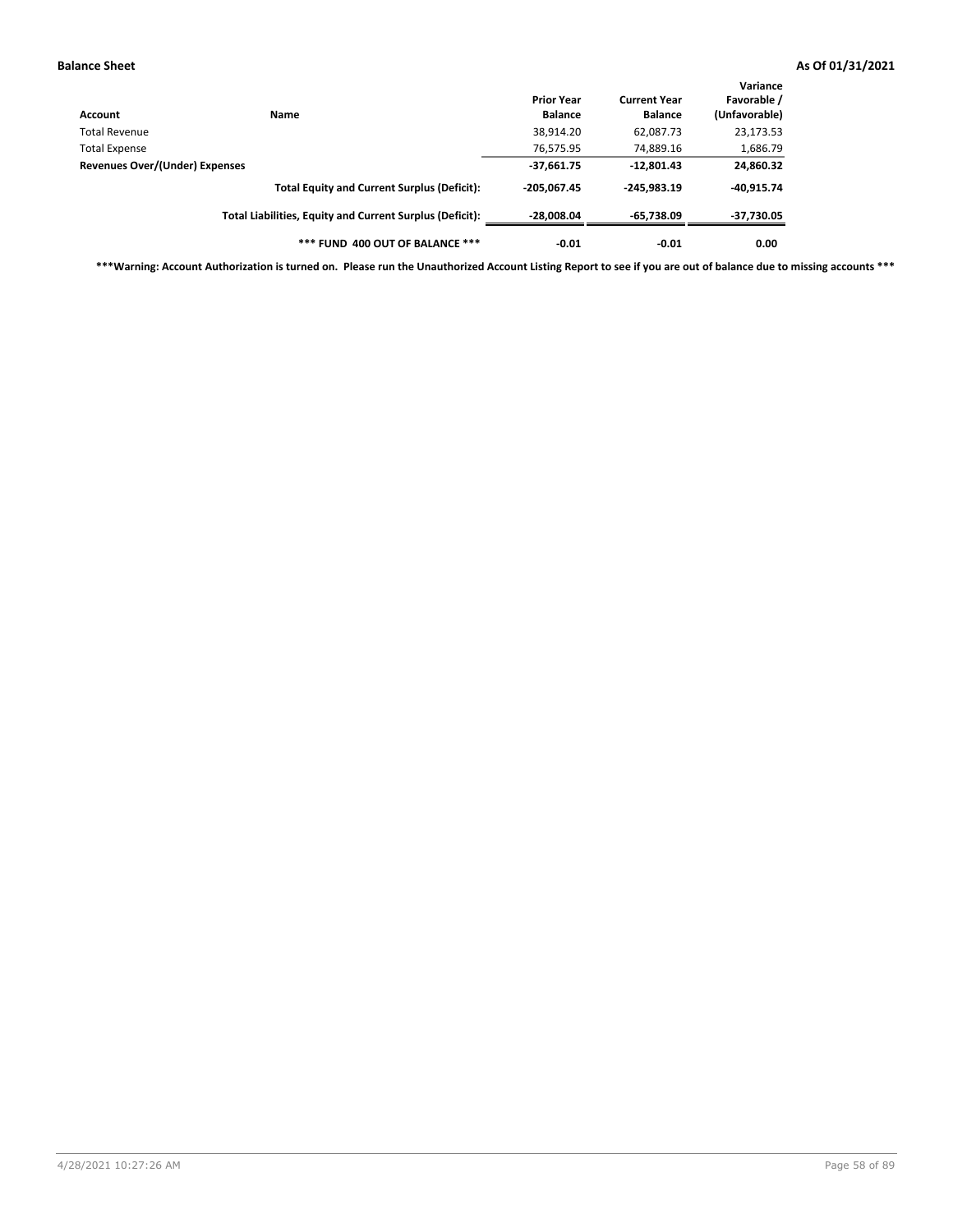| Account                        | <b>Name</b>                                              | <b>Prior Year</b><br><b>Balance</b> | <b>Current Year</b><br><b>Balance</b> | Variance<br>Favorable /<br>(Unfavorable) |
|--------------------------------|----------------------------------------------------------|-------------------------------------|---------------------------------------|------------------------------------------|
| Total Revenue                  |                                                          | 38,914.20                           | 62,087.73                             | 23,173.53                                |
| <b>Total Expense</b>           |                                                          | 76,575.95                           | 74,889.16                             | 1,686.79                                 |
| Revenues Over/(Under) Expenses | $-37,661.75$                                             | $-12,801.43$                        | 24,860.32                             |                                          |
|                                | <b>Total Equity and Current Surplus (Deficit):</b>       | $-205.067.45$                       | $-245.983.19$                         | -40,915.74                               |
|                                | Total Liabilities, Equity and Current Surplus (Deficit): | $-28,008.04$                        | $-65,738.09$                          | -37,730.05                               |
|                                | *** FUND 400 OUT OF BALANCE ***                          | $-0.01$                             | $-0.01$                               | 0.00                                     |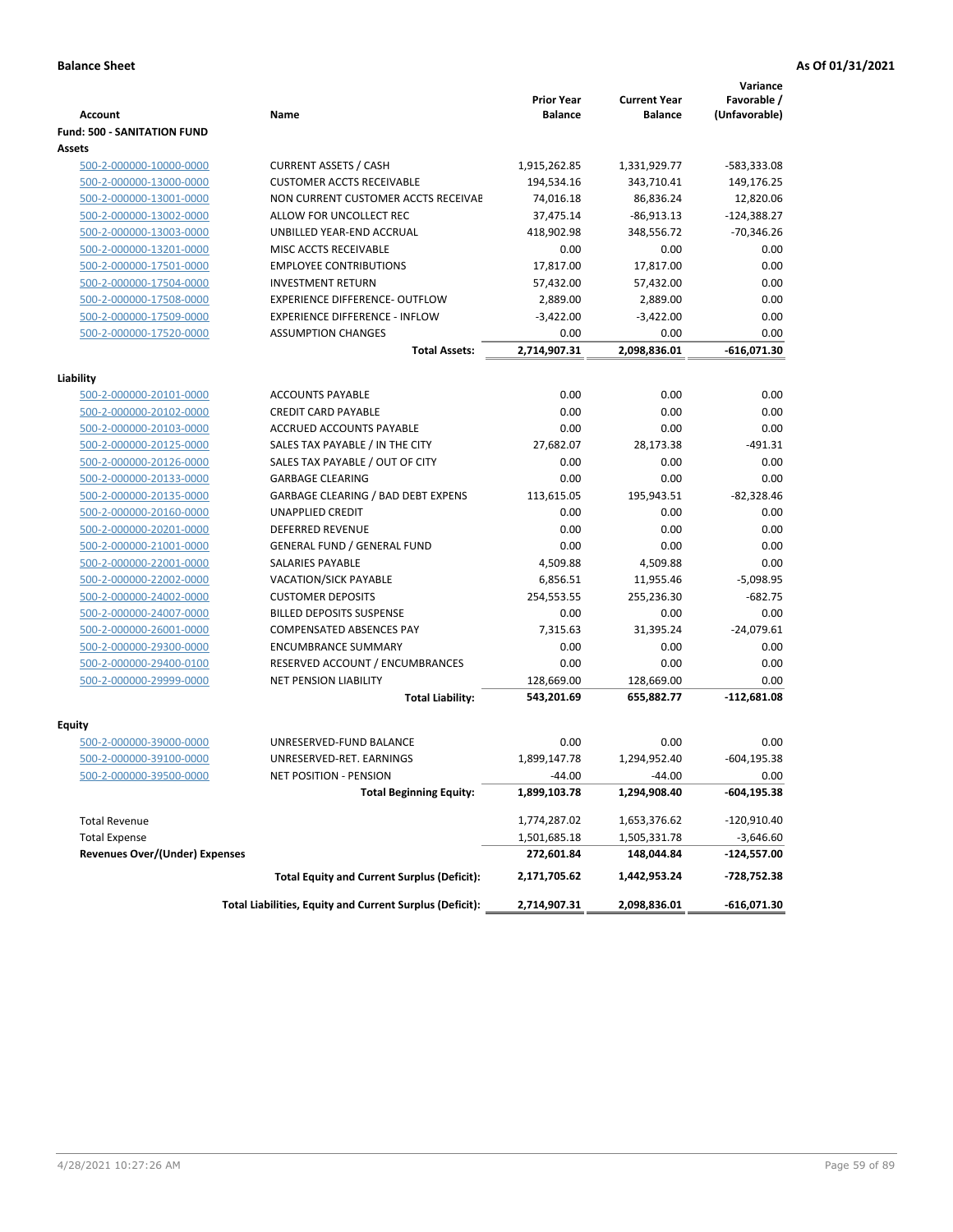|                                       |                                                          |                                     |                                       | Variance                     |
|---------------------------------------|----------------------------------------------------------|-------------------------------------|---------------------------------------|------------------------------|
| Account                               | Name                                                     | <b>Prior Year</b><br><b>Balance</b> | <b>Current Year</b><br><b>Balance</b> | Favorable /<br>(Unfavorable) |
| <b>Fund: 500 - SANITATION FUND</b>    |                                                          |                                     |                                       |                              |
| Assets                                |                                                          |                                     |                                       |                              |
| 500-2-000000-10000-0000               | <b>CURRENT ASSETS / CASH</b>                             | 1,915,262.85                        | 1,331,929.77                          | -583,333.08                  |
| 500-2-000000-13000-0000               | <b>CUSTOMER ACCTS RECEIVABLE</b>                         | 194,534.16                          | 343,710.41                            | 149,176.25                   |
| 500-2-000000-13001-0000               | NON CURRENT CUSTOMER ACCTS RECEIVAE                      | 74,016.18                           | 86,836.24                             | 12,820.06                    |
| 500-2-000000-13002-0000               | ALLOW FOR UNCOLLECT REC                                  | 37,475.14                           | $-86,913.13$                          | $-124,388.27$                |
| 500-2-000000-13003-0000               | UNBILLED YEAR-END ACCRUAL                                | 418,902.98                          | 348,556.72                            | $-70,346.26$                 |
| 500-2-000000-13201-0000               | MISC ACCTS RECEIVABLE                                    | 0.00                                | 0.00                                  | 0.00                         |
| 500-2-000000-17501-0000               | <b>EMPLOYEE CONTRIBUTIONS</b>                            | 17,817.00                           | 17,817.00                             | 0.00                         |
| 500-2-000000-17504-0000               | <b>INVESTMENT RETURN</b>                                 | 57,432.00                           | 57,432.00                             | 0.00                         |
| 500-2-000000-17508-0000               | <b>EXPERIENCE DIFFERENCE- OUTFLOW</b>                    | 2,889.00                            | 2,889.00                              | 0.00                         |
| 500-2-000000-17509-0000               | <b>EXPERIENCE DIFFERENCE - INFLOW</b>                    | $-3,422.00$                         | $-3,422.00$                           | 0.00                         |
| 500-2-000000-17520-0000               | <b>ASSUMPTION CHANGES</b>                                | 0.00                                | 0.00                                  | 0.00                         |
|                                       | <b>Total Assets:</b>                                     | 2,714,907.31                        | 2,098,836.01                          | $-616,071.30$                |
|                                       |                                                          |                                     |                                       |                              |
| Liability                             |                                                          |                                     |                                       |                              |
| 500-2-000000-20101-0000               | <b>ACCOUNTS PAYABLE</b>                                  | 0.00                                | 0.00                                  | 0.00                         |
| 500-2-000000-20102-0000               | <b>CREDIT CARD PAYABLE</b>                               | 0.00                                | 0.00                                  | 0.00                         |
| 500-2-000000-20103-0000               | ACCRUED ACCOUNTS PAYABLE                                 | 0.00                                | 0.00                                  | 0.00                         |
| 500-2-000000-20125-0000               | SALES TAX PAYABLE / IN THE CITY                          | 27,682.07                           | 28,173.38                             | $-491.31$                    |
| 500-2-000000-20126-0000               | SALES TAX PAYABLE / OUT OF CITY                          | 0.00                                | 0.00                                  | 0.00                         |
| 500-2-000000-20133-0000               | <b>GARBAGE CLEARING</b>                                  | 0.00                                | 0.00                                  | 0.00                         |
| 500-2-000000-20135-0000               | <b>GARBAGE CLEARING / BAD DEBT EXPENS</b>                | 113,615.05                          | 195,943.51                            | $-82,328.46$                 |
| 500-2-000000-20160-0000               | <b>UNAPPLIED CREDIT</b>                                  | 0.00                                | 0.00                                  | 0.00                         |
| 500-2-000000-20201-0000               | <b>DEFERRED REVENUE</b>                                  | 0.00                                | 0.00                                  | 0.00                         |
| 500-2-000000-21001-0000               | <b>GENERAL FUND / GENERAL FUND</b>                       | 0.00                                | 0.00                                  | 0.00                         |
| 500-2-000000-22001-0000               | <b>SALARIES PAYABLE</b>                                  | 4,509.88                            | 4,509.88                              | 0.00                         |
| 500-2-000000-22002-0000               | <b>VACATION/SICK PAYABLE</b>                             | 6,856.51                            | 11,955.46                             | $-5,098.95$                  |
| 500-2-000000-24002-0000               | <b>CUSTOMER DEPOSITS</b>                                 | 254,553.55                          | 255,236.30                            | $-682.75$                    |
| 500-2-000000-24007-0000               | <b>BILLED DEPOSITS SUSPENSE</b>                          | 0.00                                | 0.00                                  | 0.00                         |
| 500-2-000000-26001-0000               | <b>COMPENSATED ABSENCES PAY</b>                          | 7,315.63                            | 31,395.24                             | $-24,079.61$                 |
| 500-2-000000-29300-0000               | <b>ENCUMBRANCE SUMMARY</b>                               | 0.00                                | 0.00                                  | 0.00                         |
| 500-2-000000-29400-0100               | RESERVED ACCOUNT / ENCUMBRANCES                          | 0.00                                | 0.00                                  | 0.00                         |
| 500-2-000000-29999-0000               | <b>NET PENSION LIABILITY</b>                             | 128,669.00                          | 128,669.00                            | 0.00                         |
|                                       | <b>Total Liability:</b>                                  | 543,201.69                          | 655,882.77                            | -112,681.08                  |
|                                       |                                                          |                                     |                                       |                              |
| <b>Equity</b>                         |                                                          |                                     |                                       |                              |
| 500-2-000000-39000-0000               | UNRESERVED-FUND BALANCE                                  | 0.00                                | 0.00                                  | 0.00                         |
| 500-2-000000-39100-0000               | UNRESERVED-RET. EARNINGS                                 | 1,899,147.78                        | 1,294,952.40                          | $-604, 195.38$               |
| <u>500-2-000000-39500-0000</u>        | NET POSITION - PENSION                                   | $-44.00$                            | $-44.00$                              | 0.00                         |
|                                       | <b>Total Beginning Equity:</b>                           | 1,899,103.78                        | 1,294,908.40                          | -604,195.38                  |
| <b>Total Revenue</b>                  |                                                          | 1,774,287.02                        | 1,653,376.62                          | -120,910.40                  |
| <b>Total Expense</b>                  |                                                          | 1,501,685.18                        | 1,505,331.78                          | -3,646.60                    |
| <b>Revenues Over/(Under) Expenses</b> |                                                          | 272,601.84                          | 148,044.84                            | -124,557.00                  |
|                                       | <b>Total Equity and Current Surplus (Deficit):</b>       | 2,171,705.62                        | 1,442,953.24                          | -728,752.38                  |
|                                       | Total Liabilities, Equity and Current Surplus (Deficit): | 2,714,907.31                        | 2,098,836.01                          | $-616,071.30$                |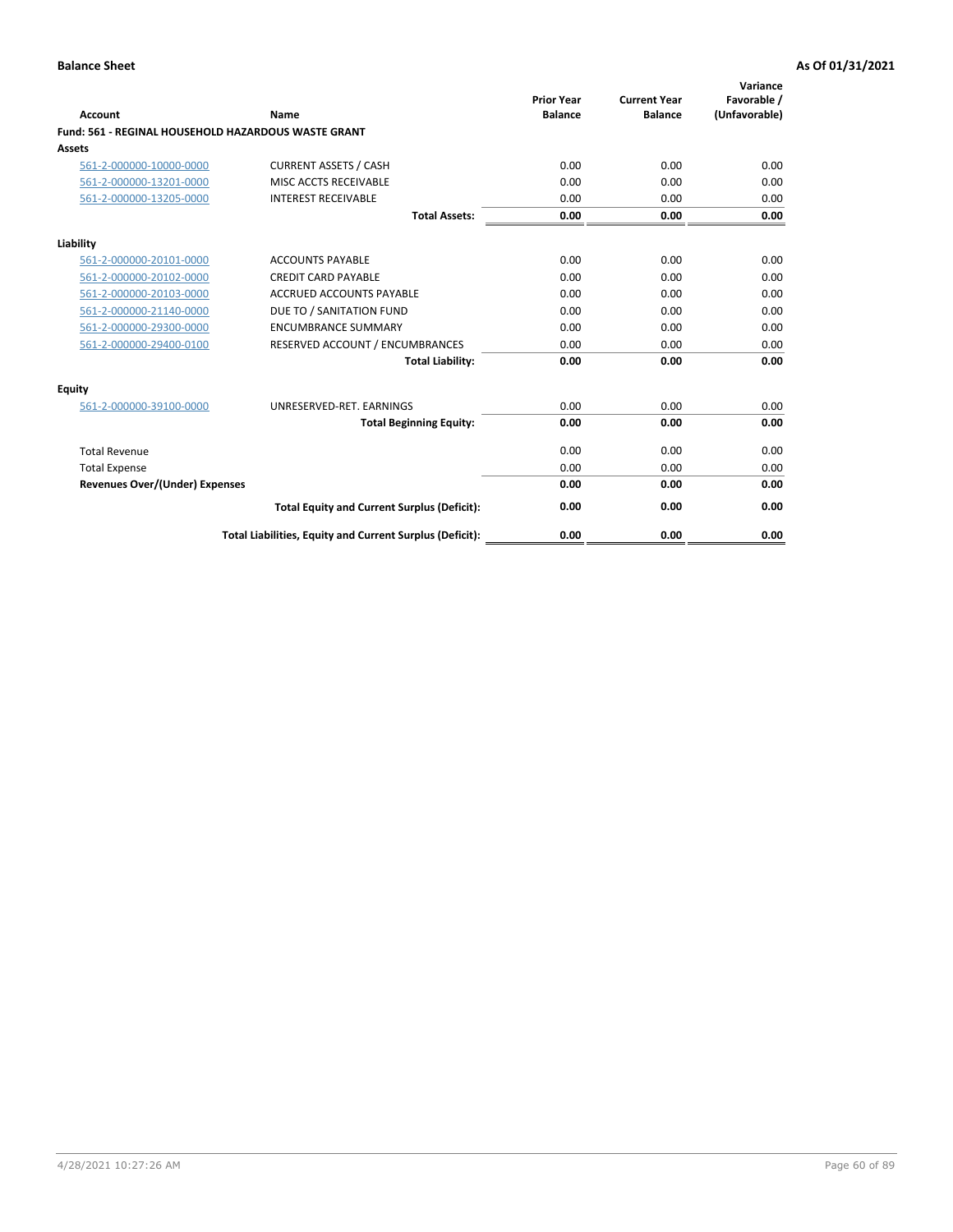| <b>Account</b>                        | Name                                                       | <b>Prior Year</b><br><b>Balance</b> | <b>Current Year</b><br><b>Balance</b> | Variance<br>Favorable /<br>(Unfavorable) |
|---------------------------------------|------------------------------------------------------------|-------------------------------------|---------------------------------------|------------------------------------------|
|                                       | <b>Fund: 561 - REGINAL HOUSEHOLD HAZARDOUS WASTE GRANT</b> |                                     |                                       |                                          |
| <b>Assets</b>                         |                                                            |                                     |                                       |                                          |
| 561-2-000000-10000-0000               | <b>CURRENT ASSETS / CASH</b>                               | 0.00                                | 0.00                                  | 0.00                                     |
| 561-2-000000-13201-0000               | MISC ACCTS RECEIVABLE                                      | 0.00                                | 0.00                                  | 0.00                                     |
| 561-2-000000-13205-0000               | <b>INTEREST RECEIVABLE</b>                                 | 0.00                                | 0.00                                  | 0.00                                     |
|                                       | <b>Total Assets:</b>                                       | 0.00                                | 0.00                                  | 0.00                                     |
| Liability                             |                                                            |                                     |                                       |                                          |
| 561-2-000000-20101-0000               | <b>ACCOUNTS PAYABLE</b>                                    | 0.00                                | 0.00                                  | 0.00                                     |
| 561-2-000000-20102-0000               | <b>CREDIT CARD PAYABLE</b>                                 | 0.00                                | 0.00                                  | 0.00                                     |
| 561-2-000000-20103-0000               | <b>ACCRUED ACCOUNTS PAYABLE</b>                            | 0.00                                | 0.00                                  | 0.00                                     |
| 561-2-000000-21140-0000               | DUE TO / SANITATION FUND                                   | 0.00                                | 0.00                                  | 0.00                                     |
| 561-2-000000-29300-0000               | <b>ENCUMBRANCE SUMMARY</b>                                 | 0.00                                | 0.00                                  | 0.00                                     |
| 561-2-000000-29400-0100               | RESERVED ACCOUNT / ENCUMBRANCES                            | 0.00                                | 0.00                                  | 0.00                                     |
|                                       | <b>Total Liability:</b>                                    | 0.00                                | 0.00                                  | 0.00                                     |
| <b>Equity</b>                         |                                                            |                                     |                                       |                                          |
| 561-2-000000-39100-0000               | UNRESERVED-RET. EARNINGS                                   | 0.00                                | 0.00                                  | 0.00                                     |
|                                       | <b>Total Beginning Equity:</b>                             | 0.00                                | 0.00                                  | 0.00                                     |
| <b>Total Revenue</b>                  |                                                            | 0.00                                | 0.00                                  | 0.00                                     |
| <b>Total Expense</b>                  |                                                            | 0.00                                | 0.00                                  | 0.00                                     |
| <b>Revenues Over/(Under) Expenses</b> |                                                            | 0.00                                | 0.00                                  | 0.00                                     |
|                                       | <b>Total Equity and Current Surplus (Deficit):</b>         | 0.00                                | 0.00                                  | 0.00                                     |
|                                       | Total Liabilities, Equity and Current Surplus (Deficit):   | 0.00                                | 0.00                                  | 0.00                                     |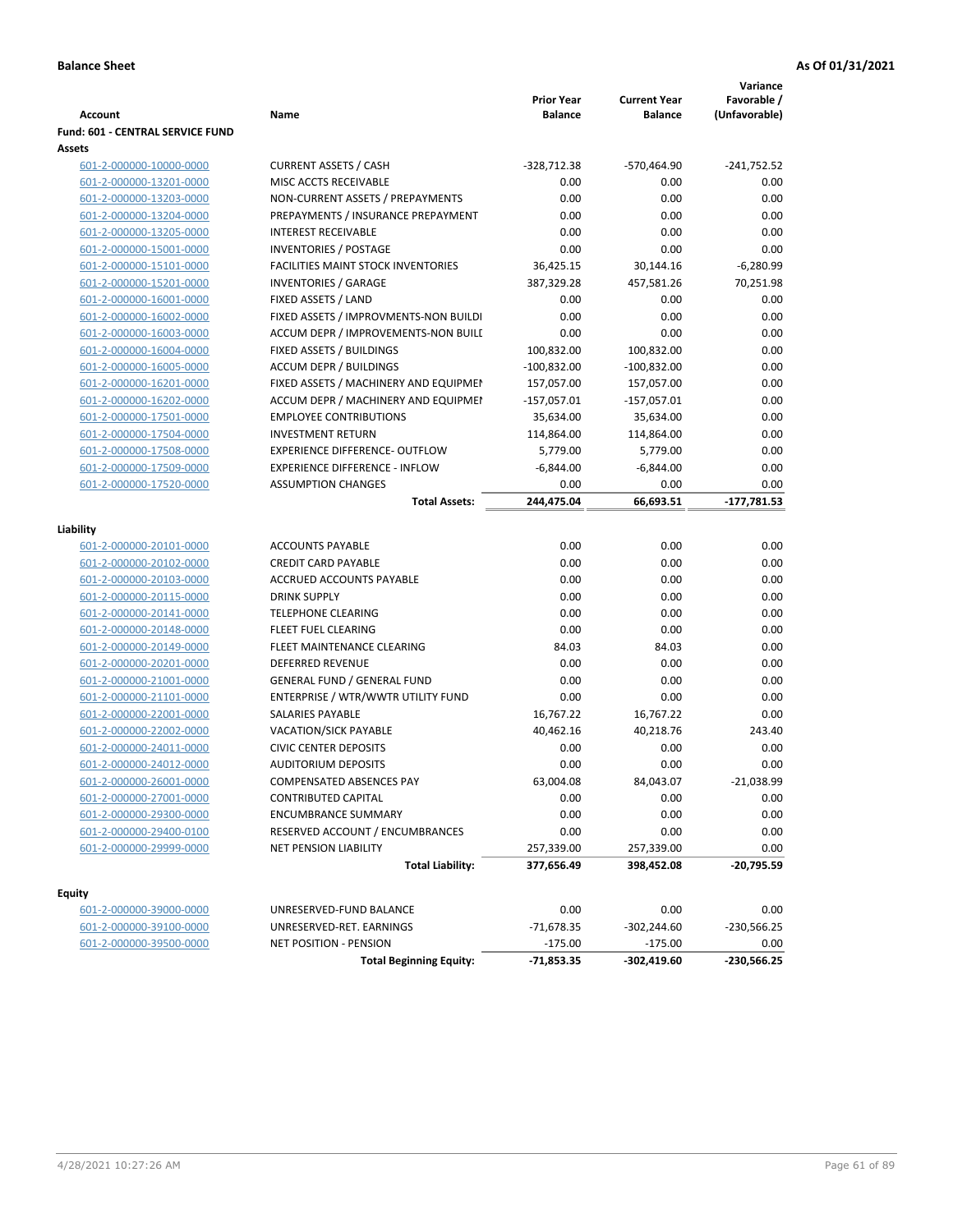|                                  |                                                       |                   |                     | Variance      |
|----------------------------------|-------------------------------------------------------|-------------------|---------------------|---------------|
|                                  |                                                       | <b>Prior Year</b> | <b>Current Year</b> | Favorable /   |
| <b>Account</b>                   | Name                                                  | <b>Balance</b>    | <b>Balance</b>      | (Unfavorable) |
| Fund: 601 - CENTRAL SERVICE FUND |                                                       |                   |                     |               |
| Assets                           |                                                       |                   |                     |               |
| 601-2-000000-10000-0000          | <b>CURRENT ASSETS / CASH</b><br>MISC ACCTS RECEIVABLE | $-328,712.38$     | -570,464.90         | $-241,752.52$ |
| 601-2-000000-13201-0000          |                                                       | 0.00              | 0.00                | 0.00          |
| 601-2-000000-13203-0000          | NON-CURRENT ASSETS / PREPAYMENTS                      | 0.00              | 0.00                | 0.00          |
| 601-2-000000-13204-0000          | PREPAYMENTS / INSURANCE PREPAYMENT                    | 0.00              | 0.00                | 0.00          |
| 601-2-000000-13205-0000          | <b>INTEREST RECEIVABLE</b>                            | 0.00              | 0.00                | 0.00          |
| 601-2-000000-15001-0000          | <b>INVENTORIES / POSTAGE</b>                          | 0.00              | 0.00                | 0.00          |
| 601-2-000000-15101-0000          | <b>FACILITIES MAINT STOCK INVENTORIES</b>             | 36,425.15         | 30,144.16           | $-6,280.99$   |
| 601-2-000000-15201-0000          | <b>INVENTORIES / GARAGE</b>                           | 387,329.28        | 457,581.26          | 70,251.98     |
| 601-2-000000-16001-0000          | FIXED ASSETS / LAND                                   | 0.00              | 0.00                | 0.00          |
| 601-2-000000-16002-0000          | FIXED ASSETS / IMPROVMENTS-NON BUILDI                 | 0.00              | 0.00                | 0.00          |
| 601-2-000000-16003-0000          | ACCUM DEPR / IMPROVEMENTS-NON BUILI                   | 0.00              | 0.00                | 0.00          |
| 601-2-000000-16004-0000          | FIXED ASSETS / BUILDINGS                              | 100,832.00        | 100,832.00          | 0.00          |
| 601-2-000000-16005-0000          | <b>ACCUM DEPR / BUILDINGS</b>                         | $-100,832.00$     | $-100,832.00$       | 0.00          |
| 601-2-000000-16201-0000          | FIXED ASSETS / MACHINERY AND EQUIPMEN                 | 157,057.00        | 157,057.00          | 0.00          |
| 601-2-000000-16202-0000          | ACCUM DEPR / MACHINERY AND EQUIPMEI                   | $-157,057.01$     | $-157,057.01$       | 0.00          |
| 601-2-000000-17501-0000          | <b>EMPLOYEE CONTRIBUTIONS</b>                         | 35,634.00         | 35,634.00           | 0.00          |
| 601-2-000000-17504-0000          | <b>INVESTMENT RETURN</b>                              | 114,864.00        | 114,864.00          | 0.00          |
| 601-2-000000-17508-0000          | <b>EXPERIENCE DIFFERENCE- OUTFLOW</b>                 | 5,779.00          | 5,779.00            | 0.00          |
| 601-2-000000-17509-0000          | <b>EXPERIENCE DIFFERENCE - INFLOW</b>                 | $-6,844.00$       | $-6,844.00$         | 0.00          |
| 601-2-000000-17520-0000          | <b>ASSUMPTION CHANGES</b>                             | 0.00              | 0.00                | 0.00          |
|                                  | <b>Total Assets:</b>                                  | 244,475.04        | 66,693.51           | $-177,781.53$ |
| Liability                        |                                                       |                   |                     |               |
| 601-2-000000-20101-0000          | <b>ACCOUNTS PAYABLE</b>                               | 0.00              | 0.00                | 0.00          |
| 601-2-000000-20102-0000          | <b>CREDIT CARD PAYABLE</b>                            | 0.00              | 0.00                | 0.00          |
| 601-2-000000-20103-0000          | ACCRUED ACCOUNTS PAYABLE                              | 0.00              | 0.00                | 0.00          |
| 601-2-000000-20115-0000          | <b>DRINK SUPPLY</b>                                   | 0.00              | 0.00                | 0.00          |
| 601-2-000000-20141-0000          | <b>TELEPHONE CLEARING</b>                             | 0.00              | 0.00                | 0.00          |
|                                  | FLEET FUEL CLEARING                                   | 0.00              | 0.00                | 0.00          |
| 601-2-000000-20148-0000          | FLEET MAINTENANCE CLEARING                            | 84.03             | 84.03               | 0.00          |
| 601-2-000000-20149-0000          |                                                       |                   |                     |               |
| 601-2-000000-20201-0000          | <b>DEFERRED REVENUE</b>                               | 0.00<br>0.00      | 0.00<br>0.00        | 0.00          |
| 601-2-000000-21001-0000          | <b>GENERAL FUND / GENERAL FUND</b>                    |                   |                     | 0.00          |
| 601-2-000000-21101-0000          | ENTERPRISE / WTR/WWTR UTILITY FUND                    | 0.00              | 0.00                | 0.00          |
| 601-2-000000-22001-0000          | SALARIES PAYABLE                                      | 16,767.22         | 16,767.22           | 0.00          |
| 601-2-000000-22002-0000          | VACATION/SICK PAYABLE                                 | 40,462.16         | 40,218.76           | 243.40        |
| 601-2-000000-24011-0000          | <b>CIVIC CENTER DEPOSITS</b>                          | 0.00              | 0.00                | 0.00          |
| 601-2-000000-24012-0000          | <b>AUDITORIUM DEPOSITS</b>                            | 0.00              | 0.00                | 0.00          |
| 601-2-000000-26001-0000          | COMPENSATED ABSENCES PAY                              | 63,004.08         | 84,043.07           | $-21,038.99$  |
| 601-2-000000-27001-0000          | CONTRIBUTED CAPITAL                                   | 0.00              | 0.00                | 0.00          |
| 601-2-000000-29300-0000          | <b>ENCUMBRANCE SUMMARY</b>                            | 0.00              | 0.00                | 0.00          |
| 601-2-000000-29400-0100          | RESERVED ACCOUNT / ENCUMBRANCES                       | 0.00              | 0.00                | 0.00          |
| 601-2-000000-29999-0000          | NET PENSION LIABILITY                                 | 257,339.00        | 257,339.00          | 0.00          |
|                                  | <b>Total Liability:</b>                               | 377,656.49        | 398,452.08          | $-20,795.59$  |
| <b>Equity</b>                    |                                                       |                   |                     |               |
| 601-2-000000-39000-0000          | UNRESERVED-FUND BALANCE                               | 0.00              | 0.00                | 0.00          |
| 601-2-000000-39100-0000          | UNRESERVED-RET. EARNINGS                              | $-71,678.35$      | $-302,244.60$       | -230,566.25   |
| 601-2-000000-39500-0000          | NET POSITION - PENSION                                | $-175.00$         | $-175.00$           | 0.00          |
|                                  | <b>Total Beginning Equity:</b>                        | $-71,853.35$      | -302,419.60         | $-230,566.25$ |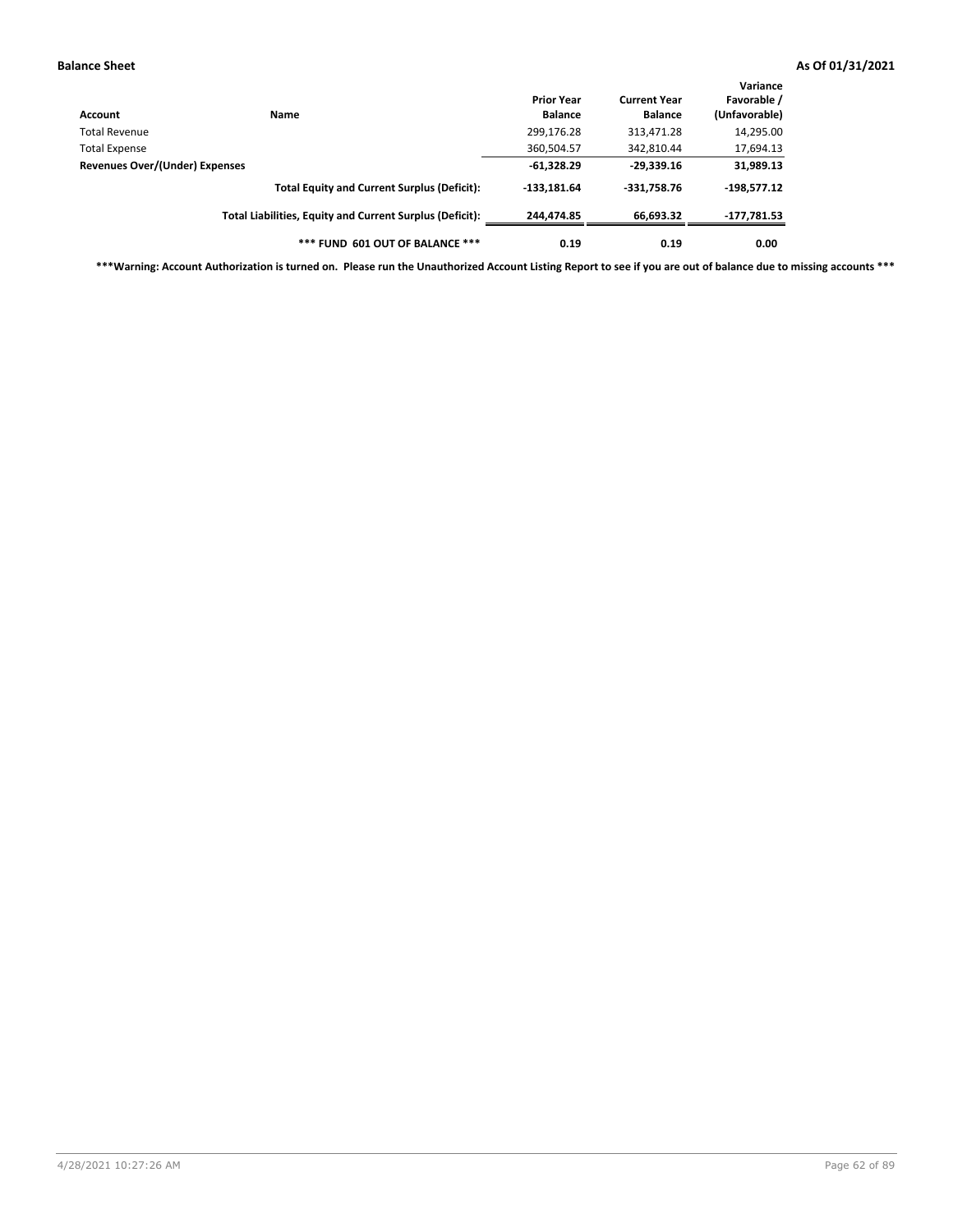| Account                        | <b>Name</b>                                              | <b>Prior Year</b><br><b>Balance</b> | <b>Current Year</b><br><b>Balance</b> | Variance<br>Favorable /<br>(Unfavorable) |
|--------------------------------|----------------------------------------------------------|-------------------------------------|---------------------------------------|------------------------------------------|
| Total Revenue                  |                                                          | 299,176.28                          | 313,471.28                            | 14,295.00                                |
| Total Expense                  |                                                          | 360,504.57                          | 342,810.44                            | 17,694.13                                |
| Revenues Over/(Under) Expenses |                                                          | $-61,328.29$                        | $-29,339.16$                          | 31,989.13                                |
|                                | <b>Total Equity and Current Surplus (Deficit):</b>       | $-133.181.64$                       | $-331.758.76$                         | $-198.577.12$                            |
|                                | Total Liabilities, Equity and Current Surplus (Deficit): | 244,474.85                          | 66,693.32                             | -177,781.53                              |
|                                | *** FUND 601 OUT OF BALANCE ***                          | 0.19                                | 0.19                                  | 0.00                                     |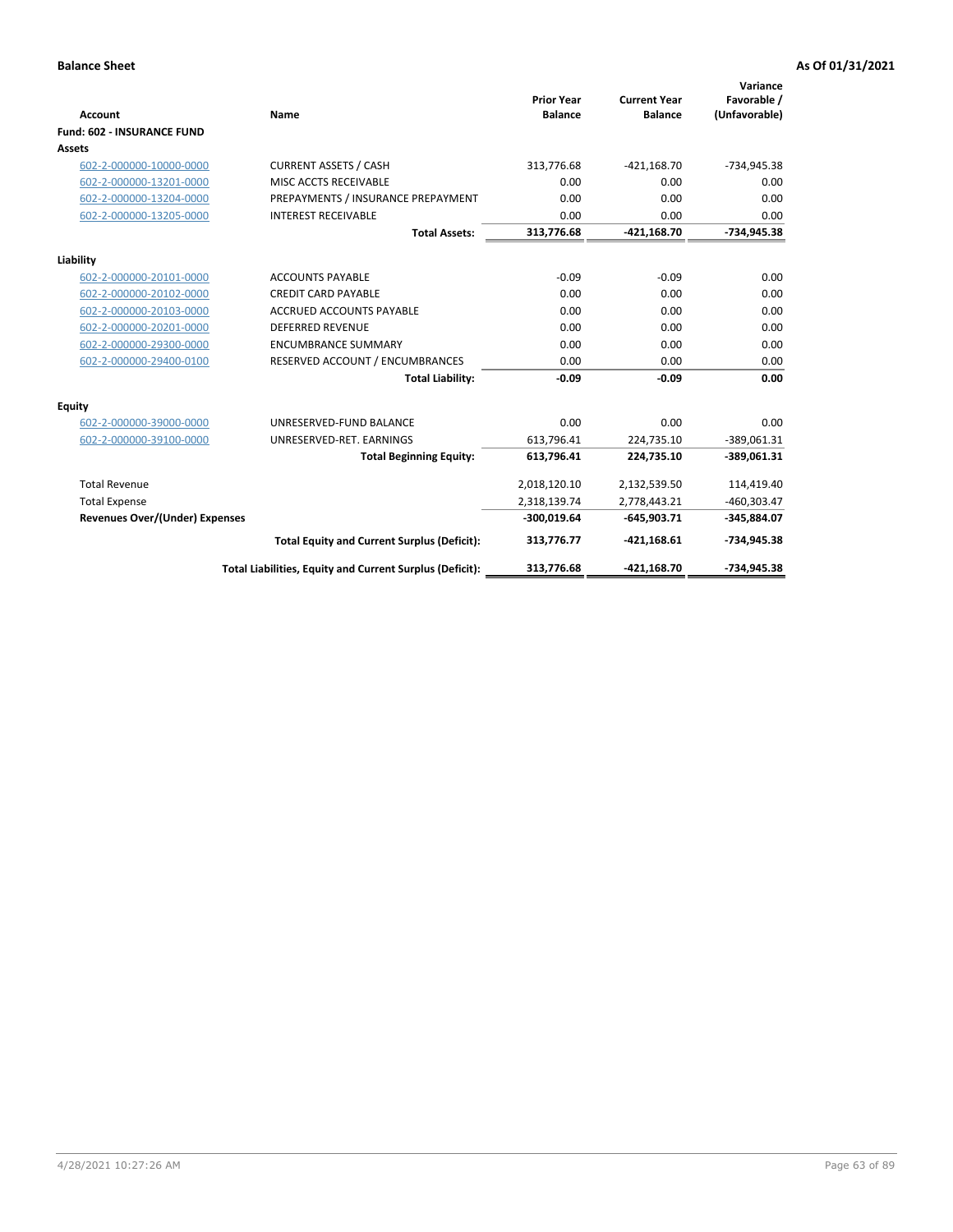|                                       |                                                          |                                     |                                       | Variance                     |
|---------------------------------------|----------------------------------------------------------|-------------------------------------|---------------------------------------|------------------------------|
| <b>Account</b>                        | Name                                                     | <b>Prior Year</b><br><b>Balance</b> | <b>Current Year</b><br><b>Balance</b> | Favorable /<br>(Unfavorable) |
| <b>Fund: 602 - INSURANCE FUND</b>     |                                                          |                                     |                                       |                              |
| <b>Assets</b>                         |                                                          |                                     |                                       |                              |
| 602-2-000000-10000-0000               | <b>CURRENT ASSETS / CASH</b>                             | 313,776.68                          | $-421,168.70$                         | -734,945.38                  |
| 602-2-000000-13201-0000               | MISC ACCTS RECEIVABLE                                    | 0.00                                | 0.00                                  | 0.00                         |
| 602-2-000000-13204-0000               | PREPAYMENTS / INSURANCE PREPAYMENT                       | 0.00                                | 0.00                                  | 0.00                         |
| 602-2-000000-13205-0000               | <b>INTEREST RECEIVABLE</b>                               | 0.00                                | 0.00                                  | 0.00                         |
|                                       | <b>Total Assets:</b>                                     | 313,776.68                          | $-421,168.70$                         | -734,945.38                  |
| Liability                             |                                                          |                                     |                                       |                              |
| 602-2-000000-20101-0000               | <b>ACCOUNTS PAYABLE</b>                                  | $-0.09$                             | $-0.09$                               | 0.00                         |
| 602-2-000000-20102-0000               | <b>CREDIT CARD PAYABLE</b>                               | 0.00                                | 0.00                                  | 0.00                         |
| 602-2-000000-20103-0000               | <b>ACCRUED ACCOUNTS PAYABLE</b>                          | 0.00                                | 0.00                                  | 0.00                         |
| 602-2-000000-20201-0000               | <b>DEFERRED REVENUE</b>                                  | 0.00                                | 0.00                                  | 0.00                         |
| 602-2-000000-29300-0000               | <b>ENCUMBRANCE SUMMARY</b>                               | 0.00                                | 0.00                                  | 0.00                         |
| 602-2-000000-29400-0100               | RESERVED ACCOUNT / ENCUMBRANCES                          | 0.00                                | 0.00                                  | 0.00                         |
|                                       | <b>Total Liability:</b>                                  | $-0.09$                             | $-0.09$                               | 0.00                         |
| Equity                                |                                                          |                                     |                                       |                              |
| 602-2-000000-39000-0000               | UNRESERVED-FUND BALANCE                                  | 0.00                                | 0.00                                  | 0.00                         |
| 602-2-000000-39100-0000               | UNRESERVED-RET. EARNINGS                                 | 613,796.41                          | 224,735.10                            | $-389,061.31$                |
|                                       | <b>Total Beginning Equity:</b>                           | 613,796.41                          | 224,735.10                            | $-389,061.31$                |
| <b>Total Revenue</b>                  |                                                          | 2,018,120.10                        | 2,132,539.50                          | 114,419.40                   |
| <b>Total Expense</b>                  |                                                          | 2,318,139.74                        | 2,778,443.21                          | $-460,303.47$                |
| <b>Revenues Over/(Under) Expenses</b> |                                                          | $-300,019.64$                       | $-645.903.71$                         | -345,884.07                  |
|                                       | <b>Total Equity and Current Surplus (Deficit):</b>       | 313,776.77                          | $-421.168.61$                         | -734,945.38                  |
|                                       | Total Liabilities, Equity and Current Surplus (Deficit): | 313,776.68                          | -421,168.70                           | -734,945.38                  |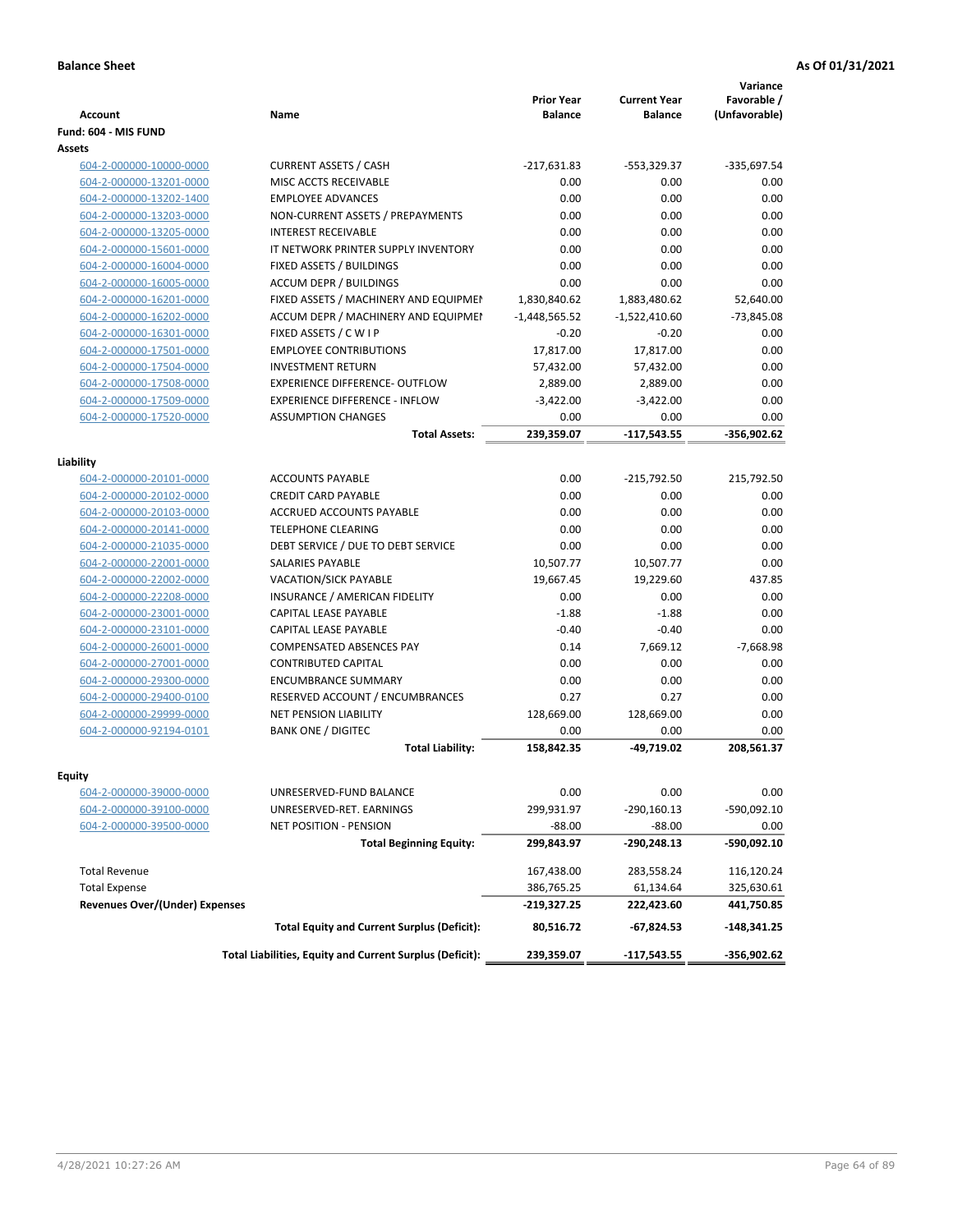| <b>Account</b>                        | <b>Name</b>                                              | <b>Prior Year</b><br><b>Balance</b> | <b>Current Year</b><br><b>Balance</b> | Variance<br>Favorable /<br>(Unfavorable) |
|---------------------------------------|----------------------------------------------------------|-------------------------------------|---------------------------------------|------------------------------------------|
| Fund: 604 - MIS FUND                  |                                                          |                                     |                                       |                                          |
| Assets                                |                                                          |                                     |                                       |                                          |
| 604-2-000000-10000-0000               | <b>CURRENT ASSETS / CASH</b>                             | $-217,631.83$                       | -553,329.37                           | -335,697.54                              |
| 604-2-000000-13201-0000               | MISC ACCTS RECEIVABLE                                    | 0.00                                | 0.00                                  | 0.00                                     |
| 604-2-000000-13202-1400               | <b>EMPLOYEE ADVANCES</b>                                 | 0.00                                | 0.00                                  | 0.00                                     |
| 604-2-000000-13203-0000               | NON-CURRENT ASSETS / PREPAYMENTS                         | 0.00                                | 0.00                                  | 0.00                                     |
| 604-2-000000-13205-0000               | <b>INTEREST RECEIVABLE</b>                               | 0.00                                | 0.00                                  | 0.00                                     |
| 604-2-000000-15601-0000               | IT NETWORK PRINTER SUPPLY INVENTORY                      | 0.00                                | 0.00                                  | 0.00                                     |
| 604-2-000000-16004-0000               | FIXED ASSETS / BUILDINGS                                 | 0.00                                | 0.00                                  | 0.00                                     |
| 604-2-000000-16005-0000               | <b>ACCUM DEPR / BUILDINGS</b>                            | 0.00                                | 0.00                                  | 0.00                                     |
| 604-2-000000-16201-0000               | FIXED ASSETS / MACHINERY AND EQUIPMEN                    | 1,830,840.62                        | 1,883,480.62                          | 52,640.00                                |
| 604-2-000000-16202-0000               | ACCUM DEPR / MACHINERY AND EQUIPMEI                      | $-1,448,565.52$                     | $-1,522,410.60$                       | $-73,845.08$                             |
| 604-2-000000-16301-0000               | FIXED ASSETS / C W I P                                   | $-0.20$                             | $-0.20$                               | 0.00                                     |
| 604-2-000000-17501-0000               | <b>EMPLOYEE CONTRIBUTIONS</b>                            | 17,817.00                           | 17,817.00                             | 0.00                                     |
| 604-2-000000-17504-0000               | <b>INVESTMENT RETURN</b>                                 | 57,432.00                           | 57,432.00                             | 0.00                                     |
| 604-2-000000-17508-0000               | <b>EXPERIENCE DIFFERENCE- OUTFLOW</b>                    | 2,889.00                            | 2,889.00                              | 0.00                                     |
| 604-2-000000-17509-0000               | <b>EXPERIENCE DIFFERENCE - INFLOW</b>                    | $-3,422.00$                         | $-3,422.00$                           | 0.00                                     |
| 604-2-000000-17520-0000               | <b>ASSUMPTION CHANGES</b>                                | 0.00                                | 0.00                                  | 0.00                                     |
|                                       | <b>Total Assets:</b>                                     | 239,359.07                          | $-117,543.55$                         | $-356,902.62$                            |
|                                       |                                                          |                                     |                                       |                                          |
| Liability                             |                                                          |                                     |                                       |                                          |
| 604-2-000000-20101-0000               | <b>ACCOUNTS PAYABLE</b>                                  | 0.00                                | $-215,792.50$                         | 215,792.50                               |
| 604-2-000000-20102-0000               | <b>CREDIT CARD PAYABLE</b>                               | 0.00                                | 0.00                                  | 0.00                                     |
| 604-2-000000-20103-0000               | <b>ACCRUED ACCOUNTS PAYABLE</b>                          | 0.00                                | 0.00                                  | 0.00                                     |
| 604-2-000000-20141-0000               | <b>TELEPHONE CLEARING</b>                                | 0.00                                | 0.00                                  | 0.00                                     |
| 604-2-000000-21035-0000               | DEBT SERVICE / DUE TO DEBT SERVICE                       | 0.00                                | 0.00                                  | 0.00                                     |
| 604-2-000000-22001-0000               | <b>SALARIES PAYABLE</b>                                  | 10,507.77                           | 10,507.77                             | 0.00                                     |
| 604-2-000000-22002-0000               | <b>VACATION/SICK PAYABLE</b>                             | 19,667.45                           | 19,229.60                             | 437.85                                   |
| 604-2-000000-22208-0000               | INSURANCE / AMERICAN FIDELITY                            | 0.00                                | 0.00                                  | 0.00                                     |
| 604-2-000000-23001-0000               | CAPITAL LEASE PAYABLE                                    | $-1.88$                             | $-1.88$                               | 0.00                                     |
| 604-2-000000-23101-0000               | CAPITAL LEASE PAYABLE                                    | $-0.40$                             | $-0.40$                               | 0.00                                     |
| 604-2-000000-26001-0000               | <b>COMPENSATED ABSENCES PAY</b>                          | 0.14                                | 7,669.12                              | $-7,668.98$                              |
| 604-2-000000-27001-0000               | <b>CONTRIBUTED CAPITAL</b>                               | 0.00                                | 0.00                                  | 0.00                                     |
| 604-2-000000-29300-0000               | <b>ENCUMBRANCE SUMMARY</b>                               | 0.00                                | 0.00                                  | 0.00                                     |
| 604-2-000000-29400-0100               | RESERVED ACCOUNT / ENCUMBRANCES                          | 0.27                                | 0.27                                  | 0.00                                     |
| 604-2-000000-29999-0000               | NET PENSION LIABILITY                                    | 128,669.00                          | 128,669.00                            | 0.00                                     |
| 604-2-000000-92194-0101               | <b>BANK ONE / DIGITEC</b>                                | 0.00                                | 0.00                                  | 0.00                                     |
|                                       | <b>Total Liability:</b>                                  | 158,842.35                          | -49,719.02                            | 208,561.37                               |
|                                       |                                                          |                                     |                                       |                                          |
| Equity<br>604-2-000000-39000-0000     | UNRESERVED-FUND BALANCE                                  | 0.00                                | 0.00                                  | 0.00                                     |
|                                       |                                                          |                                     |                                       |                                          |
| 604-2-000000-39100-0000               | UNRESERVED-RET. EARNINGS                                 | 299,931.97                          | $-290,160.13$                         | -590,092.10                              |
| 604-2-000000-39500-0000               | NET POSITION - PENSION                                   | $-88.00$                            | $-88.00$                              | 0.00                                     |
|                                       | <b>Total Beginning Equity:</b>                           | 299,843.97                          | -290,248.13                           | -590,092.10                              |
| <b>Total Revenue</b>                  |                                                          | 167,438.00                          | 283,558.24                            | 116,120.24                               |
| <b>Total Expense</b>                  |                                                          | 386,765.25                          | 61,134.64                             | 325,630.61                               |
| <b>Revenues Over/(Under) Expenses</b> |                                                          | -219,327.25                         | 222,423.60                            | 441,750.85                               |
|                                       | <b>Total Equity and Current Surplus (Deficit):</b>       | 80,516.72                           | -67,824.53                            | -148,341.25                              |
|                                       | Total Liabilities, Equity and Current Surplus (Deficit): | 239,359.07                          | -117,543.55                           | -356,902.62                              |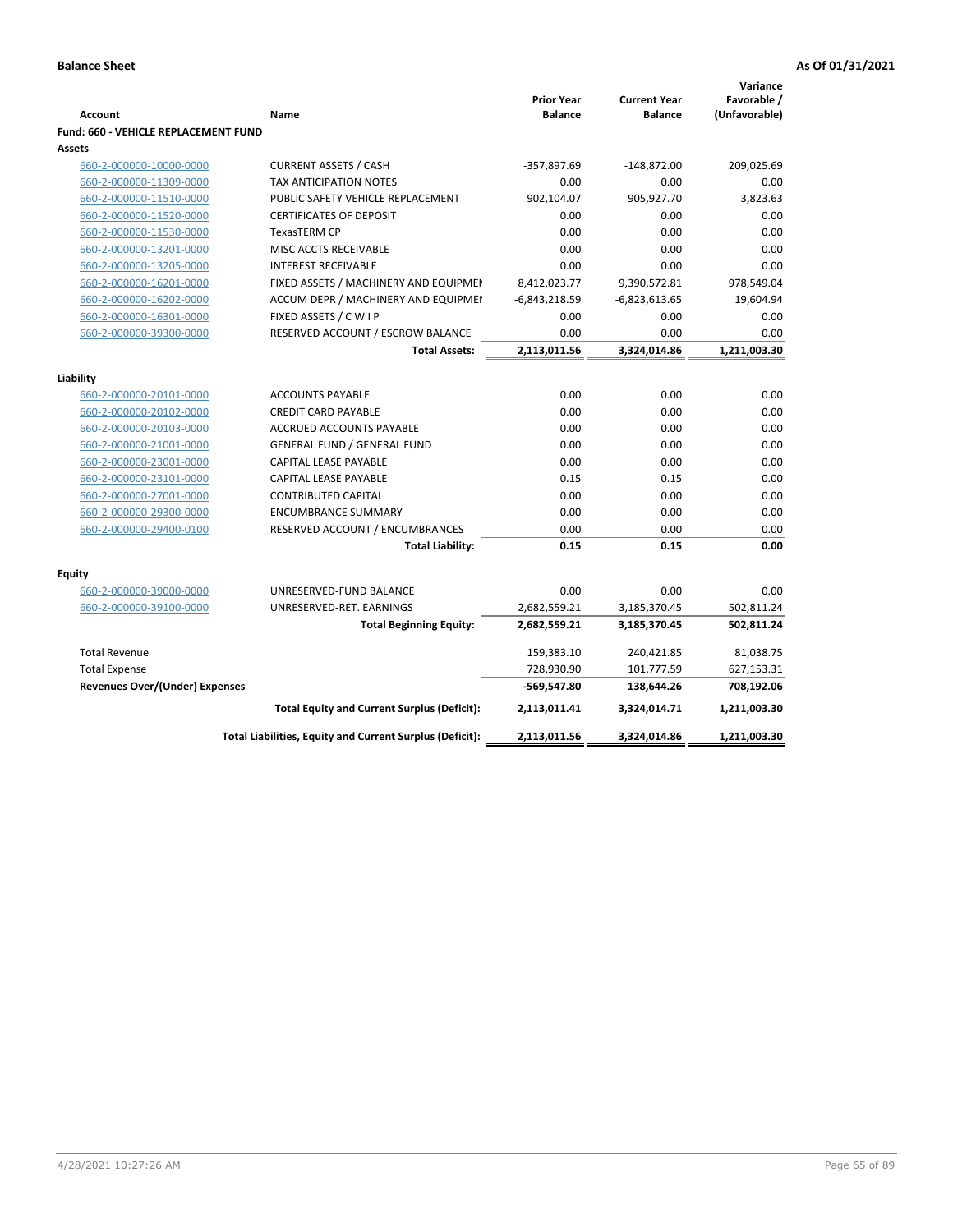| <b>Prior Year</b><br><b>Current Year</b><br><b>Account</b><br>Name<br><b>Balance</b><br><b>Balance</b><br><b>Fund: 660 - VEHICLE REPLACEMENT FUND</b><br>Assets<br><b>CURRENT ASSETS / CASH</b><br>-357,897.69<br>660-2-000000-10000-0000<br>-148,872.00<br>TAX ANTICIPATION NOTES<br>0.00<br>0.00<br>660-2-000000-11309-0000<br>902,104.07<br>905,927.70<br>660-2-000000-11510-0000<br>PUBLIC SAFETY VEHICLE REPLACEMENT<br>660-2-000000-11520-0000<br>0.00<br>0.00<br><b>CERTIFICATES OF DEPOSIT</b><br><b>TexasTERM CP</b><br>0.00<br>0.00<br>660-2-000000-11530-0000<br>MISC ACCTS RECEIVABLE<br>0.00<br>0.00<br>660-2-000000-13201-0000<br><b>INTEREST RECEIVABLE</b><br>0.00<br>0.00<br>660-2-000000-13205-0000<br>660-2-000000-16201-0000<br>FIXED ASSETS / MACHINERY AND EQUIPMEN<br>8,412,023.77<br>9,390,572.81<br>$-6,843,218.59$<br>$-6,823,613.65$<br>660-2-000000-16202-0000<br>ACCUM DEPR / MACHINERY AND EQUIPMEI<br>FIXED ASSETS / C W I P<br>0.00<br>0.00<br>660-2-000000-16301-0000<br>660-2-000000-39300-0000<br>RESERVED ACCOUNT / ESCROW BALANCE<br>0.00<br>0.00<br>3,324,014.86<br><b>Total Assets:</b><br>2,113,011.56<br>Liability<br><b>ACCOUNTS PAYABLE</b><br>0.00<br>0.00<br>660-2-000000-20101-0000<br><b>CREDIT CARD PAYABLE</b><br>0.00<br>0.00<br>660-2-000000-20102-0000<br>0.00<br>660-2-000000-20103-0000<br>ACCRUED ACCOUNTS PAYABLE<br>0.00<br>0.00<br>0.00<br>660-2-000000-21001-0000<br><b>GENERAL FUND / GENERAL FUND</b><br>0.00<br>660-2-000000-23001-0000<br>CAPITAL LEASE PAYABLE<br>0.00<br>0.15<br>660-2-000000-23101-0000<br><b>CAPITAL LEASE PAYABLE</b><br>0.15<br>660-2-000000-27001-0000<br><b>CONTRIBUTED CAPITAL</b><br>0.00<br>0.00<br>660-2-000000-29300-0000<br><b>ENCUMBRANCE SUMMARY</b><br>0.00<br>0.00<br>0.00<br>0.00<br>660-2-000000-29400-0100<br>RESERVED ACCOUNT / ENCUMBRANCES<br>0.15<br>0.15<br><b>Total Liability:</b> | Favorable /<br>(Unfavorable)<br>209,025.69<br>0.00<br>3,823.63<br>0.00<br>0.00<br>0.00 |
|----------------------------------------------------------------------------------------------------------------------------------------------------------------------------------------------------------------------------------------------------------------------------------------------------------------------------------------------------------------------------------------------------------------------------------------------------------------------------------------------------------------------------------------------------------------------------------------------------------------------------------------------------------------------------------------------------------------------------------------------------------------------------------------------------------------------------------------------------------------------------------------------------------------------------------------------------------------------------------------------------------------------------------------------------------------------------------------------------------------------------------------------------------------------------------------------------------------------------------------------------------------------------------------------------------------------------------------------------------------------------------------------------------------------------------------------------------------------------------------------------------------------------------------------------------------------------------------------------------------------------------------------------------------------------------------------------------------------------------------------------------------------------------------------------------------------------------------------------------------------------------------------|----------------------------------------------------------------------------------------|
|                                                                                                                                                                                                                                                                                                                                                                                                                                                                                                                                                                                                                                                                                                                                                                                                                                                                                                                                                                                                                                                                                                                                                                                                                                                                                                                                                                                                                                                                                                                                                                                                                                                                                                                                                                                                                                                                                              |                                                                                        |
|                                                                                                                                                                                                                                                                                                                                                                                                                                                                                                                                                                                                                                                                                                                                                                                                                                                                                                                                                                                                                                                                                                                                                                                                                                                                                                                                                                                                                                                                                                                                                                                                                                                                                                                                                                                                                                                                                              |                                                                                        |
|                                                                                                                                                                                                                                                                                                                                                                                                                                                                                                                                                                                                                                                                                                                                                                                                                                                                                                                                                                                                                                                                                                                                                                                                                                                                                                                                                                                                                                                                                                                                                                                                                                                                                                                                                                                                                                                                                              |                                                                                        |
|                                                                                                                                                                                                                                                                                                                                                                                                                                                                                                                                                                                                                                                                                                                                                                                                                                                                                                                                                                                                                                                                                                                                                                                                                                                                                                                                                                                                                                                                                                                                                                                                                                                                                                                                                                                                                                                                                              |                                                                                        |
|                                                                                                                                                                                                                                                                                                                                                                                                                                                                                                                                                                                                                                                                                                                                                                                                                                                                                                                                                                                                                                                                                                                                                                                                                                                                                                                                                                                                                                                                                                                                                                                                                                                                                                                                                                                                                                                                                              |                                                                                        |
|                                                                                                                                                                                                                                                                                                                                                                                                                                                                                                                                                                                                                                                                                                                                                                                                                                                                                                                                                                                                                                                                                                                                                                                                                                                                                                                                                                                                                                                                                                                                                                                                                                                                                                                                                                                                                                                                                              |                                                                                        |
|                                                                                                                                                                                                                                                                                                                                                                                                                                                                                                                                                                                                                                                                                                                                                                                                                                                                                                                                                                                                                                                                                                                                                                                                                                                                                                                                                                                                                                                                                                                                                                                                                                                                                                                                                                                                                                                                                              |                                                                                        |
|                                                                                                                                                                                                                                                                                                                                                                                                                                                                                                                                                                                                                                                                                                                                                                                                                                                                                                                                                                                                                                                                                                                                                                                                                                                                                                                                                                                                                                                                                                                                                                                                                                                                                                                                                                                                                                                                                              |                                                                                        |
|                                                                                                                                                                                                                                                                                                                                                                                                                                                                                                                                                                                                                                                                                                                                                                                                                                                                                                                                                                                                                                                                                                                                                                                                                                                                                                                                                                                                                                                                                                                                                                                                                                                                                                                                                                                                                                                                                              |                                                                                        |
|                                                                                                                                                                                                                                                                                                                                                                                                                                                                                                                                                                                                                                                                                                                                                                                                                                                                                                                                                                                                                                                                                                                                                                                                                                                                                                                                                                                                                                                                                                                                                                                                                                                                                                                                                                                                                                                                                              | 0.00                                                                                   |
|                                                                                                                                                                                                                                                                                                                                                                                                                                                                                                                                                                                                                                                                                                                                                                                                                                                                                                                                                                                                                                                                                                                                                                                                                                                                                                                                                                                                                                                                                                                                                                                                                                                                                                                                                                                                                                                                                              | 978,549.04                                                                             |
|                                                                                                                                                                                                                                                                                                                                                                                                                                                                                                                                                                                                                                                                                                                                                                                                                                                                                                                                                                                                                                                                                                                                                                                                                                                                                                                                                                                                                                                                                                                                                                                                                                                                                                                                                                                                                                                                                              | 19,604.94                                                                              |
|                                                                                                                                                                                                                                                                                                                                                                                                                                                                                                                                                                                                                                                                                                                                                                                                                                                                                                                                                                                                                                                                                                                                                                                                                                                                                                                                                                                                                                                                                                                                                                                                                                                                                                                                                                                                                                                                                              | 0.00                                                                                   |
|                                                                                                                                                                                                                                                                                                                                                                                                                                                                                                                                                                                                                                                                                                                                                                                                                                                                                                                                                                                                                                                                                                                                                                                                                                                                                                                                                                                                                                                                                                                                                                                                                                                                                                                                                                                                                                                                                              | 0.00                                                                                   |
|                                                                                                                                                                                                                                                                                                                                                                                                                                                                                                                                                                                                                                                                                                                                                                                                                                                                                                                                                                                                                                                                                                                                                                                                                                                                                                                                                                                                                                                                                                                                                                                                                                                                                                                                                                                                                                                                                              | 1,211,003.30                                                                           |
|                                                                                                                                                                                                                                                                                                                                                                                                                                                                                                                                                                                                                                                                                                                                                                                                                                                                                                                                                                                                                                                                                                                                                                                                                                                                                                                                                                                                                                                                                                                                                                                                                                                                                                                                                                                                                                                                                              |                                                                                        |
|                                                                                                                                                                                                                                                                                                                                                                                                                                                                                                                                                                                                                                                                                                                                                                                                                                                                                                                                                                                                                                                                                                                                                                                                                                                                                                                                                                                                                                                                                                                                                                                                                                                                                                                                                                                                                                                                                              |                                                                                        |
|                                                                                                                                                                                                                                                                                                                                                                                                                                                                                                                                                                                                                                                                                                                                                                                                                                                                                                                                                                                                                                                                                                                                                                                                                                                                                                                                                                                                                                                                                                                                                                                                                                                                                                                                                                                                                                                                                              | 0.00                                                                                   |
|                                                                                                                                                                                                                                                                                                                                                                                                                                                                                                                                                                                                                                                                                                                                                                                                                                                                                                                                                                                                                                                                                                                                                                                                                                                                                                                                                                                                                                                                                                                                                                                                                                                                                                                                                                                                                                                                                              | 0.00                                                                                   |
|                                                                                                                                                                                                                                                                                                                                                                                                                                                                                                                                                                                                                                                                                                                                                                                                                                                                                                                                                                                                                                                                                                                                                                                                                                                                                                                                                                                                                                                                                                                                                                                                                                                                                                                                                                                                                                                                                              | 0.00                                                                                   |
|                                                                                                                                                                                                                                                                                                                                                                                                                                                                                                                                                                                                                                                                                                                                                                                                                                                                                                                                                                                                                                                                                                                                                                                                                                                                                                                                                                                                                                                                                                                                                                                                                                                                                                                                                                                                                                                                                              | 0.00                                                                                   |
|                                                                                                                                                                                                                                                                                                                                                                                                                                                                                                                                                                                                                                                                                                                                                                                                                                                                                                                                                                                                                                                                                                                                                                                                                                                                                                                                                                                                                                                                                                                                                                                                                                                                                                                                                                                                                                                                                              | 0.00                                                                                   |
|                                                                                                                                                                                                                                                                                                                                                                                                                                                                                                                                                                                                                                                                                                                                                                                                                                                                                                                                                                                                                                                                                                                                                                                                                                                                                                                                                                                                                                                                                                                                                                                                                                                                                                                                                                                                                                                                                              | 0.00                                                                                   |
|                                                                                                                                                                                                                                                                                                                                                                                                                                                                                                                                                                                                                                                                                                                                                                                                                                                                                                                                                                                                                                                                                                                                                                                                                                                                                                                                                                                                                                                                                                                                                                                                                                                                                                                                                                                                                                                                                              | 0.00                                                                                   |
|                                                                                                                                                                                                                                                                                                                                                                                                                                                                                                                                                                                                                                                                                                                                                                                                                                                                                                                                                                                                                                                                                                                                                                                                                                                                                                                                                                                                                                                                                                                                                                                                                                                                                                                                                                                                                                                                                              | 0.00                                                                                   |
|                                                                                                                                                                                                                                                                                                                                                                                                                                                                                                                                                                                                                                                                                                                                                                                                                                                                                                                                                                                                                                                                                                                                                                                                                                                                                                                                                                                                                                                                                                                                                                                                                                                                                                                                                                                                                                                                                              | 0.00                                                                                   |
|                                                                                                                                                                                                                                                                                                                                                                                                                                                                                                                                                                                                                                                                                                                                                                                                                                                                                                                                                                                                                                                                                                                                                                                                                                                                                                                                                                                                                                                                                                                                                                                                                                                                                                                                                                                                                                                                                              | 0.00                                                                                   |
| <b>Equity</b>                                                                                                                                                                                                                                                                                                                                                                                                                                                                                                                                                                                                                                                                                                                                                                                                                                                                                                                                                                                                                                                                                                                                                                                                                                                                                                                                                                                                                                                                                                                                                                                                                                                                                                                                                                                                                                                                                |                                                                                        |
| 0.00<br>UNRESERVED-FUND BALANCE<br>0.00<br>660-2-000000-39000-0000                                                                                                                                                                                                                                                                                                                                                                                                                                                                                                                                                                                                                                                                                                                                                                                                                                                                                                                                                                                                                                                                                                                                                                                                                                                                                                                                                                                                                                                                                                                                                                                                                                                                                                                                                                                                                           | 0.00                                                                                   |
| 660-2-000000-39100-0000<br>UNRESERVED-RET. EARNINGS<br>2,682,559.21<br>3,185,370.45                                                                                                                                                                                                                                                                                                                                                                                                                                                                                                                                                                                                                                                                                                                                                                                                                                                                                                                                                                                                                                                                                                                                                                                                                                                                                                                                                                                                                                                                                                                                                                                                                                                                                                                                                                                                          | 502,811.24                                                                             |
| 2,682,559.21<br>3,185,370.45<br><b>Total Beginning Equity:</b>                                                                                                                                                                                                                                                                                                                                                                                                                                                                                                                                                                                                                                                                                                                                                                                                                                                                                                                                                                                                                                                                                                                                                                                                                                                                                                                                                                                                                                                                                                                                                                                                                                                                                                                                                                                                                               | 502,811.24                                                                             |
| <b>Total Revenue</b><br>159,383.10<br>240,421.85                                                                                                                                                                                                                                                                                                                                                                                                                                                                                                                                                                                                                                                                                                                                                                                                                                                                                                                                                                                                                                                                                                                                                                                                                                                                                                                                                                                                                                                                                                                                                                                                                                                                                                                                                                                                                                             | 81,038.75                                                                              |
| 728,930.90<br><b>Total Expense</b><br>101,777.59                                                                                                                                                                                                                                                                                                                                                                                                                                                                                                                                                                                                                                                                                                                                                                                                                                                                                                                                                                                                                                                                                                                                                                                                                                                                                                                                                                                                                                                                                                                                                                                                                                                                                                                                                                                                                                             | 627,153.31                                                                             |
| Revenues Over/(Under) Expenses<br>-569,547.80<br>138,644.26                                                                                                                                                                                                                                                                                                                                                                                                                                                                                                                                                                                                                                                                                                                                                                                                                                                                                                                                                                                                                                                                                                                                                                                                                                                                                                                                                                                                                                                                                                                                                                                                                                                                                                                                                                                                                                  | 708,192.06                                                                             |
| <b>Total Equity and Current Surplus (Deficit):</b><br>2,113,011.41<br>3,324,014.71                                                                                                                                                                                                                                                                                                                                                                                                                                                                                                                                                                                                                                                                                                                                                                                                                                                                                                                                                                                                                                                                                                                                                                                                                                                                                                                                                                                                                                                                                                                                                                                                                                                                                                                                                                                                           |                                                                                        |
| 3,324,014.86<br>1,211,003.30<br>Total Liabilities, Equity and Current Surplus (Deficit):<br>2,113,011.56                                                                                                                                                                                                                                                                                                                                                                                                                                                                                                                                                                                                                                                                                                                                                                                                                                                                                                                                                                                                                                                                                                                                                                                                                                                                                                                                                                                                                                                                                                                                                                                                                                                                                                                                                                                     | 1,211,003.30                                                                           |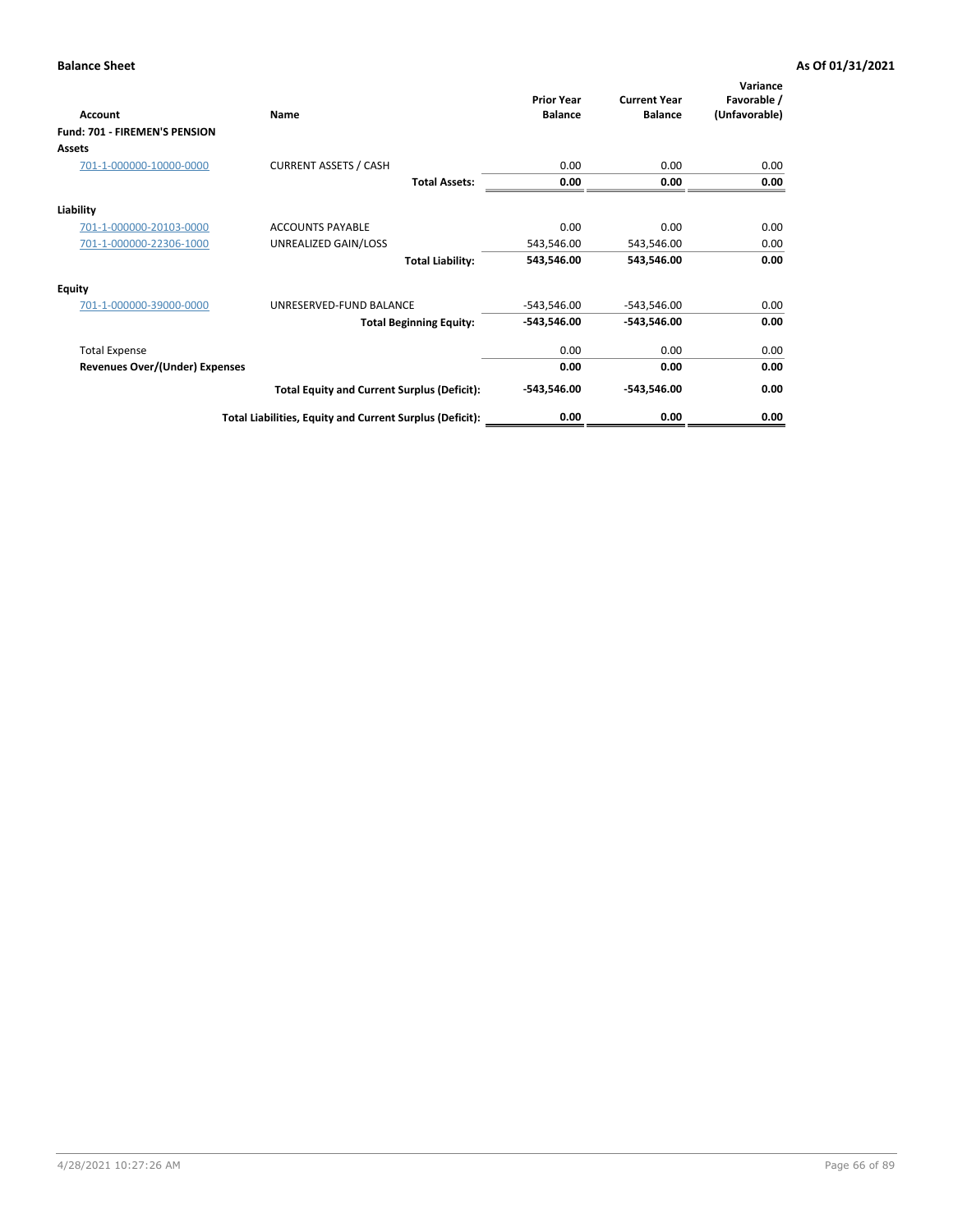| <b>Account</b>                 | Name                                                     | <b>Prior Year</b><br><b>Balance</b> | <b>Current Year</b><br><b>Balance</b> | Variance<br>Favorable /<br>(Unfavorable) |
|--------------------------------|----------------------------------------------------------|-------------------------------------|---------------------------------------|------------------------------------------|
| Fund: 701 - FIREMEN'S PENSION  |                                                          |                                     |                                       |                                          |
| <b>Assets</b>                  |                                                          |                                     |                                       |                                          |
| 701-1-000000-10000-0000        | <b>CURRENT ASSETS / CASH</b>                             | 0.00                                | 0.00                                  | 0.00                                     |
|                                | <b>Total Assets:</b>                                     | 0.00                                | 0.00                                  | 0.00                                     |
| Liability                      |                                                          |                                     |                                       |                                          |
| 701-1-000000-20103-0000        | <b>ACCOUNTS PAYABLE</b>                                  | 0.00                                | 0.00                                  | 0.00                                     |
| 701-1-000000-22306-1000        | UNREALIZED GAIN/LOSS                                     | 543,546.00                          | 543,546.00                            | 0.00                                     |
|                                | <b>Total Liability:</b>                                  | 543,546.00                          | 543,546.00                            | 0.00                                     |
| <b>Equity</b>                  |                                                          |                                     |                                       |                                          |
| 701-1-000000-39000-0000        | UNRESERVED-FUND BALANCE                                  | $-543,546.00$                       | $-543,546.00$                         | 0.00                                     |
|                                | <b>Total Beginning Equity:</b>                           | $-543,546.00$                       | -543,546.00                           | 0.00                                     |
| <b>Total Expense</b>           |                                                          | 0.00                                | 0.00                                  | 0.00                                     |
| Revenues Over/(Under) Expenses |                                                          | 0.00                                | 0.00                                  | 0.00                                     |
|                                | <b>Total Equity and Current Surplus (Deficit):</b>       | $-543,546.00$                       | -543,546.00                           | 0.00                                     |
|                                | Total Liabilities, Equity and Current Surplus (Deficit): | 0.00                                | 0.00                                  | 0.00                                     |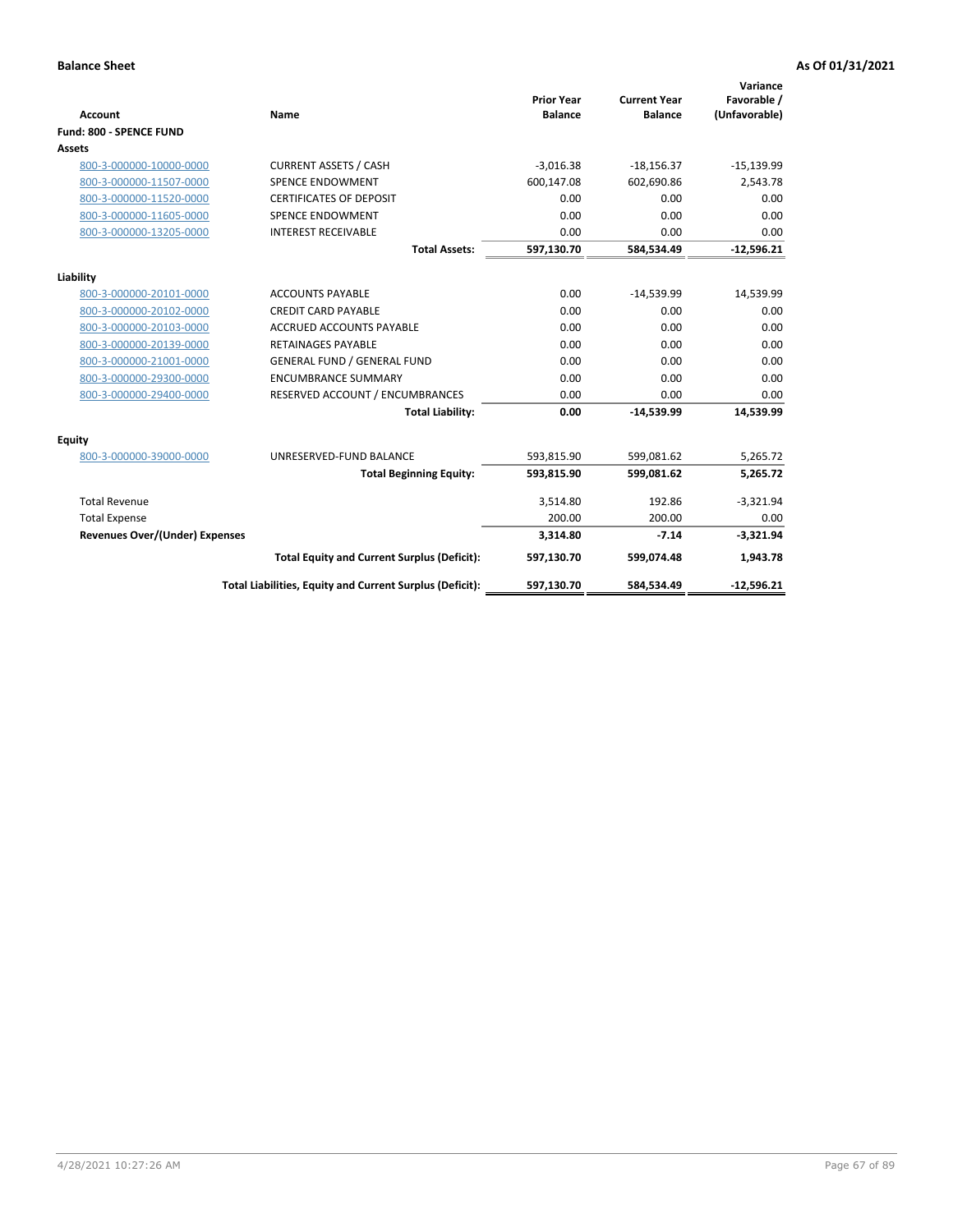|                                       |                                                          |                                     |                                       | Variance                     |
|---------------------------------------|----------------------------------------------------------|-------------------------------------|---------------------------------------|------------------------------|
| <b>Account</b>                        | <b>Name</b>                                              | <b>Prior Year</b><br><b>Balance</b> | <b>Current Year</b><br><b>Balance</b> | Favorable /<br>(Unfavorable) |
| Fund: 800 - SPENCE FUND               |                                                          |                                     |                                       |                              |
|                                       |                                                          |                                     |                                       |                              |
| <b>Assets</b>                         |                                                          |                                     |                                       |                              |
| 800-3-000000-10000-0000               | <b>CURRENT ASSETS / CASH</b>                             | $-3,016.38$                         | $-18,156.37$                          | $-15,139.99$                 |
| 800-3-000000-11507-0000               | <b>SPENCE ENDOWMENT</b>                                  | 600,147.08                          | 602.690.86                            | 2,543.78                     |
| 800-3-000000-11520-0000               | <b>CERTIFICATES OF DEPOSIT</b>                           | 0.00                                | 0.00                                  | 0.00                         |
| 800-3-000000-11605-0000               | <b>SPENCE ENDOWMENT</b>                                  | 0.00                                | 0.00                                  | 0.00                         |
| 800-3-000000-13205-0000               | <b>INTEREST RECEIVABLE</b>                               | 0.00                                | 0.00                                  | 0.00                         |
|                                       | <b>Total Assets:</b>                                     | 597,130.70                          | 584,534.49                            | $-12,596.21$                 |
| Liability                             |                                                          |                                     |                                       |                              |
| 800-3-000000-20101-0000               | <b>ACCOUNTS PAYABLE</b>                                  | 0.00                                | $-14,539.99$                          | 14,539.99                    |
| 800-3-000000-20102-0000               | <b>CREDIT CARD PAYABLE</b>                               | 0.00                                | 0.00                                  | 0.00                         |
| 800-3-000000-20103-0000               | <b>ACCRUED ACCOUNTS PAYABLE</b>                          | 0.00                                | 0.00                                  | 0.00                         |
| 800-3-000000-20139-0000               | <b>RETAINAGES PAYABLE</b>                                | 0.00                                | 0.00                                  | 0.00                         |
| 800-3-000000-21001-0000               | <b>GENERAL FUND / GENERAL FUND</b>                       | 0.00                                | 0.00                                  | 0.00                         |
| 800-3-000000-29300-0000               | <b>ENCUMBRANCE SUMMARY</b>                               | 0.00                                | 0.00                                  | 0.00                         |
| 800-3-000000-29400-0000               | RESERVED ACCOUNT / ENCUMBRANCES                          | 0.00                                | 0.00                                  | 0.00                         |
|                                       | <b>Total Liability:</b>                                  | 0.00                                | $-14,539.99$                          | 14,539.99                    |
| <b>Equity</b>                         |                                                          |                                     |                                       |                              |
| 800-3-000000-39000-0000               | UNRESERVED-FUND BALANCE                                  | 593,815.90                          | 599.081.62                            | 5,265.72                     |
|                                       | <b>Total Beginning Equity:</b>                           | 593,815.90                          | 599,081.62                            | 5,265.72                     |
| <b>Total Revenue</b>                  |                                                          | 3,514.80                            | 192.86                                | $-3,321.94$                  |
| <b>Total Expense</b>                  |                                                          | 200.00                              | 200.00                                | 0.00                         |
| <b>Revenues Over/(Under) Expenses</b> |                                                          | 3,314.80                            | $-7.14$                               | $-3,321.94$                  |
|                                       | <b>Total Equity and Current Surplus (Deficit):</b>       | 597,130.70                          | 599,074.48                            | 1,943.78                     |
|                                       | Total Liabilities, Equity and Current Surplus (Deficit): | 597,130.70                          | 584,534.49                            | $-12,596.21$                 |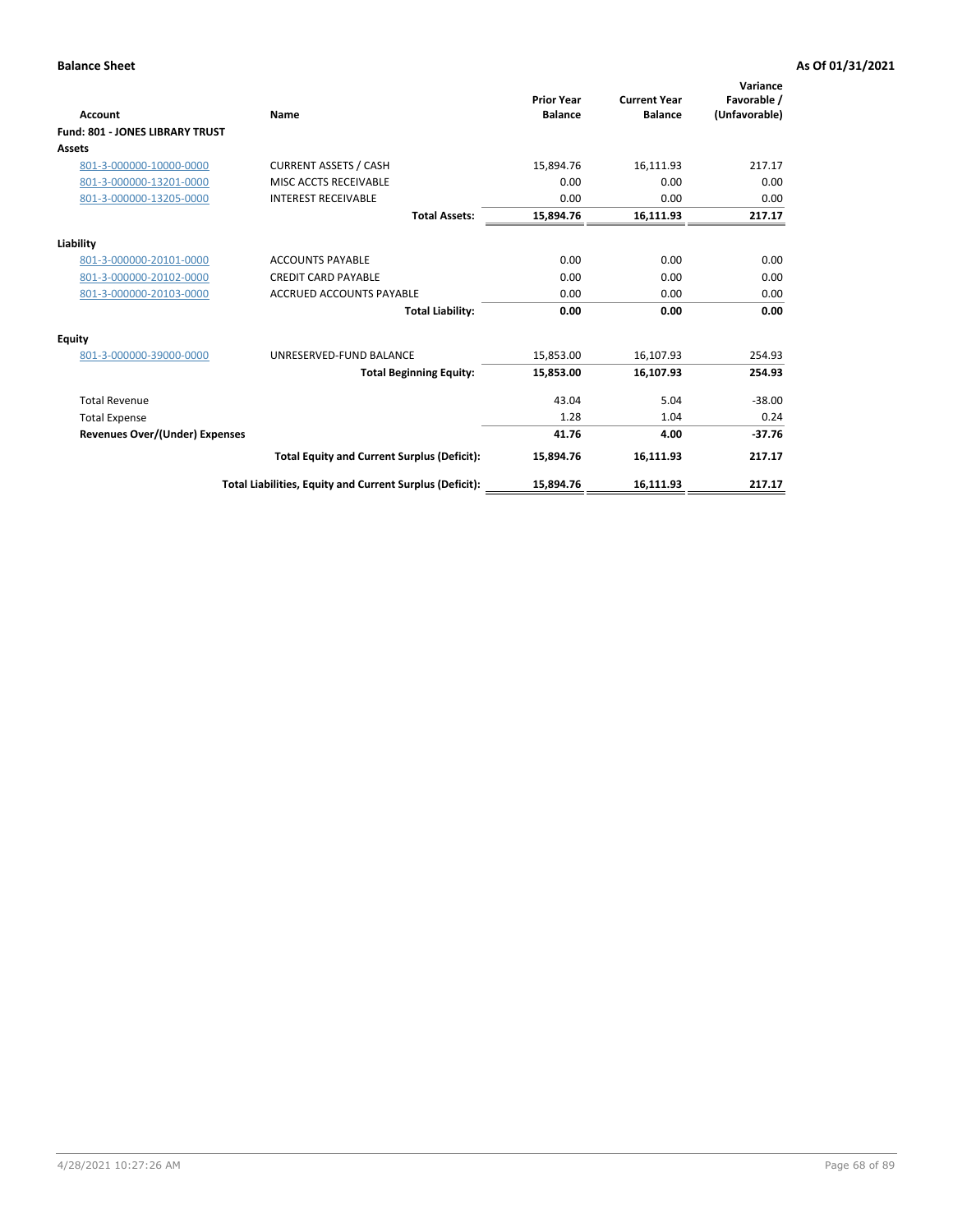| <b>Account</b>                         | <b>Name</b>                                              | <b>Prior Year</b><br><b>Balance</b> | <b>Current Year</b><br><b>Balance</b> | Variance<br>Favorable /<br>(Unfavorable) |
|----------------------------------------|----------------------------------------------------------|-------------------------------------|---------------------------------------|------------------------------------------|
| <b>Fund: 801 - JONES LIBRARY TRUST</b> |                                                          |                                     |                                       |                                          |
| <b>Assets</b>                          |                                                          |                                     |                                       |                                          |
| 801-3-000000-10000-0000                | <b>CURRENT ASSETS / CASH</b>                             | 15,894.76                           | 16,111.93                             | 217.17                                   |
| 801-3-000000-13201-0000                | MISC ACCTS RECEIVABLE                                    | 0.00                                | 0.00                                  | 0.00                                     |
| 801-3-000000-13205-0000                | <b>INTEREST RECEIVABLE</b>                               | 0.00                                | 0.00                                  | 0.00                                     |
|                                        | <b>Total Assets:</b>                                     | 15,894.76                           | 16,111.93                             | 217.17                                   |
| Liability                              |                                                          |                                     |                                       |                                          |
| 801-3-000000-20101-0000                | <b>ACCOUNTS PAYABLE</b>                                  | 0.00                                | 0.00                                  | 0.00                                     |
| 801-3-000000-20102-0000                | <b>CREDIT CARD PAYABLE</b>                               | 0.00                                | 0.00                                  | 0.00                                     |
| 801-3-000000-20103-0000                | <b>ACCRUED ACCOUNTS PAYABLE</b>                          | 0.00                                | 0.00                                  | 0.00                                     |
|                                        | <b>Total Liability:</b>                                  | 0.00                                | 0.00                                  | 0.00                                     |
| <b>Equity</b>                          |                                                          |                                     |                                       |                                          |
| 801-3-000000-39000-0000                | UNRESERVED-FUND BALANCE                                  | 15,853.00                           | 16,107.93                             | 254.93                                   |
|                                        | <b>Total Beginning Equity:</b>                           | 15,853.00                           | 16,107.93                             | 254.93                                   |
| <b>Total Revenue</b>                   |                                                          | 43.04                               | 5.04                                  | $-38.00$                                 |
| <b>Total Expense</b>                   |                                                          | 1.28                                | 1.04                                  | 0.24                                     |
| <b>Revenues Over/(Under) Expenses</b>  |                                                          | 41.76                               | 4.00                                  | $-37.76$                                 |
|                                        | <b>Total Equity and Current Surplus (Deficit):</b>       | 15,894.76                           | 16,111.93                             | 217.17                                   |
|                                        | Total Liabilities, Equity and Current Surplus (Deficit): | 15,894.76                           | 16,111.93                             | 217.17                                   |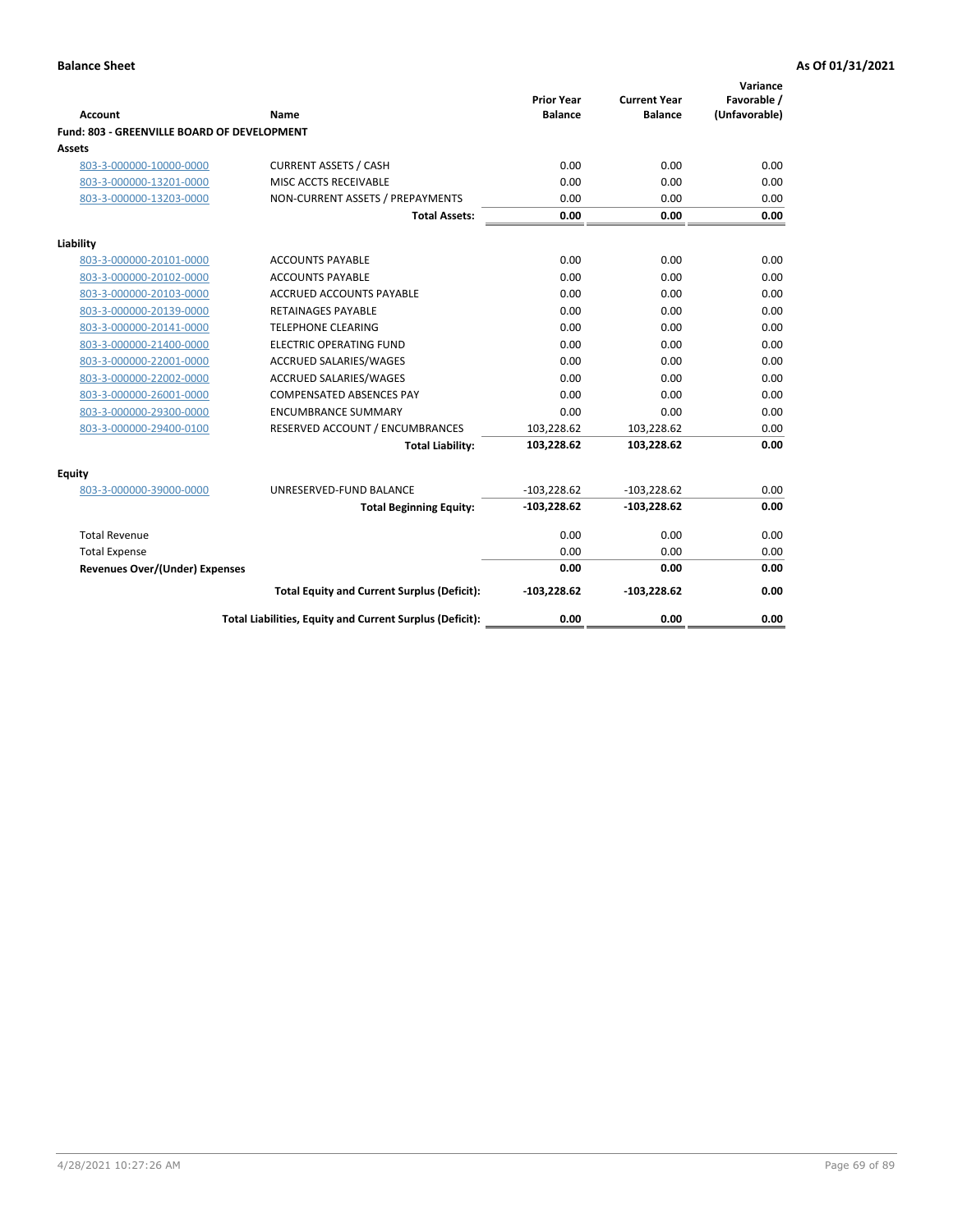| <b>Account</b>                              | Name                                                     | <b>Prior Year</b><br><b>Balance</b> | <b>Current Year</b><br><b>Balance</b> | Variance<br>Favorable /<br>(Unfavorable) |
|---------------------------------------------|----------------------------------------------------------|-------------------------------------|---------------------------------------|------------------------------------------|
| Fund: 803 - GREENVILLE BOARD OF DEVELOPMENT |                                                          |                                     |                                       |                                          |
| Assets                                      |                                                          |                                     |                                       |                                          |
| 803-3-000000-10000-0000                     | <b>CURRENT ASSETS / CASH</b>                             | 0.00                                | 0.00                                  | 0.00                                     |
| 803-3-000000-13201-0000                     | MISC ACCTS RECEIVABLE                                    | 0.00                                | 0.00                                  | 0.00                                     |
| 803-3-000000-13203-0000                     | NON-CURRENT ASSETS / PREPAYMENTS                         | 0.00                                | 0.00                                  | 0.00                                     |
|                                             | <b>Total Assets:</b>                                     | 0.00                                | 0.00                                  | 0.00                                     |
| Liability                                   |                                                          |                                     |                                       |                                          |
| 803-3-000000-20101-0000                     | <b>ACCOUNTS PAYABLE</b>                                  | 0.00                                | 0.00                                  | 0.00                                     |
| 803-3-000000-20102-0000                     | <b>ACCOUNTS PAYABLE</b>                                  | 0.00                                | 0.00                                  | 0.00                                     |
| 803-3-000000-20103-0000                     | ACCRUED ACCOUNTS PAYABLE                                 | 0.00                                | 0.00                                  | 0.00                                     |
| 803-3-000000-20139-0000                     | <b>RETAINAGES PAYABLE</b>                                | 0.00                                | 0.00                                  | 0.00                                     |
| 803-3-000000-20141-0000                     | <b>TELEPHONE CLEARING</b>                                | 0.00                                | 0.00                                  | 0.00                                     |
| 803-3-000000-21400-0000                     | <b>ELECTRIC OPERATING FUND</b>                           | 0.00                                | 0.00                                  | 0.00                                     |
| 803-3-000000-22001-0000                     | <b>ACCRUED SALARIES/WAGES</b>                            | 0.00                                | 0.00                                  | 0.00                                     |
| 803-3-000000-22002-0000                     | <b>ACCRUED SALARIES/WAGES</b>                            | 0.00                                | 0.00                                  | 0.00                                     |
| 803-3-000000-26001-0000                     | <b>COMPENSATED ABSENCES PAY</b>                          | 0.00                                | 0.00                                  | 0.00                                     |
| 803-3-000000-29300-0000                     | <b>ENCUMBRANCE SUMMARY</b>                               | 0.00                                | 0.00                                  | 0.00                                     |
| 803-3-000000-29400-0100                     | RESERVED ACCOUNT / ENCUMBRANCES                          | 103,228.62                          | 103,228.62                            | 0.00                                     |
|                                             | <b>Total Liability:</b>                                  | 103,228.62                          | 103,228.62                            | 0.00                                     |
| Equity                                      |                                                          |                                     |                                       |                                          |
| 803-3-000000-39000-0000                     | UNRESERVED-FUND BALANCE                                  | $-103,228.62$                       | $-103,228.62$                         | 0.00                                     |
|                                             | <b>Total Beginning Equity:</b>                           | $-103,228.62$                       | $-103,228.62$                         | 0.00                                     |
| <b>Total Revenue</b>                        |                                                          | 0.00                                | 0.00                                  | 0.00                                     |
| <b>Total Expense</b>                        |                                                          | 0.00                                | 0.00                                  | 0.00                                     |
| <b>Revenues Over/(Under) Expenses</b>       |                                                          | 0.00                                | 0.00                                  | 0.00                                     |
|                                             | <b>Total Equity and Current Surplus (Deficit):</b>       | $-103,228.62$                       | $-103,228.62$                         | 0.00                                     |
|                                             | Total Liabilities, Equity and Current Surplus (Deficit): | 0.00                                | 0.00                                  | 0.00                                     |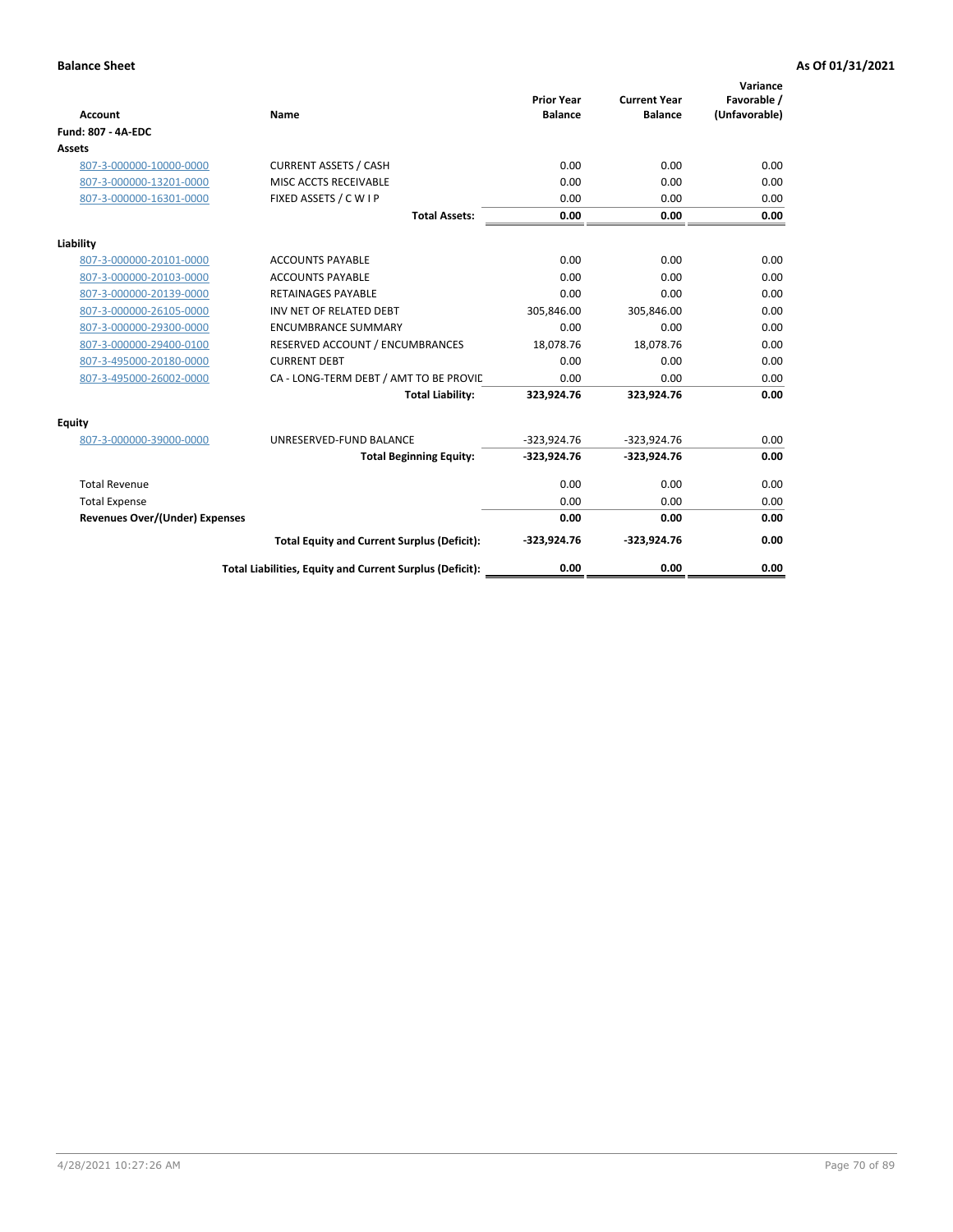| <b>Account</b>                        | Name                                                     | <b>Prior Year</b><br><b>Balance</b> | <b>Current Year</b><br><b>Balance</b> | Variance<br>Favorable /<br>(Unfavorable) |
|---------------------------------------|----------------------------------------------------------|-------------------------------------|---------------------------------------|------------------------------------------|
| <b>Fund: 807 - 4A-EDC</b>             |                                                          |                                     |                                       |                                          |
| Assets                                |                                                          |                                     |                                       |                                          |
| 807-3-000000-10000-0000               | <b>CURRENT ASSETS / CASH</b>                             | 0.00                                | 0.00                                  | 0.00                                     |
| 807-3-000000-13201-0000               | MISC ACCTS RECEIVABLE                                    | 0.00                                | 0.00                                  | 0.00                                     |
| 807-3-000000-16301-0000               | FIXED ASSETS / C W I P                                   | 0.00                                | 0.00                                  | 0.00                                     |
|                                       | <b>Total Assets:</b>                                     | 0.00                                | 0.00                                  | 0.00                                     |
| Liability                             |                                                          |                                     |                                       |                                          |
| 807-3-000000-20101-0000               | <b>ACCOUNTS PAYABLE</b>                                  | 0.00                                | 0.00                                  | 0.00                                     |
| 807-3-000000-20103-0000               | <b>ACCOUNTS PAYABLE</b>                                  | 0.00                                | 0.00                                  | 0.00                                     |
| 807-3-000000-20139-0000               | <b>RETAINAGES PAYABLE</b>                                | 0.00                                | 0.00                                  | 0.00                                     |
| 807-3-000000-26105-0000               | INV NET OF RELATED DEBT                                  | 305,846.00                          | 305,846.00                            | 0.00                                     |
| 807-3-000000-29300-0000               | <b>ENCUMBRANCE SUMMARY</b>                               | 0.00                                | 0.00                                  | 0.00                                     |
| 807-3-000000-29400-0100               | RESERVED ACCOUNT / ENCUMBRANCES                          | 18,078.76                           | 18,078.76                             | 0.00                                     |
| 807-3-495000-20180-0000               | <b>CURRENT DEBT</b>                                      | 0.00                                | 0.00                                  | 0.00                                     |
| 807-3-495000-26002-0000               | CA - LONG-TERM DEBT / AMT TO BE PROVIL                   | 0.00                                | 0.00                                  | 0.00                                     |
|                                       | <b>Total Liability:</b>                                  | 323,924.76                          | 323,924.76                            | 0.00                                     |
| Equity                                |                                                          |                                     |                                       |                                          |
| 807-3-000000-39000-0000               | UNRESERVED-FUND BALANCE                                  | $-323,924.76$                       | $-323,924.76$                         | 0.00                                     |
|                                       | <b>Total Beginning Equity:</b>                           | $-323,924.76$                       | $-323,924.76$                         | 0.00                                     |
| <b>Total Revenue</b>                  |                                                          | 0.00                                | 0.00                                  | 0.00                                     |
| <b>Total Expense</b>                  |                                                          | 0.00                                | 0.00                                  | 0.00                                     |
| <b>Revenues Over/(Under) Expenses</b> |                                                          | 0.00                                | 0.00                                  | 0.00                                     |
|                                       | <b>Total Equity and Current Surplus (Deficit):</b>       | $-323,924.76$                       | $-323,924.76$                         | 0.00                                     |
|                                       | Total Liabilities, Equity and Current Surplus (Deficit): | 0.00                                | 0.00                                  | 0.00                                     |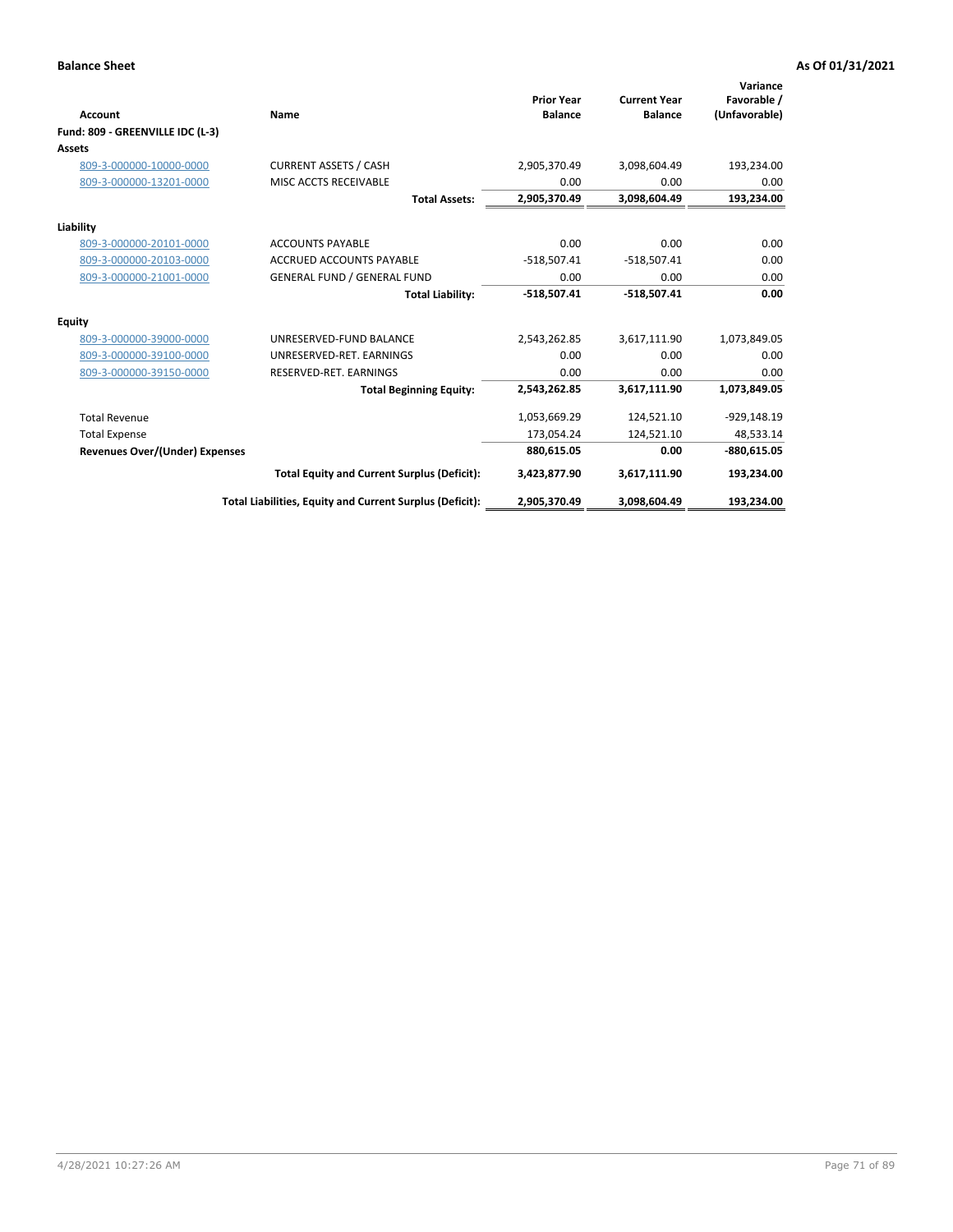| Account                               | Name                                                     | <b>Prior Year</b><br><b>Balance</b> | <b>Current Year</b><br><b>Balance</b> | Variance<br>Favorable /<br>(Unfavorable) |
|---------------------------------------|----------------------------------------------------------|-------------------------------------|---------------------------------------|------------------------------------------|
| Fund: 809 - GREENVILLE IDC (L-3)      |                                                          |                                     |                                       |                                          |
| Assets                                |                                                          |                                     |                                       |                                          |
| 809-3-000000-10000-0000               | <b>CURRENT ASSETS / CASH</b>                             | 2,905,370.49                        | 3,098,604.49                          | 193,234.00                               |
| 809-3-000000-13201-0000               | MISC ACCTS RECEIVABLE                                    | 0.00                                | 0.00                                  | 0.00                                     |
|                                       | <b>Total Assets:</b>                                     | 2,905,370.49                        | 3,098,604.49                          | 193,234.00                               |
| Liability                             |                                                          |                                     |                                       |                                          |
| 809-3-000000-20101-0000               | <b>ACCOUNTS PAYABLE</b>                                  | 0.00                                | 0.00                                  | 0.00                                     |
| 809-3-000000-20103-0000               | <b>ACCRUED ACCOUNTS PAYABLE</b>                          | $-518,507.41$                       | $-518,507.41$                         | 0.00                                     |
| 809-3-000000-21001-0000               | <b>GENERAL FUND / GENERAL FUND</b>                       | 0.00                                | 0.00                                  | 0.00                                     |
|                                       | <b>Total Liability:</b>                                  | $-518,507.41$                       | $-518,507.41$                         | 0.00                                     |
| Equity                                |                                                          |                                     |                                       |                                          |
| 809-3-000000-39000-0000               | UNRESERVED-FUND BALANCE                                  | 2,543,262.85                        | 3,617,111.90                          | 1,073,849.05                             |
| 809-3-000000-39100-0000               | UNRESERVED-RET. EARNINGS                                 | 0.00                                | 0.00                                  | 0.00                                     |
| 809-3-000000-39150-0000               | RESERVED-RET. EARNINGS                                   | 0.00                                | 0.00                                  | 0.00                                     |
|                                       | <b>Total Beginning Equity:</b>                           | 2,543,262.85                        | 3,617,111.90                          | 1,073,849.05                             |
| <b>Total Revenue</b>                  |                                                          | 1,053,669.29                        | 124,521.10                            | $-929,148.19$                            |
| <b>Total Expense</b>                  |                                                          | 173,054.24                          | 124,521.10                            | 48,533.14                                |
| <b>Revenues Over/(Under) Expenses</b> |                                                          | 880,615.05                          | 0.00                                  | $-880,615.05$                            |
|                                       | <b>Total Equity and Current Surplus (Deficit):</b>       | 3,423,877.90                        | 3,617,111.90                          | 193,234.00                               |
|                                       | Total Liabilities, Equity and Current Surplus (Deficit): | 2,905,370.49                        | 3,098,604.49                          | 193.234.00                               |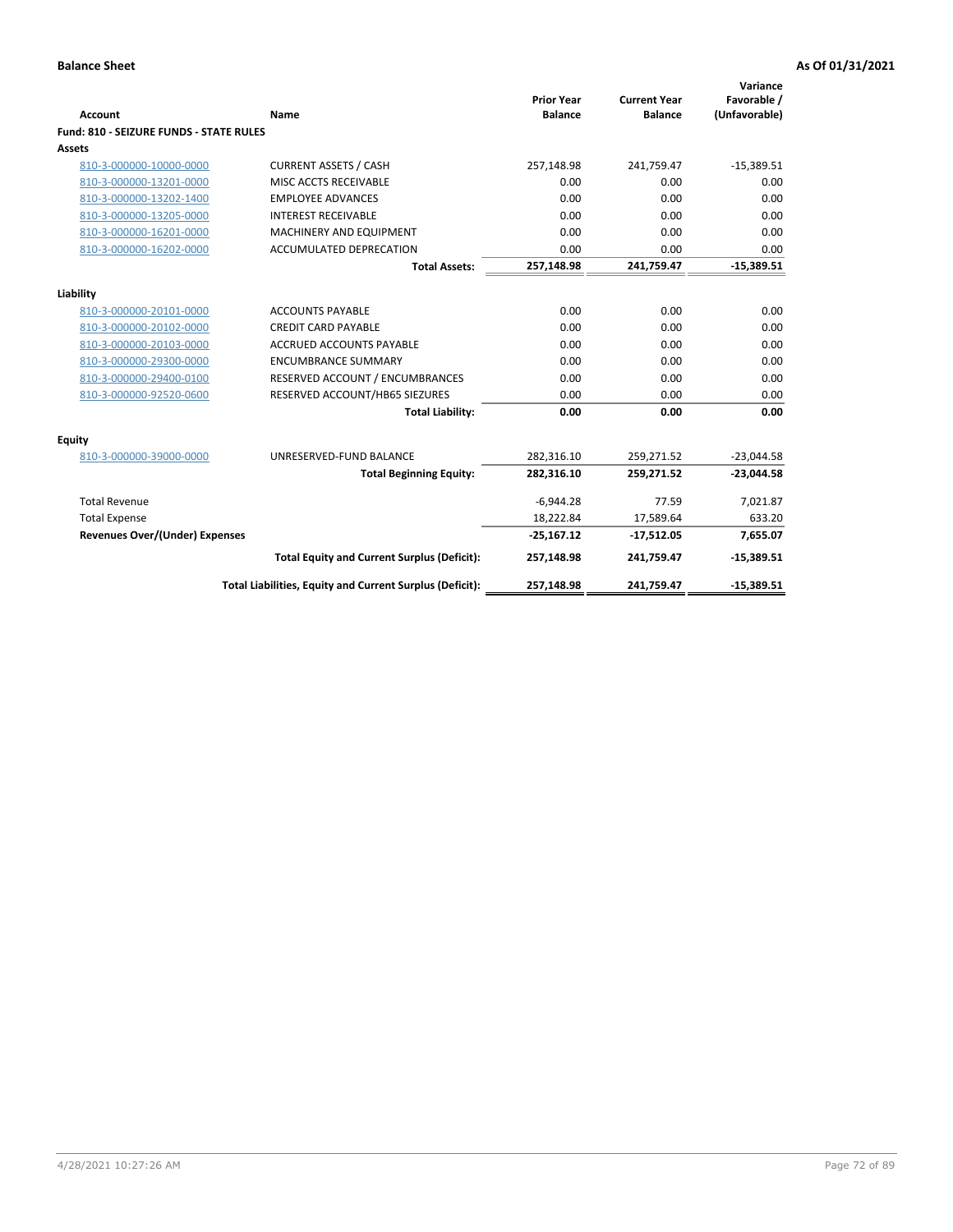| <b>Account</b>                          | Name                                                     | <b>Prior Year</b><br><b>Balance</b> | <b>Current Year</b><br><b>Balance</b> | Variance<br>Favorable /<br>(Unfavorable) |
|-----------------------------------------|----------------------------------------------------------|-------------------------------------|---------------------------------------|------------------------------------------|
| Fund: 810 - SEIZURE FUNDS - STATE RULES |                                                          |                                     |                                       |                                          |
| Assets                                  |                                                          |                                     |                                       |                                          |
| 810-3-000000-10000-0000                 | <b>CURRENT ASSETS / CASH</b>                             | 257,148.98                          | 241,759.47                            | $-15,389.51$                             |
| 810-3-000000-13201-0000                 | MISC ACCTS RECEIVABLE                                    | 0.00                                | 0.00                                  | 0.00                                     |
| 810-3-000000-13202-1400                 | <b>EMPLOYEE ADVANCES</b>                                 | 0.00                                | 0.00                                  | 0.00                                     |
| 810-3-000000-13205-0000                 | <b>INTEREST RECEIVABLE</b>                               | 0.00                                | 0.00                                  | 0.00                                     |
| 810-3-000000-16201-0000                 | MACHINERY AND EQUIPMENT                                  | 0.00                                | 0.00                                  | 0.00                                     |
| 810-3-000000-16202-0000                 | <b>ACCUMULATED DEPRECATION</b>                           | 0.00                                | 0.00                                  | 0.00                                     |
|                                         | <b>Total Assets:</b>                                     | 257,148.98                          | 241,759.47                            | $-15,389.51$                             |
|                                         |                                                          |                                     |                                       |                                          |
| Liability                               |                                                          |                                     |                                       |                                          |
| 810-3-000000-20101-0000                 | <b>ACCOUNTS PAYABLE</b>                                  | 0.00                                | 0.00                                  | 0.00                                     |
| 810-3-000000-20102-0000                 | <b>CREDIT CARD PAYABLE</b>                               | 0.00                                | 0.00                                  | 0.00                                     |
| 810-3-000000-20103-0000                 | <b>ACCRUED ACCOUNTS PAYABLE</b>                          | 0.00                                | 0.00                                  | 0.00                                     |
| 810-3-000000-29300-0000                 | <b>ENCUMBRANCE SUMMARY</b>                               | 0.00                                | 0.00                                  | 0.00                                     |
| 810-3-000000-29400-0100                 | RESERVED ACCOUNT / ENCUMBRANCES                          | 0.00                                | 0.00                                  | 0.00                                     |
| 810-3-000000-92520-0600                 | RESERVED ACCOUNT/HB65 SIEZURES                           | 0.00                                | 0.00                                  | 0.00                                     |
|                                         | <b>Total Liability:</b>                                  | 0.00                                | 0.00                                  | 0.00                                     |
| <b>Equity</b>                           |                                                          |                                     |                                       |                                          |
| 810-3-000000-39000-0000                 | UNRESERVED-FUND BALANCE                                  | 282,316.10                          | 259,271.52                            | $-23,044.58$                             |
|                                         | <b>Total Beginning Equity:</b>                           | 282,316.10                          | 259,271.52                            | $-23,044.58$                             |
| <b>Total Revenue</b>                    |                                                          | $-6,944.28$                         | 77.59                                 | 7,021.87                                 |
| <b>Total Expense</b>                    |                                                          | 18,222.84                           | 17,589.64                             | 633.20                                   |
| <b>Revenues Over/(Under) Expenses</b>   |                                                          | $-25,167.12$                        | $-17,512.05$                          | 7,655.07                                 |
|                                         | <b>Total Equity and Current Surplus (Deficit):</b>       | 257,148.98                          | 241,759.47                            | $-15,389.51$                             |
|                                         | Total Liabilities, Equity and Current Surplus (Deficit): | 257,148.98                          | 241,759.47                            | $-15,389.51$                             |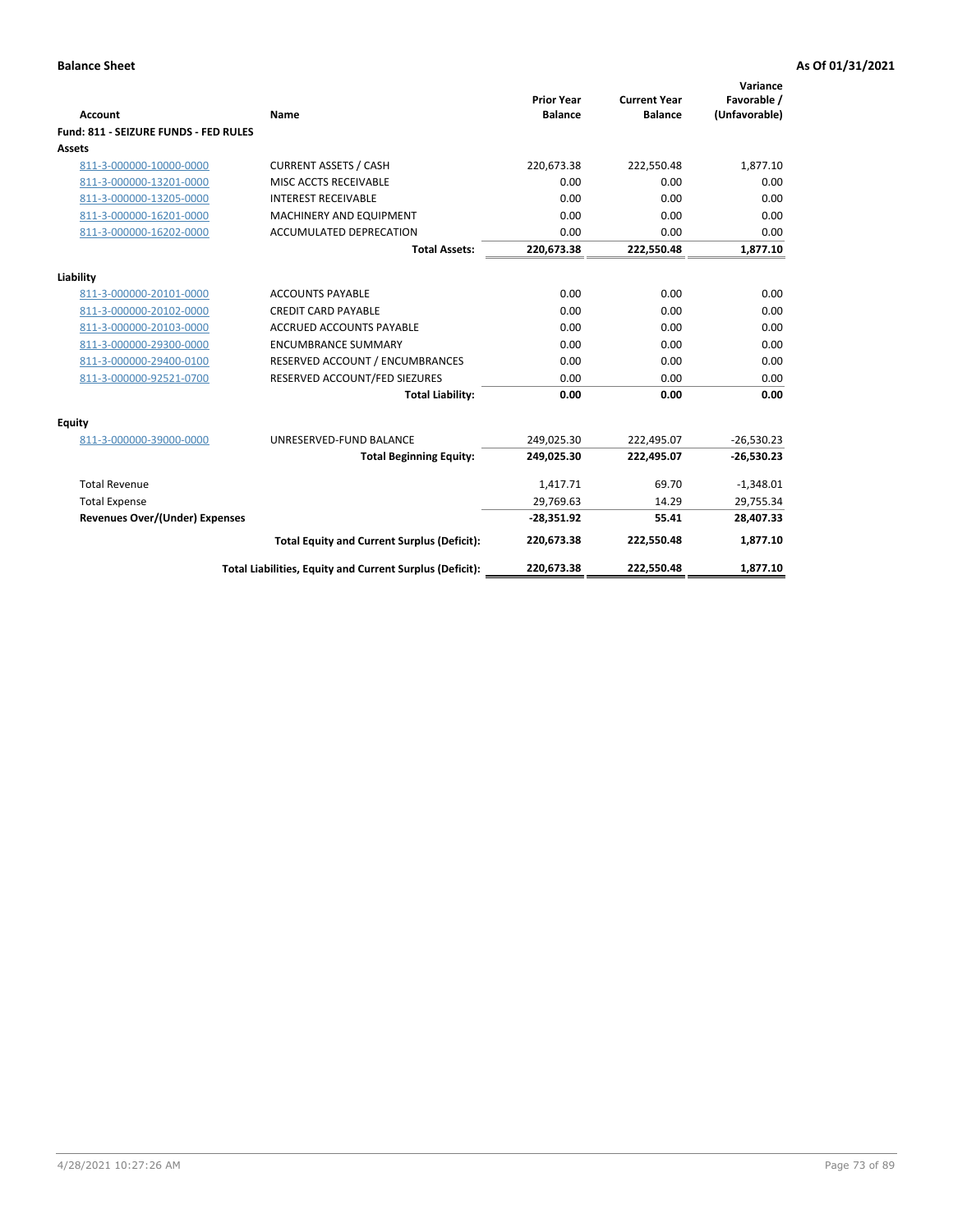| Account                               | Name                                                     | <b>Prior Year</b><br><b>Balance</b> | <b>Current Year</b><br><b>Balance</b> | Variance<br>Favorable /<br>(Unfavorable) |
|---------------------------------------|----------------------------------------------------------|-------------------------------------|---------------------------------------|------------------------------------------|
| Fund: 811 - SEIZURE FUNDS - FED RULES |                                                          |                                     |                                       |                                          |
| <b>Assets</b>                         |                                                          |                                     |                                       |                                          |
| 811-3-000000-10000-0000               | <b>CURRENT ASSETS / CASH</b>                             | 220,673.38                          | 222,550.48                            | 1,877.10                                 |
| 811-3-000000-13201-0000               | MISC ACCTS RECEIVABLE                                    | 0.00                                | 0.00                                  | 0.00                                     |
| 811-3-000000-13205-0000               | <b>INTEREST RECEIVABLE</b>                               | 0.00                                | 0.00                                  | 0.00                                     |
| 811-3-000000-16201-0000               | <b>MACHINERY AND EQUIPMENT</b>                           | 0.00                                | 0.00                                  | 0.00                                     |
| 811-3-000000-16202-0000               | <b>ACCUMULATED DEPRECATION</b>                           | 0.00                                | 0.00                                  | 0.00                                     |
|                                       | <b>Total Assets:</b>                                     | 220,673.38                          | 222,550.48                            | 1,877.10                                 |
| Liability                             |                                                          |                                     |                                       |                                          |
| 811-3-000000-20101-0000               | <b>ACCOUNTS PAYABLE</b>                                  | 0.00                                | 0.00                                  | 0.00                                     |
| 811-3-000000-20102-0000               | <b>CREDIT CARD PAYABLE</b>                               | 0.00                                | 0.00                                  | 0.00                                     |
| 811-3-000000-20103-0000               | <b>ACCRUED ACCOUNTS PAYABLE</b>                          | 0.00                                | 0.00                                  | 0.00                                     |
| 811-3-000000-29300-0000               | <b>ENCUMBRANCE SUMMARY</b>                               | 0.00                                | 0.00                                  | 0.00                                     |
| 811-3-000000-29400-0100               | RESERVED ACCOUNT / ENCUMBRANCES                          | 0.00                                | 0.00                                  | 0.00                                     |
| 811-3-000000-92521-0700               | RESERVED ACCOUNT/FED SIEZURES                            | 0.00                                | 0.00                                  | 0.00                                     |
|                                       | <b>Total Liability:</b>                                  | 0.00                                | 0.00                                  | 0.00                                     |
| Equity                                |                                                          |                                     |                                       |                                          |
| 811-3-000000-39000-0000               | UNRESERVED-FUND BALANCE                                  | 249,025.30                          | 222,495.07                            | $-26,530.23$                             |
|                                       | <b>Total Beginning Equity:</b>                           | 249,025.30                          | 222,495.07                            | $-26,530.23$                             |
| <b>Total Revenue</b>                  |                                                          | 1,417.71                            | 69.70                                 | $-1,348.01$                              |
| <b>Total Expense</b>                  |                                                          | 29,769.63                           | 14.29                                 | 29,755.34                                |
| <b>Revenues Over/(Under) Expenses</b> |                                                          | $-28,351.92$                        | 55.41                                 | 28,407.33                                |
|                                       | <b>Total Equity and Current Surplus (Deficit):</b>       | 220,673.38                          | 222,550.48                            | 1,877.10                                 |
|                                       | Total Liabilities, Equity and Current Surplus (Deficit): | 220,673.38                          | 222,550.48                            | 1.877.10                                 |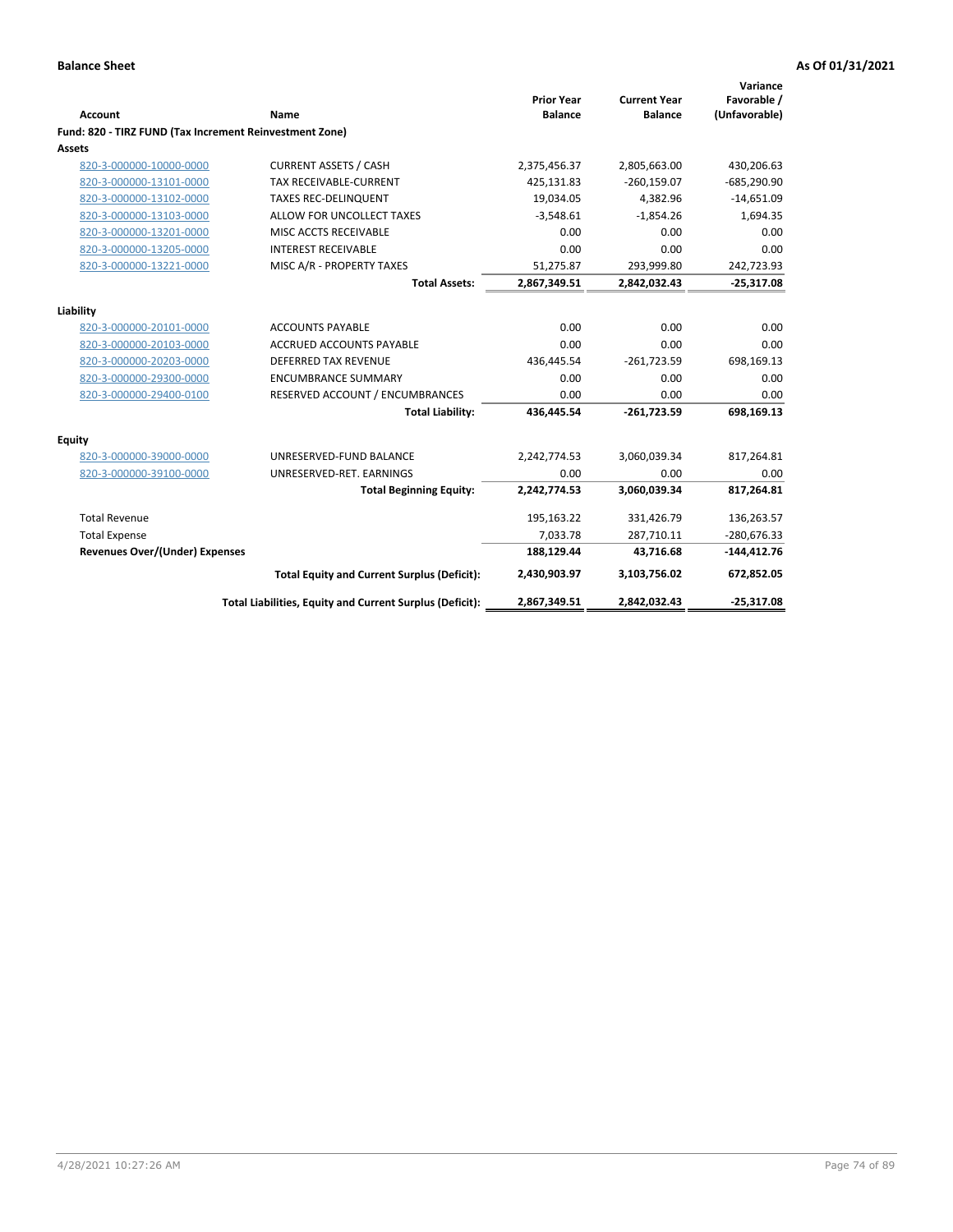| <b>Account</b>                                          | Name                                                     | <b>Prior Year</b><br><b>Balance</b> | <b>Current Year</b><br><b>Balance</b> | Variance<br>Favorable /<br>(Unfavorable) |
|---------------------------------------------------------|----------------------------------------------------------|-------------------------------------|---------------------------------------|------------------------------------------|
| Fund: 820 - TIRZ FUND (Tax Increment Reinvestment Zone) |                                                          |                                     |                                       |                                          |
| <b>Assets</b>                                           |                                                          |                                     |                                       |                                          |
| 820-3-000000-10000-0000                                 | <b>CURRENT ASSETS / CASH</b>                             | 2,375,456.37                        | 2,805,663.00                          | 430,206.63                               |
| 820-3-000000-13101-0000                                 | <b>TAX RECEIVABLE-CURRENT</b>                            | 425,131.83                          | $-260,159.07$                         | $-685,290.90$                            |
| 820-3-000000-13102-0000                                 | <b>TAXES REC-DELINQUENT</b>                              | 19,034.05                           | 4,382.96                              | $-14,651.09$                             |
| 820-3-000000-13103-0000                                 | ALLOW FOR UNCOLLECT TAXES                                | $-3,548.61$                         | $-1,854.26$                           | 1,694.35                                 |
| 820-3-000000-13201-0000                                 | MISC ACCTS RECEIVABLE                                    | 0.00                                | 0.00                                  | 0.00                                     |
| 820-3-000000-13205-0000                                 | <b>INTEREST RECEIVABLE</b>                               | 0.00                                | 0.00                                  | 0.00                                     |
| 820-3-000000-13221-0000                                 | MISC A/R - PROPERTY TAXES                                | 51,275.87                           | 293,999.80                            | 242,723.93                               |
|                                                         | <b>Total Assets:</b>                                     | 2,867,349.51                        | 2,842,032.43                          | $-25,317.08$                             |
| Liability                                               |                                                          |                                     |                                       |                                          |
| 820-3-000000-20101-0000                                 | <b>ACCOUNTS PAYABLE</b>                                  | 0.00                                | 0.00                                  | 0.00                                     |
| 820-3-000000-20103-0000                                 | ACCRUED ACCOUNTS PAYABLE                                 | 0.00                                | 0.00                                  | 0.00                                     |
| 820-3-000000-20203-0000                                 | <b>DEFERRED TAX REVENUE</b>                              | 436,445.54                          | $-261,723.59$                         | 698,169.13                               |
| 820-3-000000-29300-0000                                 | <b>ENCUMBRANCE SUMMARY</b>                               | 0.00                                | 0.00                                  | 0.00                                     |
| 820-3-000000-29400-0100                                 | RESERVED ACCOUNT / ENCUMBRANCES                          | 0.00                                | 0.00                                  | 0.00                                     |
|                                                         | <b>Total Liability:</b>                                  | 436,445.54                          | $-261,723.59$                         | 698,169.13                               |
| Equity                                                  |                                                          |                                     |                                       |                                          |
| 820-3-000000-39000-0000                                 | UNRESERVED-FUND BALANCE                                  | 2,242,774.53                        | 3,060,039.34                          | 817,264.81                               |
| 820-3-000000-39100-0000                                 | UNRESERVED-RET. EARNINGS                                 | 0.00                                | 0.00                                  | 0.00                                     |
|                                                         | <b>Total Beginning Equity:</b>                           | 2,242,774.53                        | 3,060,039.34                          | 817,264.81                               |
| <b>Total Revenue</b>                                    |                                                          | 195,163.22                          | 331,426.79                            | 136,263.57                               |
| <b>Total Expense</b>                                    |                                                          | 7,033.78                            | 287,710.11                            | $-280,676.33$                            |
| <b>Revenues Over/(Under) Expenses</b>                   |                                                          | 188,129.44                          | 43,716.68                             | $-144,412.76$                            |
|                                                         | <b>Total Equity and Current Surplus (Deficit):</b>       | 2,430,903.97                        | 3,103,756.02                          | 672,852.05                               |
|                                                         | Total Liabilities, Equity and Current Surplus (Deficit): | 2,867,349.51                        | 2,842,032.43                          | $-25,317.08$                             |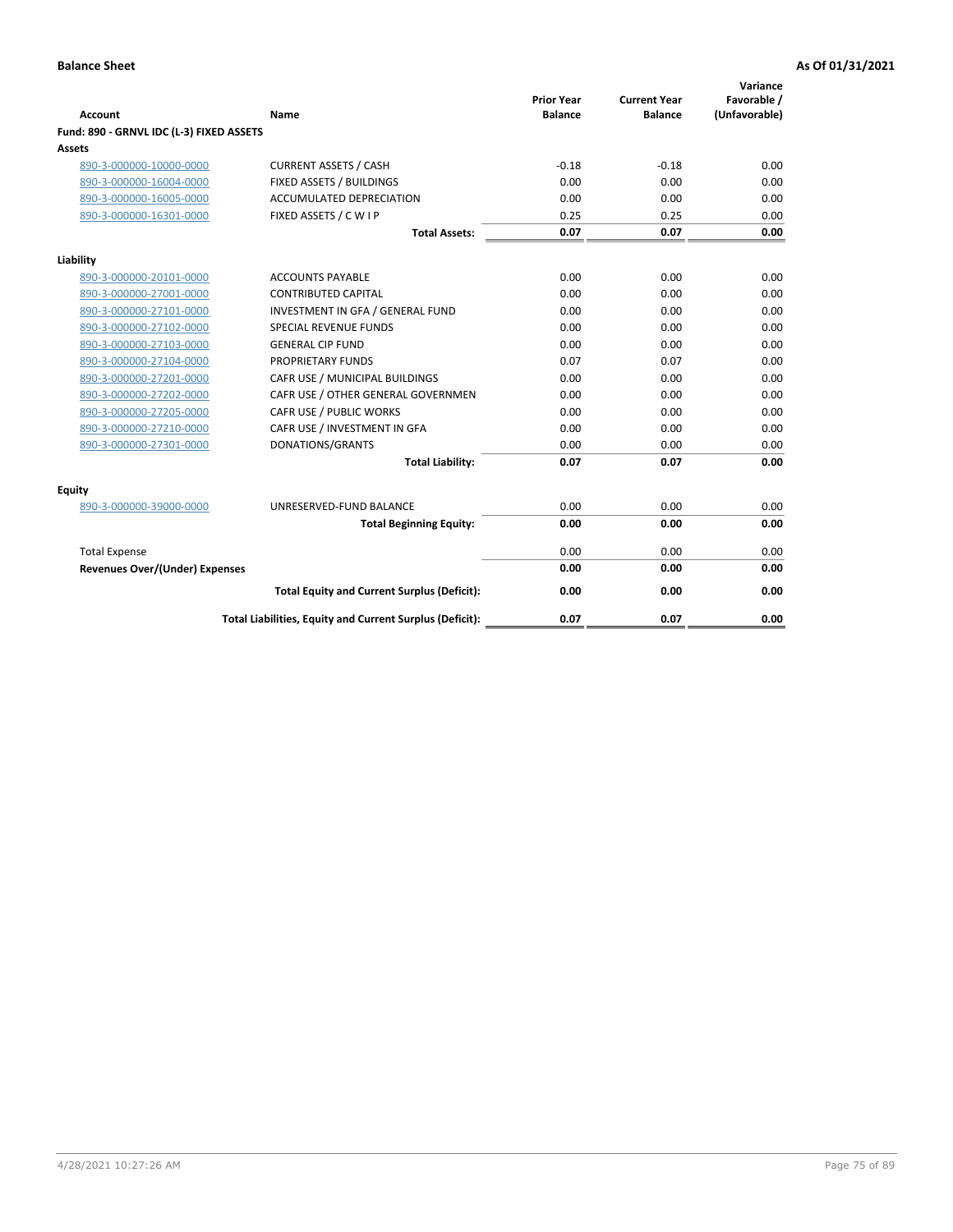| <b>Account</b>                           | Name                                                     | <b>Prior Year</b><br><b>Balance</b> | <b>Current Year</b><br><b>Balance</b> | Variance<br>Favorable /<br>(Unfavorable) |
|------------------------------------------|----------------------------------------------------------|-------------------------------------|---------------------------------------|------------------------------------------|
| Fund: 890 - GRNVL IDC (L-3) FIXED ASSETS |                                                          |                                     |                                       |                                          |
| <b>Assets</b>                            |                                                          |                                     |                                       |                                          |
| 890-3-000000-10000-0000                  | <b>CURRENT ASSETS / CASH</b>                             | $-0.18$                             | $-0.18$                               | 0.00                                     |
| 890-3-000000-16004-0000                  | FIXED ASSETS / BUILDINGS                                 | 0.00                                | 0.00                                  | 0.00                                     |
| 890-3-000000-16005-0000                  | <b>ACCUMULATED DEPRECIATION</b>                          | 0.00                                | 0.00                                  | 0.00                                     |
| 890-3-000000-16301-0000                  | FIXED ASSETS / C W I P                                   | 0.25                                | 0.25                                  | 0.00                                     |
|                                          | <b>Total Assets:</b>                                     | 0.07                                | 0.07                                  | 0.00                                     |
| Liability                                |                                                          |                                     |                                       |                                          |
| 890-3-000000-20101-0000                  | <b>ACCOUNTS PAYABLE</b>                                  | 0.00                                | 0.00                                  | 0.00                                     |
| 890-3-000000-27001-0000                  | <b>CONTRIBUTED CAPITAL</b>                               | 0.00                                | 0.00                                  | 0.00                                     |
| 890-3-000000-27101-0000                  | INVESTMENT IN GFA / GENERAL FUND                         | 0.00                                | 0.00                                  | 0.00                                     |
| 890-3-000000-27102-0000                  | <b>SPECIAL REVENUE FUNDS</b>                             | 0.00                                | 0.00                                  | 0.00                                     |
| 890-3-000000-27103-0000                  | <b>GENERAL CIP FUND</b>                                  | 0.00                                | 0.00                                  | 0.00                                     |
| 890-3-000000-27104-0000                  | PROPRIETARY FUNDS                                        | 0.07                                | 0.07                                  | 0.00                                     |
| 890-3-000000-27201-0000                  | CAFR USE / MUNICIPAL BUILDINGS                           | 0.00                                | 0.00                                  | 0.00                                     |
| 890-3-000000-27202-0000                  | CAFR USE / OTHER GENERAL GOVERNMEN                       | 0.00                                | 0.00                                  | 0.00                                     |
| 890-3-000000-27205-0000                  | CAFR USE / PUBLIC WORKS                                  | 0.00                                | 0.00                                  | 0.00                                     |
| 890-3-000000-27210-0000                  | CAFR USE / INVESTMENT IN GFA                             | 0.00                                | 0.00                                  | 0.00                                     |
| 890-3-000000-27301-0000                  | DONATIONS/GRANTS                                         | 0.00                                | 0.00                                  | 0.00                                     |
|                                          | <b>Total Liability:</b>                                  | 0.07                                | 0.07                                  | 0.00                                     |
| Equity                                   |                                                          |                                     |                                       |                                          |
| 890-3-000000-39000-0000                  | UNRESERVED-FUND BALANCE                                  | 0.00                                | 0.00                                  | 0.00                                     |
|                                          | <b>Total Beginning Equity:</b>                           | 0.00                                | 0.00                                  | 0.00                                     |
| <b>Total Expense</b>                     |                                                          | 0.00                                | 0.00                                  | 0.00                                     |
| <b>Revenues Over/(Under) Expenses</b>    |                                                          | 0.00                                | 0.00                                  | 0.00                                     |
|                                          | <b>Total Equity and Current Surplus (Deficit):</b>       | 0.00                                | 0.00                                  | 0.00                                     |
|                                          | Total Liabilities, Equity and Current Surplus (Deficit): | 0.07                                | 0.07                                  | 0.00                                     |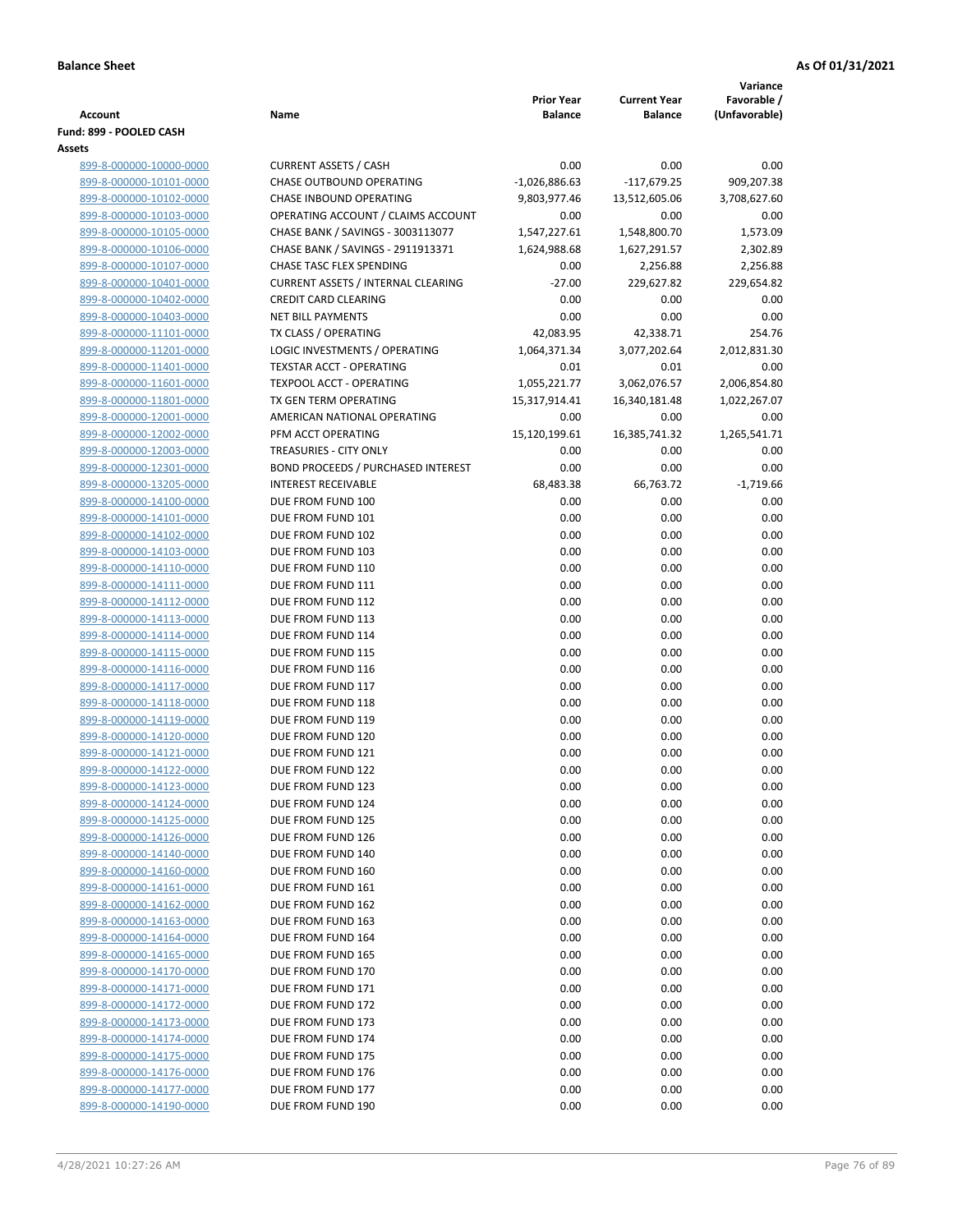|                                                    |                                           |                                     |                                       | Variance                     |
|----------------------------------------------------|-------------------------------------------|-------------------------------------|---------------------------------------|------------------------------|
| Account                                            | Name                                      | <b>Prior Year</b><br><b>Balance</b> | <b>Current Year</b><br><b>Balance</b> | Favorable /<br>(Unfavorable) |
| Fund: 899 - POOLED CASH                            |                                           |                                     |                                       |                              |
| Assets                                             |                                           |                                     |                                       |                              |
| 899-8-000000-10000-0000                            | <b>CURRENT ASSETS / CASH</b>              | 0.00                                | 0.00                                  | 0.00                         |
| 899-8-000000-10101-0000                            | CHASE OUTBOUND OPERATING                  | $-1,026,886.63$                     | $-117,679.25$                         | 909,207.38                   |
| 899-8-000000-10102-0000                            | CHASE INBOUND OPERATING                   | 9,803,977.46                        | 13,512,605.06                         | 3,708,627.60                 |
| 899-8-000000-10103-0000                            | OPERATING ACCOUNT / CLAIMS ACCOUNT        | 0.00                                | 0.00                                  | 0.00                         |
| 899-8-000000-10105-0000                            | CHASE BANK / SAVINGS - 3003113077         | 1,547,227.61                        | 1,548,800.70                          | 1,573.09                     |
| 899-8-000000-10106-0000                            | CHASE BANK / SAVINGS - 2911913371         | 1,624,988.68                        | 1,627,291.57                          | 2,302.89                     |
| 899-8-000000-10107-0000                            | <b>CHASE TASC FLEX SPENDING</b>           | 0.00                                | 2,256.88                              | 2,256.88                     |
| 899-8-000000-10401-0000                            | <b>CURRENT ASSETS / INTERNAL CLEARING</b> | $-27.00$                            | 229,627.82                            | 229,654.82                   |
| 899-8-000000-10402-0000                            | <b>CREDIT CARD CLEARING</b>               | 0.00                                | 0.00                                  | 0.00                         |
| 899-8-000000-10403-0000                            | <b>NET BILL PAYMENTS</b>                  | 0.00                                | 0.00                                  | 0.00                         |
| 899-8-000000-11101-0000                            | TX CLASS / OPERATING                      | 42,083.95                           | 42,338.71                             | 254.76                       |
| 899-8-000000-11201-0000                            | LOGIC INVESTMENTS / OPERATING             | 1,064,371.34                        | 3,077,202.64                          | 2,012,831.30                 |
| 899-8-000000-11401-0000                            | <b>TEXSTAR ACCT - OPERATING</b>           | 0.01                                | 0.01                                  | 0.00                         |
| 899-8-000000-11601-0000                            | <b>TEXPOOL ACCT - OPERATING</b>           | 1,055,221.77                        | 3,062,076.57                          | 2,006,854.80                 |
| 899-8-000000-11801-0000                            | TX GEN TERM OPERATING                     | 15,317,914.41                       | 16,340,181.48                         | 1,022,267.07                 |
| 899-8-000000-12001-0000                            | AMERICAN NATIONAL OPERATING               | 0.00                                | 0.00                                  | 0.00                         |
| 899-8-000000-12002-0000                            | PFM ACCT OPERATING                        | 15,120,199.61                       | 16,385,741.32                         | 1,265,541.71                 |
| 899-8-000000-12003-0000                            | TREASURIES - CITY ONLY                    | 0.00                                | 0.00                                  | 0.00                         |
| 899-8-000000-12301-0000                            | <b>BOND PROCEEDS / PURCHASED INTEREST</b> | 0.00                                | 0.00                                  | 0.00                         |
| 899-8-000000-13205-0000                            | <b>INTEREST RECEIVABLE</b>                | 68,483.38                           | 66,763.72                             | $-1,719.66$                  |
| 899-8-000000-14100-0000                            | DUE FROM FUND 100                         | 0.00                                | 0.00                                  | 0.00                         |
| 899-8-000000-14101-0000                            | DUE FROM FUND 101                         | 0.00                                | 0.00                                  | 0.00                         |
| 899-8-000000-14102-0000                            | DUE FROM FUND 102                         | 0.00                                | 0.00                                  | 0.00                         |
| 899-8-000000-14103-0000                            | DUE FROM FUND 103                         | 0.00                                | 0.00                                  | 0.00                         |
| 899-8-000000-14110-0000                            | DUE FROM FUND 110                         | 0.00                                | 0.00                                  | 0.00                         |
| 899-8-000000-14111-0000                            | DUE FROM FUND 111                         | 0.00                                | 0.00                                  | 0.00                         |
| 899-8-000000-14112-0000                            | DUE FROM FUND 112                         | 0.00                                | 0.00                                  | 0.00                         |
| 899-8-000000-14113-0000                            | DUE FROM FUND 113                         | 0.00                                | 0.00                                  | 0.00                         |
| 899-8-000000-14114-0000                            | DUE FROM FUND 114                         | 0.00                                | 0.00                                  | 0.00<br>0.00                 |
| 899-8-000000-14115-0000                            | DUE FROM FUND 115<br>DUE FROM FUND 116    | 0.00<br>0.00                        | 0.00<br>0.00                          | 0.00                         |
| 899-8-000000-14116-0000<br>899-8-000000-14117-0000 | DUE FROM FUND 117                         | 0.00                                | 0.00                                  | 0.00                         |
| 899-8-000000-14118-0000                            | DUE FROM FUND 118                         | 0.00                                | 0.00                                  | 0.00                         |
| 899-8-000000-14119-0000                            | DUE FROM FUND 119                         | 0.00                                | 0.00                                  | 0.00                         |
| 899-8-000000-14120-0000                            | DUE FROM FUND 120                         | 0.00                                | 0.00                                  | 0.00                         |
| 899-8-000000-14121-0000                            | DUE FROM FUND 121                         | 0.00                                | 0.00                                  | 0.00                         |
| 899-8-000000-14122-0000                            | DUE FROM FUND 122                         | 0.00                                | 0.00                                  | 0.00                         |
| 899-8-000000-14123-0000                            | DUE FROM FUND 123                         | 0.00                                | 0.00                                  | 0.00                         |
| 899-8-000000-14124-0000                            | DUE FROM FUND 124                         | 0.00                                | 0.00                                  | 0.00                         |
| 899-8-000000-14125-0000                            | DUE FROM FUND 125                         | 0.00                                | 0.00                                  | 0.00                         |
| 899-8-000000-14126-0000                            | DUE FROM FUND 126                         | 0.00                                | 0.00                                  | 0.00                         |
| 899-8-000000-14140-0000                            | DUE FROM FUND 140                         | 0.00                                | 0.00                                  | 0.00                         |
| 899-8-000000-14160-0000                            | DUE FROM FUND 160                         | 0.00                                | 0.00                                  | 0.00                         |
| 899-8-000000-14161-0000                            | DUE FROM FUND 161                         | 0.00                                | 0.00                                  | 0.00                         |
| 899-8-000000-14162-0000                            | DUE FROM FUND 162                         | 0.00                                | 0.00                                  | 0.00                         |
| 899-8-000000-14163-0000                            | DUE FROM FUND 163                         | 0.00                                | 0.00                                  | 0.00                         |
| 899-8-000000-14164-0000                            | DUE FROM FUND 164                         | 0.00                                | 0.00                                  | 0.00                         |
| 899-8-000000-14165-0000                            | DUE FROM FUND 165                         | 0.00                                | 0.00                                  | 0.00                         |
| 899-8-000000-14170-0000                            | DUE FROM FUND 170                         | 0.00                                | 0.00                                  | 0.00                         |
| 899-8-000000-14171-0000                            | DUE FROM FUND 171                         | 0.00                                | 0.00                                  | 0.00                         |
| 899-8-000000-14172-0000                            | DUE FROM FUND 172                         | 0.00                                | 0.00                                  | 0.00                         |
| 899-8-000000-14173-0000                            | DUE FROM FUND 173                         | 0.00                                | 0.00                                  | 0.00                         |
| 899-8-000000-14174-0000                            | DUE FROM FUND 174                         | 0.00                                | 0.00                                  | 0.00                         |
| 899-8-000000-14175-0000                            | DUE FROM FUND 175                         | 0.00                                | 0.00                                  | 0.00                         |
| 899-8-000000-14176-0000                            | DUE FROM FUND 176                         | 0.00                                | 0.00                                  | 0.00                         |
| 899-8-000000-14177-0000                            | DUE FROM FUND 177                         | 0.00                                | 0.00                                  | 0.00                         |
| 899-8-000000-14190-0000                            | DUE FROM FUND 190                         | 0.00                                | 0.00                                  | 0.00                         |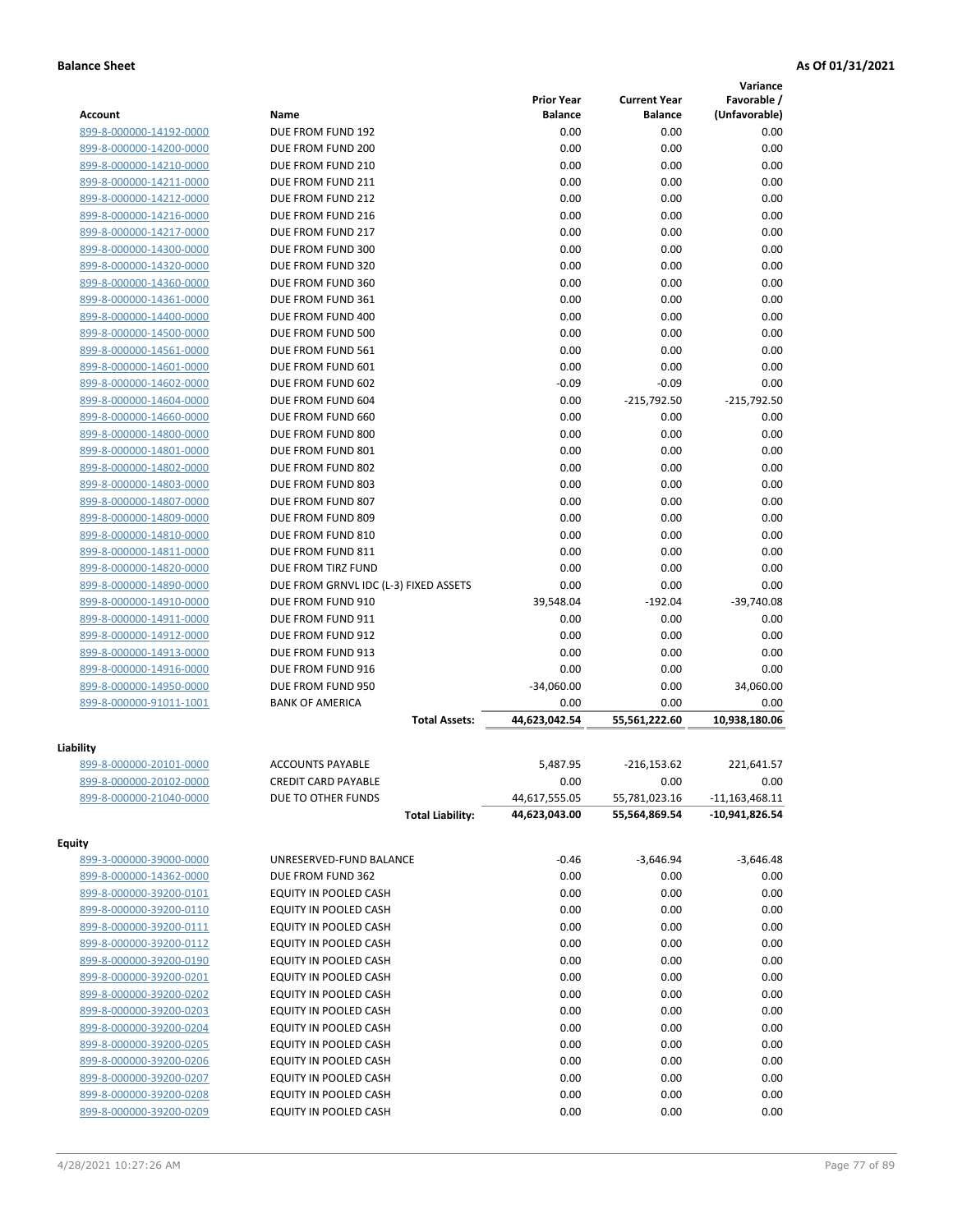|                                      |                                       |                   |                     | Variance         |
|--------------------------------------|---------------------------------------|-------------------|---------------------|------------------|
|                                      |                                       | <b>Prior Year</b> | <b>Current Year</b> | Favorable /      |
| <b>Account</b>                       | Name                                  | <b>Balance</b>    | <b>Balance</b>      | (Unfavorable)    |
| 899-8-000000-14192-0000              | DUE FROM FUND 192                     | 0.00              | 0.00                | 0.00             |
| 899-8-000000-14200-0000              | DUE FROM FUND 200                     | 0.00              | 0.00                | 0.00             |
| 899-8-000000-14210-0000              | DUE FROM FUND 210                     | 0.00              | 0.00                | 0.00             |
| 899-8-000000-14211-0000              | DUE FROM FUND 211                     | 0.00              | 0.00                | 0.00             |
| 899-8-000000-14212-0000              | DUE FROM FUND 212                     | 0.00              | 0.00                | 0.00             |
| 899-8-000000-14216-0000              | DUE FROM FUND 216                     | 0.00              | 0.00                | 0.00             |
| 899-8-000000-14217-0000              | DUE FROM FUND 217                     | 0.00              | 0.00                | 0.00             |
| 899-8-000000-14300-0000              | DUE FROM FUND 300                     | 0.00              | 0.00                | 0.00             |
| 899-8-000000-14320-0000              | DUE FROM FUND 320                     | 0.00              | 0.00                | 0.00             |
| 899-8-000000-14360-0000              | DUE FROM FUND 360                     | 0.00              | 0.00                | 0.00             |
| 899-8-000000-14361-0000              | DUE FROM FUND 361                     | 0.00              | 0.00                | 0.00             |
| 899-8-000000-14400-0000              | DUE FROM FUND 400                     | 0.00              | 0.00                | 0.00             |
| 899-8-000000-14500-0000              | DUE FROM FUND 500                     | 0.00              | 0.00                | 0.00             |
| 899-8-000000-14561-0000              | DUE FROM FUND 561                     | 0.00              | 0.00                | 0.00             |
| 899-8-000000-14601-0000              | DUE FROM FUND 601                     | 0.00              | 0.00                | 0.00             |
| 899-8-000000-14602-0000              | DUE FROM FUND 602                     | $-0.09$           | $-0.09$             | 0.00             |
| 899-8-000000-14604-0000              | DUE FROM FUND 604                     | 0.00              | $-215,792.50$       | $-215,792.50$    |
| 899-8-000000-14660-0000              | DUE FROM FUND 660                     | 0.00              | 0.00                | 0.00             |
| 899-8-000000-14800-0000              | DUE FROM FUND 800                     | 0.00              | 0.00                | 0.00             |
| 899-8-000000-14801-0000              | DUE FROM FUND 801                     | 0.00              | 0.00                | 0.00             |
| 899-8-000000-14802-0000              | DUE FROM FUND 802                     | 0.00              | 0.00                | 0.00             |
| 899-8-000000-14803-0000              | DUE FROM FUND 803                     | 0.00              | 0.00                | 0.00             |
| 899-8-000000-14807-0000              | DUE FROM FUND 807                     | 0.00              | 0.00                | 0.00             |
| 899-8-000000-14809-0000              | DUE FROM FUND 809                     | 0.00              | 0.00                | 0.00             |
| 899-8-000000-14810-0000              | DUE FROM FUND 810                     | 0.00              | 0.00                | 0.00             |
| 899-8-000000-14811-0000              | DUE FROM FUND 811                     | 0.00              | 0.00                | 0.00             |
| 899-8-000000-14820-0000              | DUE FROM TIRZ FUND                    | 0.00              | 0.00                | 0.00             |
| 899-8-000000-14890-0000              | DUE FROM GRNVL IDC (L-3) FIXED ASSETS | 0.00              | 0.00                | 0.00             |
| 899-8-000000-14910-0000              | DUE FROM FUND 910                     | 39,548.04         | $-192.04$           | $-39,740.08$     |
| 899-8-000000-14911-0000              | DUE FROM FUND 911                     | 0.00              | 0.00                | 0.00             |
| 899-8-000000-14912-0000              | DUE FROM FUND 912                     | 0.00              | 0.00                | 0.00             |
| 899-8-000000-14913-0000              | DUE FROM FUND 913                     | 0.00              | 0.00                | 0.00             |
| 899-8-000000-14916-0000              | DUE FROM FUND 916                     | 0.00              | 0.00                | 0.00             |
| 899-8-000000-14950-0000              | DUE FROM FUND 950                     | $-34,060.00$      | 0.00                | 34,060.00        |
| 899-8-000000-91011-1001              | <b>BANK OF AMERICA</b>                | 0.00              | 0.00                | 0.00             |
|                                      | <b>Total Assets:</b>                  | 44,623,042.54     | 55,561,222.60       | 10,938,180.06    |
|                                      |                                       |                   |                     |                  |
| Liability<br>899-8-000000-20101-0000 | <b>ACCOUNTS PAYABLE</b>               | 5,487.95          | -216,153.62         | 221,641.57       |
| 899-8-000000-20102-0000              | <b>CREDIT CARD PAYABLE</b>            | 0.00              | 0.00                | 0.00             |
| 899-8-000000-21040-0000              | DUE TO OTHER FUNDS                    | 44,617,555.05     | 55,781,023.16       | $-11,163,468.11$ |
|                                      | <b>Total Liability:</b>               | 44,623,043.00     | 55,564,869.54       | $-10,941,826.54$ |
|                                      |                                       |                   |                     |                  |
| <b>Equity</b>                        |                                       |                   |                     | $-3,646.48$      |
| 899-3-000000-39000-0000              | UNRESERVED-FUND BALANCE               | $-0.46$           | $-3,646.94$         |                  |
| 899-8-000000-14362-0000              | DUE FROM FUND 362                     | 0.00              | 0.00                | 0.00             |
| 899-8-000000-39200-0101              | EQUITY IN POOLED CASH                 | 0.00              | 0.00                | 0.00             |
| 899-8-000000-39200-0110              | EQUITY IN POOLED CASH                 | 0.00              | 0.00                | 0.00             |
| 899-8-000000-39200-0111              | EQUITY IN POOLED CASH                 | 0.00              | 0.00                | 0.00             |
| 899-8-000000-39200-0112              | EQUITY IN POOLED CASH                 | 0.00              | 0.00                | 0.00             |
| 899-8-000000-39200-0190              | EQUITY IN POOLED CASH                 | 0.00              | 0.00                | 0.00             |
| 899-8-000000-39200-0201              | EQUITY IN POOLED CASH                 | 0.00              | 0.00                | 0.00             |
| 899-8-000000-39200-0202              | EQUITY IN POOLED CASH                 | 0.00              | 0.00                | 0.00             |
| 899-8-000000-39200-0203              | EQUITY IN POOLED CASH                 | 0.00              | 0.00                | 0.00             |
| 899-8-000000-39200-0204              | EQUITY IN POOLED CASH                 | 0.00              | 0.00                | 0.00             |
| 899-8-000000-39200-0205              | EQUITY IN POOLED CASH                 | 0.00              | 0.00                | 0.00             |
| 899-8-000000-39200-0206              | EQUITY IN POOLED CASH                 | 0.00              | 0.00                | 0.00             |
| 899-8-000000-39200-0207              | EQUITY IN POOLED CASH                 | 0.00              | 0.00                | 0.00             |
| 899-8-000000-39200-0208              | EQUITY IN POOLED CASH                 | 0.00              | 0.00                | 0.00             |
| 899-8-000000-39200-0209              | EQUITY IN POOLED CASH                 | 0.00              | 0.00                | 0.00             |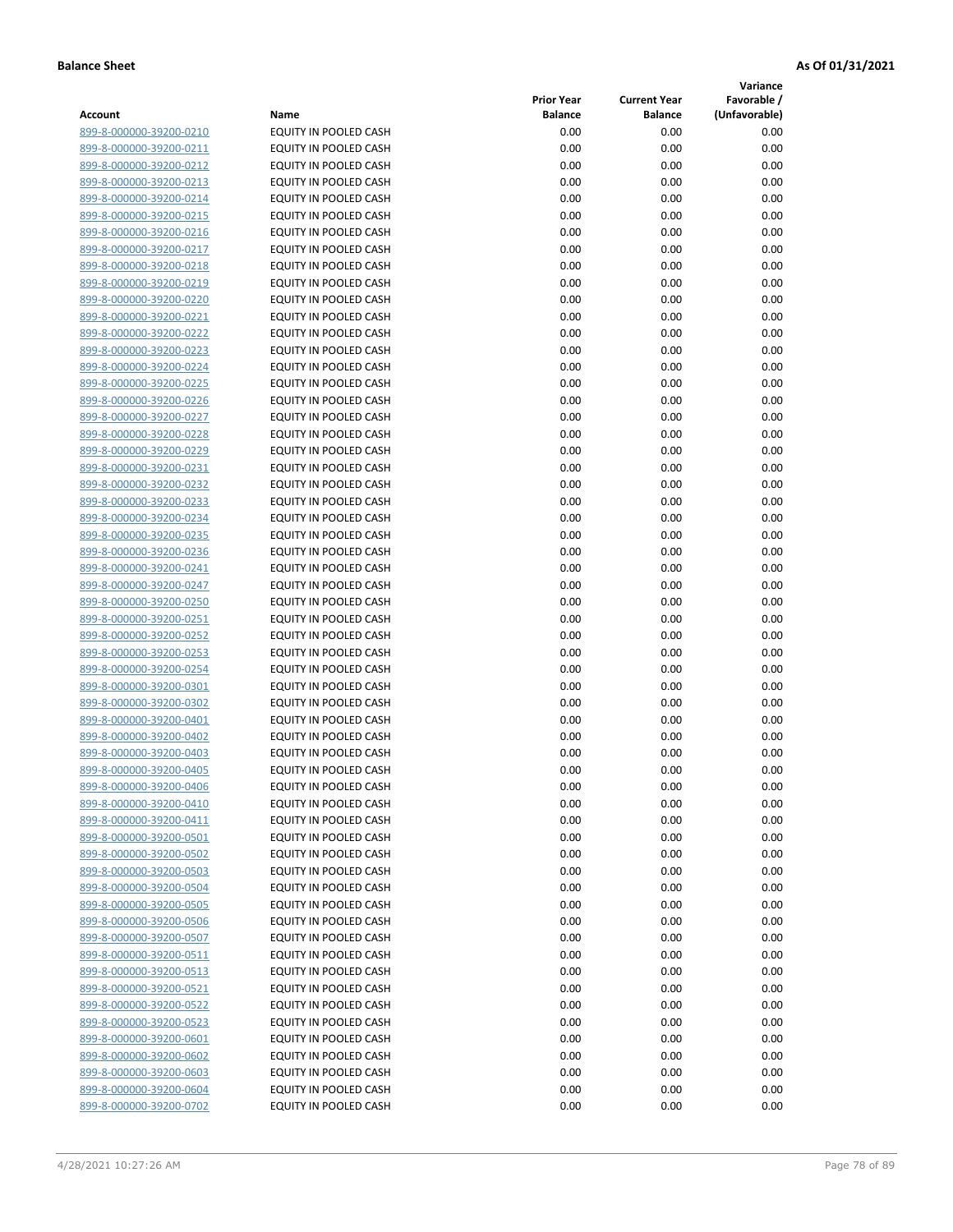**Variance**

| Account                                            | Name                                           | <b>Prior Year</b><br><b>Balance</b> | <b>Current Year</b><br><b>Balance</b> | Favorable /<br>(Unfavorable) |
|----------------------------------------------------|------------------------------------------------|-------------------------------------|---------------------------------------|------------------------------|
| 899-8-000000-39200-0210                            | EQUITY IN POOLED CASH                          | 0.00                                | 0.00                                  | 0.00                         |
| 899-8-000000-39200-0211                            | EQUITY IN POOLED CASH                          | 0.00                                | 0.00                                  | 0.00                         |
| 899-8-000000-39200-0212                            | EQUITY IN POOLED CASH                          | 0.00                                | 0.00                                  | 0.00                         |
| 899-8-000000-39200-0213                            | EQUITY IN POOLED CASH                          | 0.00                                | 0.00                                  | 0.00                         |
| 899-8-000000-39200-0214                            | EQUITY IN POOLED CASH                          | 0.00                                | 0.00                                  | 0.00                         |
| 899-8-000000-39200-0215                            | EQUITY IN POOLED CASH                          | 0.00                                | 0.00                                  | 0.00                         |
| 899-8-000000-39200-0216                            | EQUITY IN POOLED CASH                          | 0.00                                | 0.00                                  | 0.00                         |
| 899-8-000000-39200-0217                            | <b>EQUITY IN POOLED CASH</b>                   | 0.00                                | 0.00                                  | 0.00                         |
| 899-8-000000-39200-0218                            | EQUITY IN POOLED CASH                          | 0.00                                | 0.00                                  | 0.00                         |
| 899-8-000000-39200-0219                            | EQUITY IN POOLED CASH                          | 0.00                                | 0.00                                  | 0.00                         |
| 899-8-000000-39200-0220                            | EQUITY IN POOLED CASH                          | 0.00                                | 0.00                                  | 0.00                         |
| 899-8-000000-39200-0221                            | EQUITY IN POOLED CASH                          | 0.00                                | 0.00                                  | 0.00                         |
| 899-8-000000-39200-0222                            | EQUITY IN POOLED CASH                          | 0.00                                | 0.00                                  | 0.00                         |
| 899-8-000000-39200-0223                            | EQUITY IN POOLED CASH                          | 0.00                                | 0.00                                  | 0.00                         |
| 899-8-000000-39200-0224                            | EQUITY IN POOLED CASH                          | 0.00                                | 0.00                                  | 0.00                         |
| 899-8-000000-39200-0225                            | EQUITY IN POOLED CASH                          | 0.00                                | 0.00                                  | 0.00                         |
| 899-8-000000-39200-0226                            | EQUITY IN POOLED CASH                          | 0.00                                | 0.00                                  | 0.00                         |
| 899-8-000000-39200-0227                            | <b>EQUITY IN POOLED CASH</b>                   | 0.00                                | 0.00                                  | 0.00                         |
| 899-8-000000-39200-0228                            | EQUITY IN POOLED CASH                          | 0.00                                | 0.00                                  | 0.00                         |
| 899-8-000000-39200-0229                            | EQUITY IN POOLED CASH                          | 0.00                                | 0.00                                  | 0.00                         |
| 899-8-000000-39200-0231                            | EQUITY IN POOLED CASH                          | 0.00                                | 0.00                                  | 0.00                         |
| 899-8-000000-39200-0232                            | EQUITY IN POOLED CASH                          | 0.00                                | 0.00                                  | 0.00                         |
| 899-8-000000-39200-0233                            | <b>EQUITY IN POOLED CASH</b>                   | 0.00                                | 0.00                                  | 0.00                         |
| 899-8-000000-39200-0234                            | EQUITY IN POOLED CASH                          | 0.00                                | 0.00                                  | 0.00                         |
| 899-8-000000-39200-0235                            | <b>EQUITY IN POOLED CASH</b>                   | 0.00                                | 0.00                                  | 0.00                         |
| 899-8-000000-39200-0236                            | EQUITY IN POOLED CASH                          | 0.00                                | 0.00                                  | 0.00                         |
| 899-8-000000-39200-0241                            | EQUITY IN POOLED CASH                          | 0.00                                | 0.00                                  | 0.00                         |
| 899-8-000000-39200-0247                            | EQUITY IN POOLED CASH                          | 0.00                                | 0.00                                  | 0.00                         |
| 899-8-000000-39200-0250                            | EQUITY IN POOLED CASH                          | 0.00                                | 0.00                                  | 0.00                         |
| 899-8-000000-39200-0251                            | EQUITY IN POOLED CASH                          | 0.00                                | 0.00                                  | 0.00                         |
| 899-8-000000-39200-0252                            | EQUITY IN POOLED CASH                          | 0.00                                | 0.00                                  | 0.00                         |
| 899-8-000000-39200-0253                            | EQUITY IN POOLED CASH<br>EQUITY IN POOLED CASH | 0.00                                | 0.00                                  | 0.00<br>0.00                 |
| 899-8-000000-39200-0254<br>899-8-000000-39200-0301 | EQUITY IN POOLED CASH                          | 0.00<br>0.00                        | 0.00<br>0.00                          | 0.00                         |
| 899-8-000000-39200-0302                            | EQUITY IN POOLED CASH                          | 0.00                                | 0.00                                  | 0.00                         |
| 899-8-000000-39200-0401                            | EQUITY IN POOLED CASH                          | 0.00                                | 0.00                                  | 0.00                         |
| 899-8-000000-39200-0402                            | EQUITY IN POOLED CASH                          | 0.00                                | 0.00                                  | 0.00                         |
| 899-8-000000-39200-0403                            | EQUITY IN POOLED CASH                          | 0.00                                | 0.00                                  | 0.00                         |
| 899-8-000000-39200-0405                            | <b>EQUITY IN POOLED CASH</b>                   | 0.00                                | 0.00                                  | 0.00                         |
| 899-8-000000-39200-0406                            | EQUITY IN POOLED CASH                          | 0.00                                | 0.00                                  | 0.00                         |
| 899-8-000000-39200-0410                            | <b>EQUITY IN POOLED CASH</b>                   | 0.00                                | 0.00                                  | 0.00                         |
| 899-8-000000-39200-0411                            | EQUITY IN POOLED CASH                          | 0.00                                | 0.00                                  | 0.00                         |
| 899-8-000000-39200-0501                            | EQUITY IN POOLED CASH                          | 0.00                                | 0.00                                  | 0.00                         |
| 899-8-000000-39200-0502                            | EQUITY IN POOLED CASH                          | 0.00                                | 0.00                                  | 0.00                         |
| 899-8-000000-39200-0503                            | EQUITY IN POOLED CASH                          | 0.00                                | 0.00                                  | 0.00                         |
| 899-8-000000-39200-0504                            | EQUITY IN POOLED CASH                          | 0.00                                | 0.00                                  | 0.00                         |
| 899-8-000000-39200-0505                            | EQUITY IN POOLED CASH                          | 0.00                                | 0.00                                  | 0.00                         |
| 899-8-000000-39200-0506                            | EQUITY IN POOLED CASH                          | 0.00                                | 0.00                                  | 0.00                         |
| 899-8-000000-39200-0507                            | EQUITY IN POOLED CASH                          | 0.00                                | 0.00                                  | 0.00                         |
| 899-8-000000-39200-0511                            | EQUITY IN POOLED CASH                          | 0.00                                | 0.00                                  | 0.00                         |
| 899-8-000000-39200-0513                            | EQUITY IN POOLED CASH                          | 0.00                                | 0.00                                  | 0.00                         |
| 899-8-000000-39200-0521                            | EQUITY IN POOLED CASH                          | 0.00                                | 0.00                                  | 0.00                         |
| 899-8-000000-39200-0522                            | EQUITY IN POOLED CASH                          | 0.00                                | 0.00                                  | 0.00                         |
| 899-8-000000-39200-0523                            | EQUITY IN POOLED CASH                          | 0.00                                | 0.00                                  | 0.00                         |
| 899-8-000000-39200-0601                            | EQUITY IN POOLED CASH                          | 0.00                                | 0.00                                  | 0.00                         |
| 899-8-000000-39200-0602                            | EQUITY IN POOLED CASH                          | 0.00                                | 0.00                                  | 0.00                         |
| 899-8-000000-39200-0603                            | EQUITY IN POOLED CASH                          | 0.00                                | 0.00                                  | 0.00                         |
| 899-8-000000-39200-0604                            | EQUITY IN POOLED CASH                          | 0.00                                | 0.00                                  | 0.00                         |
| 899-8-000000-39200-0702                            | EQUITY IN POOLED CASH                          | 0.00                                | 0.00                                  | 0.00                         |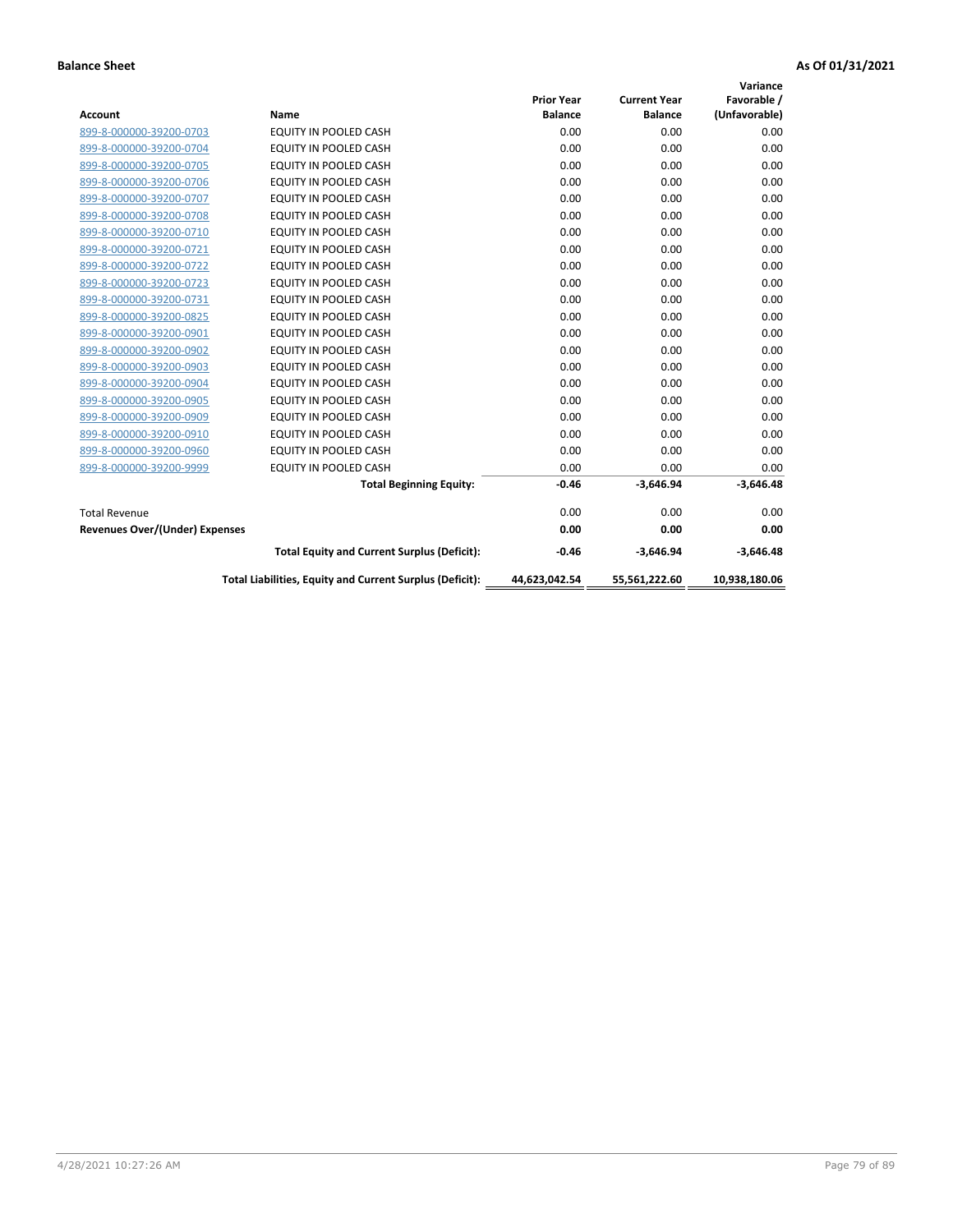|                                |                                                          |                   |                     | Variance      |
|--------------------------------|----------------------------------------------------------|-------------------|---------------------|---------------|
|                                |                                                          | <b>Prior Year</b> | <b>Current Year</b> | Favorable /   |
| <b>Account</b>                 | <b>Name</b>                                              | <b>Balance</b>    | <b>Balance</b>      | (Unfavorable) |
| 899-8-000000-39200-0703        | EQUITY IN POOLED CASH                                    | 0.00              | 0.00                | 0.00          |
| 899-8-000000-39200-0704        | EQUITY IN POOLED CASH                                    | 0.00              | 0.00                | 0.00          |
| 899-8-000000-39200-0705        | EQUITY IN POOLED CASH                                    | 0.00              | 0.00                | 0.00          |
| 899-8-000000-39200-0706        | <b>EQUITY IN POOLED CASH</b>                             | 0.00              | 0.00                | 0.00          |
| 899-8-000000-39200-0707        | <b>EQUITY IN POOLED CASH</b>                             | 0.00              | 0.00                | 0.00          |
| 899-8-000000-39200-0708        | <b>EQUITY IN POOLED CASH</b>                             | 0.00              | 0.00                | 0.00          |
| 899-8-000000-39200-0710        | <b>EQUITY IN POOLED CASH</b>                             | 0.00              | 0.00                | 0.00          |
| 899-8-000000-39200-0721        | EQUITY IN POOLED CASH                                    | 0.00              | 0.00                | 0.00          |
| 899-8-000000-39200-0722        | <b>EQUITY IN POOLED CASH</b>                             | 0.00              | 0.00                | 0.00          |
| 899-8-000000-39200-0723        | <b>EQUITY IN POOLED CASH</b>                             | 0.00              | 0.00                | 0.00          |
| 899-8-000000-39200-0731        | <b>EQUITY IN POOLED CASH</b>                             | 0.00              | 0.00                | 0.00          |
| 899-8-000000-39200-0825        | EQUITY IN POOLED CASH                                    | 0.00              | 0.00                | 0.00          |
| 899-8-000000-39200-0901        | <b>EQUITY IN POOLED CASH</b>                             | 0.00              | 0.00                | 0.00          |
| 899-8-000000-39200-0902        | EQUITY IN POOLED CASH                                    | 0.00              | 0.00                | 0.00          |
| 899-8-000000-39200-0903        | <b>EQUITY IN POOLED CASH</b>                             | 0.00              | 0.00                | 0.00          |
| 899-8-000000-39200-0904        | <b>EQUITY IN POOLED CASH</b>                             | 0.00              | 0.00                | 0.00          |
| 899-8-000000-39200-0905        | EQUITY IN POOLED CASH                                    | 0.00              | 0.00                | 0.00          |
| 899-8-000000-39200-0909        | EQUITY IN POOLED CASH                                    | 0.00              | 0.00                | 0.00          |
| 899-8-000000-39200-0910        | <b>EQUITY IN POOLED CASH</b>                             | 0.00              | 0.00                | 0.00          |
| 899-8-000000-39200-0960        | <b>EQUITY IN POOLED CASH</b>                             | 0.00              | 0.00                | 0.00          |
| 899-8-000000-39200-9999        | EQUITY IN POOLED CASH                                    | 0.00              | 0.00                | 0.00          |
|                                | <b>Total Beginning Equity:</b>                           | $-0.46$           | $-3,646.94$         | $-3,646.48$   |
| <b>Total Revenue</b>           |                                                          | 0.00              | 0.00                | 0.00          |
| Revenues Over/(Under) Expenses |                                                          | 0.00              | 0.00                | 0.00          |
|                                | <b>Total Equity and Current Surplus (Deficit):</b>       | $-0.46$           | $-3,646.94$         | $-3,646.48$   |
|                                | Total Liabilities, Equity and Current Surplus (Deficit): | 44,623,042.54     | 55,561,222.60       | 10,938,180.06 |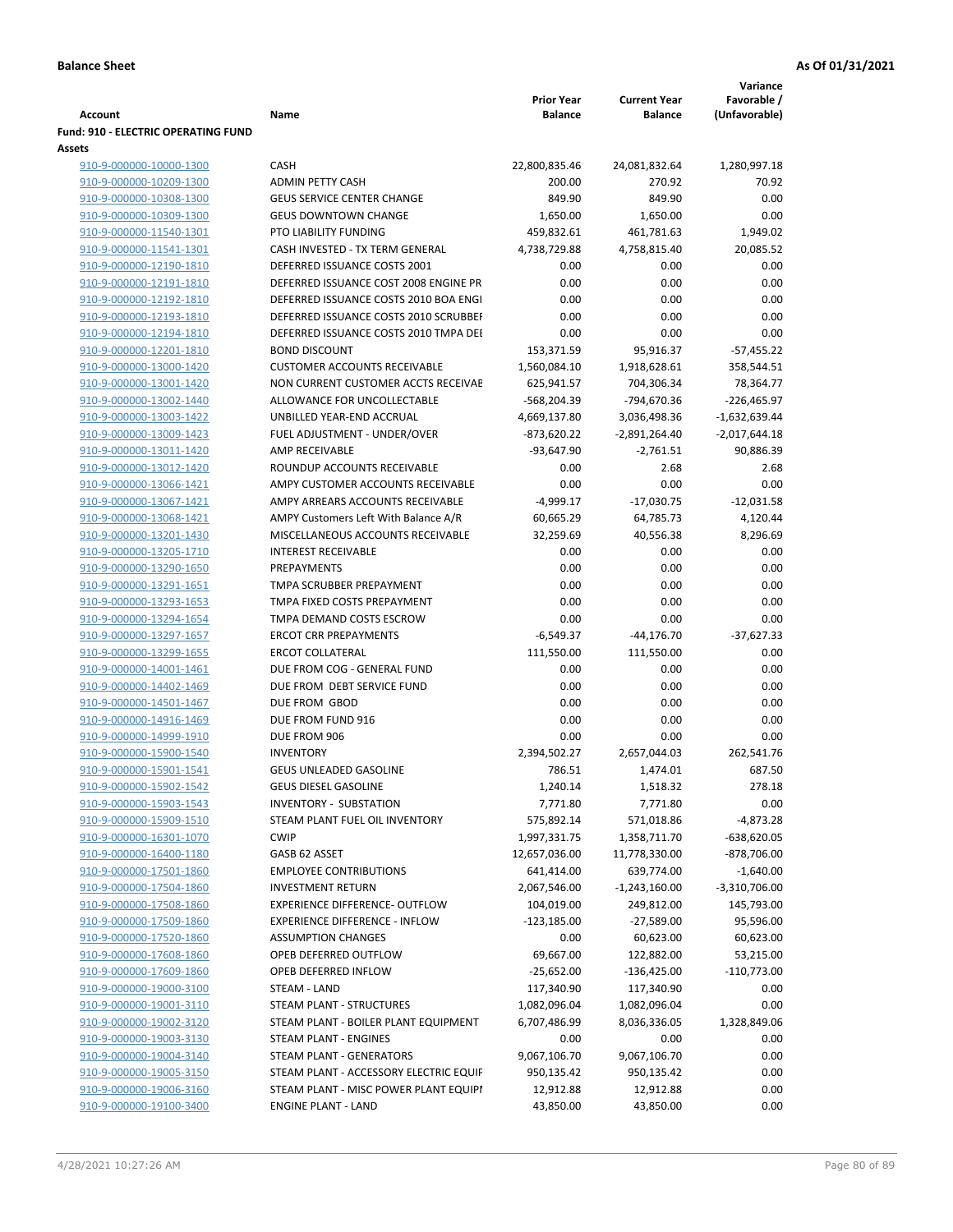|                                                             |                                                           |                                     |                                       | Variance                     |
|-------------------------------------------------------------|-----------------------------------------------------------|-------------------------------------|---------------------------------------|------------------------------|
| <b>Account</b>                                              | Name                                                      | <b>Prior Year</b><br><b>Balance</b> | <b>Current Year</b><br><b>Balance</b> | Favorable /<br>(Unfavorable) |
| <b>Fund: 910 - ELECTRIC OPERATING FUND</b><br><b>Assets</b> |                                                           |                                     |                                       |                              |
| 910-9-000000-10000-1300                                     | <b>CASH</b>                                               | 22,800,835.46                       | 24,081,832.64                         | 1,280,997.18                 |
| 910-9-000000-10209-1300                                     | <b>ADMIN PETTY CASH</b>                                   | 200.00                              | 270.92                                | 70.92                        |
| 910-9-000000-10308-1300                                     | <b>GEUS SERVICE CENTER CHANGE</b>                         | 849.90                              | 849.90                                | 0.00                         |
| 910-9-000000-10309-1300                                     | <b>GEUS DOWNTOWN CHANGE</b>                               | 1,650.00                            | 1,650.00                              | 0.00                         |
| 910-9-000000-11540-1301                                     | PTO LIABILITY FUNDING                                     | 459,832.61                          | 461,781.63                            | 1,949.02                     |
| 910-9-000000-11541-1301                                     | CASH INVESTED - TX TERM GENERAL                           | 4,738,729.88                        | 4,758,815.40                          | 20,085.52                    |
| 910-9-000000-12190-1810                                     | DEFERRED ISSUANCE COSTS 2001                              | 0.00                                | 0.00                                  | 0.00                         |
| 910-9-000000-12191-1810                                     | DEFERRED ISSUANCE COST 2008 ENGINE PR                     | 0.00                                | 0.00                                  | 0.00                         |
| 910-9-000000-12192-1810                                     | DEFERRED ISSUANCE COSTS 2010 BOA ENGI                     | 0.00                                | 0.00                                  | 0.00                         |
| 910-9-000000-12193-1810                                     | DEFERRED ISSUANCE COSTS 2010 SCRUBBEI                     | 0.00                                | 0.00                                  | 0.00                         |
| 910-9-000000-12194-1810                                     | DEFERRED ISSUANCE COSTS 2010 TMPA DEI                     | 0.00                                | 0.00                                  | 0.00                         |
| 910-9-000000-12201-1810                                     | <b>BOND DISCOUNT</b>                                      | 153,371.59                          | 95,916.37                             | $-57,455.22$                 |
| 910-9-000000-13000-1420                                     | <b>CUSTOMER ACCOUNTS RECEIVABLE</b>                       | 1,560,084.10                        | 1,918,628.61                          | 358,544.51                   |
| 910-9-000000-13001-1420                                     | NON CURRENT CUSTOMER ACCTS RECEIVAE                       | 625,941.57                          | 704,306.34                            | 78,364.77                    |
| 910-9-000000-13002-1440                                     | ALLOWANCE FOR UNCOLLECTABLE                               | -568,204.39                         | -794,670.36                           | -226,465.97                  |
| 910-9-000000-13003-1422                                     | UNBILLED YEAR-END ACCRUAL                                 | 4,669,137.80                        | 3,036,498.36                          | $-1,632,639.44$              |
| 910-9-000000-13009-1423                                     | FUEL ADJUSTMENT - UNDER/OVER                              | $-873,620.22$                       | $-2,891,264.40$                       | $-2,017,644.18$              |
| 910-9-000000-13011-1420                                     | AMP RECEIVABLE                                            | -93,647.90                          | $-2,761.51$                           | 90,886.39                    |
| 910-9-000000-13012-1420                                     | ROUNDUP ACCOUNTS RECEIVABLE                               | 0.00                                | 2.68                                  | 2.68                         |
| 910-9-000000-13066-1421                                     | AMPY CUSTOMER ACCOUNTS RECEIVABLE                         | 0.00                                | 0.00                                  | 0.00                         |
| 910-9-000000-13067-1421                                     | AMPY ARREARS ACCOUNTS RECEIVABLE                          | $-4,999.17$                         | $-17,030.75$                          | $-12,031.58$                 |
| 910-9-000000-13068-1421                                     | AMPY Customers Left With Balance A/R                      | 60,665.29                           | 64,785.73                             | 4,120.44                     |
| 910-9-000000-13201-1430                                     | MISCELLANEOUS ACCOUNTS RECEIVABLE                         | 32,259.69                           | 40,556.38                             | 8,296.69                     |
| 910-9-000000-13205-1710                                     | <b>INTEREST RECEIVABLE</b>                                | 0.00                                | 0.00                                  | 0.00                         |
| 910-9-000000-13290-1650                                     | PREPAYMENTS                                               | 0.00                                | 0.00                                  | 0.00                         |
| 910-9-000000-13291-1651                                     | TMPA SCRUBBER PREPAYMENT                                  | 0.00                                | 0.00                                  | 0.00                         |
| 910-9-000000-13293-1653                                     | TMPA FIXED COSTS PREPAYMENT                               | 0.00                                | 0.00                                  | 0.00                         |
| 910-9-000000-13294-1654                                     | TMPA DEMAND COSTS ESCROW                                  | 0.00                                | 0.00                                  | 0.00                         |
| 910-9-000000-13297-1657                                     | <b>ERCOT CRR PREPAYMENTS</b>                              | $-6,549.37$                         | $-44,176.70$                          | $-37,627.33$                 |
| 910-9-000000-13299-1655                                     | <b>ERCOT COLLATERAL</b>                                   | 111,550.00                          | 111,550.00                            | 0.00                         |
| 910-9-000000-14001-1461                                     | DUE FROM COG - GENERAL FUND<br>DUE FROM DEBT SERVICE FUND | 0.00<br>0.00                        | 0.00<br>0.00                          | 0.00<br>0.00                 |
| 910-9-000000-14402-1469<br>910-9-000000-14501-1467          | DUE FROM GBOD                                             | 0.00                                | 0.00                                  | 0.00                         |
| 910-9-000000-14916-1469                                     | DUE FROM FUND 916                                         | 0.00                                | 0.00                                  | 0.00                         |
| 910-9-000000-14999-1910                                     | DUE FROM 906                                              | 0.00                                | 0.00                                  | 0.00                         |
| 910-9-000000-15900-1540                                     | <b>INVENTORY</b>                                          | 2,394,502.27                        | 2,657,044.03                          | 262,541.76                   |
| 910-9-000000-15901-1541                                     | GEUS UNLEADED GASOLINE                                    | 786.51                              | 1,474.01                              | 687.50                       |
| 910-9-000000-15902-1542                                     | <b>GEUS DIESEL GASOLINE</b>                               | 1,240.14                            | 1,518.32                              | 278.18                       |
| 910-9-000000-15903-1543                                     | <b>INVENTORY - SUBSTATION</b>                             | 7,771.80                            | 7,771.80                              | 0.00                         |
| 910-9-000000-15909-1510                                     | STEAM PLANT FUEL OIL INVENTORY                            | 575,892.14                          | 571,018.86                            | $-4,873.28$                  |
| 910-9-000000-16301-1070                                     | <b>CWIP</b>                                               | 1,997,331.75                        | 1,358,711.70                          | $-638,620.05$                |
| 910-9-000000-16400-1180                                     | GASB 62 ASSET                                             | 12,657,036.00                       | 11,778,330.00                         | $-878,706.00$                |
| 910-9-000000-17501-1860                                     | <b>EMPLOYEE CONTRIBUTIONS</b>                             | 641,414.00                          | 639,774.00                            | $-1,640.00$                  |
| 910-9-000000-17504-1860                                     | <b>INVESTMENT RETURN</b>                                  | 2,067,546.00                        | $-1,243,160.00$                       | $-3,310,706.00$              |
| 910-9-000000-17508-1860                                     | <b>EXPERIENCE DIFFERENCE- OUTFLOW</b>                     | 104,019.00                          | 249,812.00                            | 145,793.00                   |
| 910-9-000000-17509-1860                                     | <b>EXPERIENCE DIFFERENCE - INFLOW</b>                     | $-123,185.00$                       | $-27,589.00$                          | 95,596.00                    |
| 910-9-000000-17520-1860                                     | <b>ASSUMPTION CHANGES</b>                                 | 0.00                                | 60,623.00                             | 60,623.00                    |
| 910-9-000000-17608-1860                                     | OPEB DEFERRED OUTFLOW                                     | 69,667.00                           | 122,882.00                            | 53,215.00                    |
| 910-9-000000-17609-1860                                     | OPEB DEFERRED INFLOW                                      | $-25,652.00$                        | $-136,425.00$                         | $-110,773.00$                |
| 910-9-000000-19000-3100                                     | STEAM - LAND                                              | 117,340.90                          | 117,340.90                            | 0.00                         |
| 910-9-000000-19001-3110                                     | STEAM PLANT - STRUCTURES                                  | 1,082,096.04                        | 1,082,096.04                          | 0.00                         |
| 910-9-000000-19002-3120                                     | STEAM PLANT - BOILER PLANT EQUIPMENT                      | 6,707,486.99                        | 8,036,336.05                          | 1,328,849.06                 |
| 910-9-000000-19003-3130                                     | STEAM PLANT - ENGINES                                     | 0.00                                | 0.00                                  | 0.00                         |
| 910-9-000000-19004-3140                                     | STEAM PLANT - GENERATORS                                  | 9,067,106.70                        | 9,067,106.70                          | 0.00                         |
| 910-9-000000-19005-3150                                     | STEAM PLANT - ACCESSORY ELECTRIC EQUIF                    | 950,135.42                          | 950,135.42                            | 0.00                         |
| 910-9-000000-19006-3160                                     | STEAM PLANT - MISC POWER PLANT EQUIPI                     | 12,912.88                           | 12,912.88                             | 0.00                         |
| 910-9-000000-19100-3400                                     | <b>ENGINE PLANT - LAND</b>                                | 43,850.00                           | 43,850.00                             | 0.00                         |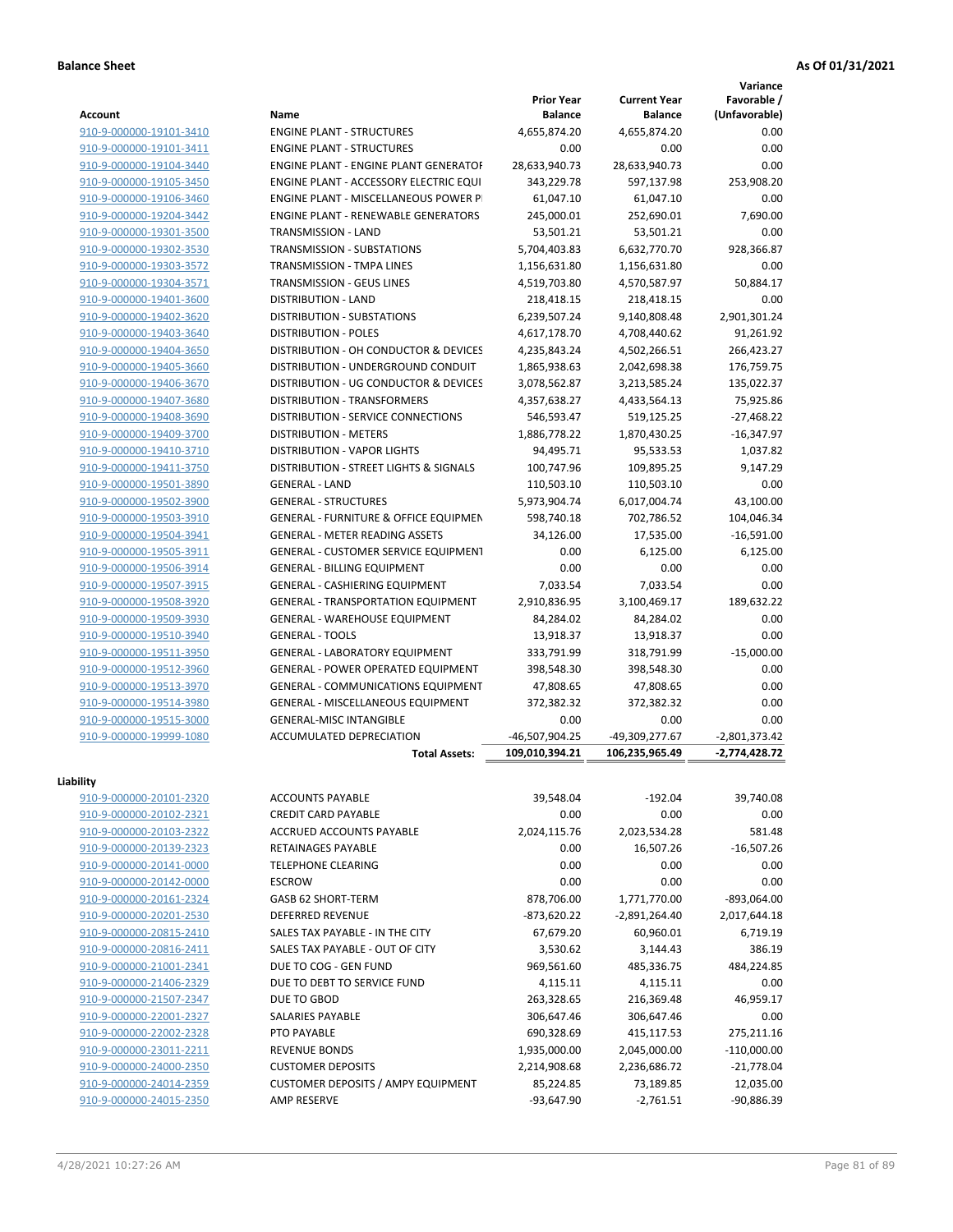**Variance**

| <b>Account</b>          | Name                                             | <b>Prior Year</b><br><b>Balance</b> | <b>Current Year</b><br><b>Balance</b> | Favorable /<br>(Unfavorable) |
|-------------------------|--------------------------------------------------|-------------------------------------|---------------------------------------|------------------------------|
| 910-9-000000-19101-3410 | <b>ENGINE PLANT - STRUCTURES</b>                 | 4,655,874.20                        | 4,655,874.20                          | 0.00                         |
| 910-9-000000-19101-3411 | <b>ENGINE PLANT - STRUCTURES</b>                 | 0.00                                | 0.00                                  | 0.00                         |
| 910-9-000000-19104-3440 | ENGINE PLANT - ENGINE PLANT GENERATOF            | 28,633,940.73                       | 28,633,940.73                         | 0.00                         |
| 910-9-000000-19105-3450 | ENGINE PLANT - ACCESSORY ELECTRIC EQUI           | 343,229.78                          | 597,137.98                            | 253,908.20                   |
| 910-9-000000-19106-3460 | ENGINE PLANT - MISCELLANEOUS POWER P             | 61,047.10                           | 61,047.10                             | 0.00                         |
| 910-9-000000-19204-3442 | <b>ENGINE PLANT - RENEWABLE GENERATORS</b>       | 245,000.01                          | 252,690.01                            | 7,690.00                     |
| 910-9-000000-19301-3500 | TRANSMISSION - LAND                              | 53,501.21                           | 53,501.21                             | 0.00                         |
| 910-9-000000-19302-3530 | <b>TRANSMISSION - SUBSTATIONS</b>                | 5,704,403.83                        | 6,632,770.70                          | 928,366.87                   |
| 910-9-000000-19303-3572 | TRANSMISSION - TMPA LINES                        | 1,156,631.80                        | 1,156,631.80                          | 0.00                         |
| 910-9-000000-19304-3571 | TRANSMISSION - GEUS LINES                        | 4,519,703.80                        | 4,570,587.97                          | 50,884.17                    |
| 910-9-000000-19401-3600 | <b>DISTRIBUTION - LAND</b>                       | 218,418.15                          | 218,418.15                            | 0.00                         |
| 910-9-000000-19402-3620 | DISTRIBUTION - SUBSTATIONS                       | 6,239,507.24                        | 9,140,808.48                          | 2,901,301.24                 |
| 910-9-000000-19403-3640 | <b>DISTRIBUTION - POLES</b>                      | 4,617,178.70                        | 4,708,440.62                          | 91,261.92                    |
| 910-9-000000-19404-3650 | DISTRIBUTION - OH CONDUCTOR & DEVICES            | 4,235,843.24                        | 4,502,266.51                          | 266,423.27                   |
| 910-9-000000-19405-3660 | DISTRIBUTION - UNDERGROUND CONDUIT               | 1,865,938.63                        | 2,042,698.38                          | 176,759.75                   |
| 910-9-000000-19406-3670 | DISTRIBUTION - UG CONDUCTOR & DEVICES            | 3,078,562.87                        | 3,213,585.24                          | 135,022.37                   |
| 910-9-000000-19407-3680 | <b>DISTRIBUTION - TRANSFORMERS</b>               | 4,357,638.27                        | 4,433,564.13                          | 75,925.86                    |
| 910-9-000000-19408-3690 | DISTRIBUTION - SERVICE CONNECTIONS               | 546,593.47                          | 519,125.25                            | $-27,468.22$                 |
| 910-9-000000-19409-3700 | <b>DISTRIBUTION - METERS</b>                     |                                     |                                       |                              |
|                         |                                                  | 1,886,778.22                        | 1,870,430.25                          | $-16,347.97$                 |
| 910-9-000000-19410-3710 | <b>DISTRIBUTION - VAPOR LIGHTS</b>               | 94,495.71                           | 95,533.53                             | 1,037.82                     |
| 910-9-000000-19411-3750 | DISTRIBUTION - STREET LIGHTS & SIGNALS           | 100,747.96                          | 109,895.25                            | 9,147.29                     |
| 910-9-000000-19501-3890 | <b>GENERAL - LAND</b>                            | 110,503.10                          | 110,503.10                            | 0.00                         |
| 910-9-000000-19502-3900 | <b>GENERAL - STRUCTURES</b>                      | 5,973,904.74                        | 6,017,004.74                          | 43,100.00                    |
| 910-9-000000-19503-3910 | <b>GENERAL - FURNITURE &amp; OFFICE EQUIPMEN</b> | 598,740.18                          | 702,786.52                            | 104,046.34                   |
| 910-9-000000-19504-3941 | <b>GENERAL - METER READING ASSETS</b>            | 34,126.00                           | 17,535.00                             | $-16,591.00$                 |
| 910-9-000000-19505-3911 | GENERAL - CUSTOMER SERVICE EQUIPMENT             | 0.00                                | 6,125.00                              | 6,125.00                     |
| 910-9-000000-19506-3914 | <b>GENERAL - BILLING EQUIPMENT</b>               | 0.00                                | 0.00                                  | 0.00                         |
| 910-9-000000-19507-3915 | GENERAL - CASHIERING EQUIPMENT                   | 7,033.54                            | 7,033.54                              | 0.00                         |
| 910-9-000000-19508-3920 | <b>GENERAL - TRANSPORTATION EQUIPMENT</b>        | 2,910,836.95                        | 3,100,469.17                          | 189,632.22                   |
| 910-9-000000-19509-3930 | GENERAL - WAREHOUSE EQUIPMENT                    | 84,284.02                           | 84,284.02                             | 0.00                         |
| 910-9-000000-19510-3940 | <b>GENERAL - TOOLS</b>                           | 13,918.37                           | 13,918.37                             | 0.00                         |
| 910-9-000000-19511-3950 | GENERAL - LABORATORY EQUIPMENT                   | 333,791.99                          | 318,791.99                            | $-15,000.00$                 |
| 910-9-000000-19512-3960 | <b>GENERAL - POWER OPERATED EQUIPMENT</b>        | 398,548.30                          | 398,548.30                            | 0.00                         |
| 910-9-000000-19513-3970 | <b>GENERAL - COMMUNICATIONS EQUIPMENT</b>        | 47,808.65                           | 47,808.65                             | 0.00                         |
| 910-9-000000-19514-3980 | GENERAL - MISCELLANEOUS EQUIPMENT                | 372,382.32                          | 372,382.32                            | 0.00                         |
| 910-9-000000-19515-3000 | <b>GENERAL-MISC INTANGIBLE</b>                   | 0.00                                | 0.00                                  | 0.00                         |
| 910-9-000000-19999-1080 | ACCUMULATED DEPRECIATION                         | -46,507,904.25                      | -49,309,277.67                        | $-2,801,373.42$              |
|                         | <b>Total Assets:</b>                             | 109,010,394.21                      | 106,235,965.49                        | -2,774,428.72                |
| Liability               |                                                  |                                     |                                       |                              |
| 910-9-000000-20101-2320 | <b>ACCOUNTS PAYABLE</b>                          | 39,548.04                           | $-192.04$                             | 39,740.08                    |
| 910-9-000000-20102-2321 | <b>CREDIT CARD PAYABLE</b>                       | 0.00                                | 0.00                                  | 0.00                         |
| 910-9-000000-20103-2322 | ACCRUED ACCOUNTS PAYABLE                         | 2,024,115.76                        | 2,023,534.28                          | 581.48                       |
| 910-9-000000-20139-2323 | <b>RETAINAGES PAYABLE</b>                        | 0.00                                | 16,507.26                             | $-16,507.26$                 |
| 910-9-000000-20141-0000 | <b>TELEPHONE CLEARING</b>                        | 0.00                                | 0.00                                  | 0.00                         |
| 910-9-000000-20142-0000 | <b>ESCROW</b>                                    | 0.00                                | 0.00                                  | 0.00                         |
| 910-9-000000-20161-2324 | GASB 62 SHORT-TERM                               | 878,706.00                          | 1,771,770.00                          | -893,064.00                  |
| 910-9-000000-20201-2530 | <b>DEFERRED REVENUE</b>                          | $-873,620.22$                       | $-2,891,264.40$                       | 2,017,644.18                 |
| 910-9-000000-20815-2410 | SALES TAX PAYABLE - IN THE CITY                  | 67,679.20                           | 60,960.01                             | 6,719.19                     |
| 910-9-000000-20816-2411 | SALES TAX PAYABLE - OUT OF CITY                  | 3,530.62                            | 3,144.43                              | 386.19                       |
| 910-9-000000-21001-2341 | DUE TO COG - GEN FUND                            | 969,561.60                          | 485,336.75                            | 484,224.85                   |
| 910-9-000000-21406-2329 | DUE TO DEBT TO SERVICE FUND                      | 4,115.11                            | 4,115.11                              | 0.00                         |
| 910-9-000000-21507-2347 | DUE TO GBOD                                      | 263,328.65                          | 216,369.48                            | 46,959.17                    |
| 910-9-000000-22001-2327 | SALARIES PAYABLE                                 | 306,647.46                          | 306,647.46                            | 0.00                         |
| 910-9-000000-22002-2328 | PTO PAYABLE                                      | 690,328.69                          | 415,117.53                            | 275,211.16                   |
| 910-9-000000-23011-2211 | <b>REVENUE BONDS</b>                             | 1,935,000.00                        | 2,045,000.00                          | $-110,000.00$                |
| 910-9-000000-24000-2350 | <b>CUSTOMER DEPOSITS</b>                         | 2,214,908.68                        | 2,236,686.72                          | $-21,778.04$                 |
| 910-9-000000-24014-2359 | <b>CUSTOMER DEPOSITS / AMPY EQUIPMENT</b>        | 85,224.85                           | 73,189.85                             | 12,035.00                    |
| 910-9-000000-24015-2350 | <b>AMP RESERVE</b>                               | $-93,647.90$                        | $-2,761.51$                           | -90,886.39                   |
|                         |                                                  |                                     |                                       |                              |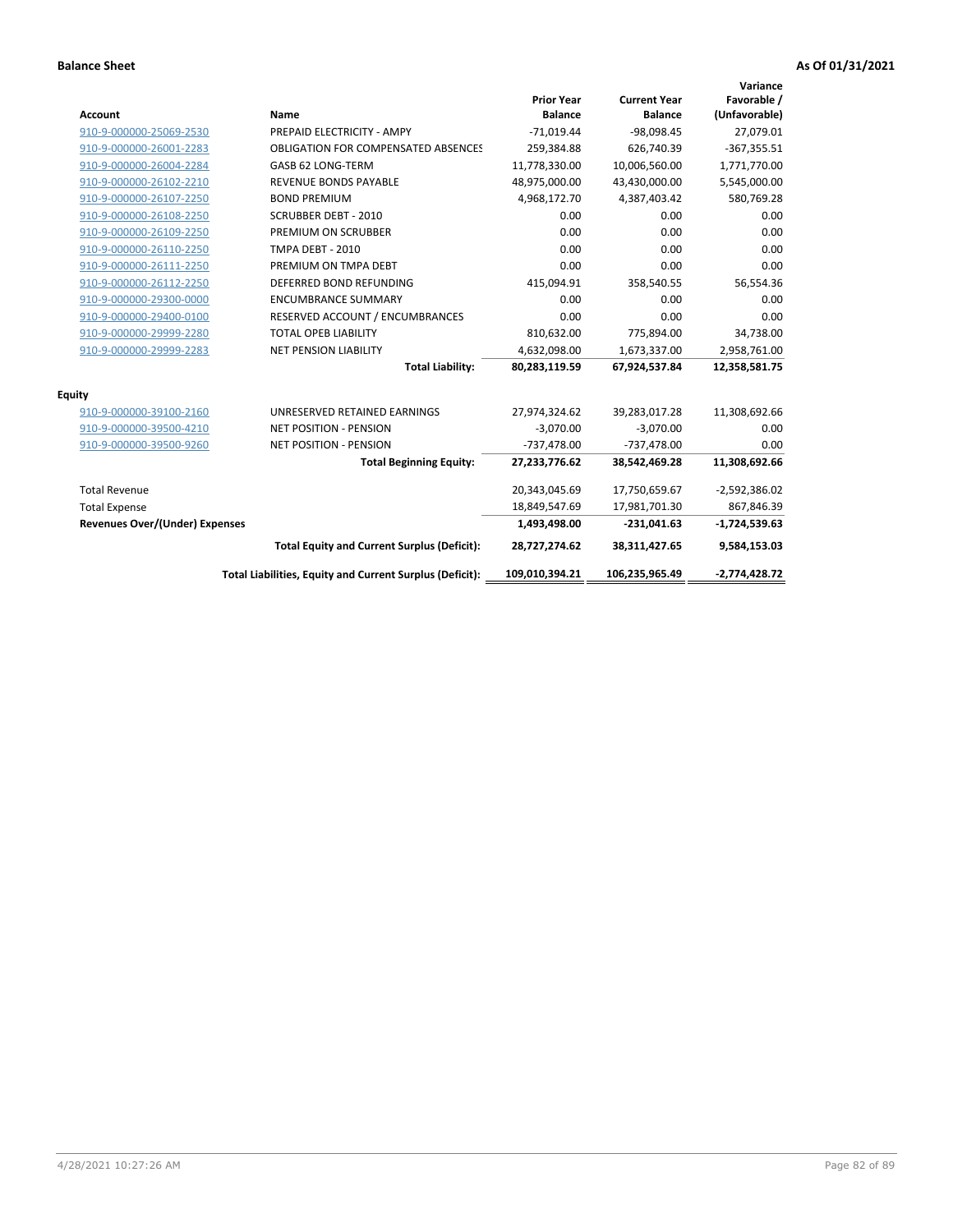| Account                               | Name                                                     | <b>Prior Year</b><br><b>Balance</b> | <b>Current Year</b><br><b>Balance</b> | Variance<br>Favorable /<br>(Unfavorable) |
|---------------------------------------|----------------------------------------------------------|-------------------------------------|---------------------------------------|------------------------------------------|
| 910-9-000000-25069-2530               | PREPAID ELECTRICITY - AMPY                               | $-71,019.44$                        | $-98,098.45$                          | 27,079.01                                |
| 910-9-000000-26001-2283               | <b>OBLIGATION FOR COMPENSATED ABSENCES</b>               | 259,384.88                          | 626,740.39                            | $-367,355.51$                            |
| 910-9-000000-26004-2284               | GASB 62 LONG-TERM                                        | 11,778,330.00                       | 10,006,560.00                         | 1,771,770.00                             |
| 910-9-000000-26102-2210               | <b>REVENUE BONDS PAYABLE</b>                             | 48,975,000.00                       | 43,430,000.00                         | 5,545,000.00                             |
| 910-9-000000-26107-2250               | <b>BOND PREMIUM</b>                                      | 4,968,172.70                        | 4,387,403.42                          | 580,769.28                               |
| 910-9-000000-26108-2250               | <b>SCRUBBER DEBT - 2010</b>                              | 0.00                                | 0.00                                  | 0.00                                     |
| 910-9-000000-26109-2250               | PREMIUM ON SCRUBBER                                      | 0.00                                | 0.00                                  | 0.00                                     |
| 910-9-000000-26110-2250               | <b>TMPA DEBT - 2010</b>                                  | 0.00                                | 0.00                                  | 0.00                                     |
| 910-9-000000-26111-2250               | PREMIUM ON TMPA DEBT                                     | 0.00                                | 0.00                                  | 0.00                                     |
| 910-9-000000-26112-2250               | DEFERRED BOND REFUNDING                                  | 415,094.91                          | 358,540.55                            | 56,554.36                                |
| 910-9-000000-29300-0000               | <b>ENCUMBRANCE SUMMARY</b>                               | 0.00                                | 0.00                                  | 0.00                                     |
| 910-9-000000-29400-0100               | RESERVED ACCOUNT / ENCUMBRANCES                          | 0.00                                | 0.00                                  | 0.00                                     |
| 910-9-000000-29999-2280               | <b>TOTAL OPEB LIABILITY</b>                              | 810,632.00                          | 775,894.00                            | 34,738.00                                |
| 910-9-000000-29999-2283               | <b>NET PENSION LIABILITY</b>                             | 4,632,098.00                        | 1,673,337.00                          | 2,958,761.00                             |
|                                       | <b>Total Liability:</b>                                  | 80,283,119.59                       | 67,924,537.84                         | 12,358,581.75                            |
| Equity                                |                                                          |                                     |                                       |                                          |
| 910-9-000000-39100-2160               | UNRESERVED RETAINED EARNINGS                             | 27,974,324.62                       | 39,283,017.28                         | 11,308,692.66                            |
| 910-9-000000-39500-4210               | <b>NET POSITION - PENSION</b>                            | $-3,070.00$                         | $-3,070.00$                           | 0.00                                     |
| 910-9-000000-39500-9260               | <b>NET POSITION - PENSION</b>                            | $-737,478.00$                       | $-737,478.00$                         | 0.00                                     |
|                                       | <b>Total Beginning Equity:</b>                           | 27,233,776.62                       | 38,542,469.28                         | 11,308,692.66                            |
| <b>Total Revenue</b>                  |                                                          | 20,343,045.69                       | 17,750,659.67                         | $-2,592,386.02$                          |
| <b>Total Expense</b>                  |                                                          | 18,849,547.69                       | 17,981,701.30                         | 867,846.39                               |
| <b>Revenues Over/(Under) Expenses</b> |                                                          | 1,493,498.00                        | $-231,041.63$                         | $-1,724,539.63$                          |
|                                       | <b>Total Equity and Current Surplus (Deficit):</b>       | 28,727,274.62                       | 38,311,427.65                         | 9,584,153.03                             |
|                                       | Total Liabilities, Equity and Current Surplus (Deficit): | 109,010,394.21                      | 106,235,965.49                        | $-2,774,428.72$                          |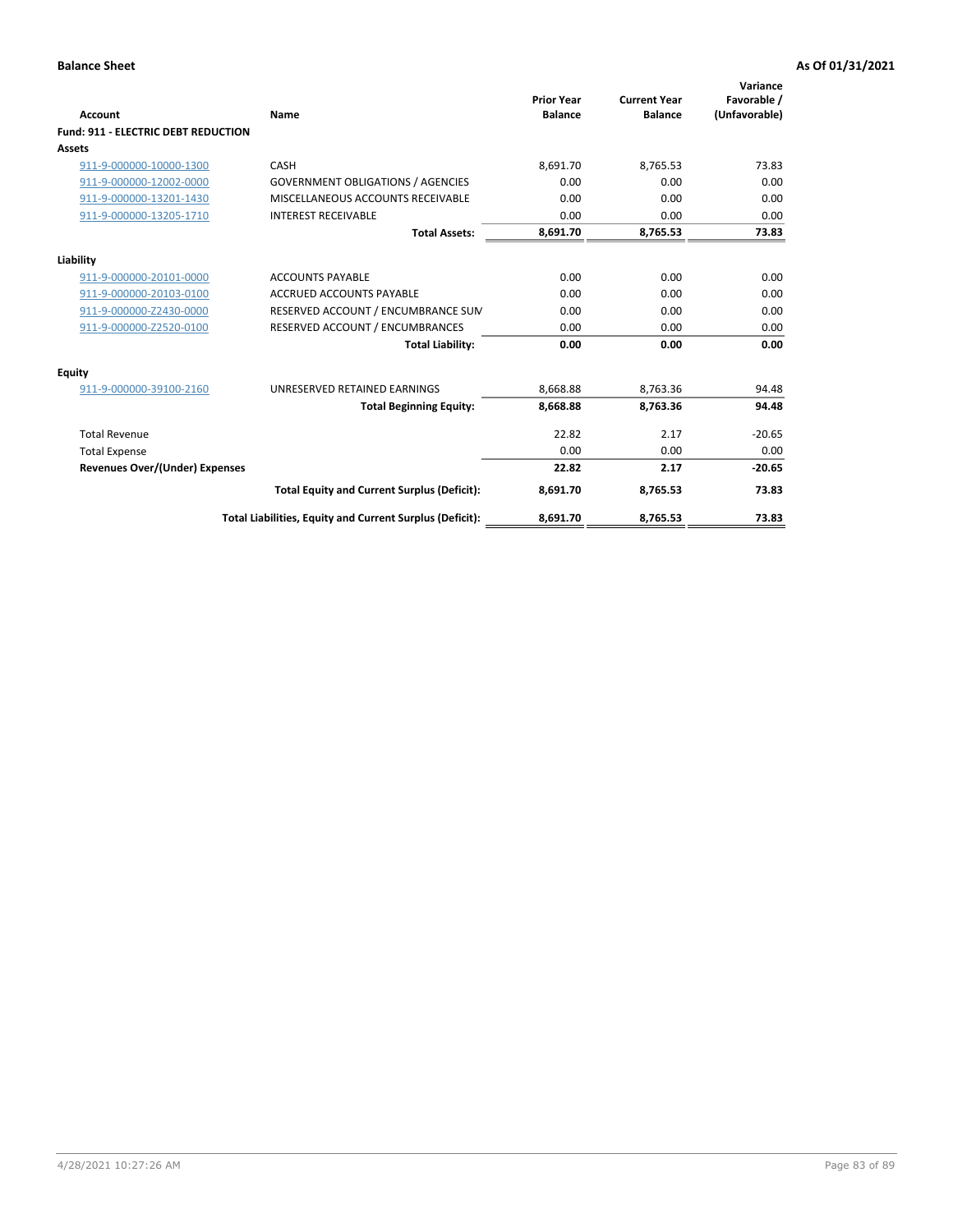| Account                                    | Name                                                     | <b>Prior Year</b><br><b>Balance</b> | <b>Current Year</b><br><b>Balance</b> | Variance<br>Favorable /<br>(Unfavorable) |
|--------------------------------------------|----------------------------------------------------------|-------------------------------------|---------------------------------------|------------------------------------------|
| <b>Fund: 911 - ELECTRIC DEBT REDUCTION</b> |                                                          |                                     |                                       |                                          |
| <b>Assets</b>                              |                                                          |                                     |                                       |                                          |
| 911-9-000000-10000-1300                    | CASH                                                     | 8,691.70                            | 8.765.53                              | 73.83                                    |
| 911-9-000000-12002-0000                    | <b>GOVERNMENT OBLIGATIONS / AGENCIES</b>                 | 0.00                                | 0.00                                  | 0.00                                     |
| 911-9-000000-13201-1430                    | MISCELLANEOUS ACCOUNTS RECEIVABLE                        | 0.00                                | 0.00                                  | 0.00                                     |
| 911-9-000000-13205-1710                    | <b>INTEREST RECEIVABLE</b>                               | 0.00                                | 0.00                                  | 0.00                                     |
|                                            | <b>Total Assets:</b>                                     | 8,691.70                            | 8,765.53                              | 73.83                                    |
| Liability                                  |                                                          |                                     |                                       |                                          |
| 911-9-000000-20101-0000                    | <b>ACCOUNTS PAYABLE</b>                                  | 0.00                                | 0.00                                  | 0.00                                     |
| 911-9-000000-20103-0100                    | <b>ACCRUED ACCOUNTS PAYABLE</b>                          | 0.00                                | 0.00                                  | 0.00                                     |
| 911-9-000000-Z2430-0000                    | RESERVED ACCOUNT / ENCUMBRANCE SUM                       | 0.00                                | 0.00                                  | 0.00                                     |
| 911-9-000000-Z2520-0100                    | RESERVED ACCOUNT / ENCUMBRANCES                          | 0.00                                | 0.00                                  | 0.00                                     |
|                                            | <b>Total Liability:</b>                                  | 0.00                                | 0.00                                  | 0.00                                     |
| Equity                                     |                                                          |                                     |                                       |                                          |
| 911-9-000000-39100-2160                    | UNRESERVED RETAINED EARNINGS                             | 8,668.88                            | 8,763.36                              | 94.48                                    |
|                                            | <b>Total Beginning Equity:</b>                           | 8,668.88                            | 8,763.36                              | 94.48                                    |
| <b>Total Revenue</b>                       |                                                          | 22.82                               | 2.17                                  | $-20.65$                                 |
| <b>Total Expense</b>                       |                                                          | 0.00                                | 0.00                                  | 0.00                                     |
| Revenues Over/(Under) Expenses             |                                                          | 22.82                               | 2.17                                  | $-20.65$                                 |
|                                            | <b>Total Equity and Current Surplus (Deficit):</b>       | 8,691.70                            | 8,765.53                              | 73.83                                    |
|                                            | Total Liabilities, Equity and Current Surplus (Deficit): | 8,691.70                            | 8,765.53                              | 73.83                                    |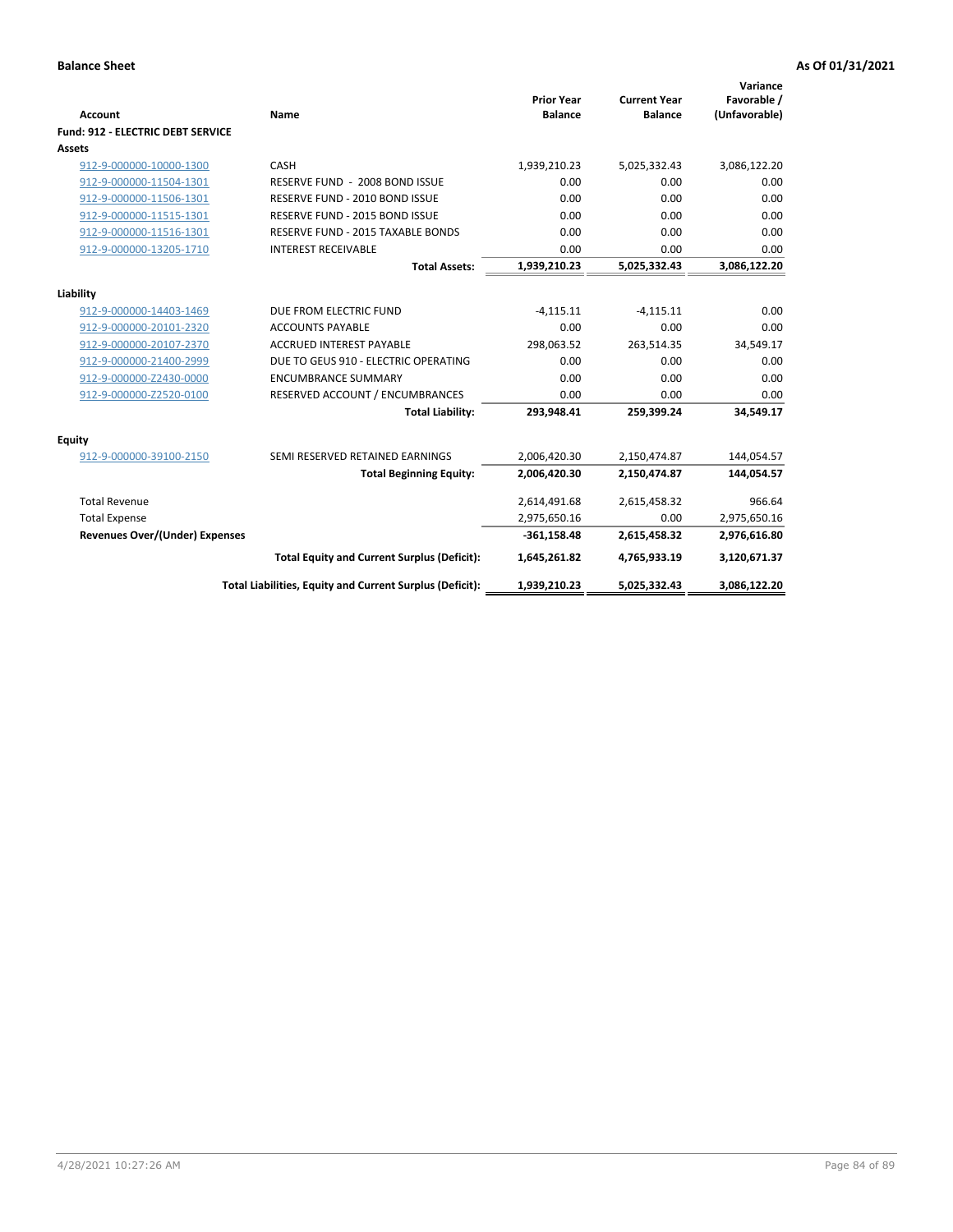| <b>Account</b>                    | Name                                                     | <b>Prior Year</b><br><b>Balance</b> | <b>Current Year</b><br><b>Balance</b> | Variance<br>Favorable /<br>(Unfavorable) |
|-----------------------------------|----------------------------------------------------------|-------------------------------------|---------------------------------------|------------------------------------------|
| Fund: 912 - ELECTRIC DEBT SERVICE |                                                          |                                     |                                       |                                          |
| Assets                            |                                                          |                                     |                                       |                                          |
| 912-9-000000-10000-1300           | CASH                                                     | 1,939,210.23                        | 5,025,332.43                          | 3,086,122.20                             |
| 912-9-000000-11504-1301           | RESERVE FUND - 2008 BOND ISSUE                           | 0.00                                | 0.00                                  | 0.00                                     |
| 912-9-000000-11506-1301           | RESERVE FUND - 2010 BOND ISSUE                           | 0.00                                | 0.00                                  | 0.00                                     |
| 912-9-000000-11515-1301           | RESERVE FUND - 2015 BOND ISSUE                           | 0.00                                | 0.00                                  | 0.00                                     |
| 912-9-000000-11516-1301           | <b>RESERVE FUND - 2015 TAXABLE BONDS</b>                 | 0.00                                | 0.00                                  | 0.00                                     |
| 912-9-000000-13205-1710           | <b>INTEREST RECEIVABLE</b>                               | 0.00                                | 0.00                                  | 0.00                                     |
|                                   | <b>Total Assets:</b>                                     | 1,939,210.23                        | 5,025,332.43                          | 3,086,122.20                             |
|                                   |                                                          |                                     |                                       |                                          |
| Liability                         |                                                          |                                     |                                       |                                          |
| 912-9-000000-14403-1469           | DUE FROM ELECTRIC FUND                                   | $-4,115.11$                         | $-4,115.11$                           | 0.00                                     |
| 912-9-000000-20101-2320           | <b>ACCOUNTS PAYABLE</b>                                  | 0.00                                | 0.00                                  | 0.00                                     |
| 912-9-000000-20107-2370           | <b>ACCRUED INTEREST PAYABLE</b>                          | 298,063.52                          | 263,514.35                            | 34,549.17                                |
| 912-9-000000-21400-2999           | DUE TO GEUS 910 - ELECTRIC OPERATING                     | 0.00                                | 0.00                                  | 0.00                                     |
| 912-9-000000-Z2430-0000           | <b>ENCUMBRANCE SUMMARY</b>                               | 0.00                                | 0.00                                  | 0.00                                     |
| 912-9-000000-Z2520-0100           | RESERVED ACCOUNT / ENCUMBRANCES                          | 0.00                                | 0.00                                  | 0.00                                     |
|                                   | <b>Total Liability:</b>                                  | 293,948.41                          | 259,399.24                            | 34,549.17                                |
| <b>Equity</b>                     |                                                          |                                     |                                       |                                          |
| 912-9-000000-39100-2150           | SEMI RESERVED RETAINED EARNINGS                          | 2,006,420.30                        | 2,150,474.87                          | 144,054.57                               |
|                                   | <b>Total Beginning Equity:</b>                           | 2,006,420.30                        | 2,150,474.87                          | 144,054.57                               |
| <b>Total Revenue</b>              |                                                          | 2,614,491.68                        | 2,615,458.32                          | 966.64                                   |
| <b>Total Expense</b>              |                                                          | 2,975,650.16                        | 0.00                                  | 2,975,650.16                             |
| Revenues Over/(Under) Expenses    |                                                          | $-361,158.48$                       | 2,615,458.32                          | 2,976,616.80                             |
|                                   | <b>Total Equity and Current Surplus (Deficit):</b>       | 1,645,261.82                        | 4,765,933.19                          | 3,120,671.37                             |
|                                   | Total Liabilities, Equity and Current Surplus (Deficit): | 1,939,210.23                        | 5,025,332.43                          | 3,086,122.20                             |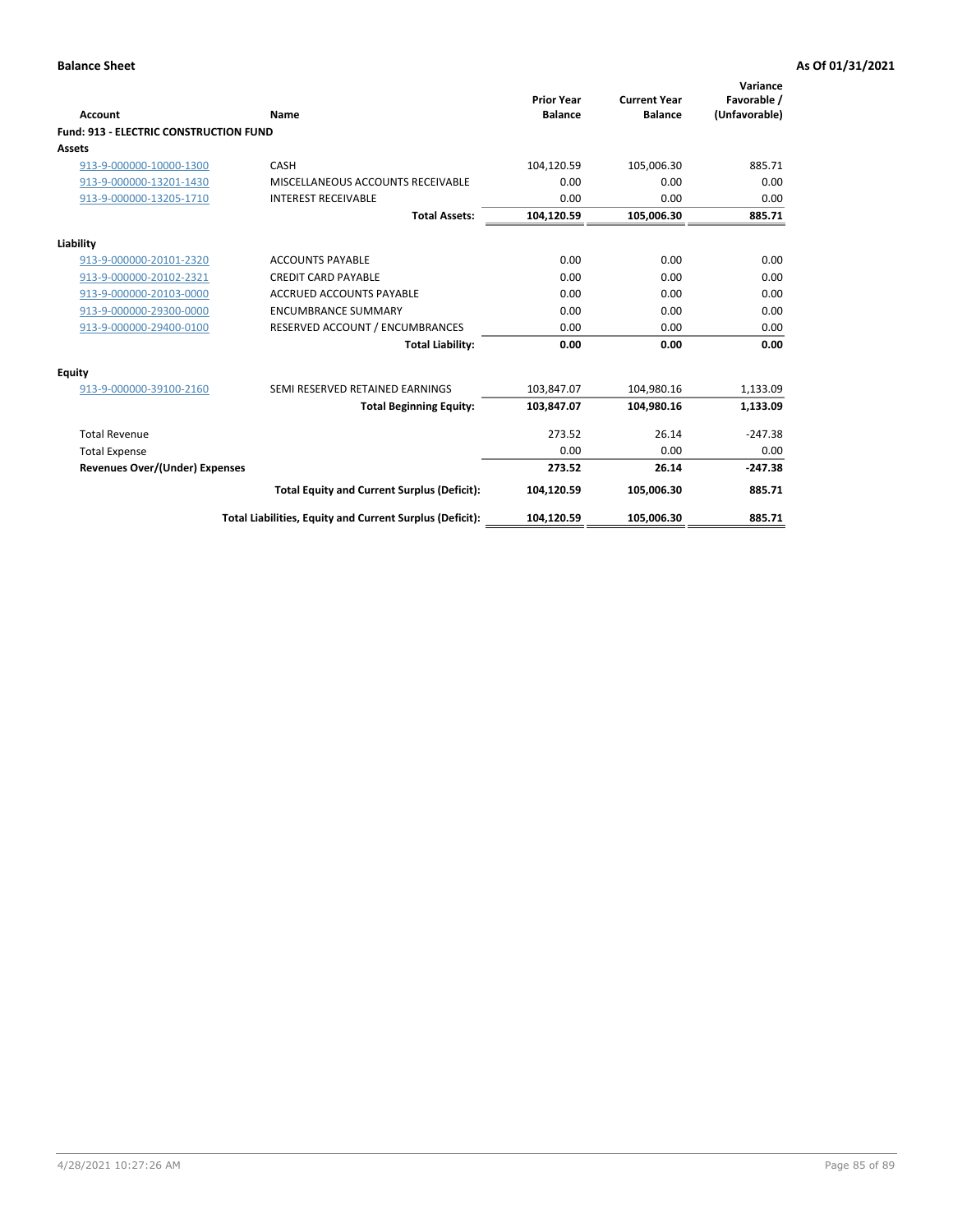| Account                                       | Name                                                     | <b>Prior Year</b><br><b>Balance</b> | <b>Current Year</b><br><b>Balance</b> | Variance<br>Favorable /<br>(Unfavorable) |
|-----------------------------------------------|----------------------------------------------------------|-------------------------------------|---------------------------------------|------------------------------------------|
| <b>Fund: 913 - ELECTRIC CONSTRUCTION FUND</b> |                                                          |                                     |                                       |                                          |
| <b>Assets</b>                                 |                                                          |                                     |                                       |                                          |
| 913-9-000000-10000-1300                       | CASH                                                     | 104,120.59                          | 105,006.30                            | 885.71                                   |
| 913-9-000000-13201-1430                       | MISCELLANEOUS ACCOUNTS RECEIVABLE                        | 0.00                                | 0.00                                  | 0.00                                     |
| 913-9-000000-13205-1710                       | <b>INTEREST RECEIVABLE</b>                               | 0.00                                | 0.00                                  | 0.00                                     |
|                                               | <b>Total Assets:</b>                                     | 104,120.59                          | 105,006.30                            | 885.71                                   |
| Liability                                     |                                                          |                                     |                                       |                                          |
| 913-9-000000-20101-2320                       | <b>ACCOUNTS PAYABLE</b>                                  | 0.00                                | 0.00                                  | 0.00                                     |
| 913-9-000000-20102-2321                       | <b>CREDIT CARD PAYABLE</b>                               | 0.00                                | 0.00                                  | 0.00                                     |
| 913-9-000000-20103-0000                       | <b>ACCRUED ACCOUNTS PAYABLE</b>                          | 0.00                                | 0.00                                  | 0.00                                     |
| 913-9-000000-29300-0000                       | <b>ENCUMBRANCE SUMMARY</b>                               | 0.00                                | 0.00                                  | 0.00                                     |
| 913-9-000000-29400-0100                       | RESERVED ACCOUNT / ENCUMBRANCES                          | 0.00                                | 0.00                                  | 0.00                                     |
|                                               | <b>Total Liability:</b>                                  | 0.00                                | 0.00                                  | 0.00                                     |
| <b>Equity</b>                                 |                                                          |                                     |                                       |                                          |
| 913-9-000000-39100-2160                       | SEMI RESERVED RETAINED EARNINGS                          | 103,847.07                          | 104,980.16                            | 1,133.09                                 |
|                                               | <b>Total Beginning Equity:</b>                           | 103,847.07                          | 104.980.16                            | 1,133.09                                 |
| <b>Total Revenue</b>                          |                                                          | 273.52                              | 26.14                                 | $-247.38$                                |
| <b>Total Expense</b>                          |                                                          | 0.00                                | 0.00                                  | 0.00                                     |
| <b>Revenues Over/(Under) Expenses</b>         |                                                          | 273.52                              | 26.14                                 | $-247.38$                                |
|                                               | <b>Total Equity and Current Surplus (Deficit):</b>       | 104,120.59                          | 105.006.30                            | 885.71                                   |
|                                               | Total Liabilities, Equity and Current Surplus (Deficit): | 104,120.59                          | 105,006.30                            | 885.71                                   |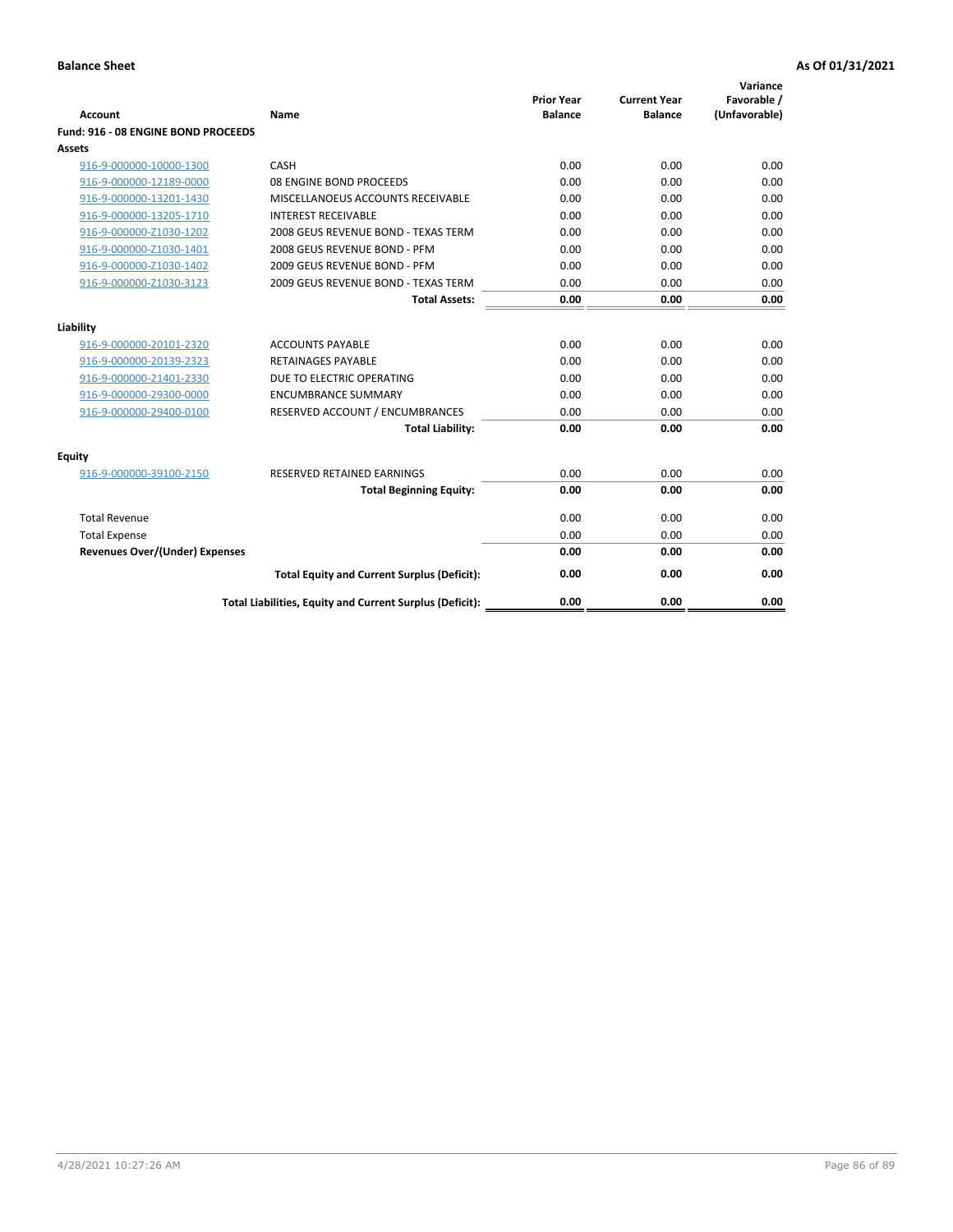| <b>Account</b>                        | Name                                                     | <b>Prior Year</b><br><b>Balance</b> | <b>Current Year</b><br><b>Balance</b> | Variance<br>Favorable /<br>(Unfavorable) |
|---------------------------------------|----------------------------------------------------------|-------------------------------------|---------------------------------------|------------------------------------------|
| Fund: 916 - 08 ENGINE BOND PROCEEDS   |                                                          |                                     |                                       |                                          |
| <b>Assets</b>                         |                                                          |                                     |                                       |                                          |
| 916-9-000000-10000-1300               | CASH                                                     | 0.00                                | 0.00                                  | 0.00                                     |
| 916-9-000000-12189-0000               | 08 ENGINE BOND PROCEEDS                                  | 0.00                                | 0.00                                  | 0.00                                     |
| 916-9-000000-13201-1430               | MISCELLANOEUS ACCOUNTS RECEIVABLE                        | 0.00                                | 0.00                                  | 0.00                                     |
| 916-9-000000-13205-1710               | <b>INTEREST RECEIVABLE</b>                               | 0.00                                | 0.00                                  | 0.00                                     |
| 916-9-000000-Z1030-1202               | 2008 GEUS REVENUE BOND - TEXAS TERM                      | 0.00                                | 0.00                                  | 0.00                                     |
| 916-9-000000-Z1030-1401               | 2008 GEUS REVENUE BOND - PFM                             | 0.00                                | 0.00                                  | 0.00                                     |
| 916-9-000000-Z1030-1402               | 2009 GEUS REVENUE BOND - PFM                             | 0.00                                | 0.00                                  | 0.00                                     |
| 916-9-000000-Z1030-3123               | 2009 GEUS REVENUE BOND - TEXAS TERM                      | 0.00                                | 0.00                                  | 0.00                                     |
|                                       | <b>Total Assets:</b>                                     | 0.00                                | 0.00                                  | 0.00                                     |
| Liability                             |                                                          |                                     |                                       |                                          |
| 916-9-000000-20101-2320               | <b>ACCOUNTS PAYABLE</b>                                  | 0.00                                | 0.00                                  | 0.00                                     |
| 916-9-000000-20139-2323               | <b>RETAINAGES PAYABLE</b>                                | 0.00                                | 0.00                                  | 0.00                                     |
| 916-9-000000-21401-2330               | DUE TO ELECTRIC OPERATING                                | 0.00                                | 0.00                                  | 0.00                                     |
| 916-9-000000-29300-0000               | <b>ENCUMBRANCE SUMMARY</b>                               | 0.00                                | 0.00                                  | 0.00                                     |
| 916-9-000000-29400-0100               | RESERVED ACCOUNT / ENCUMBRANCES                          | 0.00                                | 0.00                                  | 0.00                                     |
|                                       | <b>Total Liability:</b>                                  | 0.00                                | 0.00                                  | 0.00                                     |
| Equity                                |                                                          |                                     |                                       |                                          |
| 916-9-000000-39100-2150               | <b>RESERVED RETAINED EARNINGS</b>                        | 0.00                                | 0.00                                  | 0.00                                     |
|                                       | <b>Total Beginning Equity:</b>                           | 0.00                                | 0.00                                  | 0.00                                     |
| <b>Total Revenue</b>                  |                                                          | 0.00                                | 0.00                                  | 0.00                                     |
| <b>Total Expense</b>                  |                                                          | 0.00                                | 0.00                                  | 0.00                                     |
| <b>Revenues Over/(Under) Expenses</b> |                                                          | 0.00                                | 0.00                                  | 0.00                                     |
|                                       | <b>Total Equity and Current Surplus (Deficit):</b>       | 0.00                                | 0.00                                  | 0.00                                     |
|                                       | Total Liabilities, Equity and Current Surplus (Deficit): | 0.00                                | 0.00                                  | 0.00                                     |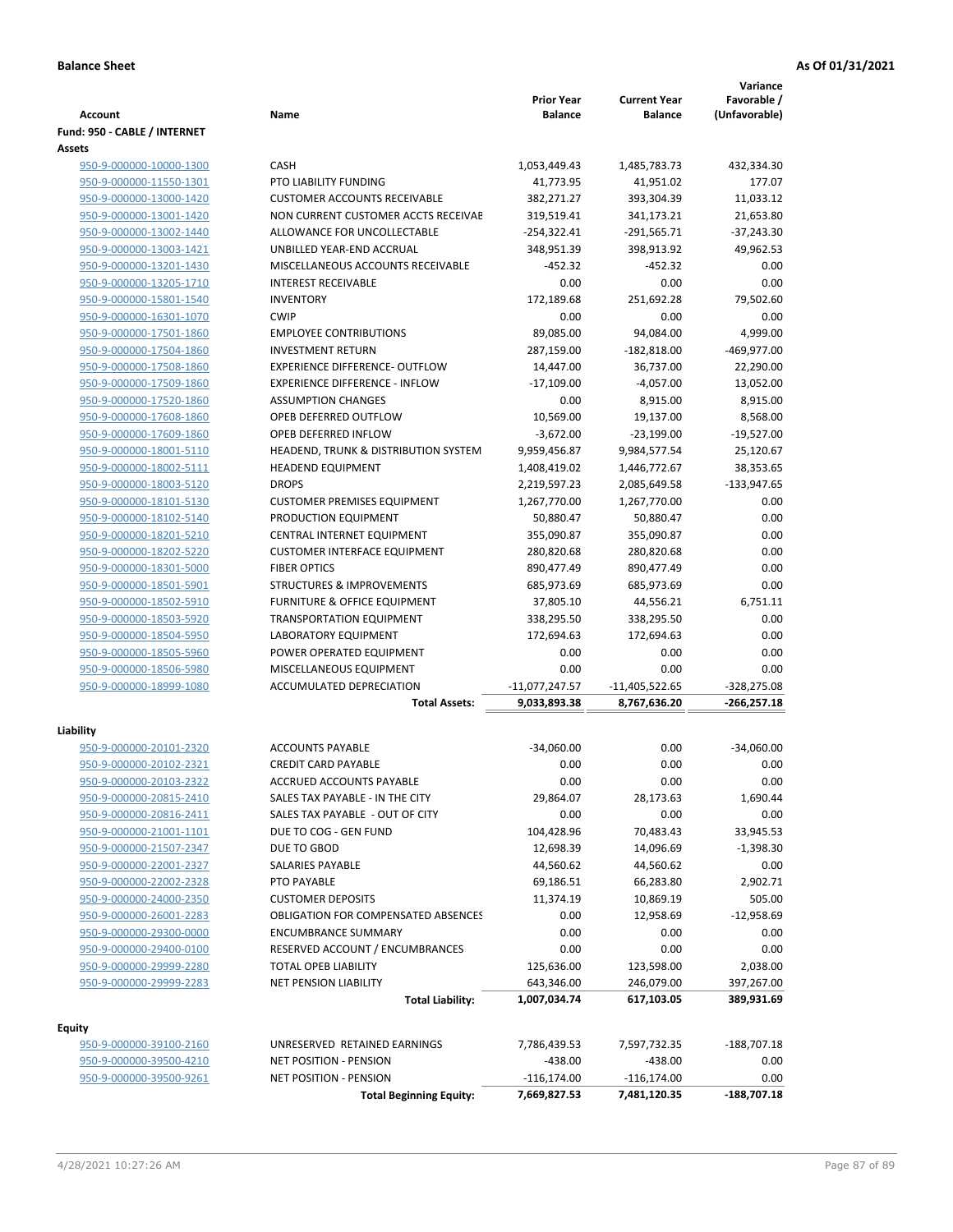|                                                    |                                                                  | <b>Prior Year</b>            | <b>Current Year</b>       | Variance<br>Favorable / |
|----------------------------------------------------|------------------------------------------------------------------|------------------------------|---------------------------|-------------------------|
| <b>Account</b>                                     | Name                                                             | <b>Balance</b>               | <b>Balance</b>            | (Unfavorable)           |
| Fund: 950 - CABLE / INTERNET                       |                                                                  |                              |                           |                         |
| Assets                                             |                                                                  |                              |                           |                         |
| 950-9-000000-10000-1300                            | <b>CASH</b>                                                      | 1,053,449.43                 | 1,485,783.73              | 432,334.30              |
| 950-9-000000-11550-1301                            | <b>PTO LIABILITY FUNDING</b>                                     | 41,773.95                    | 41,951.02                 | 177.07                  |
| 950-9-000000-13000-1420                            | <b>CUSTOMER ACCOUNTS RECEIVABLE</b>                              | 382,271.27                   | 393,304.39                | 11,033.12               |
| 950-9-000000-13001-1420                            | NON CURRENT CUSTOMER ACCTS RECEIVAE                              | 319,519.41                   | 341,173.21                | 21,653.80               |
| 950-9-000000-13002-1440                            | ALLOWANCE FOR UNCOLLECTABLE                                      | $-254,322.41$                | $-291,565.71$             | $-37,243.30$            |
| 950-9-000000-13003-1421                            | UNBILLED YEAR-END ACCRUAL                                        | 348,951.39                   | 398,913.92                | 49,962.53               |
| 950-9-000000-13201-1430                            | MISCELLANEOUS ACCOUNTS RECEIVABLE                                | $-452.32$                    | $-452.32$                 | 0.00                    |
| 950-9-000000-13205-1710                            | <b>INTEREST RECEIVABLE</b>                                       | 0.00                         | 0.00                      | 0.00                    |
| 950-9-000000-15801-1540                            | <b>INVENTORY</b>                                                 | 172,189.68                   | 251,692.28                | 79,502.60               |
| 950-9-000000-16301-1070                            | <b>CWIP</b>                                                      | 0.00                         | 0.00                      | 0.00                    |
| 950-9-000000-17501-1860                            | <b>EMPLOYEE CONTRIBUTIONS</b>                                    | 89,085.00                    | 94,084.00                 | 4,999.00                |
| 950-9-000000-17504-1860                            | <b>INVESTMENT RETURN</b>                                         | 287,159.00                   | $-182,818.00$             | $-469,977.00$           |
| 950-9-000000-17508-1860                            | <b>EXPERIENCE DIFFERENCE- OUTFLOW</b>                            | 14,447.00                    | 36,737.00                 | 22,290.00               |
| 950-9-000000-17509-1860                            | <b>EXPERIENCE DIFFERENCE - INFLOW</b>                            | $-17,109.00$                 | $-4,057.00$               | 13,052.00               |
| 950-9-000000-17520-1860                            | <b>ASSUMPTION CHANGES</b>                                        | 0.00                         | 8,915.00                  | 8,915.00                |
| 950-9-000000-17608-1860                            | OPEB DEFERRED OUTFLOW                                            | 10,569.00                    | 19,137.00                 | 8,568.00                |
| 950-9-000000-17609-1860                            | OPEB DEFERRED INFLOW                                             | $-3,672.00$                  | $-23,199.00$              | $-19,527.00$            |
| 950-9-000000-18001-5110<br>950-9-000000-18002-5111 | HEADEND, TRUNK & DISTRIBUTION SYSTEM<br><b>HEADEND EQUIPMENT</b> | 9,959,456.87                 | 9,984,577.54              | 25,120.67               |
|                                                    | <b>DROPS</b>                                                     | 1,408,419.02<br>2,219,597.23 | 1,446,772.67              | 38,353.65               |
| 950-9-000000-18003-5120                            | <b>CUSTOMER PREMISES EQUIPMENT</b>                               | 1,267,770.00                 | 2,085,649.58              | $-133,947.65$<br>0.00   |
| 950-9-000000-18101-5130<br>950-9-000000-18102-5140 | PRODUCTION EQUIPMENT                                             | 50,880.47                    | 1,267,770.00<br>50,880.47 | 0.00                    |
| 950-9-000000-18201-5210                            | CENTRAL INTERNET EQUIPMENT                                       | 355,090.87                   | 355,090.87                | 0.00                    |
| 950-9-000000-18202-5220                            | <b>CUSTOMER INTERFACE EQUIPMENT</b>                              | 280,820.68                   | 280,820.68                | 0.00                    |
| 950-9-000000-18301-5000                            | <b>FIBER OPTICS</b>                                              | 890,477.49                   | 890,477.49                | 0.00                    |
| 950-9-000000-18501-5901                            | <b>STRUCTURES &amp; IMPROVEMENTS</b>                             | 685,973.69                   | 685,973.69                | 0.00                    |
| 950-9-000000-18502-5910                            | <b>FURNITURE &amp; OFFICE EQUIPMENT</b>                          | 37,805.10                    | 44,556.21                 | 6,751.11                |
| 950-9-000000-18503-5920                            | <b>TRANSPORTATION EQUIPMENT</b>                                  | 338,295.50                   | 338,295.50                | 0.00                    |
| 950-9-000000-18504-5950                            | <b>LABORATORY EQUIPMENT</b>                                      | 172,694.63                   | 172,694.63                | 0.00                    |
| 950-9-000000-18505-5960                            | POWER OPERATED EQUIPMENT                                         | 0.00                         | 0.00                      | 0.00                    |
| 950-9-000000-18506-5980                            | MISCELLANEOUS EQUIPMENT                                          | 0.00                         | 0.00                      | 0.00                    |
| 950-9-000000-18999-1080                            | ACCUMULATED DEPRECIATION                                         | $-11,077,247.57$             | $-11,405,522.65$          | $-328,275.08$           |
|                                                    | <b>Total Assets:</b>                                             | 9,033,893.38                 | 8,767,636.20              | $-266,257.18$           |
|                                                    |                                                                  |                              |                           |                         |
| Liability                                          |                                                                  |                              |                           |                         |
| 950-9-000000-20101-2320                            | <b>ACCOUNTS PAYABLE</b>                                          | $-34,060.00$                 | 0.00                      | $-34,060.00$            |
| 950-9-000000-20102-2321                            | <b>CREDIT CARD PAYABLE</b>                                       | 0.00                         | 0.00                      | 0.00                    |
| 950-9-000000-20103-2322                            | ACCRUED ACCOUNTS PAYABLE                                         | 0.00                         | 0.00                      | 0.00                    |
| 950-9-000000-20815-2410                            | SALES TAX PAYABLE - IN THE CITY                                  | 29,864.07                    | 28,173.63                 | 1,690.44                |
| 950-9-000000-20816-2411                            | SALES TAX PAYABLE - OUT OF CITY                                  | 0.00                         | 0.00                      | 0.00                    |
| 950-9-000000-21001-1101                            | DUE TO COG - GEN FUND                                            | 104,428.96                   | 70,483.43                 | 33,945.53               |
| 950-9-000000-21507-2347                            | DUE TO GBOD                                                      | 12,698.39                    | 14,096.69                 | $-1,398.30$             |
| 950-9-000000-22001-2327                            | SALARIES PAYABLE                                                 | 44,560.62                    | 44,560.62                 | 0.00                    |
| 950-9-000000-22002-2328                            | PTO PAYABLE                                                      | 69,186.51                    | 66,283.80                 | 2,902.71                |
| 950-9-000000-24000-2350                            | <b>CUSTOMER DEPOSITS</b>                                         | 11,374.19                    | 10,869.19                 | 505.00                  |
| 950-9-000000-26001-2283                            | <b>OBLIGATION FOR COMPENSATED ABSENCES</b>                       | 0.00                         | 12,958.69                 | $-12,958.69$            |
| 950-9-000000-29300-0000                            | <b>ENCUMBRANCE SUMMARY</b>                                       | 0.00                         | 0.00                      | 0.00                    |
| 950-9-000000-29400-0100                            | RESERVED ACCOUNT / ENCUMBRANCES                                  | 0.00                         | 0.00                      | 0.00                    |
| 950-9-000000-29999-2280                            | TOTAL OPEB LIABILITY                                             | 125,636.00                   | 123,598.00                | 2,038.00                |
| 950-9-000000-29999-2283                            | <b>NET PENSION LIABILITY</b>                                     | 643,346.00                   | 246,079.00                | 397,267.00              |
|                                                    | <b>Total Liability:</b>                                          | 1,007,034.74                 | 617,103.05                | 389,931.69              |
| <b>Equity</b>                                      |                                                                  |                              |                           |                         |
| 950-9-000000-39100-2160                            | UNRESERVED RETAINED EARNINGS                                     | 7,786,439.53                 | 7,597,732.35              | $-188,707.18$           |
| 950-9-000000-39500-4210                            | NET POSITION - PENSION                                           | $-438.00$                    | $-438.00$                 | 0.00                    |
| 950-9-000000-39500-9261                            | NET POSITION - PENSION                                           | $-116, 174.00$               | $-116, 174.00$            | 0.00                    |
|                                                    | <b>Total Beginning Equity:</b>                                   | 7,669,827.53                 | 7,481,120.35              | $-188,707.18$           |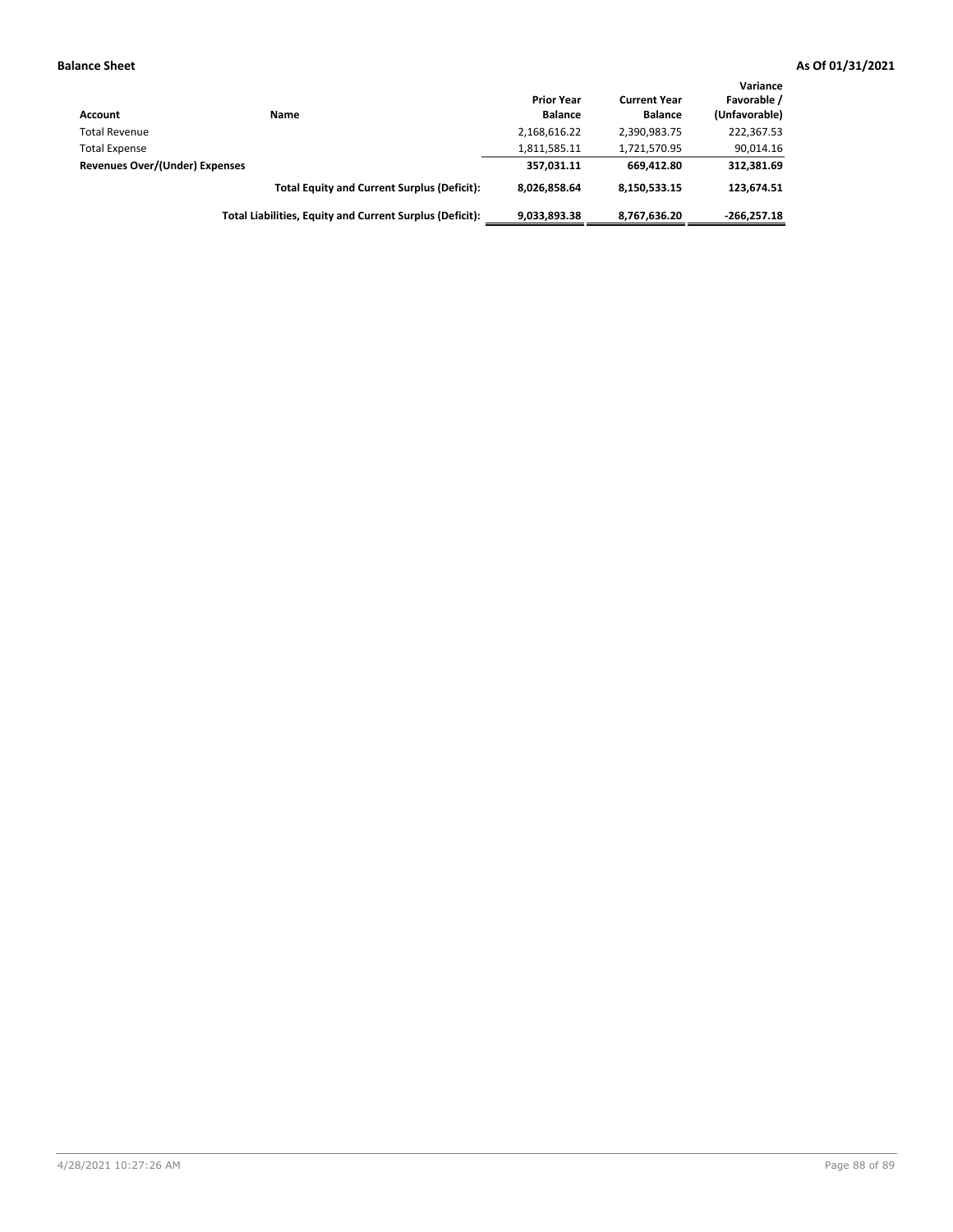| Account                        | Name                                                     | <b>Prior Year</b><br><b>Balance</b> | <b>Current Year</b><br><b>Balance</b> | Variance<br>Favorable /<br>(Unfavorable) |
|--------------------------------|----------------------------------------------------------|-------------------------------------|---------------------------------------|------------------------------------------|
| <b>Total Revenue</b>           |                                                          | 2,168,616.22                        | 2,390,983.75                          | 222,367.53                               |
| <b>Total Expense</b>           |                                                          | 1,811,585.11                        | 1,721,570.95                          | 90,014.16                                |
| Revenues Over/(Under) Expenses |                                                          | 357,031.11                          | 669.412.80                            | 312,381.69                               |
|                                | <b>Total Equity and Current Surplus (Deficit):</b>       | 8.026.858.64                        | 8,150,533.15                          | 123.674.51                               |
|                                | Total Liabilities, Equity and Current Surplus (Deficit): | 9,033,893.38                        | 8,767,636.20                          | $-266.257.18$                            |